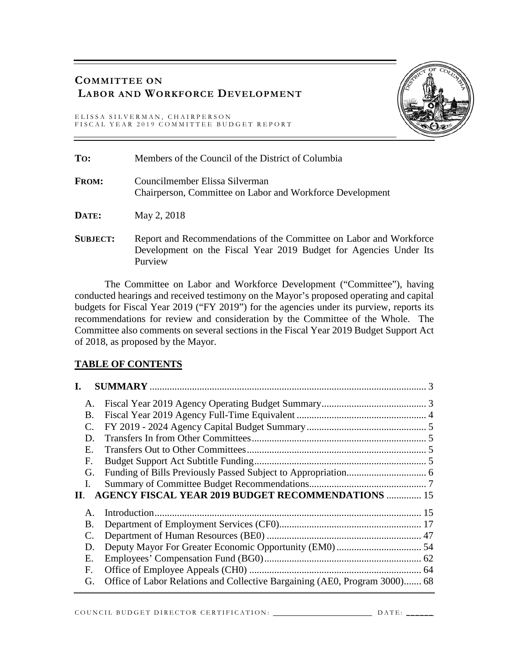## **COMMITTEE ON LABOR AND WORKFORCE DEVELOPMENT**

ELISSA SILVERMAN, CHAIRPERSON FISCAL YEAR 2019 COMMITTEE BUDGET REPORT



| To:             | Members of the Council of the District of Columbia                                                                                                 |
|-----------------|----------------------------------------------------------------------------------------------------------------------------------------------------|
| <b>FROM:</b>    | Councilmember Elissa Silverman<br>Chairperson, Committee on Labor and Workforce Development                                                        |
| DATE:           | May 2, 2018                                                                                                                                        |
| <b>SUBJECT:</b> | Report and Recommendations of the Committee on Labor and Workforce<br>Development on the Fiscal Year 2019 Budget for Agencies Under Its<br>Purview |

The Committee on Labor and Workforce Development ("Committee"), having conducted hearings and received testimony on the Mayor's proposed operating and capital budgets for Fiscal Year 2019 ("FY 2019") for the agencies under its purview, reports its recommendations for review and consideration by the Committee of the Whole. The Committee also comments on several sections in the Fiscal Year 2019 Budget Support Act of 2018, as proposed by the Mayor.

## **TABLE OF CONTENTS**

| Α.              |                                                                            |  |
|-----------------|----------------------------------------------------------------------------|--|
| Β.              |                                                                            |  |
| $\mathcal{C}$ . |                                                                            |  |
| D.              |                                                                            |  |
| E.              |                                                                            |  |
| F.              |                                                                            |  |
| G.              |                                                                            |  |
| L.              |                                                                            |  |
| П.              | <b>AGENCY FISCAL YEAR 2019 BUDGET RECOMMENDATIONS  15</b>                  |  |
| $\mathsf{A}$ .  |                                                                            |  |
| Β.              |                                                                            |  |
|                 |                                                                            |  |
| D.              |                                                                            |  |
| Е.              |                                                                            |  |
| F.              |                                                                            |  |
| G.              | Office of Labor Relations and Collective Bargaining (AE0, Program 3000) 68 |  |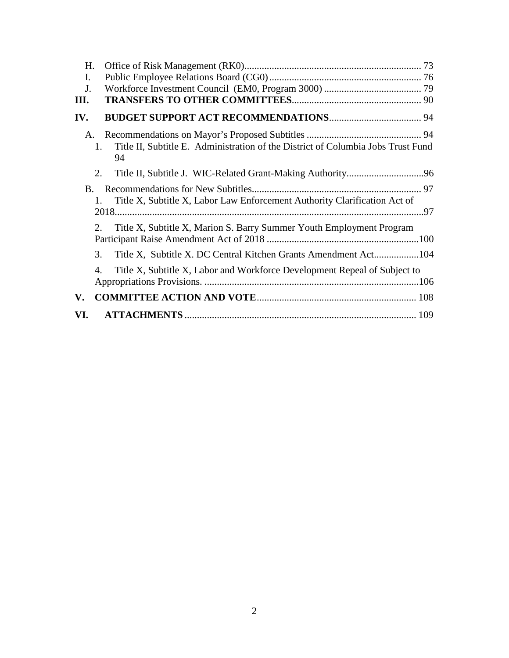| H.  |                                                                                                   |  |
|-----|---------------------------------------------------------------------------------------------------|--|
| I.  |                                                                                                   |  |
| J.  |                                                                                                   |  |
| Ш.  |                                                                                                   |  |
| IV. |                                                                                                   |  |
| A.  |                                                                                                   |  |
|     | Title II, Subtitle E. Administration of the District of Columbia Jobs Trust Fund<br>$1_{-}$<br>94 |  |
|     | 2.                                                                                                |  |
| B.  |                                                                                                   |  |
|     | Title X, Subtitle X, Labor Law Enforcement Authority Clarification Act of<br>1.                   |  |
|     |                                                                                                   |  |
|     | Title X, Subtitle X, Marion S. Barry Summer Youth Employment Program<br>2.                        |  |
|     |                                                                                                   |  |
|     | 3.                                                                                                |  |
|     | Title X, Subtitle X, Labor and Workforce Development Repeal of Subject to<br>4.                   |  |
|     |                                                                                                   |  |
| V.  |                                                                                                   |  |
| VI. |                                                                                                   |  |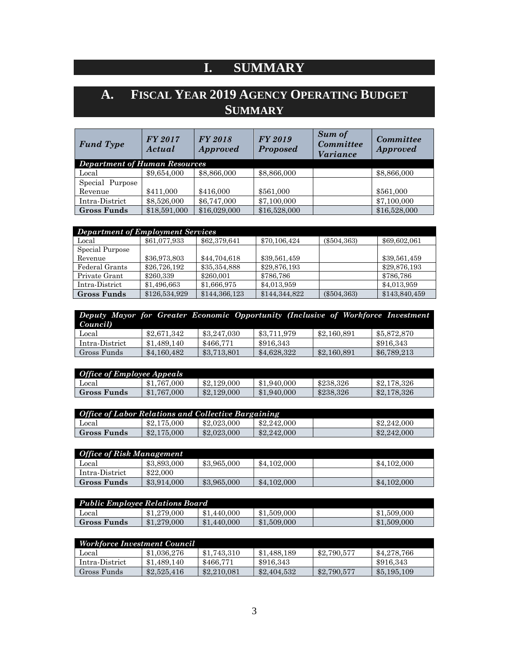# **I. SUMMARY**

# <span id="page-2-1"></span><span id="page-2-0"></span>**A. FISCAL YEAR 2019 AGENCY OPERATING BUDGET SUMMARY**

| <b>Fund Type</b>                     | FY 2017<br>Actual | <b>FY 2018</b><br><b>Approved</b> | <b>FY 2019</b><br><b>Proposed</b> | <b>Sum of</b><br>Committee<br><i>Variance</i> | Committee<br><b>Approved</b> |
|--------------------------------------|-------------------|-----------------------------------|-----------------------------------|-----------------------------------------------|------------------------------|
| <b>Department of Human Resources</b> |                   |                                   |                                   |                                               |                              |
| Local                                | \$9,654,000       | \$8,866,000                       | \$8,866,000                       |                                               | \$8,866,000                  |
| Special Purpose                      |                   |                                   |                                   |                                               |                              |
| Revenue                              | \$411,000         | \$416,000                         | \$561,000                         |                                               | \$561,000                    |
| Intra-District                       | \$8,526,000       | \$6,747,000                       | \$7,100,000                       |                                               | \$7,100,000                  |
| <b>Gross Funds</b>                   | \$18,591,000      | \$16,029,000                      | \$16,528,000                      |                                               | \$16,528,000                 |

| <b>Department of Employment Services</b> |               |               |               |               |               |  |  |  |
|------------------------------------------|---------------|---------------|---------------|---------------|---------------|--|--|--|
| Local                                    | \$61,077,933  | \$62,379,641  | \$70,106,424  | $(\$504,363)$ | \$69,602,061  |  |  |  |
| Special Purpose                          |               |               |               |               |               |  |  |  |
| Revenue                                  | \$36,973,803  | \$44,704,618  | \$39,561,459  |               | \$39,561,459  |  |  |  |
| Federal Grants                           | \$26,726,192  | \$35,354,888  | \$29,876,193  |               | \$29,876,193  |  |  |  |
| Private Grant                            | \$260,339     | \$260,001     | \$786,786     |               | \$786,786     |  |  |  |
| Intra-District                           | \$1,496,663   | \$1,666,975   | \$4,013,959   |               | \$4,013,959   |  |  |  |
| <b>Gross Funds</b>                       | \$126,534,929 | \$144,366,123 | \$144,344,822 | $(\$504,363)$ | \$143,840,459 |  |  |  |

| Deputy Mayor for Greater Economic Opportunity (Inclusive of Workforce Investment |             |             |             |             |             |
|----------------------------------------------------------------------------------|-------------|-------------|-------------|-------------|-------------|
| Council)                                                                         |             |             |             |             |             |
| Local                                                                            | \$2.671.342 | \$3,247,030 | \$3.711.979 | \$2,160,891 | \$5,872,870 |
| Intra-District                                                                   | \$1,489,140 | \$466.771   | \$916.343   |             | \$916.343   |
| Gross Funds                                                                      | \$4,160,482 | \$3,713,801 | \$4,628,322 | \$2,160,891 | \$6,789,213 |

| <b>Office of Employee Appeals</b> |             |             |             |           |             |  |  |
|-----------------------------------|-------------|-------------|-------------|-----------|-------------|--|--|
| Local                             | \$1.767,000 | \$2,129,000 | \$1,940,000 | \$238.326 | \$2,178,326 |  |  |
| <b>Gross Funds</b>                | \$1,767,000 | \$2,129,000 | \$1,940,000 | \$238.326 | \$2,178,326 |  |  |

| <b>Office of Labor Relations and Collective Bargaining</b> |             |             |             |  |             |  |  |
|------------------------------------------------------------|-------------|-------------|-------------|--|-------------|--|--|
| Local                                                      | \$2,175,000 | \$2,023,000 | \$2,242,000 |  | \$2,242,000 |  |  |
| <b>Gross Funds</b>                                         | \$2,175,000 | \$2,023,000 | \$2,242,000 |  | \$2,242,000 |  |  |

| <b>Office of Risk Management</b> |             |             |             |  |             |  |  |
|----------------------------------|-------------|-------------|-------------|--|-------------|--|--|
| Local                            | \$3,893,000 | \$3,965,000 | \$4,102,000 |  | \$4,102,000 |  |  |
| Intra-District                   | \$22,000    |             |             |  |             |  |  |
| <b>Gross Funds</b>               | \$3,914,000 | \$3,965,000 | \$4,102,000 |  | \$4,102,000 |  |  |

| Public Employee Relations Board |             |             |             |  |             |  |  |
|---------------------------------|-------------|-------------|-------------|--|-------------|--|--|
| Local                           | \$1,279,000 | \$1,440,000 | \$1,509,000 |  | \$1,509,000 |  |  |
| <b>Gross Funds</b>              | \$1,279,000 | \$1,440,000 | \$1,509,000 |  | \$1,509,000 |  |  |

| Workforce Investment Council |             |             |             |             |             |  |  |
|------------------------------|-------------|-------------|-------------|-------------|-------------|--|--|
| Local                        | \$1,036,276 | \$1,743,310 | \$1.488.189 | \$2,790,577 | \$4,278,766 |  |  |
| Intra-District               | \$1,489,140 | \$466.771   | \$916.343   |             | \$916.343   |  |  |
| Gross Funds-                 | \$2,525,416 | \$2,210,081 | \$2,404,532 | \$2,790,577 | \$5,195,109 |  |  |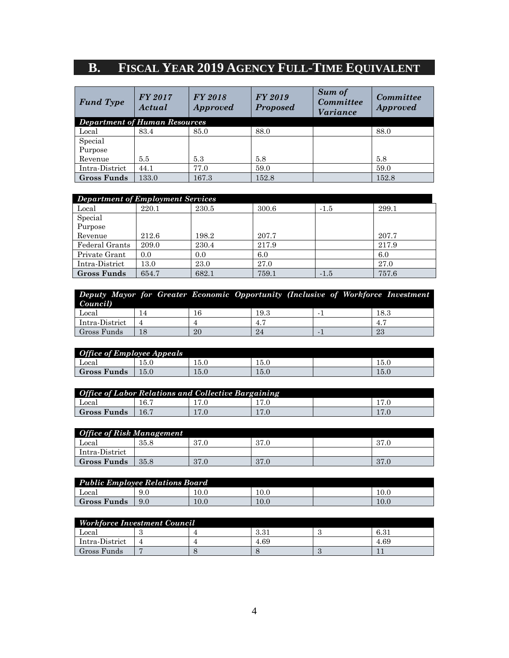# <span id="page-3-0"></span>**B. FISCAL YEAR 2019 AGENCY FULL-TIME EQUIVALENT**

| <b>Fund Type</b>                     | <b>FY 2017</b><br>Actual | <b>FY 2018</b><br><i>Approved</i> | <b>FY 2019</b><br><b>Proposed</b> | Sum of<br><b>Committee</b><br><i>Variance</i> | Committee<br><b>Approved</b> |  |  |  |
|--------------------------------------|--------------------------|-----------------------------------|-----------------------------------|-----------------------------------------------|------------------------------|--|--|--|
| <b>Department of Human Resources</b> |                          |                                   |                                   |                                               |                              |  |  |  |
| Local                                | 83.4                     | 85.0                              | 88.0                              |                                               | 88.0                         |  |  |  |
| Special                              |                          |                                   |                                   |                                               |                              |  |  |  |
| Purpose                              |                          |                                   |                                   |                                               |                              |  |  |  |
| Revenue                              | 5.5                      | 5.3                               | 5.8                               |                                               | 5.8                          |  |  |  |
| Intra-District                       | 44.1                     | 77.0                              | 59.0                              |                                               | 59.0                         |  |  |  |
| <b>Gross Funds</b>                   | 133.0                    | 167.3                             | 152.8                             |                                               | 152.8                        |  |  |  |

| <b>Department of Employment Services</b> |       |       |       |        |       |  |  |
|------------------------------------------|-------|-------|-------|--------|-------|--|--|
| Local                                    | 220.1 | 230.5 | 300.6 | $-1.5$ | 299.1 |  |  |
| Special                                  |       |       |       |        |       |  |  |
| Purpose                                  |       |       |       |        |       |  |  |
| Revenue                                  | 212.6 | 198.2 | 207.7 |        | 207.7 |  |  |
| Federal Grants                           | 209.0 | 230.4 | 217.9 |        | 217.9 |  |  |
| Private Grant                            | 0.0   | 0.0   | 6.0   |        | 6.0   |  |  |
| Intra-District                           | 13.0  | 23.0  | 27.0  |        | 27.0  |  |  |
| <b>Gross Funds</b>                       | 654.7 | 682.1 | 759.1 | $-1.5$ | 757.6 |  |  |

| Deputy Mayor for Greater Economic Opportunity (Inclusive of Workforce Investment<br>Council) |    |    |      |    |      |
|----------------------------------------------------------------------------------------------|----|----|------|----|------|
| Local                                                                                        | 14 |    | 19.3 |    | 18.3 |
| Intra-District                                                                               |    |    | 4.   |    |      |
| Gross Funds                                                                                  | 18 | 20 | 24   | 23 |      |

| <b>Office of Employee Appeals</b> |          |          |      |  |          |  |
|-----------------------------------|----------|----------|------|--|----------|--|
| Local                             | $15.0\,$ | $15.0\,$ | 15.U |  | 15.C     |  |
| <b>Gross Funds</b>                | $15.0\,$ | 15.0     | 15.0 |  | $15.0\,$ |  |

| <b>Office of Labor Relations and Collective Bargaining</b> |      |  |      |  |  |  |
|------------------------------------------------------------|------|--|------|--|--|--|
| Local                                                      | 16.7 |  | 17.0 |  |  |  |
| Gross Funds                                                | 16.7 |  | 17.0 |  |  |  |

| <b>Office of Risk Management</b> |      |      |      |  |      |  |
|----------------------------------|------|------|------|--|------|--|
| Local                            | 35.8 | 37.0 | 37.0 |  | 37.0 |  |
| Intra-District                   |      |      |      |  |      |  |
| <b>Gross Funds</b>               | 35.8 | 37.0 | 37.0 |  | 37.0 |  |

| <b>Public Employee Relations Board</b> |     |      |          |  |      |  |
|----------------------------------------|-----|------|----------|--|------|--|
| Local                                  | 9.0 | 10.0 | $10.0\,$ |  | 10.0 |  |
| Gross Funds                            | 9.0 | 10.0 | 10.0     |  | 10.0 |  |

| <b>Workforce Investment Council</b> |  |  |                        |  |      |  |
|-------------------------------------|--|--|------------------------|--|------|--|
| Local                               |  |  | $9.9^{\circ}$<br>O.O.I |  | 6.31 |  |
| Intra-District                      |  |  | 4.69                   |  | 4.69 |  |
| Gross Funds                         |  |  |                        |  |      |  |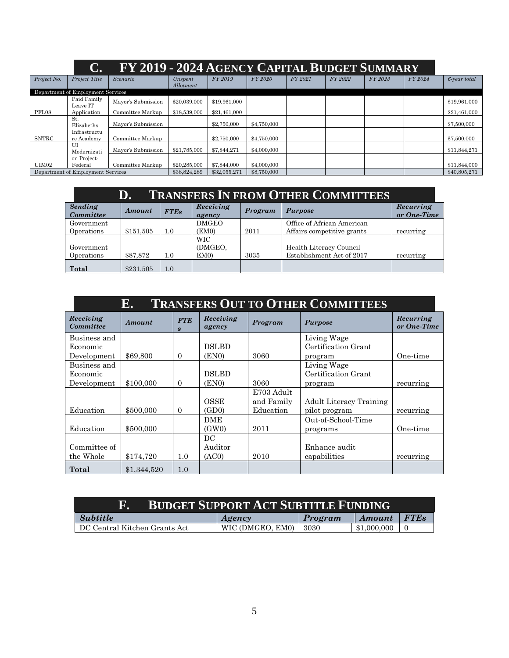<span id="page-4-0"></span>

|             | C.                                | FY 2019 - 2024 AGENCY CAPITAL BUDGET SUMMARY |                      |              |             |         |         |         |         |              |
|-------------|-----------------------------------|----------------------------------------------|----------------------|--------------|-------------|---------|---------|---------|---------|--------------|
| Project No. | Project Title                     | Scenario                                     | Unspent<br>Allotment | FY 2019      | FY 2020     | FY 2021 | FY 2022 | FY 2023 | FY 2024 | 6-year total |
|             | Department of Employment Services |                                              |                      |              |             |         |         |         |         |              |
|             | Paid Family<br>Leave IT           | Mayor's Submission                           | \$20,039,000         | \$19,961,000 |             |         |         |         |         | \$19,961,000 |
| PFL08       | Application                       | Committee Markup                             | \$18,539,000         | \$21.461.000 |             |         |         |         |         | \$21,461,000 |
|             | St.<br>Elizabeths                 | Mayor's Submission                           |                      | \$2,750,000  | \$4,750,000 |         |         |         |         | \$7,500,000  |
|             | Infrastructu                      |                                              |                      |              |             |         |         |         |         |              |
| SNTRC       | re Academy                        | Committee Markup                             |                      | \$2,750,000  | \$4,750,000 |         |         |         |         | \$7,500,000  |
|             | U<br>Modernizati                  | Mayor's Submission                           | \$21,785,000         | \$7.844.271  | \$4,000,000 |         |         |         |         | \$11,844,271 |
|             | on Project-                       |                                              |                      |              |             |         |         |         |         |              |
| UIM02       | Federal                           | Committee Markup                             | \$20,285,000         | \$7,844,000  | \$4,000,000 |         |         |         |         | \$11,844,000 |
|             | Department of Employment Services |                                              | \$38,824,289         | \$32,055,271 | \$8,750,000 |         |         |         |         | \$40,805,271 |

<span id="page-4-1"></span>

|                          | <b>TRANSFERS IN FROM OTHER COMMITTEES</b><br>D. |             |                                          |         |                                                      |                          |  |  |
|--------------------------|-------------------------------------------------|-------------|------------------------------------------|---------|------------------------------------------------------|--------------------------|--|--|
| Sending<br>Committee     | Amount                                          | <b>FTEs</b> | Receiving<br>agency                      | Program | <b>Purpose</b>                                       | Recurring<br>or One-Time |  |  |
| Government               |                                                 |             | <b>DMGEO</b>                             |         | Office of African American                           |                          |  |  |
| Operations               | \$151,505                                       | 1.0         | (EM0)                                    | 2011    | Affairs competitive grants                           | recurring                |  |  |
| Government<br>Operations | \$87,872                                        | 1.0         | <b>WIC</b><br>(DMGEO,<br>EM <sub>0</sub> | 3035    | Health Literacy Council<br>Establishment Act of 2017 | recurring                |  |  |
| Total                    | \$231,505                                       | 1.0         |                                          |         |                                                      |                          |  |  |

<span id="page-4-2"></span>

|                        | <b>TRANSFERS OUT TO OTHER COMMITTEES</b><br>E. |                                |                     |            |                                |                          |  |  |  |
|------------------------|------------------------------------------------|--------------------------------|---------------------|------------|--------------------------------|--------------------------|--|--|--|
| Receiving<br>Committee | <b>Amount</b>                                  | <b>FTE</b><br>$\boldsymbol{s}$ | Receiving<br>agency | Program    | <b>Purpose</b>                 | Recurring<br>or One-Time |  |  |  |
| Business and           |                                                |                                |                     |            | Living Wage                    |                          |  |  |  |
| Economic               |                                                |                                | <b>DSLBD</b>        |            | Certification Grant            |                          |  |  |  |
| Development            | \$69,800                                       | $\Omega$                       | (EN0)               | 3060       | program                        | One-time                 |  |  |  |
| Business and           |                                                |                                |                     |            | Living Wage                    |                          |  |  |  |
| Economic               |                                                |                                | <b>DSLBD</b>        |            | Certification Grant            |                          |  |  |  |
| Development            | \$100,000                                      | $\Omega$                       | (EN0)               | 3060       | program                        | recurring                |  |  |  |
|                        |                                                |                                |                     | E703 Adult |                                |                          |  |  |  |
|                        |                                                |                                | OSSE                | and Family | <b>Adult Literacy Training</b> |                          |  |  |  |
| Education              | \$500,000                                      | $\Omega$                       | (GD0)               | Education  | pilot program                  | recurring                |  |  |  |
|                        |                                                |                                | <b>DME</b>          |            | Out-of-School-Time             |                          |  |  |  |
| Education              | \$500,000                                      |                                | (GW0)               | 2011       | programs                       | One-time                 |  |  |  |
|                        |                                                |                                | DC                  |            |                                |                          |  |  |  |
| Committee of           |                                                |                                | Auditor             |            | Enhance audit                  |                          |  |  |  |
| the Whole              | \$174,720                                      | 1.0                            | (AC0)               | 2010       | capabilities                   | recurring                |  |  |  |
| Total                  | \$1,344,520                                    | 1.0                            |                     |            |                                |                          |  |  |  |

<span id="page-4-3"></span>

| <i>Subtitle</i>               | Agency           | Program | Amount      | <b>FTES</b> |  |  |  |  |
|-------------------------------|------------------|---------|-------------|-------------|--|--|--|--|
| DC Central Kitchen Grants Act | WIC (DMGEO, EM0) | 3030    | \$1,000,000 |             |  |  |  |  |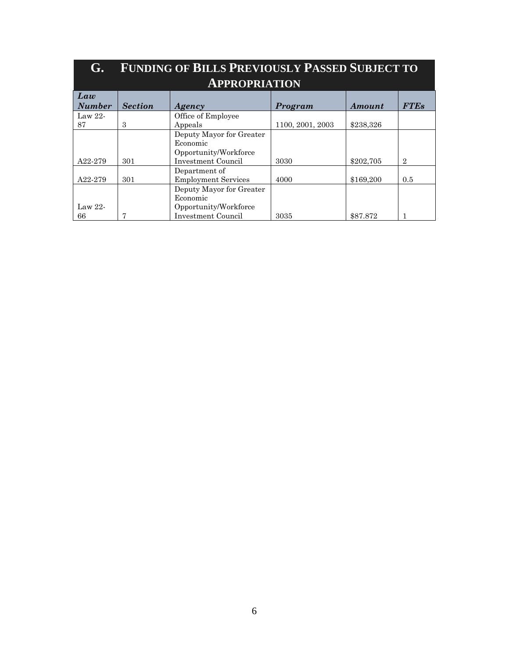<span id="page-5-0"></span>

| G.                   | <b>FUNDING OF BILLS PREVIOUSLY PASSED SUBJECT TO</b> |                                                                                     |                  |           |                |  |  |  |  |  |
|----------------------|------------------------------------------------------|-------------------------------------------------------------------------------------|------------------|-----------|----------------|--|--|--|--|--|
| <b>APPROPRIATION</b> |                                                      |                                                                                     |                  |           |                |  |  |  |  |  |
| Law<br><b>Number</b> | <b>Section</b>                                       | Agency                                                                              | Program          | Amount    | <b>FTEs</b>    |  |  |  |  |  |
| Law $22$ -<br>87     | 3                                                    | Office of Employee<br>Appeals                                                       | 1100, 2001, 2003 | \$238,326 |                |  |  |  |  |  |
| A22-279              | 301                                                  | Deputy Mayor for Greater<br>Economic<br>Opportunity/Workforce<br>Investment Council | 3030             | \$202,705 | $\overline{2}$ |  |  |  |  |  |
| A22-279              | 301                                                  | Department of<br><b>Employment Services</b>                                         | 4000             | \$169,200 | 0.5            |  |  |  |  |  |
| Law $22$ -<br>66     | 7                                                    | Deputy Mayor for Greater<br>Economic<br>Opportunity/Workforce<br>Investment Council | 3035             | \$87.872  | 1              |  |  |  |  |  |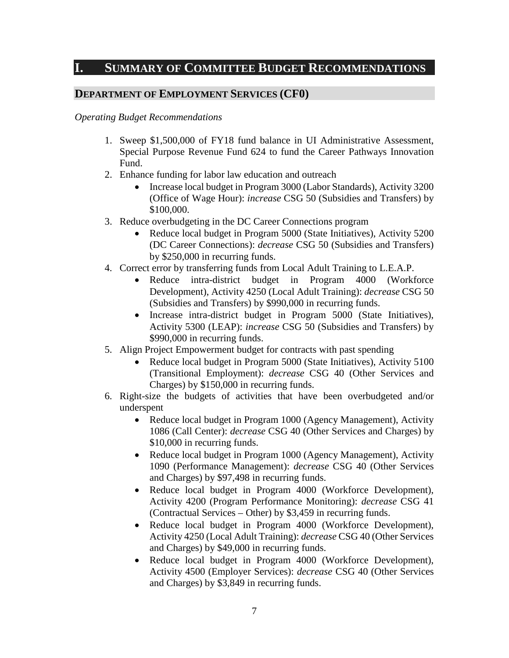## <span id="page-6-0"></span>**I. SUMMARY OF COMMITTEE BUDGET RECOMMENDATIONS**

## **DEPARTMENT OF EMPLOYMENT SERVICES (CF0)**

#### *Operating Budget Recommendations*

- 1. Sweep \$1,500,000 of FY18 fund balance in UI Administrative Assessment, Special Purpose Revenue Fund 624 to fund the Career Pathways Innovation Fund.
- 2. Enhance funding for labor law education and outreach
	- Increase local budget in Program 3000 (Labor Standards), Activity 3200 (Office of Wage Hour): *increase* CSG 50 (Subsidies and Transfers) by \$100,000.
- 3. Reduce overbudgeting in the DC Career Connections program
	- Reduce local budget in Program 5000 (State Initiatives), Activity 5200 (DC Career Connections): *decrease* CSG 50 (Subsidies and Transfers) by \$250,000 in recurring funds.
- 4. Correct error by transferring funds from Local Adult Training to L.E.A.P.
	- Reduce intra-district budget in Program 4000 (Workforce Development), Activity 4250 (Local Adult Training): *decrease* CSG 50 (Subsidies and Transfers) by \$990,000 in recurring funds.
	- Increase intra-district budget in Program 5000 (State Initiatives), Activity 5300 (LEAP): *increase* CSG 50 (Subsidies and Transfers) by \$990,000 in recurring funds.
- 5. Align Project Empowerment budget for contracts with past spending
	- Reduce local budget in Program 5000 (State Initiatives), Activity 5100 (Transitional Employment): *decrease* CSG 40 (Other Services and Charges) by \$150,000 in recurring funds.
- 6. Right-size the budgets of activities that have been overbudgeted and/or underspent
	- Reduce local budget in Program 1000 (Agency Management), Activity 1086 (Call Center): *decrease* CSG 40 (Other Services and Charges) by \$10,000 in recurring funds.
	- Reduce local budget in Program 1000 (Agency Management), Activity 1090 (Performance Management): *decrease* CSG 40 (Other Services and Charges) by \$97,498 in recurring funds.
	- Reduce local budget in Program 4000 (Workforce Development), Activity 4200 (Program Performance Monitoring): *decrease* CSG 41 (Contractual Services – Other) by \$3,459 in recurring funds.
	- Reduce local budget in Program 4000 (Workforce Development), Activity 4250 (Local Adult Training): *decrease* CSG 40 (Other Services and Charges) by \$49,000 in recurring funds.
	- Reduce local budget in Program 4000 (Workforce Development), Activity 4500 (Employer Services): *decrease* CSG 40 (Other Services and Charges) by \$3,849 in recurring funds.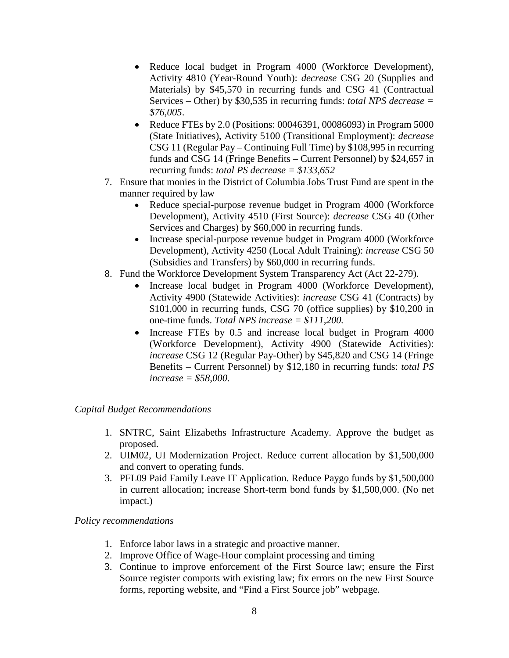- Reduce local budget in Program 4000 (Workforce Development), Activity 4810 (Year-Round Youth): *decrease* CSG 20 (Supplies and Materials) by \$45,570 in recurring funds and CSG 41 (Contractual Services – Other) by \$30,535 in recurring funds: *total NPS decrease = \$76,005*.
- Reduce FTEs by 2.0 (Positions: 00046391, 00086093) in Program 5000 (State Initiatives), Activity 5100 (Transitional Employment): *decrease*  CSG 11 (Regular Pay – Continuing Full Time) by \$108,995 in recurring funds and CSG 14 (Fringe Benefits – Current Personnel) by \$24,657 in recurring funds: *total PS decrease = \$133,652*
- 7. Ensure that monies in the District of Columbia Jobs Trust Fund are spent in the manner required by law
	- Reduce special-purpose revenue budget in Program 4000 (Workforce Development), Activity 4510 (First Source): *decrease* CSG 40 (Other Services and Charges) by \$60,000 in recurring funds.
	- Increase special-purpose revenue budget in Program 4000 (Workforce Development), Activity 4250 (Local Adult Training): *increase* CSG 50 (Subsidies and Transfers) by \$60,000 in recurring funds.
- 8. Fund the Workforce Development System Transparency Act (Act 22-279).
	- Increase local budget in Program 4000 (Workforce Development), Activity 4900 (Statewide Activities): *increase* CSG 41 (Contracts) by \$101,000 in recurring funds, CSG 70 (office supplies) by \$10,200 in one-time funds. *Total NPS increase = \$111,200.*
	- Increase FTEs by 0.5 and increase local budget in Program 4000 (Workforce Development), Activity 4900 (Statewide Activities): *increase* CSG 12 (Regular Pay-Other) by \$45,820 and CSG 14 (Fringe Benefits – Current Personnel) by \$12,180 in recurring funds: *total PS increase = \$58,000.*

## *Capital Budget Recommendations*

- 1. SNTRC, Saint Elizabeths Infrastructure Academy. Approve the budget as proposed.
- 2. UIM02, UI Modernization Project. Reduce current allocation by \$1,500,000 and convert to operating funds.
- 3. PFL09 Paid Family Leave IT Application. Reduce Paygo funds by \$1,500,000 in current allocation; increase Short-term bond funds by \$1,500,000. (No net impact.)

#### *Policy recommendations*

- 1. Enforce labor laws in a strategic and proactive manner.
- 2. Improve Office of Wage-Hour complaint processing and timing
- 3. Continue to improve enforcement of the First Source law; ensure the First Source register comports with existing law; fix errors on the new First Source forms, reporting website, and "Find a First Source job" webpage.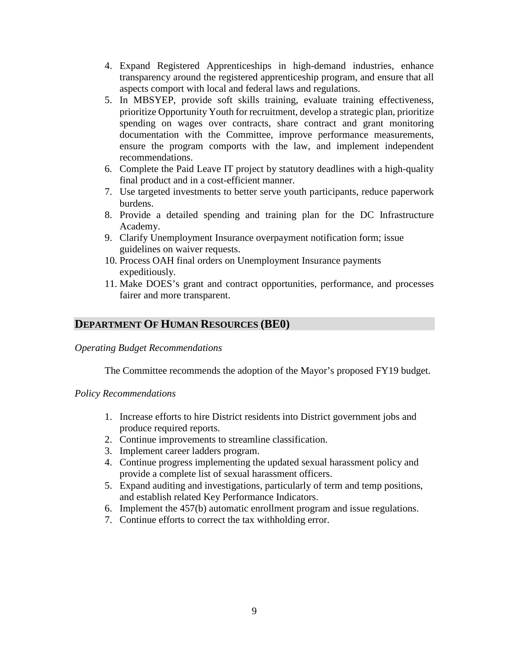- 4. Expand Registered Apprenticeships in high-demand industries, enhance transparency around the registered apprenticeship program, and ensure that all aspects comport with local and federal laws and regulations.
- 5. In MBSYEP, provide soft skills training, evaluate training effectiveness, prioritize Opportunity Youth for recruitment, develop a strategic plan, prioritize spending on wages over contracts, share contract and grant monitoring documentation with the Committee, improve performance measurements, ensure the program comports with the law, and implement independent recommendations.
- 6. Complete the Paid Leave IT project by statutory deadlines with a high-quality final product and in a cost-efficient manner.
- 7. Use targeted investments to better serve youth participants, reduce paperwork burdens.
- 8. Provide a detailed spending and training plan for the DC Infrastructure Academy.
- 9. Clarify Unemployment Insurance overpayment notification form; issue guidelines on waiver requests.
- 10. Process OAH final orders on Unemployment Insurance payments expeditiously.
- 11. Make DOES's grant and contract opportunities, performance, and processes fairer and more transparent.

## **DEPARTMENT OF HUMAN RESOURCES (BE0)**

#### *Operating Budget Recommendations*

The Committee recommends the adoption of the Mayor's proposed FY19 budget.

#### *Policy Recommendations*

- 1. Increase efforts to hire District residents into District government jobs and produce required reports.
- 2. Continue improvements to streamline classification.
- 3. Implement career ladders program.
- 4. Continue progress implementing the updated sexual harassment policy and provide a complete list of sexual harassment officers.
- 5. Expand auditing and investigations, particularly of term and temp positions, and establish related Key Performance Indicators.
- 6. Implement the 457(b) automatic enrollment program and issue regulations.
- 7. Continue efforts to correct the tax withholding error.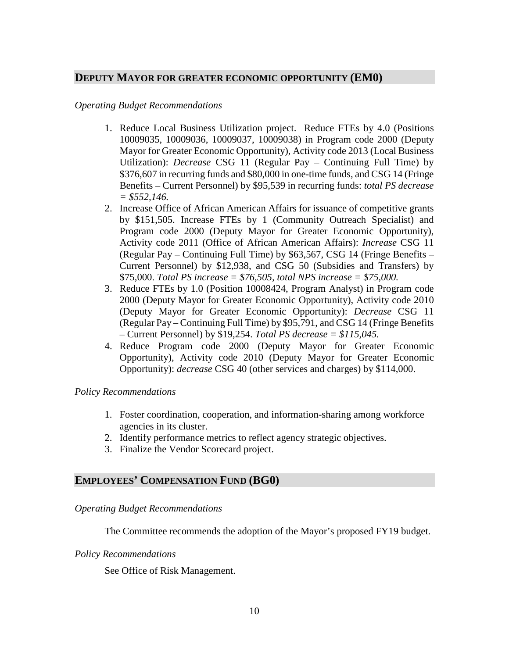#### **DEPUTY MAYOR FOR GREATER ECONOMIC OPPORTUNITY (EM0)**

#### *Operating Budget Recommendations*

- 1. Reduce Local Business Utilization project. Reduce FTEs by 4.0 (Positions 10009035, 10009036, 10009037, 10009038) in Program code 2000 (Deputy Mayor for Greater Economic Opportunity), Activity code 2013 (Local Business Utilization): *Decrease* CSG 11 (Regular Pay – Continuing Full Time) by \$376,607 in recurring funds and \$80,000 in one-time funds, and CSG 14 (Fringe Benefits – Current Personnel) by \$95,539 in recurring funds: *total PS decrease = \$552,146.*
- 2. Increase Office of African American Affairs for issuance of competitive grants by \$151,505. Increase FTEs by 1 (Community Outreach Specialist) and Program code 2000 (Deputy Mayor for Greater Economic Opportunity), Activity code 2011 (Office of African American Affairs): *Increase* CSG 11 (Regular Pay – Continuing Full Time) by \$63,567, CSG 14 (Fringe Benefits – Current Personnel) by \$12,938, and CSG 50 (Subsidies and Transfers) by \$75,000. *Total PS increase = \$76,505, total NPS increase = \$75,000.*
- 3. Reduce FTEs by 1.0 (Position 10008424, Program Analyst) in Program code 2000 (Deputy Mayor for Greater Economic Opportunity), Activity code 2010 (Deputy Mayor for Greater Economic Opportunity): *Decrease* CSG 11 (Regular Pay – Continuing Full Time) by \$95,791, and CSG 14 (Fringe Benefits – Current Personnel) by \$19,254. *Total PS decrease = \$115,045.*
- 4. Reduce Program code 2000 (Deputy Mayor for Greater Economic Opportunity), Activity code 2010 (Deputy Mayor for Greater Economic Opportunity): *decrease* CSG 40 (other services and charges) by \$114,000.

#### *Policy Recommendations*

- 1. Foster coordination, cooperation, and information-sharing among workforce agencies in its cluster.
- 2. Identify performance metrics to reflect agency strategic objectives.
- 3. Finalize the Vendor Scorecard project.

## **EMPLOYEES' COMPENSATION FUND (BG0)**

#### *Operating Budget Recommendations*

The Committee recommends the adoption of the Mayor's proposed FY19 budget.

#### *Policy Recommendations*

See Office of Risk Management.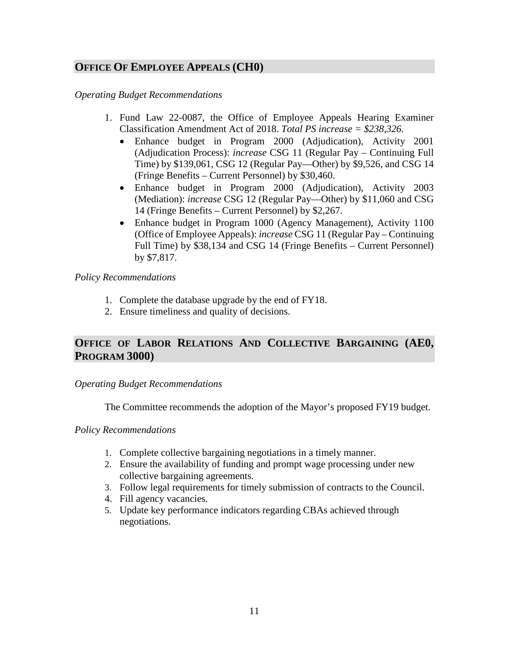## **OFFICE OF EMPLOYEE APPEALS (CH0)**

*Operating Budget Recommendations*

- 1. Fund Law 22-0087, the Office of Employee Appeals Hearing Examiner Classification Amendment Act of 2018. *Total PS increase = \$238,326.*
	- Enhance budget in Program 2000 (Adjudication), Activity 2001 (Adjudication Process): *increase* CSG 11 (Regular Pay – Continuing Full Time) by \$139,061, CSG 12 (Regular Pay—Other) by \$9,526, and CSG 14 (Fringe Benefits – Current Personnel) by \$30,460.
	- Enhance budget in Program 2000 (Adjudication), Activity 2003 (Mediation): *increase* CSG 12 (Regular Pay—Other) by \$11,060 and CSG 14 (Fringe Benefits – Current Personnel) by \$2,267.
	- Enhance budget in Program 1000 (Agency Management), Activity 1100 (Office of Employee Appeals): *increase* CSG 11 (Regular Pay – Continuing Full Time) by \$38,134 and CSG 14 (Fringe Benefits – Current Personnel) by \$7,817.

#### *Policy Recommendations*

- 1. Complete the database upgrade by the end of FY18.
- 2. Ensure timeliness and quality of decisions.

## **OFFICE OF LABOR RELATIONS AND COLLECTIVE BARGAINING (AE0, PROGRAM 3000)**

#### *Operating Budget Recommendations*

The Committee recommends the adoption of the Mayor's proposed FY19 budget.

#### *Policy Recommendations*

- 1. Complete collective bargaining negotiations in a timely manner.
- 2. Ensure the availability of funding and prompt wage processing under new collective bargaining agreements.
- 3. Follow legal requirements for timely submission of contracts to the Council.
- 4. Fill agency vacancies.
- 5. Update key performance indicators regarding CBAs achieved through negotiations.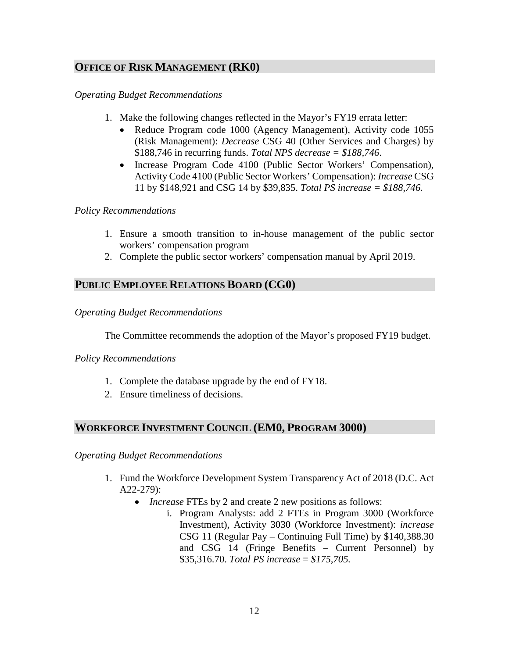## **OFFICE OF RISK MANAGEMENT (RK0)**

#### *Operating Budget Recommendations*

- 1. Make the following changes reflected in the Mayor's FY19 errata letter:
	- Reduce Program code 1000 (Agency Management), Activity code 1055 (Risk Management): *Decrease* CSG 40 (Other Services and Charges) by \$188,746 in recurring funds. *Total NPS decrease = \$188,746*.
	- Increase Program Code 4100 (Public Sector Workers' Compensation), Activity Code 4100 (Public Sector Workers' Compensation): *Increase* CSG 11 by \$148,921 and CSG 14 by \$39,835. *Total PS increase = \$188,746.*

#### *Policy Recommendations*

- 1. Ensure a smooth transition to in-house management of the public sector workers' compensation program
- 2. Complete the public sector workers' compensation manual by April 2019.

## **PUBLIC EMPLOYEE RELATIONS BOARD (CG0)**

#### *Operating Budget Recommendations*

The Committee recommends the adoption of the Mayor's proposed FY19 budget.

#### *Policy Recommendations*

- 1. Complete the database upgrade by the end of FY18.
- 2. Ensure timeliness of decisions.

## **WORKFORCE INVESTMENT COUNCIL (EM0, PROGRAM 3000)**

*Operating Budget Recommendations*

- 1. Fund the Workforce Development System Transparency Act of 2018 (D.C. Act A22-279):
	- *Increase* FTEs by 2 and create 2 new positions as follows:
		- i. Program Analysts: add 2 FTEs in Program 3000 (Workforce Investment), Activity 3030 (Workforce Investment): *increase* CSG 11 (Regular Pay – Continuing Full Time) by \$140,388.30 and CSG 14 (Fringe Benefits – Current Personnel) by \$35,316.70. *Total PS increase* = *\$175,705.*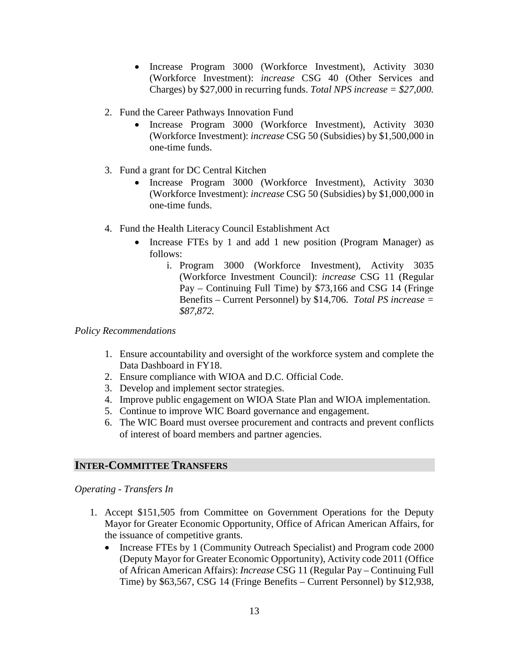- Increase Program 3000 (Workforce Investment), Activity 3030 (Workforce Investment): *increase* CSG 40 (Other Services and Charges) by \$27,000 in recurring funds. *Total NPS increase = \$27,000.*
- 2. Fund the Career Pathways Innovation Fund
	- Increase Program 3000 (Workforce Investment), Activity 3030 (Workforce Investment): *increase* CSG 50 (Subsidies) by \$1,500,000 in one-time funds.
- 3. Fund a grant for DC Central Kitchen
	- Increase Program 3000 (Workforce Investment), Activity 3030 (Workforce Investment): *increase* CSG 50 (Subsidies) by \$1,000,000 in one-time funds.
- 4. Fund the Health Literacy Council Establishment Act
	- Increase FTEs by 1 and add 1 new position (Program Manager) as follows:
		- i. Program 3000 (Workforce Investment), Activity 3035 (Workforce Investment Council): *increase* CSG 11 (Regular Pay – Continuing Full Time) by \$73,166 and CSG 14 (Fringe Benefits – Current Personnel) by \$14,706. *Total PS increase = \$87,872.*

## *Policy Recommendations*

- 1. Ensure accountability and oversight of the workforce system and complete the Data Dashboard in FY18.
- 2. Ensure compliance with WIOA and D.C. Official Code.
- 3. Develop and implement sector strategies.
- 4. Improve public engagement on WIOA State Plan and WIOA implementation.
- 5. Continue to improve WIC Board governance and engagement.
- 6. The WIC Board must oversee procurement and contracts and prevent conflicts of interest of board members and partner agencies.

## **INTER-COMMITTEE TRANSFERS**

*Operating - Transfers In*

- 1. Accept \$151,505 from Committee on Government Operations for the Deputy Mayor for Greater Economic Opportunity, Office of African American Affairs, for the issuance of competitive grants.
	- Increase FTEs by 1 (Community Outreach Specialist) and Program code 2000 (Deputy Mayor for Greater Economic Opportunity), Activity code 2011 (Office of African American Affairs): *Increase* CSG 11 (Regular Pay – Continuing Full Time) by \$63,567, CSG 14 (Fringe Benefits – Current Personnel) by \$12,938,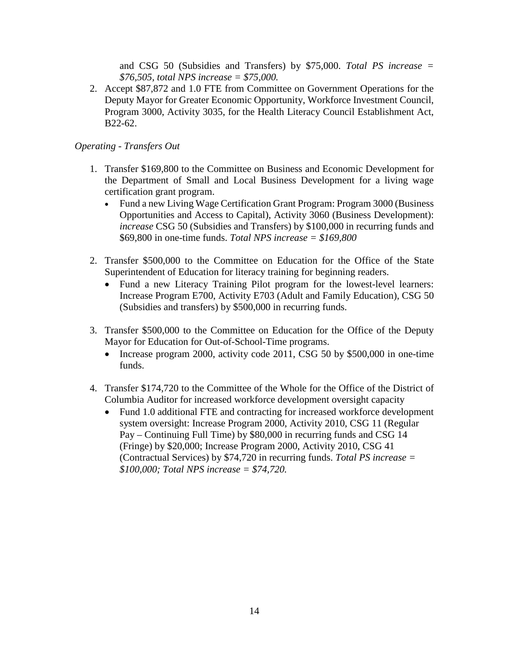and CSG 50 (Subsidies and Transfers) by \$75,000. *Total PS increase = \$76,505, total NPS increase = \$75,000.*

2. Accept \$87,872 and 1.0 FTE from Committee on Government Operations for the Deputy Mayor for Greater Economic Opportunity, Workforce Investment Council, Program 3000, Activity 3035, for the Health Literacy Council Establishment Act, B22-62.

## *Operating - Transfers Out*

- 1. Transfer \$169,800 to the Committee on Business and Economic Development for the Department of Small and Local Business Development for a living wage certification grant program.
	- Fund a new Living Wage Certification Grant Program: Program 3000 (Business Opportunities and Access to Capital), Activity 3060 (Business Development): *increase* CSG 50 (Subsidies and Transfers) by \$100,000 in recurring funds and \$69,800 in one-time funds. *Total NPS increase = \$169,800*
- 2. Transfer \$500,000 to the Committee on Education for the Office of the State Superintendent of Education for literacy training for beginning readers.
	- Fund a new Literacy Training Pilot program for the lowest-level learners: Increase Program E700, Activity E703 (Adult and Family Education), CSG 50 (Subsidies and transfers) by \$500,000 in recurring funds.
- 3. Transfer \$500,000 to the Committee on Education for the Office of the Deputy Mayor for Education for Out-of-School-Time programs.
	- Increase program 2000, activity code 2011, CSG 50 by \$500,000 in one-time funds.
- 4. Transfer \$174,720 to the Committee of the Whole for the Office of the District of Columbia Auditor for increased workforce development oversight capacity
	- Fund 1.0 additional FTE and contracting for increased workforce development system oversight: Increase Program 2000, Activity 2010, CSG 11 (Regular Pay – Continuing Full Time) by \$80,000 in recurring funds and CSG 14 (Fringe) by \$20,000; Increase Program 2000, Activity 2010, CSG 41 (Contractual Services) by \$74,720 in recurring funds. *Total PS increase = \$100,000; Total NPS increase = \$74,720.*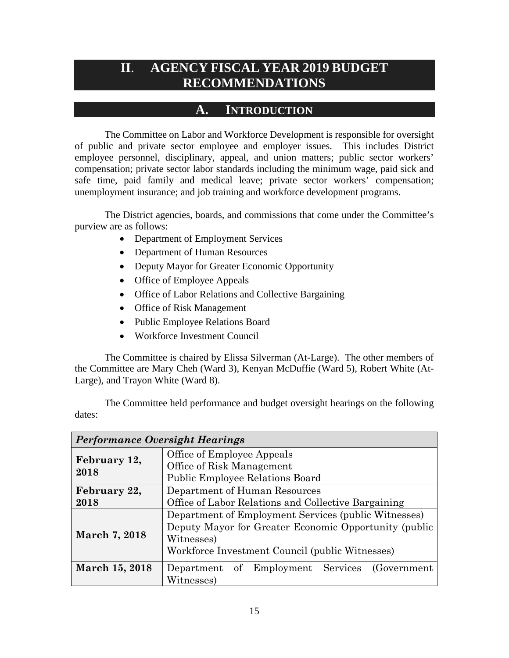## <span id="page-14-0"></span>**II**. **AGENCY FISCAL YEAR 2019 BUDGET RECOMMENDATIONS**

## **A. INTRODUCTION**

<span id="page-14-1"></span>The Committee on Labor and Workforce Development is responsible for oversight of public and private sector employee and employer issues. This includes District employee personnel, disciplinary, appeal, and union matters; public sector workers' compensation; private sector labor standards including the minimum wage, paid sick and safe time, paid family and medical leave; private sector workers' compensation; unemployment insurance; and job training and workforce development programs.

The District agencies, boards, and commissions that come under the Committee's purview are as follows:

- Department of Employment Services
- Department of Human Resources
- Deputy Mayor for Greater Economic Opportunity
- Office of Employee Appeals
- Office of Labor Relations and Collective Bargaining
- Office of Risk Management
- Public Employee Relations Board
- Workforce Investment Council

The Committee is chaired by Elissa Silverman (At-Large). The other members of the Committee are Mary Cheh (Ward 3), Kenyan McDuffie (Ward 5), Robert White (At-Large), and Trayon White (Ward 8).

*Performance Oversight Hearings* **February 12,**  Office of Employee Appeals

|        | The Committee held performance and budget oversight hearings on the following |  |  |  |  |
|--------|-------------------------------------------------------------------------------|--|--|--|--|
| dates: |                                                                               |  |  |  |  |

| Performance Oversight Hearings |                                                       |  |  |  |  |  |
|--------------------------------|-------------------------------------------------------|--|--|--|--|--|
|                                | Office of Employee Appeals                            |  |  |  |  |  |
| February 12,<br>2018           | Office of Risk Management                             |  |  |  |  |  |
|                                | <b>Public Employee Relations Board</b>                |  |  |  |  |  |
| February 22,                   | Department of Human Resources                         |  |  |  |  |  |
| 2018                           | Office of Labor Relations and Collective Bargaining   |  |  |  |  |  |
|                                | Department of Employment Services (public Witnesses)  |  |  |  |  |  |
|                                | Deputy Mayor for Greater Economic Opportunity (public |  |  |  |  |  |
| March 7, 2018                  | Witnesses)                                            |  |  |  |  |  |
|                                | Workforce Investment Council (public Witnesses)       |  |  |  |  |  |
| March 15, 2018                 | of Employment Services<br>Department<br>(Government)  |  |  |  |  |  |
|                                | Witnesses)                                            |  |  |  |  |  |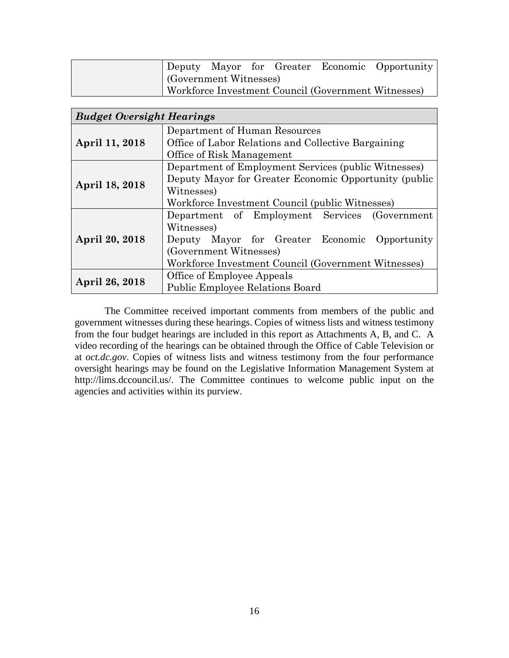|                        |  |  | Deputy Mayor for Greater Economic Opportunity       |
|------------------------|--|--|-----------------------------------------------------|
| (Government Witnesses) |  |  |                                                     |
|                        |  |  | Workforce Investment Council (Government Witnesses) |

| <b>Budget Oversight Hearings</b> |                                                       |  |  |  |  |  |
|----------------------------------|-------------------------------------------------------|--|--|--|--|--|
|                                  | Department of Human Resources                         |  |  |  |  |  |
| April 11, 2018                   | Office of Labor Relations and Collective Bargaining   |  |  |  |  |  |
|                                  | Office of Risk Management                             |  |  |  |  |  |
|                                  | Department of Employment Services (public Witnesses)  |  |  |  |  |  |
| April 18, 2018                   | Deputy Mayor for Greater Economic Opportunity (public |  |  |  |  |  |
|                                  | Witnesses)                                            |  |  |  |  |  |
|                                  | Workforce Investment Council (public Witnesses)       |  |  |  |  |  |
|                                  | Department of Employment Services (Government         |  |  |  |  |  |
|                                  | Witnesses)                                            |  |  |  |  |  |
| April 20, 2018                   | Deputy Mayor for Greater Economic Opportunity         |  |  |  |  |  |
|                                  | (Government Witnesses)                                |  |  |  |  |  |
|                                  | Workforce Investment Council (Government Witnesses)   |  |  |  |  |  |
|                                  | Office of Employee Appeals                            |  |  |  |  |  |
| April 26, 2018                   | <b>Public Employee Relations Board</b>                |  |  |  |  |  |

The Committee received important comments from members of the public and government witnesses during these hearings. Copies of witness lists and witness testimony from the four budget hearings are included in this report as Attachments A, B, and C. A video recording of the hearings can be obtained through the Office of Cable Television or at *oct.dc.gov*. Copies of witness lists and witness testimony from the four performance oversight hearings may be found on the Legislative Information Management System at http://lims.dccouncil.us/. The Committee continues to welcome public input on the agencies and activities within its purview.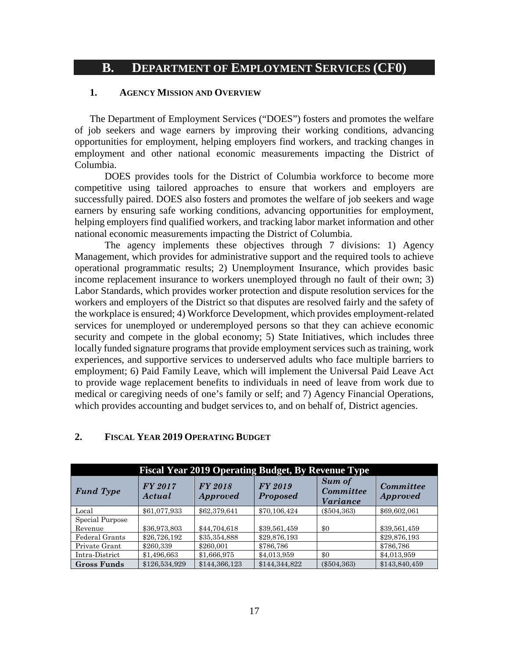## <span id="page-16-0"></span>**B. DEPARTMENT OF EMPLOYMENT SERVICES (CF0)**

#### **1. AGENCY MISSION AND OVERVIEW**

The Department of Employment Services ("DOES") fosters and promotes the welfare of job seekers and wage earners by improving their working conditions, advancing opportunities for employment, helping employers find workers, and tracking changes in employment and other national economic measurements impacting the District of Columbia.

DOES provides tools for the District of Columbia workforce to become more competitive using tailored approaches to ensure that workers and employers are successfully paired. DOES also fosters and promotes the welfare of job seekers and wage earners by ensuring safe working conditions, advancing opportunities for employment, helping employers find qualified workers, and tracking labor market information and other national economic measurements impacting the District of Columbia.

The agency implements these objectives through 7 divisions: 1) Agency Management, which provides for administrative support and the required tools to achieve operational programmatic results; 2) Unemployment Insurance, which provides basic income replacement insurance to workers unemployed through no fault of their own; 3) Labor Standards, which provides worker protection and dispute resolution services for the workers and employers of the District so that disputes are resolved fairly and the safety of the workplace is ensured; 4) Workforce Development, which provides employment-related services for unemployed or underemployed persons so that they can achieve economic security and compete in the global economy; 5) State Initiatives, which includes three locally funded signature programs that provide employment services such as training, work experiences, and supportive services to underserved adults who face multiple barriers to employment; 6) Paid Family Leave, which will implement the Universal Paid Leave Act to provide wage replacement benefits to individuals in need of leave from work due to medical or caregiving needs of one's family or self; and 7) Agency Financial Operations, which provides accounting and budget services to, and on behalf of, District agencies.

| <b>Fiscal Year 2019 Operating Budget, By Revenue Type</b> |                   |                            |                                   |                                        |                                     |  |  |  |  |
|-----------------------------------------------------------|-------------------|----------------------------|-----------------------------------|----------------------------------------|-------------------------------------|--|--|--|--|
| <b>Fund Type</b>                                          | FY 2017<br>Actual | FY 2018<br><b>Approved</b> | <b>FY 2019</b><br><b>Proposed</b> | Sum of<br><b>Committee</b><br>Variance | <b>Committee</b><br><b>Approved</b> |  |  |  |  |
| Local                                                     | \$61,077,933      | \$62,379,641               | \$70,106,424                      | $(\$504,363)$                          | \$69,602,061                        |  |  |  |  |
| Special Purpose                                           |                   |                            |                                   |                                        |                                     |  |  |  |  |
| Revenue                                                   | \$36,973,803      | \$44,704,618               | \$39,561,459                      | \$0                                    | \$39,561,459                        |  |  |  |  |
| Federal Grants                                            | \$26,726,192      | \$35,354,888               | \$29,876,193                      |                                        | \$29,876,193                        |  |  |  |  |
| Private Grant                                             | \$260.339         | \$260,001                  | \$786,786                         |                                        | \$786,786                           |  |  |  |  |
| Intra-District                                            | \$1,496,663       | \$1,666,975                | \$4,013,959                       | \$0                                    | \$4,013,959                         |  |  |  |  |
| <b>Gross Funds</b>                                        | \$126,534,929     | \$144,366,123              | \$144,344,822                     | $(\$504,363)$                          | \$143,840,459                       |  |  |  |  |

#### **2. FISCAL YEAR 2019 OPERATING BUDGET**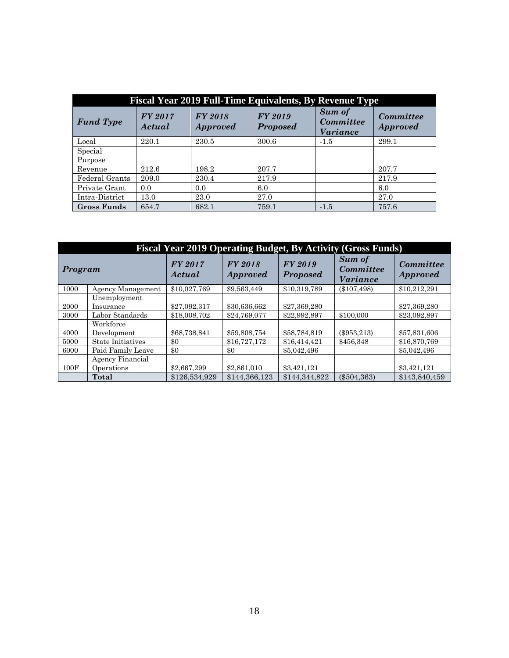| <b>Fiscal Year 2019 Full-Time Equivalents, By Revenue Type</b> |                   |                                   |                                   |                                        |                              |  |  |  |
|----------------------------------------------------------------|-------------------|-----------------------------------|-----------------------------------|----------------------------------------|------------------------------|--|--|--|
| <b>Fund Type</b>                                               | FY 2017<br>Actual | <b>FY 2018</b><br><b>Approved</b> | <b>FY 2019</b><br><b>Proposed</b> | Sum of<br><b>Committee</b><br>Variance | Committee<br><b>Approved</b> |  |  |  |
| Local                                                          | 220.1             | 230.5                             | 300.6                             | $-1.5$                                 | 299.1                        |  |  |  |
| Special                                                        |                   |                                   |                                   |                                        |                              |  |  |  |
| Purpose                                                        |                   |                                   |                                   |                                        |                              |  |  |  |
| Revenue                                                        | 212.6             | 198.2                             | 207.7                             |                                        | 207.7                        |  |  |  |
| Federal Grants                                                 | 209.0             | 230.4                             | 217.9                             |                                        | 217.9                        |  |  |  |
| Private Grant                                                  | 0.0               | 0.0                               | 6.0                               |                                        | 6.0                          |  |  |  |
| Intra-District                                                 | 13.0              | 23.0                              | 27.0                              |                                        | 27.0                         |  |  |  |
| <b>Gross Funds</b>                                             | 654.7             | 682.1                             | 759.1                             | $-1.5$                                 | 757.6                        |  |  |  |

| <b>Fiscal Year 2019 Operating Budget, By Activity (Gross Funds)</b> |                                |                   |                                                                        |               |                                        |                                     |  |  |  |
|---------------------------------------------------------------------|--------------------------------|-------------------|------------------------------------------------------------------------|---------------|----------------------------------------|-------------------------------------|--|--|--|
| Program                                                             |                                | FY 2017<br>Actual | <b>FY 2019</b><br><b>FY 2018</b><br><b>Proposed</b><br><i>Approved</i> |               | <b>Sum of</b><br>Committee<br>Variance | <b>Committee</b><br><b>Approved</b> |  |  |  |
| 1000                                                                | Agency Management              | \$10,027,769      | \$9,563,449                                                            | \$10,319,789  | $(\$107,498)$                          | \$10,212,291                        |  |  |  |
| 2000                                                                | Unemployment<br>Insurance      | \$27,092,317      | \$30,636,662                                                           | \$27,369,280  |                                        | \$27,369,280                        |  |  |  |
| 3000                                                                | Labor Standards                | \$18,008,702      | \$24,769,077                                                           | \$22,992,897  | \$100,000                              | \$23,092,897                        |  |  |  |
| 4000                                                                | Workforce<br>Development       | \$68,738,841      | \$59,808,754                                                           | \$58,784,819  | $(\$953,213)$                          | \$57,831,606                        |  |  |  |
| 5000                                                                | <b>State Initiatives</b>       | \$0               | \$16,727,172                                                           | \$16,414,421  | \$456.348                              | \$16,870,769                        |  |  |  |
| 6000                                                                | Paid Family Leave              | \$0               | \$0                                                                    | \$5,042,496   |                                        | \$5,042,496                         |  |  |  |
| 100F                                                                | Agency Financial<br>Operations | \$2,667,299       | \$2,861,010                                                            | \$3,421,121   |                                        | \$3,421,121                         |  |  |  |
|                                                                     | <b>Total</b>                   | \$126,534,929     | \$144,366,123                                                          | \$144,344,822 | $(\$504,363)$                          | \$143,840,459                       |  |  |  |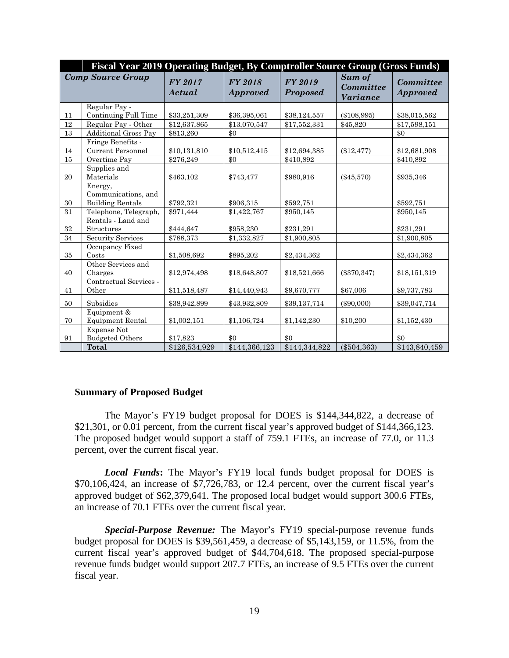| Fiscal Year 2019 Operating Budget, By Comptroller Source Group (Gross Funds) |                                                           |                          |                                   |               |                                 |                                     |  |  |  |
|------------------------------------------------------------------------------|-----------------------------------------------------------|--------------------------|-----------------------------------|---------------|---------------------------------|-------------------------------------|--|--|--|
|                                                                              | <b>Comp Source Group</b>                                  | <b>FY 2017</b><br>Actual | <b>FY 2018</b><br><i>Approved</i> |               | Sum of<br>Committee<br>Variance | <b>Committee</b><br><i>Approved</i> |  |  |  |
|                                                                              | Regular Pay -                                             |                          |                                   |               |                                 |                                     |  |  |  |
| 11                                                                           | Continuing Full Time                                      | \$33,251,309             | \$36,395,061                      | \$38,124,557  | $(\$108,995)$                   | \$38,015,562                        |  |  |  |
| 12                                                                           | Regular Pay - Other                                       | \$12,637,865             | \$13,070,547                      | \$17,552,331  | \$45,820                        | \$17,598,151                        |  |  |  |
| 13                                                                           | <b>Additional Gross Pay</b>                               | \$813,260                | \$0                               |               |                                 | \$0                                 |  |  |  |
|                                                                              | Fringe Benefits -                                         |                          |                                   |               |                                 |                                     |  |  |  |
| 14                                                                           | <b>Current Personnel</b>                                  | \$10,131,810             | \$10,512,415                      | \$12,694,385  | $(\$12,477)$                    | \$12,681,908                        |  |  |  |
| $15\,$                                                                       | Overtime Pay                                              | \$276,249                | \$0                               | \$410,892     |                                 | \$410,892                           |  |  |  |
| 20                                                                           | Supplies and<br>Materials                                 | \$463,102                | \$743,477                         | \$980,916     | $(\$45,570)$                    | \$935,346                           |  |  |  |
| 30                                                                           | Energy,<br>Communications, and<br><b>Building Rentals</b> | \$792,321                | \$906,315                         | \$592,751     |                                 | \$592,751                           |  |  |  |
| 31                                                                           | Telephone, Telegraph,                                     | \$971,444                | \$1,422,767                       | \$950,145     |                                 | \$950,145                           |  |  |  |
|                                                                              | Rentals - Land and                                        |                          |                                   |               |                                 |                                     |  |  |  |
| 32                                                                           | Structures                                                | \$444,647                | \$958,230                         | \$231,291     |                                 | \$231.291                           |  |  |  |
| 34                                                                           | Security Services                                         | \$788,373                | \$1,332,827                       | \$1,900,805   |                                 | \$1,900,805                         |  |  |  |
| 35                                                                           | Occupancy Fixed<br>Costs                                  | \$1,508,692              | \$895,202                         | \$2,434,362   |                                 | \$2,434,362                         |  |  |  |
| 40                                                                           | Other Services and<br>Charges                             | \$12,974,498             | \$18,648,807                      | \$18,521,666  | $(\$370,347)$                   | \$18,151,319                        |  |  |  |
| 41                                                                           | Contractual Services -<br>Other                           | \$11,518,487             | \$14,440,943                      | \$9,670,777   | \$67,006                        | \$9,737,783                         |  |  |  |
| 50                                                                           | Subsidies                                                 | \$38,942,899             | \$43,932,809                      | \$39,137,714  | $(\$90,000)$                    | \$39,047,714                        |  |  |  |
| 70                                                                           | Equipment &<br><b>Equipment Rental</b>                    | \$1,002,151              | \$1,106,724                       | \$1,142,230   | \$10,200                        | \$1,152,430                         |  |  |  |
| 91                                                                           | <b>Expense Not</b><br><b>Budgeted Others</b>              | \$17,823                 | \$0                               | \$0           |                                 | \$0                                 |  |  |  |
|                                                                              | <b>Total</b>                                              | \$126,534,929            | \$144,366,123                     | \$144,344,822 | $(\$504,363)$                   | \$143,840,459                       |  |  |  |

#### **Summary of Proposed Budget**

The Mayor's FY19 budget proposal for DOES is \$144,344,822, a decrease of \$21,301, or 0.01 percent, from the current fiscal year's approved budget of \$144,366,123. The proposed budget would support a staff of 759.1 FTEs, an increase of 77.0, or 11.3 percent, over the current fiscal year.

*Local Funds***:** The Mayor's FY19 local funds budget proposal for DOES is \$70,106,424, an increase of \$7,726,783, or 12.4 percent, over the current fiscal year's approved budget of \$62,379,641. The proposed local budget would support 300.6 FTEs, an increase of 70.1 FTEs over the current fiscal year.

*Special-Purpose Revenue:* The Mayor's FY19 special-purpose revenue funds budget proposal for DOES is \$39,561,459, a decrease of \$5,143,159, or 11.5%, from the current fiscal year's approved budget of \$44,704,618. The proposed special-purpose revenue funds budget would support 207.7 FTEs, an increase of 9.5 FTEs over the current fiscal year.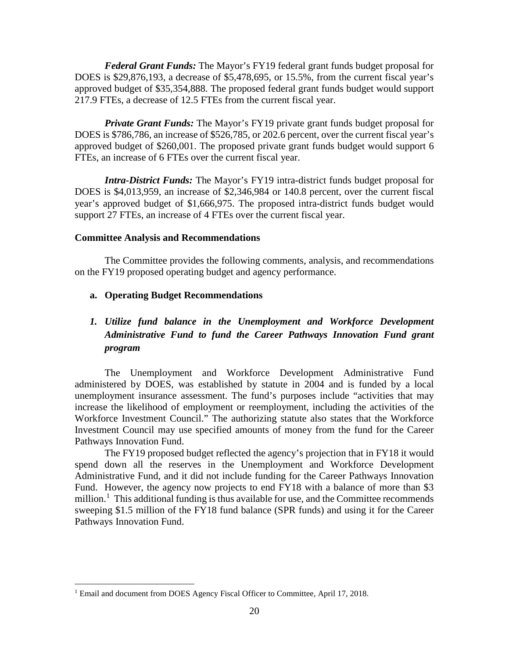*Federal Grant Funds:* The Mayor's FY19 federal grant funds budget proposal for DOES is \$29,876,193, a decrease of \$5,478,695, or 15.5%, from the current fiscal year's approved budget of \$35,354,888. The proposed federal grant funds budget would support 217.9 FTEs, a decrease of 12.5 FTEs from the current fiscal year.

*Private Grant Funds:* The Mayor's FY19 private grant funds budget proposal for DOES is \$786,786, an increase of \$526,785, or 202.6 percent, over the current fiscal year's approved budget of \$260,001. The proposed private grant funds budget would support 6 FTEs, an increase of 6 FTEs over the current fiscal year.

*Intra-District Funds:* The Mayor's FY19 intra-district funds budget proposal for DOES is \$4,013,959, an increase of \$2,346,984 or 140.8 percent, over the current fiscal year's approved budget of \$1,666,975. The proposed intra-district funds budget would support 27 FTEs, an increase of 4 FTEs over the current fiscal year.

#### **Committee Analysis and Recommendations**

The Committee provides the following comments, analysis, and recommendations on the FY19 proposed operating budget and agency performance.

#### **a. Operating Budget Recommendations**

## *1. Utilize fund balance in the Unemployment and Workforce Development Administrative Fund to fund the Career Pathways Innovation Fund grant program*

The Unemployment and Workforce Development Administrative Fund administered by DOES, was established by statute in 2004 and is funded by a local unemployment insurance assessment. The fund's purposes include "activities that may increase the likelihood of employment or reemployment, including the activities of the Workforce Investment Council." The authorizing statute also states that the Workforce Investment Council may use specified amounts of money from the fund for the Career Pathways Innovation Fund.

The FY19 proposed budget reflected the agency's projection that in FY18 it would spend down all the reserves in the Unemployment and Workforce Development Administrative Fund, and it did not include funding for the Career Pathways Innovation Fund. However, the agency now projects to end FY18 with a balance of more than \$3 million.<sup>[1](#page-19-0)</sup> This additional funding is thus available for use, and the Committee recommends sweeping \$1.5 million of the FY18 fund balance (SPR funds) and using it for the Career Pathways Innovation Fund.

<span id="page-19-0"></span><sup>&</sup>lt;sup>1</sup> Email and document from DOES Agency Fiscal Officer to Committee, April 17, 2018.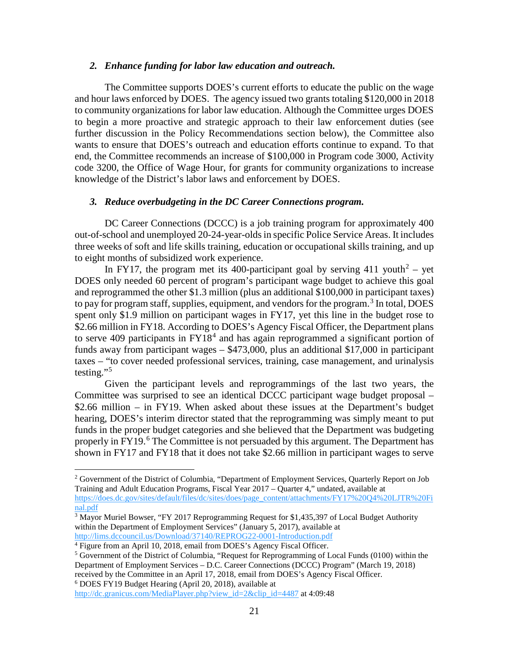#### *2. Enhance funding for labor law education and outreach.*

The Committee supports DOES's current efforts to educate the public on the wage and hour laws enforced by DOES. The agency issued two grants totaling \$120,000 in 2018 to community organizations for labor law education. Although the Committee urges DOES to begin a more proactive and strategic approach to their law enforcement duties (see further discussion in the Policy Recommendations section below), the Committee also wants to ensure that DOES's outreach and education efforts continue to expand. To that end, the Committee recommends an increase of \$100,000 in Program code 3000, Activity code 3200, the Office of Wage Hour, for grants for community organizations to increase knowledge of the District's labor laws and enforcement by DOES.

#### *3. Reduce overbudgeting in the DC Career Connections program.*

DC Career Connections (DCCC) is a job training program for approximately 400 out-of-school and unemployed 20-24-year-olds in specific Police Service Areas. It includes three weeks of soft and life skills training, education or occupational skills training, and up to eight months of subsidized work experience.

In FY17, the program met its 400-participant goal by serving  $411$  youth<sup>[2](#page-20-0)</sup> – yet DOES only needed 60 percent of program's participant wage budget to achieve this goal and reprogrammed the other \$1.3 million (plus an additional \$100,000 in participant taxes) to pay for program staff, supplies, equipment, and vendors for the program.<sup>[3](#page-20-1)</sup> In total, DOES spent only \$1.9 million on participant wages in FY17, yet this line in the budget rose to \$2.66 million in FY18. According to DOES's Agency Fiscal Officer, the Department plans to serve [4](#page-20-2)09 participants in  $FY18<sup>4</sup>$  and has again reprogrammed a significant portion of funds away from participant wages – \$473,000, plus an additional \$17,000 in participant taxes – "to cover needed professional services, training, case management, and urinalysis testing."[5](#page-20-3)

Given the participant levels and reprogrammings of the last two years, the Committee was surprised to see an identical DCCC participant wage budget proposal – \$2.66 million – in FY19. When asked about these issues at the Department's budget hearing, DOES's interim director stated that the reprogramming was simply meant to put funds in the proper budget categories and she believed that the Department was budgeting properly in FY19.<sup>[6](#page-20-4)</sup> The Committee is not persuaded by this argument. The Department has shown in FY17 and FY18 that it does not take \$2.66 million in participant wages to serve

<span id="page-20-0"></span><sup>&</sup>lt;sup>2</sup> Government of the District of Columbia, "Department of Employment Services, Quarterly Report on Job Training and Adult Education Programs, Fiscal Year 2017 – Quarter 4," undated, available at [https://does.dc.gov/sites/default/files/dc/sites/does/page\\_content/attachments/FY17%20Q4%20LJTR%20Fi](https://does.dc.gov/sites/default/files/dc/sites/does/page_content/attachments/FY17%20Q4%20LJTR%20Final.pdf) [nal.pdf](https://does.dc.gov/sites/default/files/dc/sites/does/page_content/attachments/FY17%20Q4%20LJTR%20Final.pdf)

<span id="page-20-1"></span> $3\overline{\text{Mayor}}$  Muriel Bowser, "FY 2017 Reprogramming Request for \$1,435,397 of Local Budget Authority within the Department of Employment Services" (January 5, 2017), available at <http://lims.dccouncil.us/Download/37140/REPROG22-0001-Introduction.pdf>

<span id="page-20-2"></span><sup>4</sup> Figure from an April 10, 2018, email from DOES's Agency Fiscal Officer.

<span id="page-20-3"></span> $5$  Government of the District of Columbia, "Request for Reprogramming of Local Funds (0100) within the Department of Employment Services – D.C. Career Connections (DCCC) Program" (March 19, 2018) received by the Committee in an April 17, 2018, email from DOES's Agency Fiscal Officer. <sup>6</sup> DOES FY19 Budget Hearing (April 20, 2018), available at

<span id="page-20-4"></span>[http://dc.granicus.com/MediaPlayer.php?view\\_id=2&clip\\_id=4487](http://dc.granicus.com/MediaPlayer.php?view_id=2&clip_id=4487) at 4:09:48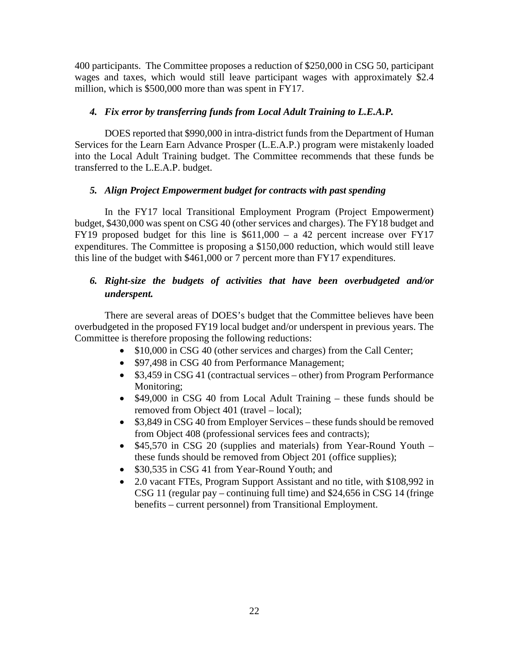400 participants. The Committee proposes a reduction of \$250,000 in CSG 50, participant wages and taxes, which would still leave participant wages with approximately \$2.4 million, which is \$500,000 more than was spent in FY17.

## *4. Fix error by transferring funds from Local Adult Training to L.E.A.P.*

DOES reported that \$990,000 in intra-district funds from the Department of Human Services for the Learn Earn Advance Prosper (L.E.A.P.) program were mistakenly loaded into the Local Adult Training budget. The Committee recommends that these funds be transferred to the L.E.A.P. budget.

#### *5. Align Project Empowerment budget for contracts with past spending*

In the FY17 local Transitional Employment Program (Project Empowerment) budget, \$430,000 was spent on CSG 40 (other services and charges). The FY18 budget and FY19 proposed budget for this line is \$611,000 – a 42 percent increase over FY17 expenditures. The Committee is proposing a \$150,000 reduction, which would still leave this line of the budget with \$461,000 or 7 percent more than FY17 expenditures.

## *6. Right-size the budgets of activities that have been overbudgeted and/or underspent.*

There are several areas of DOES's budget that the Committee believes have been overbudgeted in the proposed FY19 local budget and/or underspent in previous years. The Committee is therefore proposing the following reductions:

- \$10,000 in CSG 40 (other services and charges) from the Call Center;
- \$97,498 in CSG 40 from Performance Management;
- \$3,459 in CSG 41 (contractual services other) from Program Performance Monitoring;
- \$49,000 in CSG 40 from Local Adult Training these funds should be removed from Object 401 (travel – local);
- \$3,849 in CSG 40 from Employer Services these funds should be removed from Object 408 (professional services fees and contracts);
- \$45,570 in CSG 20 (supplies and materials) from Year-Round Youth these funds should be removed from Object 201 (office supplies);
- \$30,535 in CSG 41 from Year-Round Youth; and
- 2.0 vacant FTEs, Program Support Assistant and no title, with \$108,992 in CSG 11 (regular pay – continuing full time) and \$24,656 in CSG 14 (fringe benefits – current personnel) from Transitional Employment.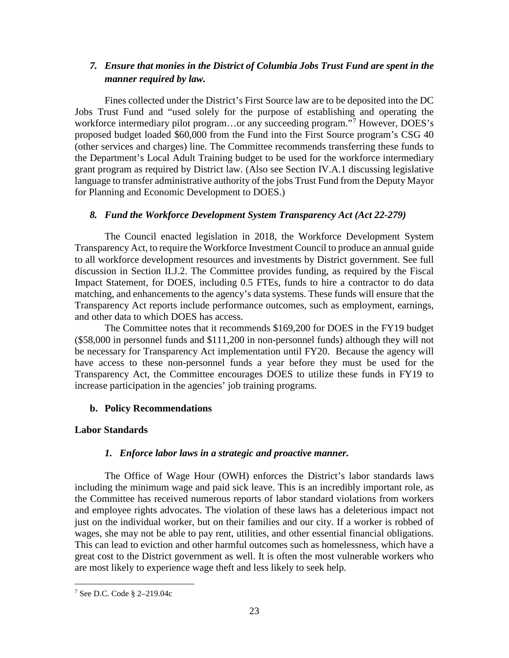## *7. Ensure that monies in the District of Columbia Jobs Trust Fund are spent in the manner required by law.*

Fines collected under the District's First Source law are to be deposited into the DC Jobs Trust Fund and "used solely for the purpose of establishing and operating the workforce intermediary pilot program...or any succeeding program."<sup>[7](#page-22-0)</sup> However, DOES's proposed budget loaded \$60,000 from the Fund into the First Source program's CSG 40 (other services and charges) line. The Committee recommends transferring these funds to the Department's Local Adult Training budget to be used for the workforce intermediary grant program as required by District law. (Also see Section IV.A.1 discussing legislative language to transfer administrative authority of the jobs Trust Fund from the Deputy Mayor for Planning and Economic Development to DOES.)

#### *8. Fund the Workforce Development System Transparency Act (Act 22-279)*

The Council enacted legislation in 2018, the Workforce Development System Transparency Act, to require the Workforce Investment Council to produce an annual guide to all workforce development resources and investments by District government. See full discussion in Section II.J.2. The Committee provides funding, as required by the Fiscal Impact Statement, for DOES, including 0.5 FTEs, funds to hire a contractor to do data matching, and enhancements to the agency's data systems. These funds will ensure that the Transparency Act reports include performance outcomes, such as employment, earnings, and other data to which DOES has access.

The Committee notes that it recommends \$169,200 for DOES in the FY19 budget (\$58,000 in personnel funds and \$111,200 in non-personnel funds) although they will not be necessary for Transparency Act implementation until FY20. Because the agency will have access to these non-personnel funds a year before they must be used for the Transparency Act, the Committee encourages DOES to utilize these funds in FY19 to increase participation in the agencies' job training programs.

## **b. Policy Recommendations**

## **Labor Standards**

## *1. Enforce labor laws in a strategic and proactive manner.*

The Office of Wage Hour (OWH) enforces the District's labor standards laws including the minimum wage and paid sick leave. This is an incredibly important role, as the Committee has received numerous reports of labor standard violations from workers and employee rights advocates. The violation of these laws has a deleterious impact not just on the individual worker, but on their families and our city. If a worker is robbed of wages, she may not be able to pay rent, utilities, and other essential financial obligations. This can lead to eviction and other harmful outcomes such as homelessness, which have a great cost to the District government as well. It is often the most vulnerable workers who are most likely to experience wage theft and less likely to seek help.

<span id="page-22-0"></span> <sup>7</sup> See D.C. Code § 2–219.04c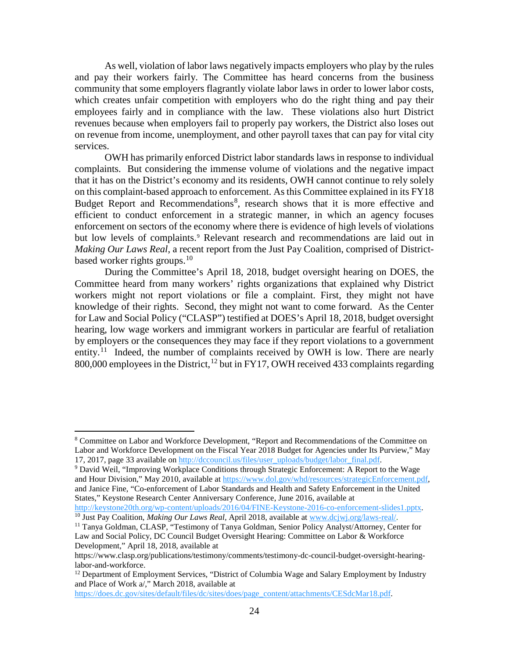As well, violation of labor laws negatively impacts employers who play by the rules and pay their workers fairly. The Committee has heard concerns from the business community that some employers flagrantly violate labor laws in order to lower labor costs, which creates unfair competition with employers who do the right thing and pay their employees fairly and in compliance with the law. These violations also hurt District revenues because when employers fail to properly pay workers, the District also loses out on revenue from income, unemployment, and other payroll taxes that can pay for vital city services.

OWH has primarily enforced District labor standards laws in response to individual complaints. But considering the immense volume of violations and the negative impact that it has on the District's economy and its residents, OWH cannot continue to rely solely on this complaint-based approach to enforcement. As this Committee explained in its FY18 Budget Report and Recommendations<sup>[8](#page-23-0)</sup>, research shows that it is more effective and efficient to conduct enforcement in a strategic manner, in which an agency focuses enforcement on sectors of the economy where there is evidence of high levels of violations but low levels of complaints.<sup>[9](#page-23-1)</sup> Relevant research and recommendations are laid out in *Making Our Laws Real*, a recent report from the Just Pay Coalition, comprised of Districtbased worker rights groups.[10](#page-23-2)

During the Committee's April 18, 2018, budget oversight hearing on DOES, the Committee heard from many workers' rights organizations that explained why District workers might not report violations or file a complaint. First, they might not have knowledge of their rights. Second, they might not want to come forward. As the Center for Law and Social Policy ("CLASP") testified at DOES's April 18, 2018, budget oversight hearing, low wage workers and immigrant workers in particular are fearful of retaliation by employers or the consequences they may face if they report violations to a government entity.<sup>[11](#page-23-3)</sup> Indeed, the number of complaints received by OWH is low. There are nearly 800,000 employees in the District,  $^{12}$  $^{12}$  $^{12}$  but in FY17, OWH received 433 complaints regarding

<span id="page-23-1"></span><sup>9</sup> David Weil, "Improving Workplace Conditions through Strategic Enforcement: A Report to the Wage and Hour Division," May 2010, available at [https://www.dol.gov/whd/resources/strategicEnforcement.pdf,](https://www.dol.gov/whd/resources/strategicEnforcement.pdf) and Janice Fine, "Co-enforcement of Labor Standards and Health and Safety Enforcement in the United States," Keystone Research Center Anniversary Conference, June 2016, available at http://keystone20th.org/wp-content/uploads/2016/04/FINE-Keystone-2016-co-enforcement-slides1.pptx.

<span id="page-23-2"></span><sup>10</sup> Just Pay Coalition, *Making Our Laws Real*, April 2018, available at [www.dcjwj.org/laws-real/.](http://www.dcjwj.org/laws-real/)<br><sup>11</sup> Tanya Goldman, CLASP, "Testimony of Tanya Goldman, Senior Policy Analyst/Attorney, Center for

[https://does.dc.gov/sites/default/files/dc/sites/does/page\\_content/attachments/CESdcMar18.pdf.](https://does.dc.gov/sites/default/files/dc/sites/does/page_content/attachments/CESdcMar18.pdf)

<span id="page-23-0"></span> <sup>8</sup> Committee on Labor and Workforce Development, "Report and Recommendations of the Committee on Labor and Workforce Development on the Fiscal Year 2018 Budget for Agencies under Its Purview," May 17, 2017, page 33 available on [http://dccouncil.us/files/user\\_uploads/budget/labor\\_final.pdf.](http://dccouncil.us/files/user_uploads/budget/labor_final.pdf)

<span id="page-23-3"></span>Law and Social Policy, DC Council Budget Oversight Hearing: Committee on Labor & Workforce Development," April 18, 2018, available at

https://www.clasp.org/publications/testimony/comments/testimony-dc-council-budget-oversight-hearinglabor-and-workforce.<br><sup>12</sup> Department of Employment Services, "District of Columbia Wage and Salary Employment by Industry

<span id="page-23-4"></span>and Place of Work a/," March 2018, available at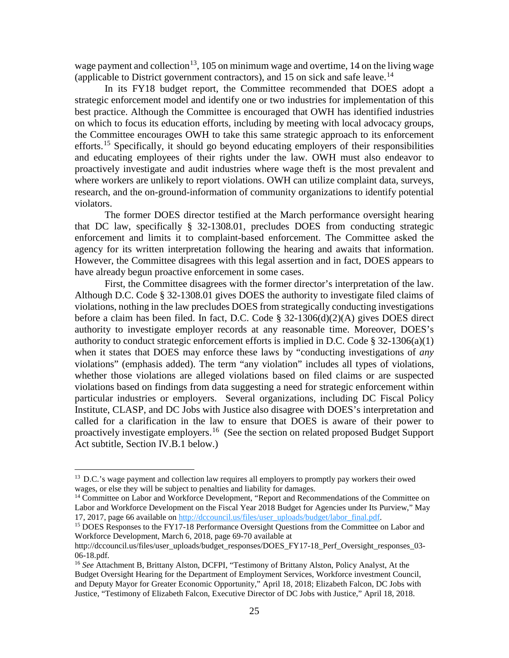wage payment and collection<sup>13</sup>, 105 on minimum wage and overtime, 14 on the living wage (applicable to District government contractors), and 15 on sick and safe leave.<sup>14</sup>

In its FY18 budget report, the Committee recommended that DOES adopt a strategic enforcement model and identify one or two industries for implementation of this best practice. Although the Committee is encouraged that OWH has identified industries on which to focus its education efforts, including by meeting with local advocacy groups, the Committee encourages OWH to take this same strategic approach to its enforcement efforts.<sup>[15](#page-24-2)</sup> Specifically, it should go beyond educating employers of their responsibilities and educating employees of their rights under the law. OWH must also endeavor to proactively investigate and audit industries where wage theft is the most prevalent and where workers are unlikely to report violations. OWH can utilize complaint data, surveys, research, and the on-ground-information of community organizations to identify potential violators.

The former DOES director testified at the March performance oversight hearing that DC law, specifically § 32-1308.01, precludes DOES from conducting strategic enforcement and limits it to complaint-based enforcement. The Committee asked the agency for its written interpretation following the hearing and awaits that information. However, the Committee disagrees with this legal assertion and in fact, DOES appears to have already begun proactive enforcement in some cases.

First, the Committee disagrees with the former director's interpretation of the law. Although D.C. Code § 32-1308.01 gives DOES the authority to investigate filed claims of violations, nothing in the law precludes DOES from strategically conducting investigations before a claim has been filed. In fact, D.C. Code § 32-1306(d)(2)(A) gives DOES direct authority to investigate employer records at any reasonable time. Moreover, DOES's authority to conduct strategic enforcement efforts is implied in D.C. Code § 32-1306(a)(1) when it states that DOES may enforce these laws by "conducting investigations of *any* violations" (emphasis added). The term "any violation" includes all types of violations, whether those violations are alleged violations based on filed claims or are suspected violations based on findings from data suggesting a need for strategic enforcement within particular industries or employers. Several organizations, including DC Fiscal Policy Institute, CLASP, and DC Jobs with Justice also disagree with DOES's interpretation and called for a clarification in the law to ensure that DOES is aware of their power to proactively investigate employers.<sup>16</sup> (See the section on related proposed Budget Support Act subtitle, Section IV.B.1 below.)

<span id="page-24-0"></span><sup>&</sup>lt;sup>13</sup> D.C.'s wage payment and collection law requires all employers to promptly pay workers their owed wages, or else they will be subject to penalties and liability for damages.

<span id="page-24-1"></span><sup>&</sup>lt;sup>14</sup> Committee on Labor and Workforce Development, "Report and Recommendations of the Committee on Labor and Workforce Development on the Fiscal Year 2018 Budget for Agencies under Its Purview," May 17, 2017, page 66 available on [http://dccouncil.us/files/user\\_uploads/budget/labor\\_final.pdf.](http://dccouncil.us/files/user_uploads/budget/labor_final.pdf)

<span id="page-24-2"></span><sup>&</sup>lt;sup>15</sup> DOES Responses to the FY17-18 Performance Oversight Questions from the Committee on Labor and Workforce Development, March 6, 2018, page 69-70 available at

http://dccouncil.us/files/user\_uploads/budget\_responses/DOES\_FY17-18\_Perf\_Oversight\_responses\_03-06-18.pdf.

<span id="page-24-3"></span><sup>16</sup> *See* Attachment B, Brittany Alston, DCFPI, "Testimony of Brittany Alston, Policy Analyst, At the Budget Oversight Hearing for the Department of Employment Services, Workforce investment Council, and Deputy Mayor for Greater Economic Opportunity," April 18, 2018; Elizabeth Falcon, DC Jobs with Justice, "Testimony of Elizabeth Falcon, Executive Director of DC Jobs with Justice," April 18, 2018.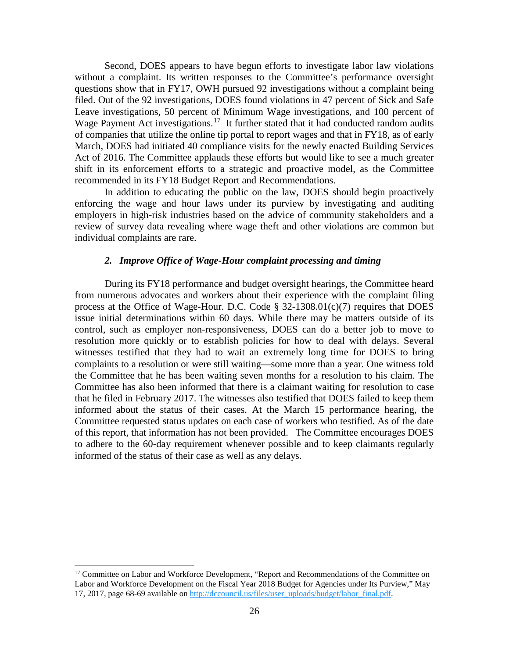Second, DOES appears to have begun efforts to investigate labor law violations without a complaint. Its written responses to the Committee's performance oversight questions show that in FY17, OWH pursued 92 investigations without a complaint being filed. Out of the 92 investigations, DOES found violations in 47 percent of Sick and Safe Leave investigations, 50 percent of Minimum Wage investigations, and 100 percent of Wage Payment Act investigations.<sup>[17](#page-25-0)</sup> It further stated that it had conducted random audits of companies that utilize the online tip portal to report wages and that in FY18, as of early March, DOES had initiated 40 compliance visits for the newly enacted Building Services Act of 2016. The Committee applauds these efforts but would like to see a much greater shift in its enforcement efforts to a strategic and proactive model, as the Committee recommended in its FY18 Budget Report and Recommendations.

In addition to educating the public on the law, DOES should begin proactively enforcing the wage and hour laws under its purview by investigating and auditing employers in high-risk industries based on the advice of community stakeholders and a review of survey data revealing where wage theft and other violations are common but individual complaints are rare.

#### *2. Improve Office of Wage-Hour complaint processing and timing*

During its FY18 performance and budget oversight hearings, the Committee heard from numerous advocates and workers about their experience with the complaint filing process at the Office of Wage-Hour. D.C. Code § 32-1308.01(c)(7) requires that DOES issue initial determinations within 60 days. While there may be matters outside of its control, such as employer non-responsiveness, DOES can do a better job to move to resolution more quickly or to establish policies for how to deal with delays. Several witnesses testified that they had to wait an extremely long time for DOES to bring complaints to a resolution or were still waiting—some more than a year. One witness told the Committee that he has been waiting seven months for a resolution to his claim. The Committee has also been informed that there is a claimant waiting for resolution to case that he filed in February 2017. The witnesses also testified that DOES failed to keep them informed about the status of their cases. At the March 15 performance hearing, the Committee requested status updates on each case of workers who testified. As of the date of this report, that information has not been provided. The Committee encourages DOES to adhere to the 60-day requirement whenever possible and to keep claimants regularly informed of the status of their case as well as any delays.

<span id="page-25-0"></span><sup>&</sup>lt;sup>17</sup> Committee on Labor and Workforce Development, "Report and Recommendations of the Committee on Labor and Workforce Development on the Fiscal Year 2018 Budget for Agencies under Its Purview," May 17, 2017, page 68-69 available on [http://dccouncil.us/files/user\\_uploads/budget/labor\\_final.pdf.](http://dccouncil.us/files/user_uploads/budget/labor_final.pdf)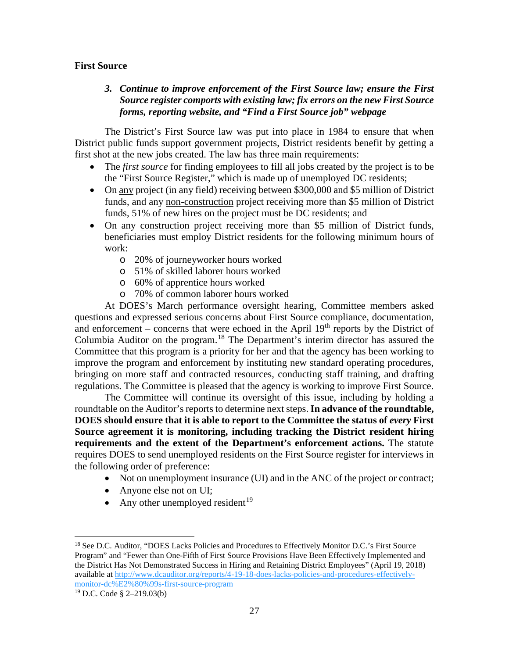#### **First Source**

## *3. Continue to improve enforcement of the First Source law; ensure the First Source register comports with existing law; fix errors on the new First Source forms, reporting website, and "Find a First Source job" webpage*

The District's First Source law was put into place in 1984 to ensure that when District public funds support government projects, District residents benefit by getting a first shot at the new jobs created. The law has three main requirements:

- The *first source* for finding employees to fill all jobs created by the project is to be the "First Source Register," which is made up of unemployed DC residents;
- On any project (in any field) receiving between \$300,000 and \$5 million of District funds, and any non-construction project receiving more than \$5 million of District funds, 51% of new hires on the project must be DC residents; and
- On any construction project receiving more than \$5 million of District funds, beneficiaries must employ District residents for the following minimum hours of work:
	- o 20% of journeyworker hours worked
	- o 51% of skilled laborer hours worked
	- o 60% of apprentice hours worked
	- o 70% of common laborer hours worked

At DOES's March performance oversight hearing, Committee members asked questions and expressed serious concerns about First Source compliance, documentation, and enforcement – concerns that were echoed in the April  $19<sup>th</sup>$  reports by the District of Columbia Auditor on the program.[18](#page-26-0) The Department's interim director has assured the Committee that this program is a priority for her and that the agency has been working to improve the program and enforcement by instituting new standard operating procedures, bringing on more staff and contracted resources, conducting staff training, and drafting regulations. The Committee is pleased that the agency is working to improve First Source.

The Committee will continue its oversight of this issue, including by holding a roundtable on the Auditor's reports to determine next steps. **In advance of the roundtable, DOES should ensure that it is able to report to the Committee the status of** *every* **First Source agreement it is monitoring, including tracking the District resident hiring requirements and the extent of the Department's enforcement actions.** The statute requires DOES to send unemployed residents on the First Source register for interviews in the following order of preference:

- Not on unemployment insurance (UI) and in the ANC of the project or contract;
- Anyone else not on UI;
- Any other unemployed resident<sup>[19](#page-26-1)</sup>

<span id="page-26-0"></span><sup>&</sup>lt;sup>18</sup> See D.C. Auditor, "DOES Lacks Policies and Procedures to Effectively Monitor D.C.'s First Source Program" and "Fewer than One-Fifth of First Source Provisions Have Been Effectively Implemented and the District Has Not Demonstrated Success in Hiring and Retaining District Employees" (April 19, 2018) available at [http://www.dcauditor.org/reports/4-19-18-does-lacks-policies-and-procedures-effectively](http://www.dcauditor.org/reports/4-19-18-does-lacks-policies-and-procedures-effectively-monitor-dc%E2%80%99s-first-source-program)[monitor-dc%E2%80%99s-first-source-program](http://www.dcauditor.org/reports/4-19-18-does-lacks-policies-and-procedures-effectively-monitor-dc%E2%80%99s-first-source-program)

<span id="page-26-1"></span><sup>19</sup> D.C. Code § 2–219.03(b)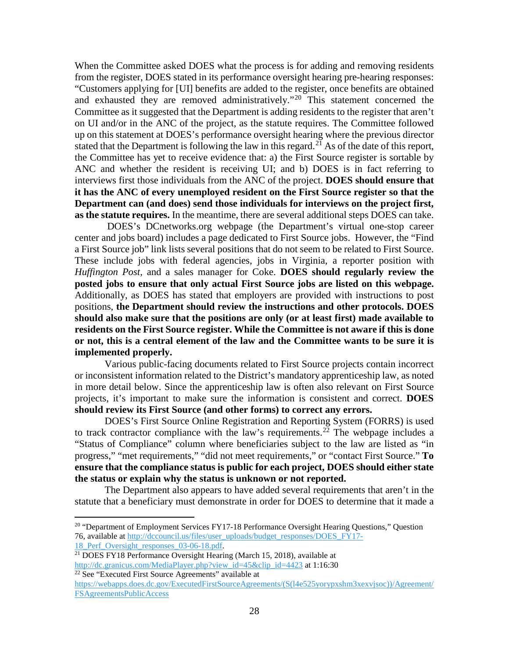When the Committee asked DOES what the process is for adding and removing residents from the register, DOES stated in its performance oversight hearing pre-hearing responses: "Customers applying for [UI] benefits are added to the register, once benefits are obtained and exhausted they are removed administratively."<sup>[20](#page-27-0)</sup> This statement concerned the Committee as it suggested that the Department is adding residents to the register that aren't on UI and/or in the ANC of the project, as the statute requires. The Committee followed up on this statement at DOES's performance oversight hearing where the previous director stated that the Department is following the law in this regard.<sup>[21](#page-27-1)</sup> As of the date of this report, the Committee has yet to receive evidence that: a) the First Source register is sortable by ANC and whether the resident is receiving UI; and b) DOES is in fact referring to interviews first those individuals from the ANC of the project. **DOES should ensure that it has the ANC of every unemployed resident on the First Source register so that the Department can (and does) send those individuals for interviews on the project first, as the statute requires.** In the meantime, there are several additional steps DOES can take.

DOES's DCnetworks.org webpage (the Department's virtual one-stop career center and jobs board) includes a page dedicated to First Source jobs. However, the "Find a First Source job" link lists several positions that do not seem to be related to First Source. These include jobs with federal agencies, jobs in Virginia, a reporter position with *Huffington Post*, and a sales manager for Coke. **DOES should regularly review the posted jobs to ensure that only actual First Source jobs are listed on this webpage.**  Additionally, as DOES has stated that employers are provided with instructions to post positions, **the Department should review the instructions and other protocols. DOES should also make sure that the positions are only (or at least first) made available to residents on the First Source register. While the Committee is not aware if this is done or not, this is a central element of the law and the Committee wants to be sure it is implemented properly.**

Various public-facing documents related to First Source projects contain incorrect or inconsistent information related to the District's mandatory apprenticeship law, as noted in more detail below. Since the apprenticeship law is often also relevant on First Source projects, it's important to make sure the information is consistent and correct. **DOES should review its First Source (and other forms) to correct any errors.**

DOES's First Source Online Registration and Reporting System (FORRS) is used to track contractor compliance with the law's requirements.<sup>[22](#page-27-2)</sup> The webpage includes a "Status of Compliance" column where beneficiaries subject to the law are listed as "in progress," "met requirements," "did not meet requirements," or "contact First Source." **To ensure that the compliance status is public for each project, DOES should either state the status or explain why the status is unknown or not reported.**

The Department also appears to have added several requirements that aren't in the statute that a beneficiary must demonstrate in order for DOES to determine that it made a

<span id="page-27-0"></span><sup>&</sup>lt;sup>20</sup> "Department of Employment Services FY17-18 Performance Oversight Hearing Questions," Question 76, available at [http://dccouncil.us/files/user\\_uploads/budget\\_responses/DOES\\_FY17-](http://dccouncil.us/files/user_uploads/budget_responses/DOES_FY17-18_Perf_Oversight_responses_03-06-18.pdf)<br>18 Perf Oversight responses 03-06-18.pdf

<span id="page-27-1"></span><sup>&</sup>lt;sup>21</sup> DOES FY18 Performance Oversight Hearing (March 15, 2018), available at [http://dc.granicus.com/MediaPlayer.php?view\\_id=45&clip\\_id=4423](http://dc.granicus.com/MediaPlayer.php?view_id=45&clip_id=4423) at 1:16:30 <sup>22</sup> See "Executed First Source Agreements" available at

<span id="page-27-2"></span>[https://webapps.does.dc.gov/ExecutedFirstSourceAgreements/\(S\(l4e525yorypxshm3xexvjsoc\)\)/Agreement/](https://webapps.does.dc.gov/ExecutedFirstSourceAgreements/(S(l4e525yorypxshm3xexvjsoc))/Agreement/FSAgreementsPublicAccess) [FSAgreementsPublicAccess](https://webapps.does.dc.gov/ExecutedFirstSourceAgreements/(S(l4e525yorypxshm3xexvjsoc))/Agreement/FSAgreementsPublicAccess)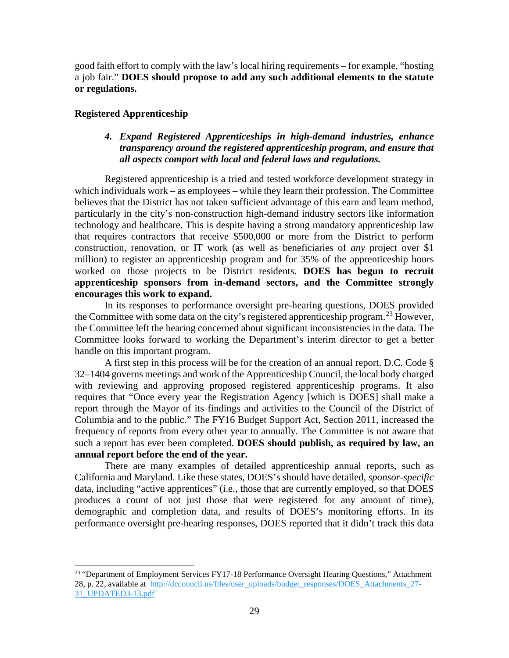good faith effort to comply with the law's local hiring requirements – for example, "hosting a job fair." **DOES should propose to add any such additional elements to the statute or regulations.** 

#### **Registered Apprenticeship**

## *4. Expand Registered Apprenticeships in high-demand industries, enhance transparency around the registered apprenticeship program, and ensure that all aspects comport with local and federal laws and regulations.*

Registered apprenticeship is a tried and tested workforce development strategy in which individuals work – as employees – while they learn their profession. The Committee believes that the District has not taken sufficient advantage of this earn and learn method, particularly in the city's non-construction high-demand industry sectors like information technology and healthcare. This is despite having a strong mandatory apprenticeship law that requires contractors that receive \$500,000 or more from the District to perform construction, renovation, or IT work (as well as beneficiaries of *any* project over \$1 million) to register an apprenticeship program and for 35% of the apprenticeship hours worked on those projects to be District residents. **DOES has begun to recruit apprenticeship sponsors from in-demand sectors, and the Committee strongly encourages this work to expand.**

In its responses to performance oversight pre-hearing questions, DOES provided the Committee with some data on the city's registered apprenticeship program.<sup>[23](#page-28-0)</sup> However, the Committee left the hearing concerned about significant inconsistencies in the data. The Committee looks forward to working the Department's interim director to get a better handle on this important program.

A first step in this process will be for the creation of an annual report. D.C. Code § 32–1404 governs meetings and work of the Apprenticeship Council, the local body charged with reviewing and approving proposed registered apprenticeship programs. It also requires that "Once every year the Registration Agency [which is DOES] shall make a report through the Mayor of its findings and activities to the Council of the District of Columbia and to the public." The FY16 Budget Support Act, Section 2011, increased the frequency of reports from every other year to annually. The Committee is not aware that such a report has ever been completed. **DOES should publish, as required by law, an annual report before the end of the year.**

There are many examples of detailed apprenticeship annual reports, such as California and Maryland. Like these states, DOES's should have detailed, *sponsor-specific* data, including "active apprentices" (i.e., those that are currently employed, so that DOES produces a count of not just those that were registered for any amount of time), demographic and completion data, and results of DOES's monitoring efforts. In its performance oversight pre-hearing responses, DOES reported that it didn't track this data

<span id="page-28-0"></span><sup>&</sup>lt;sup>23</sup> "Department of Employment Services FY17-18 Performance Oversight Hearing Questions," Attachment 28, p. 22, available at [http://dccouncil.us/files/user\\_uploads/budget\\_responses/DOES\\_Attachments\\_27-](http://dccouncil.us/files/user_uploads/budget_responses/DOES_Attachments_27-31_UPDATED3-13.pdf) [31\\_UPDATED3-13.pdf](http://dccouncil.us/files/user_uploads/budget_responses/DOES_Attachments_27-31_UPDATED3-13.pdf)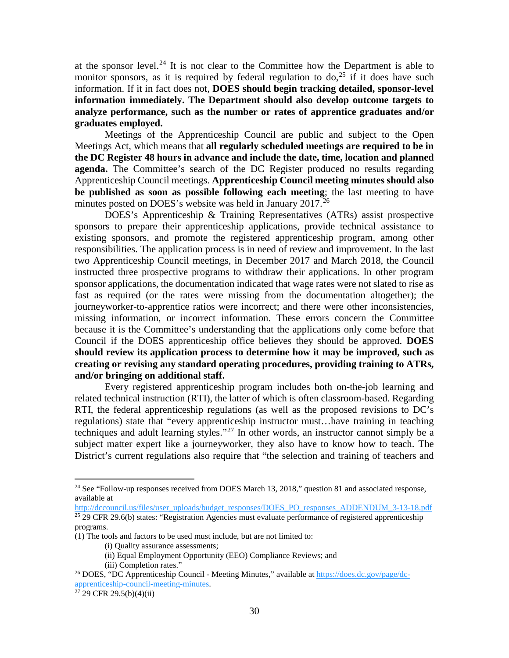at the sponsor level. $^{24}$  $^{24}$  $^{24}$  It is not clear to the Committee how the Department is able to monitor sponsors, as it is required by federal regulation to  $\text{do}^{25}$  $\text{do}^{25}$  $\text{do}^{25}$  if it does have such information. If it in fact does not, **DOES should begin tracking detailed, sponsor-level information immediately. The Department should also develop outcome targets to analyze performance, such as the number or rates of apprentice graduates and/or graduates employed.**

Meetings of the Apprenticeship Council are public and subject to the Open Meetings Act, which means that **all regularly scheduled meetings are required to be in the DC Register 48 hours in advance and include the date, time, location and planned agenda.** The Committee's search of the DC Register produced no results regarding Apprenticeship Council meetings. **Apprenticeship Council meeting minutes should also be published as soon as possible following each meeting**; the last meeting to have minutes posted on DOES's website was held in January  $2017<sup>26</sup>$  $2017<sup>26</sup>$  $2017<sup>26</sup>$ 

DOES's Apprenticeship & Training Representatives (ATRs) assist prospective sponsors to prepare their apprenticeship applications, provide technical assistance to existing sponsors, and promote the registered apprenticeship program, among other responsibilities. The application process is in need of review and improvement. In the last two Apprenticeship Council meetings, in December 2017 and March 2018, the Council instructed three prospective programs to withdraw their applications. In other program sponsor applications, the documentation indicated that wage rates were not slated to rise as fast as required (or the rates were missing from the documentation altogether); the journeyworker-to-apprentice ratios were incorrect; and there were other inconsistencies, missing information, or incorrect information. These errors concern the Committee because it is the Committee's understanding that the applications only come before that Council if the DOES apprenticeship office believes they should be approved. **DOES should review its application process to determine how it may be improved, such as creating or revising any standard operating procedures, providing training to ATRs, and/or bringing on additional staff.** 

Every registered apprenticeship program includes both on-the-job learning and related technical instruction (RTI), the latter of which is often classroom-based. Regarding RTI, the federal apprenticeship regulations (as well as the proposed revisions to DC's regulations) state that "every apprenticeship instructor must…have training in teaching techniques and adult learning styles."<sup>[27](#page-29-3)</sup> In other words, an instructor cannot simply be a subject matter expert like a journeyworker, they also have to know how to teach. The District's current regulations also require that "the selection and training of teachers and

<span id="page-29-0"></span><sup>&</sup>lt;sup>24</sup> See "Follow-up responses received from DOES March 13, 2018," question 81 and associated response, available at

<span id="page-29-1"></span>[http://dccouncil.us/files/user\\_uploads/budget\\_responses/DOES\\_PO\\_responses\\_ADDENDUM\\_3-13-18.pdf](http://dccouncil.us/files/user_uploads/budget_responses/DOES_PO_responses_ADDENDUM_3-13-18.pdf)  $25$  29 CFR 29.6(b) states: "Registration Agencies must evaluate performance of registered apprenticeship programs.

<sup>(1)</sup> The tools and factors to be used must include, but are not limited to:

<sup>(</sup>i) Quality assurance assessments;

<sup>(</sup>ii) Equal Employment Opportunity (EEO) Compliance Reviews; and

<sup>(</sup>iii) Completion rates."

<span id="page-29-2"></span><sup>26</sup> DOES, "DC Apprenticeship Council - Meeting Minutes," available at [https://does.dc.gov/page/dc](https://does.dc.gov/page/dc-apprenticeship-council-meeting-minutes)[apprenticeship-council-meeting-minutes.](https://does.dc.gov/page/dc-apprenticeship-council-meeting-minutes)<br><sup>27</sup> 29 CFR 29.5(b)(4)(ii)

<span id="page-29-3"></span>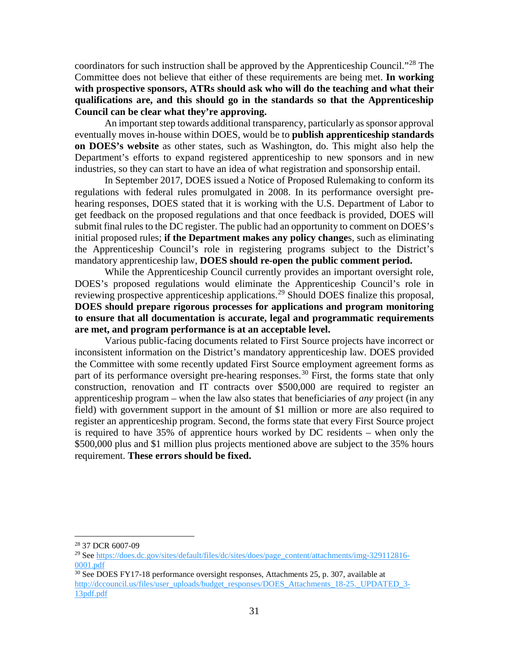coordinators for such instruction shall be approved by the Apprenticeship Council."[28](#page-30-0) The Committee does not believe that either of these requirements are being met. **In working with prospective sponsors, ATRs should ask who will do the teaching and what their qualifications are, and this should go in the standards so that the Apprenticeship Council can be clear what they're approving.** 

An important step towards additional transparency, particularly as sponsor approval eventually moves in-house within DOES, would be to **publish apprenticeship standards on DOES's website** as other states, such as Washington, do. This might also help the Department's efforts to expand registered apprenticeship to new sponsors and in new industries, so they can start to have an idea of what registration and sponsorship entail.

In September 2017, DOES issued a Notice of Proposed Rulemaking to conform its regulations with federal rules promulgated in 2008. In its performance oversight prehearing responses, DOES stated that it is working with the U.S. Department of Labor to get feedback on the proposed regulations and that once feedback is provided, DOES will submit final rules to the DC register. The public had an opportunity to comment on DOES's initial proposed rules; **if the Department makes any policy change**s, such as eliminating the Apprenticeship Council's role in registering programs subject to the District's mandatory apprenticeship law, **DOES should re-open the public comment period.**

While the Apprenticeship Council currently provides an important oversight role, DOES's proposed regulations would eliminate the Apprenticeship Council's role in reviewing prospective apprenticeship applications.<sup>[29](#page-30-1)</sup> Should DOES finalize this proposal, **DOES should prepare rigorous processes for applications and program monitoring to ensure that all documentation is accurate, legal and programmatic requirements are met, and program performance is at an acceptable level.** 

Various public-facing documents related to First Source projects have incorrect or inconsistent information on the District's mandatory apprenticeship law. DOES provided the Committee with some recently updated First Source employment agreement forms as part of its performance oversight pre-hearing responses.<sup>[30](#page-30-2)</sup> First, the forms state that only construction, renovation and IT contracts over \$500,000 are required to register an apprenticeship program – when the law also states that beneficiaries of *any* project (in any field) with government support in the amount of \$1 million or more are also required to register an apprenticeship program. Second, the forms state that every First Source project is required to have 35% of apprentice hours worked by DC residents – when only the \$500,000 plus and \$1 million plus projects mentioned above are subject to the 35% hours requirement. **These errors should be fixed.**

<span id="page-30-0"></span> <sup>28</sup> 37 DCR 6007-09

<span id="page-30-1"></span><sup>&</sup>lt;sup>29</sup> See [https://does.dc.gov/sites/default/files/dc/sites/does/page\\_content/attachments/img-329112816-](https://does.dc.gov/sites/default/files/dc/sites/does/page_content/attachments/img-329112816-0001.pdf) [0001.pdf](https://does.dc.gov/sites/default/files/dc/sites/does/page_content/attachments/img-329112816-0001.pdf)

<span id="page-30-2"></span> $30$  See DOES FY17-18 performance oversight responses, Attachments 25, p. 307, available at [http://dccouncil.us/files/user\\_uploads/budget\\_responses/DOES\\_Attachments\\_18-25.\\_UPDATED\\_3-](http://dccouncil.us/files/user_uploads/budget_responses/DOES_Attachments_18-25._UPDATED_3-13pdf.pdf) [13pdf.pdf](http://dccouncil.us/files/user_uploads/budget_responses/DOES_Attachments_18-25._UPDATED_3-13pdf.pdf)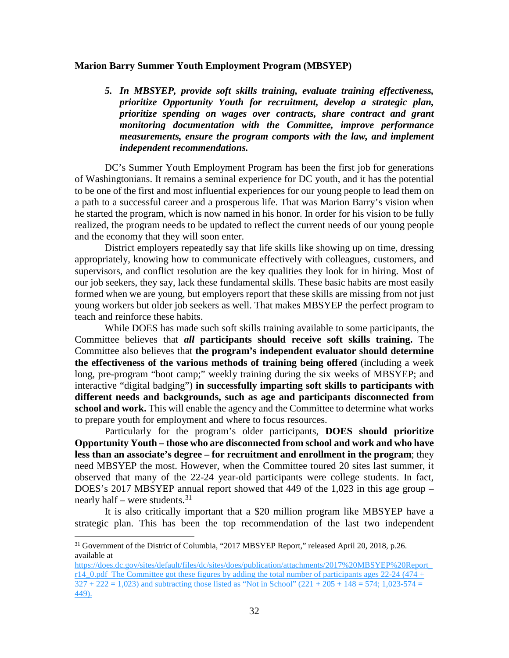#### **Marion Barry Summer Youth Employment Program (MBSYEP)**

*5. In MBSYEP, provide soft skills training, evaluate training effectiveness, prioritize Opportunity Youth for recruitment, develop a strategic plan, prioritize spending on wages over contracts, share contract and grant monitoring documentation with the Committee, improve performance measurements, ensure the program comports with the law, and implement independent recommendations.*

DC's Summer Youth Employment Program has been the first job for generations of Washingtonians. It remains a seminal experience for DC youth, and it has the potential to be one of the first and most influential experiences for our young people to lead them on a path to a successful career and a prosperous life. That was Marion Barry's vision when he started the program, which is now named in his honor. In order for his vision to be fully realized, the program needs to be updated to reflect the current needs of our young people and the economy that they will soon enter.

District employers repeatedly say that life skills like showing up on time, dressing appropriately, knowing how to communicate effectively with colleagues, customers, and supervisors, and conflict resolution are the key qualities they look for in hiring. Most of our job seekers, they say, lack these fundamental skills. These basic habits are most easily formed when we are young, but employers report that these skills are missing from not just young workers but older job seekers as well. That makes MBSYEP the perfect program to teach and reinforce these habits.

While DOES has made such soft skills training available to some participants, the Committee believes that *all* **participants should receive soft skills training.** The Committee also believes that **the program's independent evaluator should determine the effectiveness of the various methods of training being offered** (including a week long, pre-program "boot camp;" weekly training during the six weeks of MBSYEP; and interactive "digital badging") **in successfully imparting soft skills to participants with different needs and backgrounds, such as age and participants disconnected from school and work.** This will enable the agency and the Committee to determine what works to prepare youth for employment and where to focus resources.

Particularly for the program's older participants, **DOES should prioritize Opportunity Youth – those who are disconnected from school and work and who have less than an associate's degree – for recruitment and enrollment in the program**; they need MBSYEP the most. However, when the Committee toured 20 sites last summer, it observed that many of the 22-24 year-old participants were college students. In fact, DOES's 2017 MBSYEP annual report showed that 449 of the 1,023 in this age group – nearly half – were students. $31$ 

It is also critically important that a \$20 million program like MBSYEP have a strategic plan. This has been the top recommendation of the last two independent

<span id="page-31-0"></span><sup>&</sup>lt;sup>31</sup> Government of the District of Columbia, "2017 MBSYEP Report," released April 20, 2018, p.26. available at

[https://does.dc.gov/sites/default/files/dc/sites/does/publication/attachments/2017%20MBSYEP%20Report\\_](https://does.dc.gov/sites/default/files/dc/sites/does/publication/attachments/2017%20MBSYEP%20Report_r14_0.pdf) r14. 0.pdf The Committee got these figures by adding the total number of participants ages 22-24 (474 +  $327 + 222 = 1{,}023$  and subtracting those listed as "Not in School" (221 + 205 + 148 = 574; 1,023-574 = 449).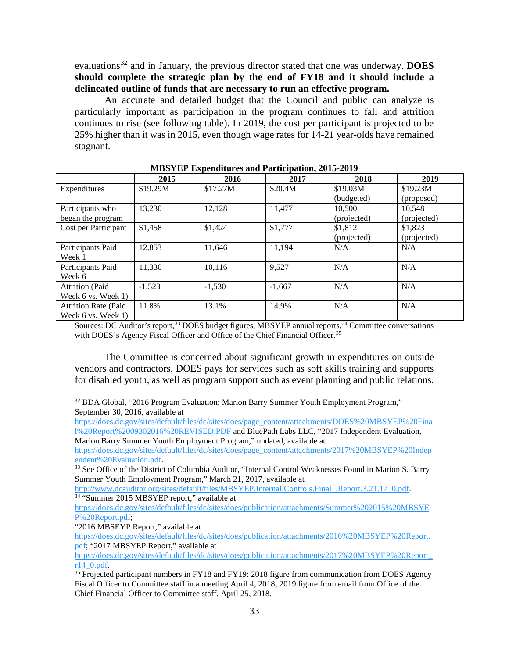evaluations<sup>[32](#page-32-0)</sup> and in January, the previous director stated that one was underway. DOES **should complete the strategic plan by the end of FY18 and it should include a delineated outline of funds that are necessary to run an effective program.** 

An accurate and detailed budget that the Council and public can analyze is particularly important as participation in the program continues to fall and attrition continues to rise (see following table). In 2019, the cost per participant is projected to be 25% higher than it was in 2015, even though wage rates for 14-21 year-olds have remained stagnant.

| <u>MDOTEL EXPERIENCE COMINI I AL ACIPANOIA POLO POLO</u> |          |          |          |             |             |  |  |  |  |
|----------------------------------------------------------|----------|----------|----------|-------------|-------------|--|--|--|--|
|                                                          | 2015     | 2016     | 2017     | 2018        | 2019        |  |  |  |  |
| Expenditures                                             | \$19.29M | \$17.27M | \$20.4M  | \$19.03M    | \$19.23M    |  |  |  |  |
|                                                          |          |          |          | (budgeted)  | (proposed)  |  |  |  |  |
| Participants who                                         | 13,230   | 12,128   | 11,477   | 10,500      | 10,548      |  |  |  |  |
| began the program                                        |          |          |          | (projected) | (projected) |  |  |  |  |
| Cost per Participant                                     | \$1,458  | \$1,424  | \$1,777  | \$1,812     | \$1,823     |  |  |  |  |
|                                                          |          |          |          | (projected) | (projected) |  |  |  |  |
| Participants Paid                                        | 12,853   | 11,646   | 11,194   | N/A         | N/A         |  |  |  |  |
| Week 1                                                   |          |          |          |             |             |  |  |  |  |
| Participants Paid                                        | 11,330   | 10,116   | 9,527    | N/A         | N/A         |  |  |  |  |
| Week 6                                                   |          |          |          |             |             |  |  |  |  |
| <b>Attrition</b> (Paid                                   | $-1,523$ | $-1,530$ | $-1.667$ | N/A         | N/A         |  |  |  |  |
| Week 6 vs. Week 1)                                       |          |          |          |             |             |  |  |  |  |
| <b>Attrition Rate (Paid)</b>                             | 11.8%    | 13.1%    | 14.9%    | N/A         | N/A         |  |  |  |  |
| Week 6 vs. Week 1)                                       |          |          |          |             |             |  |  |  |  |

**MBSYEP Expenditures and Participation, 2015-2019**

Sources: DC Auditor's report,<sup>[33](#page-32-1)</sup> DOES budget figures, MBSYEP annual reports,<sup>[34](#page-32-2)</sup> Committee conversations with DOES's Agency Fiscal Officer and Office of the Chief Financial Officer.<sup>[35](#page-32-3)</sup>

The Committee is concerned about significant growth in expenditures on outside vendors and contractors. DOES pays for services such as soft skills training and supports for disabled youth, as well as program support such as event planning and public relations.

<span id="page-32-0"></span><sup>32</sup> BDA Global, "2016 Program Evaluation: Marion Barry Summer Youth Employment Program," September 30, 2016, available at

[https://does.dc.gov/sites/default/files/dc/sites/does/page\\_content/attachments/DOES%20MBSYEP%20Fina](https://does.dc.gov/sites/default/files/dc/sites/does/page_content/attachments/DOES%20MBSYEP%20Final%20Report%2009302016%20REVISED.PDF) [l%20Report%2009302016%20REVISED.PDF](https://does.dc.gov/sites/default/files/dc/sites/does/page_content/attachments/DOES%20MBSYEP%20Final%20Report%2009302016%20REVISED.PDF) and BluePath Labs LLC, "2017 Independent Evaluation,

Marion Barry Summer Youth Employment Program," undated, available at

[https://does.dc.gov/sites/default/files/dc/sites/does/page\\_content/attachments/2017%20MBSYEP%20Indep](https://does.dc.gov/sites/default/files/dc/sites/does/page_content/attachments/2017%20MBSYEP%20Independent%20Evaluation.pdf)

<span id="page-32-1"></span><sup>33</sup> See Office of the District of Columbia Auditor, "Internal Control Weaknesses Found in Marion S. Barry Summer Youth Employment Program," March 21, 2017, available at

[http://www.dcauditor.org/sites/default/files/MBSYEP.Internal.Controls.Final\\_.Report.3.21.17\\_0.pdf.](http://www.dcauditor.org/sites/default/files/MBSYEP.Internal.Controls.Final_.Report.3.21.17_0.pdf) 34 "Summer 2015 MBSYEP report," available at

<span id="page-32-2"></span>[https://does.dc.gov/sites/default/files/dc/sites/does/publication/attachments/Summer%202015%20MBSYE](https://does.dc.gov/sites/default/files/dc/sites/does/publication/attachments/Summer%202015%20MBSYEP%20Report.pdf) [P%20Report.pdf;](https://does.dc.gov/sites/default/files/dc/sites/does/publication/attachments/Summer%202015%20MBSYEP%20Report.pdf)

"2016 MBSEYP Report," available at

[https://does.dc.gov/sites/default/files/dc/sites/does/publication/attachments/2016%20MBSYEP%20Report.](https://does.dc.gov/sites/default/files/dc/sites/does/publication/attachments/2016%20MBSYEP%20Report.pdf) [pdf;](https://does.dc.gov/sites/default/files/dc/sites/does/publication/attachments/2016%20MBSYEP%20Report.pdf) "2017 MBSYEP Report," available at

[https://does.dc.gov/sites/default/files/dc/sites/does/publication/attachments/2017%20MBSYEP%20Report\\_](https://does.dc.gov/sites/default/files/dc/sites/does/publication/attachments/2017%20MBSYEP%20Report_r14_0.pdf)  $\frac{r14}{^{35}}$  Projected participant numbers in FY18 and FY19: 2018 figure from communication from DOES Agency

<span id="page-32-3"></span>Fiscal Officer to Committee staff in a meeting April 4, 2018; 2019 figure from email from Office of the Chief Financial Officer to Committee staff, April 25, 2018.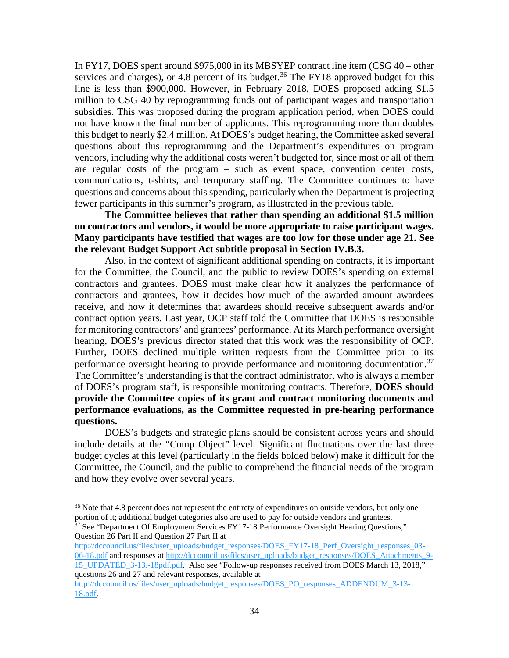In FY17, DOES spent around \$975,000 in its MBSYEP contract line item (CSG 40 – other services and charges), or 4.8 percent of its budget.<sup>[36](#page-33-0)</sup> The FY18 approved budget for this line is less than \$900,000. However, in February 2018, DOES proposed adding \$1.5 million to CSG 40 by reprogramming funds out of participant wages and transportation subsidies. This was proposed during the program application period, when DOES could not have known the final number of applicants. This reprogramming more than doubles this budget to nearly \$2.4 million. At DOES's budget hearing, the Committee asked several questions about this reprogramming and the Department's expenditures on program vendors, including why the additional costs weren't budgeted for, since most or all of them are regular costs of the program – such as event space, convention center costs, communications, t-shirts, and temporary staffing. The Committee continues to have questions and concerns about this spending, particularly when the Department is projecting fewer participants in this summer's program, as illustrated in the previous table.

**The Committee believes that rather than spending an additional \$1.5 million on contractors and vendors, it would be more appropriate to raise participant wages. Many participants have testified that wages are too low for those under age 21. See the relevant Budget Support Act subtitle proposal in Section IV.B.3.**

Also, in the context of significant additional spending on contracts, it is important for the Committee, the Council, and the public to review DOES's spending on external contractors and grantees. DOES must make clear how it analyzes the performance of contractors and grantees, how it decides how much of the awarded amount awardees receive, and how it determines that awardees should receive subsequent awards and/or contract option years. Last year, OCP staff told the Committee that DOES is responsible for monitoring contractors' and grantees' performance. At its March performance oversight hearing, DOES's previous director stated that this work was the responsibility of OCP. Further, DOES declined multiple written requests from the Committee prior to its performance oversight hearing to provide performance and monitoring documentation.<sup>[37](#page-33-1)</sup> The Committee's understanding is that the contract administrator, who is always a member of DOES's program staff, is responsible monitoring contracts. Therefore, **DOES should provide the Committee copies of its grant and contract monitoring documents and performance evaluations, as the Committee requested in pre-hearing performance questions.**

DOES's budgets and strategic plans should be consistent across years and should include details at the "Comp Object" level. Significant fluctuations over the last three budget cycles at this level (particularly in the fields bolded below) make it difficult for the Committee, the Council, and the public to comprehend the financial needs of the program and how they evolve over several years.

<span id="page-33-0"></span><sup>&</sup>lt;sup>36</sup> Note that 4.8 percent does not represent the entirety of expenditures on outside vendors, but only one portion of it; additional budget categories also are used to pay for outside vendors and grantees.

<span id="page-33-1"></span><sup>&</sup>lt;sup>37</sup> See "Department Of Employment Services FY17-18 Performance Oversight Hearing Questions," Question 26 Part II and Question 27 Part II at

[http://dccouncil.us/files/user\\_uploads/budget\\_responses/DOES\\_FY17-18\\_Perf\\_Oversight\\_responses\\_03-](http://dccouncil.us/files/user_uploads/budget_responses/DOES_FY17-18_Perf_Oversight_responses_03-06-18.pdf) [06-18.pdf](http://dccouncil.us/files/user_uploads/budget_responses/DOES_FY17-18_Perf_Oversight_responses_03-06-18.pdf) and responses a[t http://dccouncil.us/files/user\\_uploads/budget\\_responses/DOES\\_Attachments\\_9-](http://dccouncil.us/files/user_uploads/budget_responses/DOES_Attachments_9-15_UPDATED_3-13.-18pdf.pdf) [15\\_UPDATED\\_3-13.-18pdf.pdf.](http://dccouncil.us/files/user_uploads/budget_responses/DOES_Attachments_9-15_UPDATED_3-13.-18pdf.pdf) Also see "Follow-up responses received from DOES March 13, 2018," questions 26 and 27 and relevant responses, available at

[http://dccouncil.us/files/user\\_uploads/budget\\_responses/DOES\\_PO\\_responses\\_ADDENDUM\\_3-13-](http://dccouncil.us/files/user_uploads/budget_responses/DOES_PO_responses_ADDENDUM_3-13-18.pdf) [18.pdf.](http://dccouncil.us/files/user_uploads/budget_responses/DOES_PO_responses_ADDENDUM_3-13-18.pdf)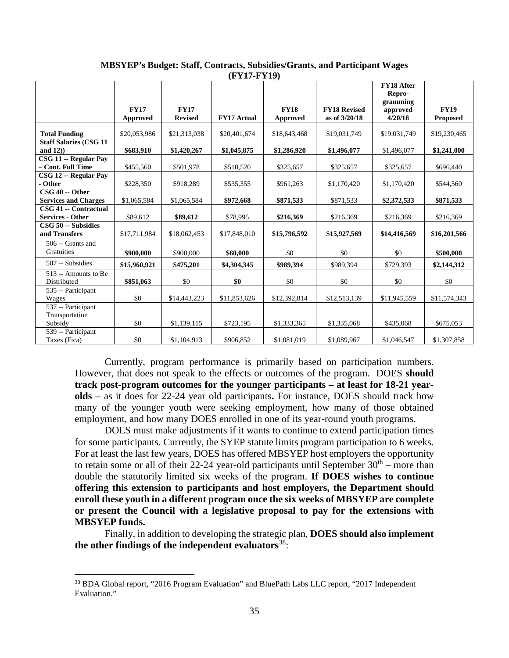|                                                  |                         |                               | (FIII-FII)         |                         |                                      |                                                                |                                |
|--------------------------------------------------|-------------------------|-------------------------------|--------------------|-------------------------|--------------------------------------|----------------------------------------------------------------|--------------------------------|
|                                                  | <b>FY17</b><br>Approved | <b>FY17</b><br><b>Revised</b> | <b>FY17 Actual</b> | <b>FY18</b><br>Approved | <b>FY18 Revised</b><br>as of 3/20/18 | <b>FY18 After</b><br>Repro-<br>gramming<br>approved<br>4/20/18 | <b>FY19</b><br><b>Proposed</b> |
| <b>Total Funding</b>                             | \$20,053,986            | \$21,313,038                  | \$20,401,674       | \$18,643,468            | \$19,031,749                         | \$19,031,749                                                   | \$19,230,465                   |
| <b>Staff Salaries (CSG 11</b><br>and $12)$ )     | \$683,910               | \$1,420,267                   | \$1,045,875        | \$1,286,920             | \$1,496,077                          | \$1,496,077                                                    | \$1,241,000                    |
| CSG 11 -- Regular Pay<br>- Cont. Full Time       | \$455,560               | \$501,978                     | \$510,520          | \$325,657               | \$325,657                            | \$325,657                                                      | \$696,440                      |
| CSG 12 -- Regular Pay<br>- Other                 | \$228,350               | \$918,289                     | \$535,355          | \$961,263               | \$1,170,420                          | \$1,170,420                                                    | \$544,560                      |
| CSG 40 -- Other<br><b>Services and Charges</b>   | \$1,065,584             | \$1,065,584                   | \$972,668          | \$871,533               | \$871,533                            | \$2,372,533                                                    | \$871,533                      |
| CSG 41 -- Contractual<br><b>Services - Other</b> | \$89,612                | \$89,612                      | \$78,995           | \$216,369               | \$216,369                            | \$216,369                                                      | \$216,369                      |
| CSG 50 -- Subsidies<br>and Transfers             | \$17,711,984            | \$18,062,453                  | \$17,848,010       | \$15,796,592            | \$15,927,569                         | \$14,416,569                                                   | \$16,201,566                   |
| 506 -- Grants and<br><b>Gratuities</b>           | \$900,000               | \$900,000                     | \$60,000           | \$0                     | \$0                                  | \$0                                                            | \$500,000                      |
| 507 -- Subsidies                                 | \$15,960,921            | \$475,201                     | \$4,304,345        | \$989.394               | \$989,394                            | \$729,393                                                      | \$2,144,312                    |
| 513 -- Amounts to Be<br>Distributed              | \$851,063               | \$0                           | \$0                | \$0                     | \$0                                  | \$0                                                            | \$0                            |
| 535 -- Participant<br>Wages                      | \$0                     | \$14,443,223                  | \$11,853,626       | \$12,392,814            | \$12,513,139                         | \$11,945,559                                                   | \$11,574,343                   |
| 537 -- Participant<br>Transportation<br>Subsidy  | \$0                     | \$1,139,115                   | \$723,195          | \$1,333,365             | \$1,335,068                          | \$435,068                                                      | \$675,053                      |
| 539 -- Participant<br>Taxes (Fica)               | \$0                     | \$1,104,913                   | \$906,852          | \$1,081,019             | \$1,089,967                          | \$1,046,547                                                    | \$1,307,858                    |

**MBSYEP's Budget: Staff, Contracts, Subsidies/Grants, and Participant Wages (FY17-FY19)**

Currently, program performance is primarily based on participation numbers. However, that does not speak to the effects or outcomes of the program. DOES **should track post-program outcomes for the younger participants – at least for 18-21 yearolds** – as it does for 22-24 year old participants**.** For instance, DOES should track how many of the younger youth were seeking employment, how many of those obtained employment, and how many DOES enrolled in one of its year-round youth programs.

DOES must make adjustments if it wants to continue to extend participation times for some participants. Currently, the SYEP statute limits program participation to 6 weeks. For at least the last few years, DOES has offered MBSYEP host employers the opportunity to retain some or all of their 22-24 year-old participants until September  $30<sup>th</sup>$  – more than double the statutorily limited six weeks of the program. **If DOES wishes to continue offering this extension to participants and host employers, the Department should enroll these youth in a different program once the six weeks of MBSYEP are complete or present the Council with a legislative proposal to pay for the extensions with MBSYEP funds.**

Finally, in addition to developing the strategic plan, **DOES should also implement the other findings of the independent evaluators**[38:](#page-34-0)

<span id="page-34-0"></span> <sup>38</sup> BDA Global report, "2016 Program Evaluation" and BluePath Labs LLC report, "2017 Independent Evaluation."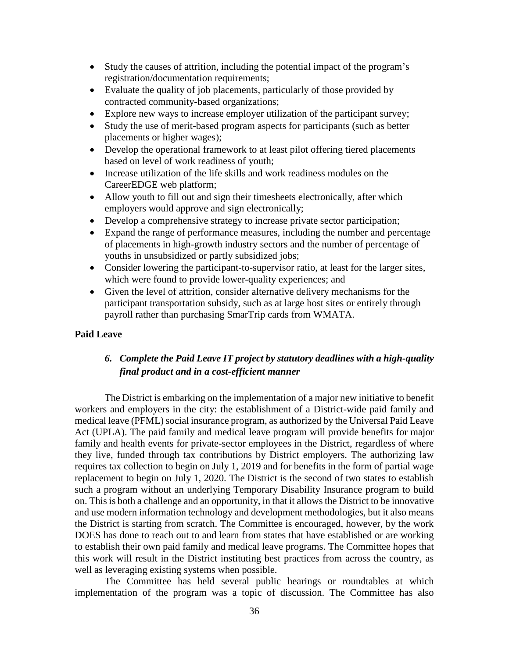- Study the causes of attrition, including the potential impact of the program's registration/documentation requirements;
- Evaluate the quality of job placements, particularly of those provided by contracted community-based organizations;
- Explore new ways to increase employer utilization of the participant survey;
- Study the use of merit-based program aspects for participants (such as better placements or higher wages);
- Develop the operational framework to at least pilot offering tiered placements based on level of work readiness of youth;
- Increase utilization of the life skills and work readiness modules on the CareerEDGE web platform;
- Allow youth to fill out and sign their timesheets electronically, after which employers would approve and sign electronically;
- Develop a comprehensive strategy to increase private sector participation;
- Expand the range of performance measures, including the number and percentage of placements in high-growth industry sectors and the number of percentage of youths in unsubsidized or partly subsidized jobs;
- Consider lowering the participant-to-supervisor ratio, at least for the larger sites, which were found to provide lower-quality experiences; and
- Given the level of attrition, consider alternative delivery mechanisms for the participant transportation subsidy, such as at large host sites or entirely through payroll rather than purchasing SmarTrip cards from WMATA.

#### **Paid Leave**

## *6. Complete the Paid Leave IT project by statutory deadlines with a high-quality final product and in a cost-efficient manner*

The District is embarking on the implementation of a major new initiative to benefit workers and employers in the city: the establishment of a District-wide paid family and medical leave (PFML) social insurance program, as authorized by the Universal Paid Leave Act (UPLA). The paid family and medical leave program will provide benefits for major family and health events for private-sector employees in the District, regardless of where they live, funded through tax contributions by District employers. The authorizing law requires tax collection to begin on July 1, 2019 and for benefits in the form of partial wage replacement to begin on July 1, 2020. The District is the second of two states to establish such a program without an underlying Temporary Disability Insurance program to build on. This is both a challenge and an opportunity, in that it allows the District to be innovative and use modern information technology and development methodologies, but it also means the District is starting from scratch. The Committee is encouraged, however, by the work DOES has done to reach out to and learn from states that have established or are working to establish their own paid family and medical leave programs. The Committee hopes that this work will result in the District instituting best practices from across the country, as well as leveraging existing systems when possible.

The Committee has held several public hearings or roundtables at which implementation of the program was a topic of discussion. The Committee has also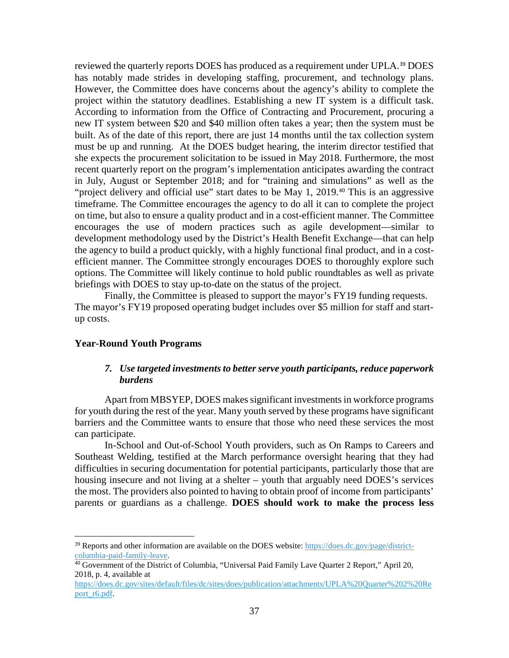reviewed the quarterly reports DOES has produced as a requirement under UPLA.<sup>[39](#page-36-0)</sup> DOES has notably made strides in developing staffing, procurement, and technology plans. However, the Committee does have concerns about the agency's ability to complete the project within the statutory deadlines. Establishing a new IT system is a difficult task. According to information from the Office of Contracting and Procurement, procuring a new IT system between \$20 and \$40 million often takes a year; then the system must be built. As of the date of this report, there are just 14 months until the tax collection system must be up and running. At the DOES budget hearing, the interim director testified that she expects the procurement solicitation to be issued in May 2018. Furthermore, the most recent quarterly report on the program's implementation anticipates awarding the contract in July, August or September 2018; and for "training and simulations" as well as the "project delivery and official use" start dates to be May 1, 2019.<sup>[40](#page-36-1)</sup> This is an aggressive timeframe. The Committee encourages the agency to do all it can to complete the project on time, but also to ensure a quality product and in a cost-efficient manner. The Committee encourages the use of modern practices such as agile development—similar to development methodology used by the District's Health Benefit Exchange—that can help the agency to build a product quickly, with a highly functional final product, and in a costefficient manner. The Committee strongly encourages DOES to thoroughly explore such options. The Committee will likely continue to hold public roundtables as well as private briefings with DOES to stay up-to-date on the status of the project.

Finally, the Committee is pleased to support the mayor's FY19 funding requests. The mayor's FY19 proposed operating budget includes over \$5 million for staff and startup costs.

#### **Year-Round Youth Programs**

### *7. Use targeted investments to better serve youth participants, reduce paperwork burdens*

Apart from MBSYEP, DOES makes significant investments in workforce programs for youth during the rest of the year. Many youth served by these programs have significant barriers and the Committee wants to ensure that those who need these services the most can participate.

In-School and Out-of-School Youth providers, such as On Ramps to Careers and Southeast Welding, testified at the March performance oversight hearing that they had difficulties in securing documentation for potential participants, particularly those that are housing insecure and not living at a shelter – youth that arguably need DOES's services the most. The providers also pointed to having to obtain proof of income from participants' parents or guardians as a challenge. **DOES should work to make the process less** 

<span id="page-36-0"></span> $39$  Reports and other information are available on the DOES website: [https://does.dc.gov/page/district](https://does.dc.gov/page/district-columbia-paid-family-leave)[columbia-paid-family-leave.](https://does.dc.gov/page/district-columbia-paid-family-leave) 40 Government of the District of Columbia, "Universal Paid Family Lave Quarter 2 Report," April 20,

<span id="page-36-1"></span><sup>2018,</sup> p. 4, available at

[https://does.dc.gov/sites/default/files/dc/sites/does/publication/attachments/UPLA%20Quarter%202%20Re](https://does.dc.gov/sites/default/files/dc/sites/does/publication/attachments/UPLA%20Quarter%202%20Report_r6.pdf) [port\\_r6.pdf.](https://does.dc.gov/sites/default/files/dc/sites/does/publication/attachments/UPLA%20Quarter%202%20Report_r6.pdf)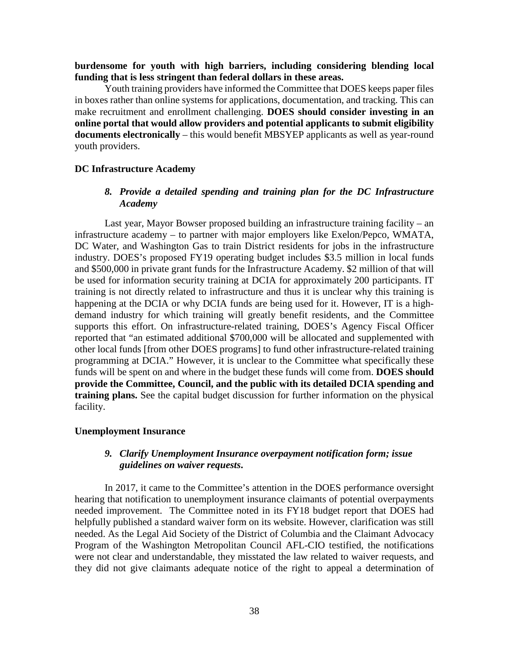### **burdensome for youth with high barriers, including considering blending local funding that is less stringent than federal dollars in these areas.**

Youth training providers have informed the Committee that DOES keeps paper files in boxes rather than online systems for applications, documentation, and tracking. This can make recruitment and enrollment challenging. **DOES should consider investing in an online portal that would allow providers and potential applicants to submit eligibility documents electronically** – this would benefit MBSYEP applicants as well as year-round youth providers.

### **DC Infrastructure Academy**

### *8. Provide a detailed spending and training plan for the DC Infrastructure Academy*

Last year, Mayor Bowser proposed building an infrastructure training facility – an infrastructure academy – to partner with major employers like Exelon/Pepco, WMATA, DC Water, and Washington Gas to train District residents for jobs in the infrastructure industry. DOES's proposed FY19 operating budget includes \$3.5 million in local funds and \$500,000 in private grant funds for the Infrastructure Academy. \$2 million of that will be used for information security training at DCIA for approximately 200 participants. IT training is not directly related to infrastructure and thus it is unclear why this training is happening at the DCIA or why DCIA funds are being used for it. However, IT is a highdemand industry for which training will greatly benefit residents, and the Committee supports this effort. On infrastructure-related training, DOES's Agency Fiscal Officer reported that "an estimated additional \$700,000 will be allocated and supplemented with other local funds [from other DOES programs] to fund other infrastructure-related training programming at DCIA." However, it is unclear to the Committee what specifically these funds will be spent on and where in the budget these funds will come from. **DOES should provide the Committee, Council, and the public with its detailed DCIA spending and training plans.** See the capital budget discussion for further information on the physical facility.

#### **Unemployment Insurance**

### *9. Clarify Unemployment Insurance overpayment notification form; issue guidelines on waiver requests***.**

In 2017, it came to the Committee's attention in the DOES performance oversight hearing that notification to unemployment insurance claimants of potential overpayments needed improvement. The Committee noted in its FY18 budget report that DOES had helpfully published a standard waiver form on its website. However, clarification was still needed. As the Legal Aid Society of the District of Columbia and the Claimant Advocacy Program of the Washington Metropolitan Council AFL-CIO testified, the notifications were not clear and understandable, they misstated the law related to waiver requests, and they did not give claimants adequate notice of the right to appeal a determination of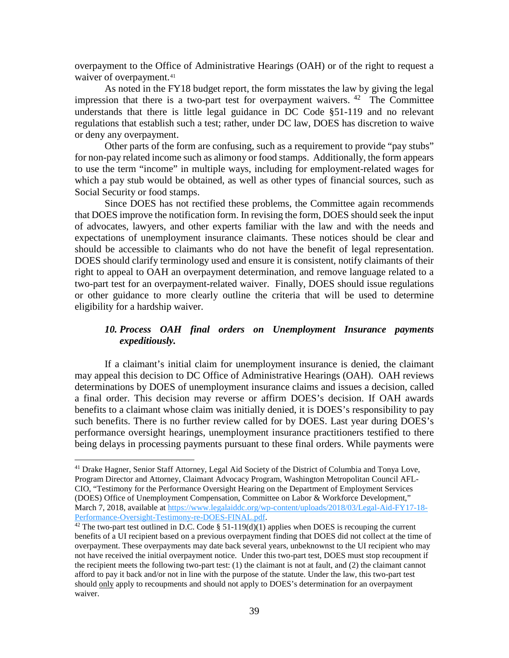overpayment to the Office of Administrative Hearings (OAH) or of the right to request a waiver of overpayment.<sup>[41](#page-38-0)</sup>

As noted in the FY18 budget report, the form misstates the law by giving the legal impression that there is a two-part test for overpayment waivers.  $42$  The Committee understands that there is little legal guidance in DC Code §51-119 and no relevant regulations that establish such a test; rather, under DC law, DOES has discretion to waive or deny any overpayment.

Other parts of the form are confusing, such as a requirement to provide "pay stubs" for non-pay related income such as alimony or food stamps. Additionally, the form appears to use the term "income" in multiple ways, including for employment-related wages for which a pay stub would be obtained, as well as other types of financial sources, such as Social Security or food stamps.

Since DOES has not rectified these problems, the Committee again recommends that DOES improve the notification form. In revising the form, DOES should seek the input of advocates, lawyers, and other experts familiar with the law and with the needs and expectations of unemployment insurance claimants. These notices should be clear and should be accessible to claimants who do not have the benefit of legal representation. DOES should clarify terminology used and ensure it is consistent, notify claimants of their right to appeal to OAH an overpayment determination, and remove language related to a two-part test for an overpayment-related waiver. Finally, DOES should issue regulations or other guidance to more clearly outline the criteria that will be used to determine eligibility for a hardship waiver.

## *10. Process OAH final orders on Unemployment Insurance payments expeditiously.*

If a claimant's initial claim for unemployment insurance is denied, the claimant may appeal this decision to DC Office of Administrative Hearings (OAH). OAH reviews determinations by DOES of unemployment insurance claims and issues a decision, called a final order. This decision may reverse or affirm DOES's decision. If OAH awards benefits to a claimant whose claim was initially denied, it is DOES's responsibility to pay such benefits. There is no further review called for by DOES. Last year during DOES's performance oversight hearings, unemployment insurance practitioners testified to there being delays in processing payments pursuant to these final orders. While payments were

<span id="page-38-0"></span><sup>&</sup>lt;sup>41</sup> Drake Hagner, Senior Staff Attorney, Legal Aid Society of the District of Columbia and Tonya Love, Program Director and Attorney, Claimant Advocacy Program, Washington Metropolitan Council AFL-CIO, "Testimony for the Performance Oversight Hearing on the Department of Employment Services (DOES) Office of Unemployment Compensation, Committee on Labor & Workforce Development," March 7, 2018, available at [https://www.legalaiddc.org/wp-content/uploads/2018/03/Legal-Aid-FY17-18-](https://www.legalaiddc.org/wp-content/uploads/2018/03/Legal-Aid-FY17-18-Performance-Oversight-Testimony-re-DOES-FINAL.pdf) [Performance-Oversight-Testimony-re-DOES-FINAL.pdf.](https://www.legalaiddc.org/wp-content/uploads/2018/03/Legal-Aid-FY17-18-Performance-Oversight-Testimony-re-DOES-FINAL.pdf)

<span id="page-38-1"></span><sup>&</sup>lt;sup>42</sup> The two-part test outlined in D.C. Code § 51-119(d)(1) applies when DOES is recouping the current benefits of a UI recipient based on a previous overpayment finding that DOES did not collect at the time of overpayment. These overpayments may date back several years, unbeknownst to the UI recipient who may not have received the initial overpayment notice. Under this two-part test, DOES must stop recoupment if the recipient meets the following two-part test: (1) the claimant is not at fault, and (2) the claimant cannot afford to pay it back and/or not in line with the purpose of the statute. Under the law, this two-part test should only apply to recoupments and should not apply to DOES's determination for an overpayment waiver.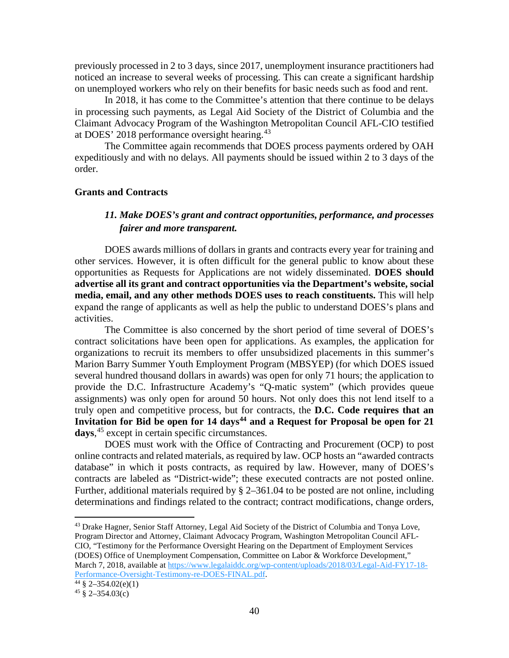previously processed in 2 to 3 days, since 2017, unemployment insurance practitioners had noticed an increase to several weeks of processing. This can create a significant hardship on unemployed workers who rely on their benefits for basic needs such as food and rent.

In 2018, it has come to the Committee's attention that there continue to be delays in processing such payments, as Legal Aid Society of the District of Columbia and the Claimant Advocacy Program of the Washington Metropolitan Council AFL-CIO testified at DOES' 2018 performance oversight hearing.<sup>[43](#page-39-0)</sup>

The Committee again recommends that DOES process payments ordered by OAH expeditiously and with no delays. All payments should be issued within 2 to 3 days of the order.

### **Grants and Contracts**

## *11. Make DOES's grant and contract opportunities, performance, and processes fairer and more transparent.*

DOES awards millions of dollars in grants and contracts every year for training and other services. However, it is often difficult for the general public to know about these opportunities as Requests for Applications are not widely disseminated. **DOES should advertise all its grant and contract opportunities via the Department's website, social media, email, and any other methods DOES uses to reach constituents.** This will help expand the range of applicants as well as help the public to understand DOES's plans and activities.

The Committee is also concerned by the short period of time several of DOES's contract solicitations have been open for applications. As examples, the application for organizations to recruit its members to offer unsubsidized placements in this summer's Marion Barry Summer Youth Employment Program (MBSYEP) (for which DOES issued several hundred thousand dollars in awards) was open for only 71 hours; the application to provide the D.C. Infrastructure Academy's "Q-matic system" (which provides queue assignments) was only open for around 50 hours. Not only does this not lend itself to a truly open and competitive process, but for contracts, the **D.C. Code requires that an**  Invitation for Bid be open for 14 days<sup>44</sup> and a Request for Proposal be open for 21 **days**, [45](#page-39-2) except in certain specific circumstances.

DOES must work with the Office of Contracting and Procurement (OCP) to post online contracts and related materials, as required by law. OCP hosts an "awarded contracts database" in which it posts contracts, as required by law. However, many of DOES's contracts are labeled as "District-wide"; these executed contracts are not posted online. Further, additional materials required by § 2–361.04 to be posted are not online, including determinations and findings related to the contract; contract modifications, change orders,

<span id="page-39-0"></span><sup>43</sup> Drake Hagner, Senior Staff Attorney, Legal Aid Society of the District of Columbia and Tonya Love, Program Director and Attorney, Claimant Advocacy Program, Washington Metropolitan Council AFL-CIO, "Testimony for the Performance Oversight Hearing on the Department of Employment Services (DOES) Office of Unemployment Compensation, Committee on Labor & Workforce Development," March 7, 2018, available at [https://www.legalaiddc.org/wp-content/uploads/2018/03/Legal-Aid-FY17-18-](https://www.legalaiddc.org/wp-content/uploads/2018/03/Legal-Aid-FY17-18-Performance-Oversight-Testimony-re-DOES-FINAL.pdf) [Performance-Oversight-Testimony-re-DOES-FINAL.pdf.](https://www.legalaiddc.org/wp-content/uploads/2018/03/Legal-Aid-FY17-18-Performance-Oversight-Testimony-re-DOES-FINAL.pdf)

<span id="page-39-1"></span> $\frac{44}{9}$  § 2-354.02(e)(1)

<span id="page-39-2"></span> $45 \text{ } \frac{\text{}}{\text{}} 2 - 354.03(c)$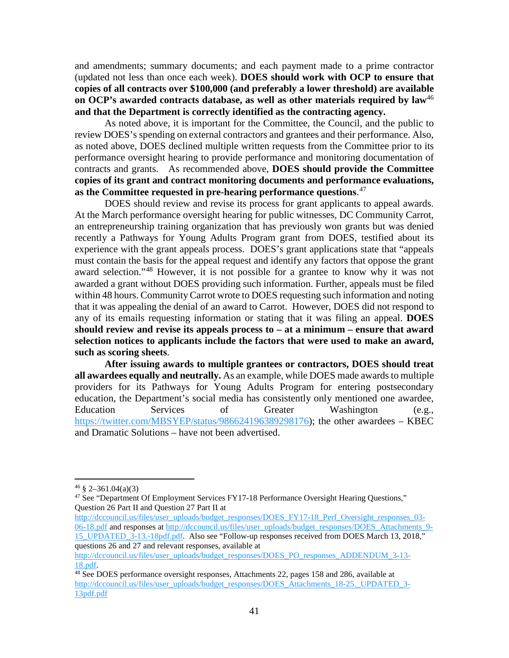and amendments; summary documents; and each payment made to a prime contractor (updated not less than once each week). **DOES should work with OCP to ensure that copies of all contracts over \$100,000 (and preferably a lower threshold) are available on OCP's awarded contracts database, as well as other materials required by law**[46](#page-40-0) **and that the Department is correctly identified as the contracting agency.**

As noted above, it is important for the Committee, the Council, and the public to review DOES's spending on external contractors and grantees and their performance. Also, as noted above, DOES declined multiple written requests from the Committee prior to its performance oversight hearing to provide performance and monitoring documentation of contracts and grants. As recommended above, **DOES should provide the Committee copies of its grant and contract monitoring documents and performance evaluations, as the Committee requested in pre-hearing performance questions**. [47](#page-40-1) 

DOES should review and revise its process for grant applicants to appeal awards. At the March performance oversight hearing for public witnesses, DC Community Carrot, an entrepreneurship training organization that has previously won grants but was denied recently a Pathways for Young Adults Program grant from DOES, testified about its experience with the grant appeals process. DOES's grant applications state that "appeals must contain the basis for the appeal request and identify any factors that oppose the grant award selection."[48](#page-40-2) However, it is not possible for a grantee to know why it was not awarded a grant without DOES providing such information. Further, appeals must be filed within 48 hours. Community Carrot wrote to DOES requesting such information and noting that it was appealing the denial of an award to Carrot. However, DOES did not respond to any of its emails requesting information or stating that it was filing an appeal. **DOES should review and revise its appeals process to – at a minimum – ensure that award selection notices to applicants include the factors that were used to make an award, such as scoring sheets**.

**After issuing awards to multiple grantees or contractors, DOES should treat all awardees equally and neutrally.** As an example, while DOES made awards to multiple providers for its Pathways for Young Adults Program for entering postsecondary education, the Department's social media has consistently only mentioned one awardee, Education Services of Greater Washington (e.g., [https://twitter.com/MBSYEP/status/986624196389298176\)](https://twitter.com/MBSYEP/status/986624196389298176); the other awardees – KBEC and Dramatic Solutions – have not been advertised.

[http://dccouncil.us/files/user\\_uploads/budget\\_responses/DOES\\_FY17-18\\_Perf\\_Oversight\\_responses\\_03-](http://dccouncil.us/files/user_uploads/budget_responses/DOES_FY17-18_Perf_Oversight_responses_03-06-18.pdf) [06-18.pdf](http://dccouncil.us/files/user_uploads/budget_responses/DOES_FY17-18_Perf_Oversight_responses_03-06-18.pdf) and responses a[t http://dccouncil.us/files/user\\_uploads/budget\\_responses/DOES\\_Attachments\\_9-](http://dccouncil.us/files/user_uploads/budget_responses/DOES_Attachments_9-15_UPDATED_3-13.-18pdf.pdf) [15\\_UPDATED\\_3-13.-18pdf.pdf.](http://dccouncil.us/files/user_uploads/budget_responses/DOES_Attachments_9-15_UPDATED_3-13.-18pdf.pdf) Also see "Follow-up responses received from DOES March 13, 2018," questions 26 and 27 and relevant responses, available at

[http://dccouncil.us/files/user\\_uploads/budget\\_responses/DOES\\_PO\\_responses\\_ADDENDUM\\_3-13-](http://dccouncil.us/files/user_uploads/budget_responses/DOES_PO_responses_ADDENDUM_3-13-18.pdf)

<span id="page-40-0"></span> $46 \& 2 - 361.04(a)(3)$ 

<span id="page-40-1"></span><sup>&</sup>lt;sup>47</sup> See "Department Of Employment Services FY17-18 Performance Oversight Hearing Questions," Question 26 Part II and Question 27 Part II at

<span id="page-40-2"></span>[<sup>18.</sup>pdf.](http://dccouncil.us/files/user_uploads/budget_responses/DOES_PO_responses_ADDENDUM_3-13-18.pdf)<br><sup>48</sup> See DOES performance oversight responses, Attachments 22, pages 158 and 286, available at [http://dccouncil.us/files/user\\_uploads/budget\\_responses/DOES\\_Attachments\\_18-25.\\_UPDATED\\_3-](http://dccouncil.us/files/user_uploads/budget_responses/DOES_Attachments_18-25._UPDATED_3-13pdf.pdf) [13pdf.pdf](http://dccouncil.us/files/user_uploads/budget_responses/DOES_Attachments_18-25._UPDATED_3-13pdf.pdf)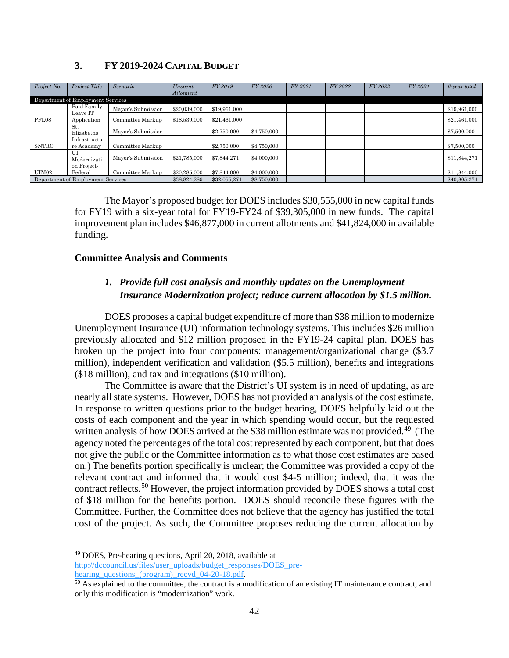### **3. FY 2019-2024 CAPITAL BUDGET**

| Project No.  | <b>Project Title</b>              | Scenario           | Unspent<br>Allotment | FY 2019      | FY 2020     | FY 2021 | FY 2022 | FY 2023 | FY 2024 | 6-year total |
|--------------|-----------------------------------|--------------------|----------------------|--------------|-------------|---------|---------|---------|---------|--------------|
|              | Department of Employment Services |                    |                      |              |             |         |         |         |         |              |
|              | Paid Family                       | Mayor's Submission | \$20,039,000         | \$19,961,000 |             |         |         |         |         | \$19,961,000 |
| PFL08        | Leave IT<br>Application           | Committee Markup   | \$18,539,000         | \$21.461.000 |             |         |         |         |         | \$21,461,000 |
|              | St.<br>Elizabeths                 | Mayor's Submission |                      | \$2,750,000  | \$4,750,000 |         |         |         |         | \$7,500,000  |
| <b>SNTRC</b> | Infrastructu<br>re Academy        | Committee Markup   |                      | \$2,750,000  | \$4,750,000 |         |         |         |         | \$7,500,000  |
|              | U<br>Modernizati                  | Mayor's Submission | \$21,785,000         | \$7,844,271  | \$4,000,000 |         |         |         |         | \$11,844,271 |
|              | on Project-                       |                    |                      |              |             |         |         |         |         |              |
| UIM02        | Federal                           | Committee Markup   | \$20,285,000         | \$7,844,000  | \$4,000,000 |         |         |         |         | \$11,844,000 |
|              | Department of Employment Services |                    | \$38,824,289         | \$32,055,271 | \$8,750,000 |         |         |         |         | \$40,805,271 |

The Mayor's proposed budget for DOES includes \$30,555,000 in new capital funds for FY19 with a six-year total for FY19-FY24 of \$39,305,000 in new funds. The capital improvement plan includes \$46,877,000 in current allotments and \$41,824,000 in available funding.

### **Committee Analysis and Comments**

## *1. Provide full cost analysis and monthly updates on the Unemployment Insurance Modernization project; reduce current allocation by \$1.5 million.*

DOES proposes a capital budget expenditure of more than \$38 million to modernize Unemployment Insurance (UI) information technology systems. This includes \$26 million previously allocated and \$12 million proposed in the FY19-24 capital plan. DOES has broken up the project into four components: management/organizational change (\$3.7 million), independent verification and validation (\$5.5 million), benefits and integrations (\$18 million), and tax and integrations (\$10 million).

The Committee is aware that the District's UI system is in need of updating, as are nearly all state systems. However, DOES has not provided an analysis of the cost estimate. In response to written questions prior to the budget hearing, DOES helpfully laid out the costs of each component and the year in which spending would occur, but the requested written analysis of how DOES arrived at the \$38 million estimate was not provided.<sup>49</sup> (The agency noted the percentages of the total cost represented by each component, but that does not give the public or the Committee information as to what those cost estimates are based on.) The benefits portion specifically is unclear; the Committee was provided a copy of the relevant contract and informed that it would cost \$4-5 million; indeed, that it was the contract reflects.<sup>[50](#page-41-1)</sup> However, the project information provided by DOES shows a total cost of \$18 million for the benefits portion. DOES should reconcile these figures with the Committee. Further, the Committee does not believe that the agency has justified the total cost of the project. As such, the Committee proposes reducing the current allocation by

<span id="page-41-0"></span> <sup>49</sup> DOES, Pre-hearing questions, April 20, 2018, available at [http://dccouncil.us/files/user\\_uploads/budget\\_responses/DOES\\_pre](http://dccouncil.us/files/user_uploads/budget_responses/DOES_pre-hearing_questions_(program)_recvd_04-20-18.pdf)hearing questions (program) recvd 04-20-18.pdf.

<span id="page-41-1"></span><sup>&</sup>lt;sup>50</sup> As explained to the committee, the contract is a modification of an existing IT maintenance contract, and only this modification is "modernization" work.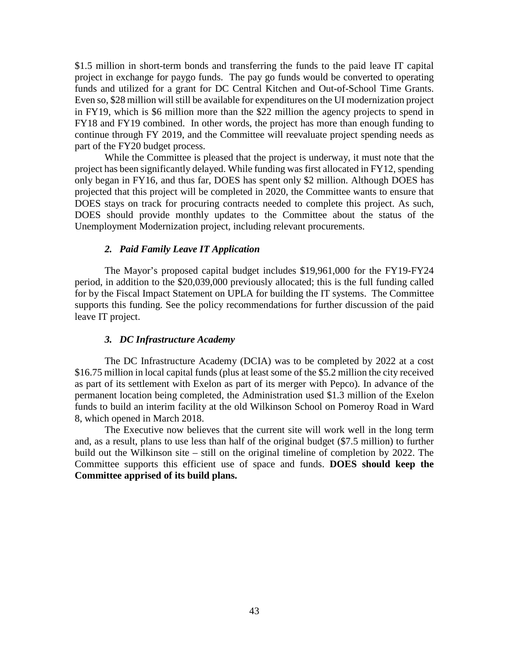\$1.5 million in short-term bonds and transferring the funds to the paid leave IT capital project in exchange for paygo funds. The pay go funds would be converted to operating funds and utilized for a grant for DC Central Kitchen and Out-of-School Time Grants. Even so, \$28 million will still be available for expenditures on the UI modernization project in FY19, which is \$6 million more than the \$22 million the agency projects to spend in FY18 and FY19 combined. In other words, the project has more than enough funding to continue through FY 2019, and the Committee will reevaluate project spending needs as part of the FY20 budget process.

While the Committee is pleased that the project is underway, it must note that the project has been significantly delayed. While funding was first allocated in FY12, spending only began in FY16, and thus far, DOES has spent only \$2 million. Although DOES has projected that this project will be completed in 2020, the Committee wants to ensure that DOES stays on track for procuring contracts needed to complete this project. As such, DOES should provide monthly updates to the Committee about the status of the Unemployment Modernization project, including relevant procurements.

#### *2. Paid Family Leave IT Application*

The Mayor's proposed capital budget includes \$19,961,000 for the FY19-FY24 period, in addition to the \$20,039,000 previously allocated; this is the full funding called for by the Fiscal Impact Statement on UPLA for building the IT systems. The Committee supports this funding. See the policy recommendations for further discussion of the paid leave IT project.

#### *3. DC Infrastructure Academy*

The DC Infrastructure Academy (DCIA) was to be completed by 2022 at a cost \$16.75 million in local capital funds (plus at least some of the \$5.2 million the city received as part of its settlement with Exelon as part of its merger with Pepco). In advance of the permanent location being completed, the Administration used \$1.3 million of the Exelon funds to build an interim facility at the old Wilkinson School on Pomeroy Road in Ward 8, which opened in March 2018.

The Executive now believes that the current site will work well in the long term and, as a result, plans to use less than half of the original budget (\$7.5 million) to further build out the Wilkinson site – still on the original timeline of completion by 2022. The Committee supports this efficient use of space and funds. **DOES should keep the Committee apprised of its build plans.**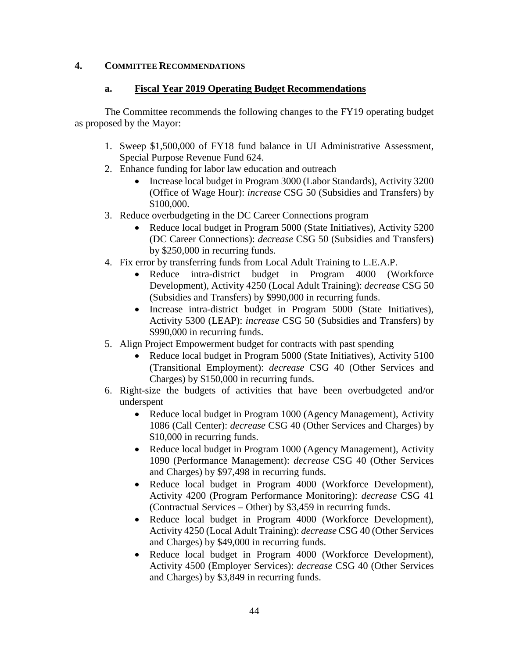## **4. COMMITTEE RECOMMENDATIONS**

### **a. Fiscal Year 2019 Operating Budget Recommendations**

The Committee recommends the following changes to the FY19 operating budget as proposed by the Mayor:

- 1. Sweep \$1,500,000 of FY18 fund balance in UI Administrative Assessment, Special Purpose Revenue Fund 624.
- 2. Enhance funding for labor law education and outreach
	- Increase local budget in Program 3000 (Labor Standards), Activity 3200 (Office of Wage Hour): *increase* CSG 50 (Subsidies and Transfers) by \$100,000.
- 3. Reduce overbudgeting in the DC Career Connections program
	- Reduce local budget in Program 5000 (State Initiatives), Activity 5200 (DC Career Connections): *decrease* CSG 50 (Subsidies and Transfers) by \$250,000 in recurring funds.
- 4. Fix error by transferring funds from Local Adult Training to L.E.A.P.
	- Reduce intra-district budget in Program 4000 (Workforce Development), Activity 4250 (Local Adult Training): *decrease* CSG 50 (Subsidies and Transfers) by \$990,000 in recurring funds.
	- Increase intra-district budget in Program 5000 (State Initiatives), Activity 5300 (LEAP): *increase* CSG 50 (Subsidies and Transfers) by \$990,000 in recurring funds.
- 5. Align Project Empowerment budget for contracts with past spending
	- Reduce local budget in Program 5000 (State Initiatives), Activity 5100 (Transitional Employment): *decrease* CSG 40 (Other Services and Charges) by \$150,000 in recurring funds.
- 6. Right-size the budgets of activities that have been overbudgeted and/or underspent
	- Reduce local budget in Program 1000 (Agency Management), Activity 1086 (Call Center): *decrease* CSG 40 (Other Services and Charges) by \$10,000 in recurring funds.
	- Reduce local budget in Program 1000 (Agency Management), Activity 1090 (Performance Management): *decrease* CSG 40 (Other Services and Charges) by \$97,498 in recurring funds.
	- Reduce local budget in Program 4000 (Workforce Development), Activity 4200 (Program Performance Monitoring): *decrease* CSG 41 (Contractual Services – Other) by \$3,459 in recurring funds.
	- Reduce local budget in Program 4000 (Workforce Development), Activity 4250 (Local Adult Training): *decrease* CSG 40 (Other Services and Charges) by \$49,000 in recurring funds.
	- Reduce local budget in Program 4000 (Workforce Development), Activity 4500 (Employer Services): *decrease* CSG 40 (Other Services and Charges) by \$3,849 in recurring funds.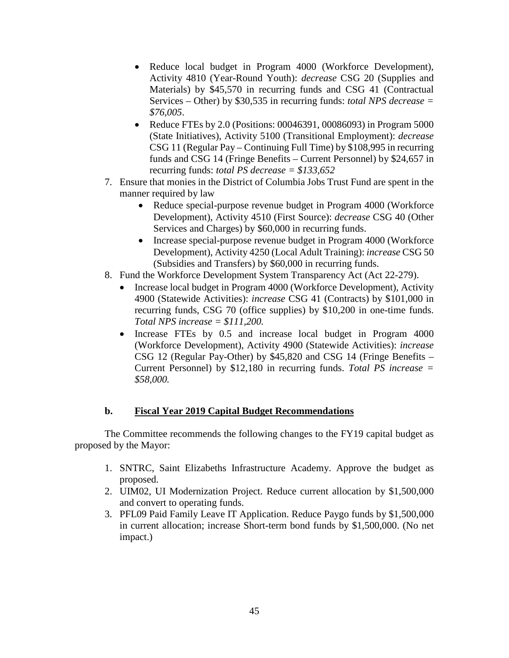- Reduce local budget in Program 4000 (Workforce Development), Activity 4810 (Year-Round Youth): *decrease* CSG 20 (Supplies and Materials) by \$45,570 in recurring funds and CSG 41 (Contractual Services – Other) by \$30,535 in recurring funds: *total NPS decrease = \$76,005*.
- Reduce FTEs by 2.0 (Positions: 00046391, 00086093) in Program 5000 (State Initiatives), Activity 5100 (Transitional Employment): *decrease*  CSG 11 (Regular Pay – Continuing Full Time) by \$108,995 in recurring funds and CSG 14 (Fringe Benefits – Current Personnel) by \$24,657 in recurring funds: *total PS decrease = \$133,652*
- 7. Ensure that monies in the District of Columbia Jobs Trust Fund are spent in the manner required by law
	- Reduce special-purpose revenue budget in Program 4000 (Workforce Development), Activity 4510 (First Source): *decrease* CSG 40 (Other Services and Charges) by \$60,000 in recurring funds.
	- Increase special-purpose revenue budget in Program 4000 (Workforce Development), Activity 4250 (Local Adult Training): *increase* CSG 50 (Subsidies and Transfers) by \$60,000 in recurring funds.
- 8. Fund the Workforce Development System Transparency Act (Act 22-279).
	- Increase local budget in Program 4000 (Workforce Development), Activity 4900 (Statewide Activities): *increase* CSG 41 (Contracts) by \$101,000 in recurring funds, CSG 70 (office supplies) by \$10,200 in one-time funds. *Total NPS increase = \$111,200.*
	- Increase FTEs by 0.5 and increase local budget in Program 4000 (Workforce Development), Activity 4900 (Statewide Activities): *increase*  CSG 12 (Regular Pay-Other) by \$45,820 and CSG 14 (Fringe Benefits – Current Personnel) by \$12,180 in recurring funds. *Total PS increase = \$58,000.*

## **b. Fiscal Year 2019 Capital Budget Recommendations**

The Committee recommends the following changes to the FY19 capital budget as proposed by the Mayor:

- 1. SNTRC, Saint Elizabeths Infrastructure Academy. Approve the budget as proposed.
- 2. UIM02, UI Modernization Project. Reduce current allocation by \$1,500,000 and convert to operating funds.
- 3. PFL09 Paid Family Leave IT Application. Reduce Paygo funds by \$1,500,000 in current allocation; increase Short-term bond funds by \$1,500,000. (No net impact.)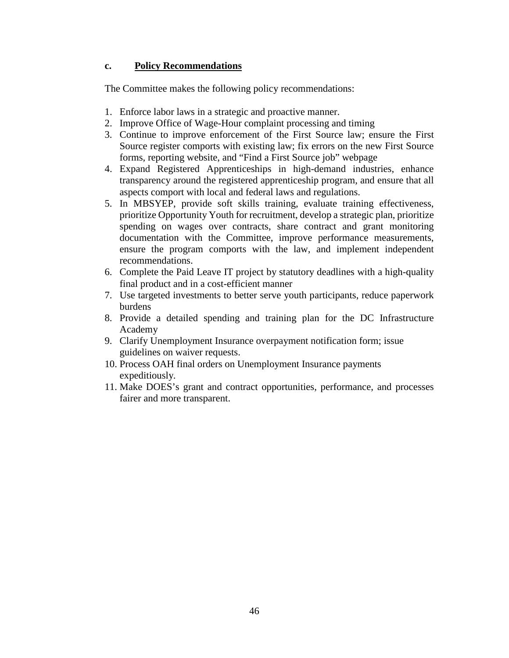## **c. Policy Recommendations**

The Committee makes the following policy recommendations:

- 1. Enforce labor laws in a strategic and proactive manner.
- 2. Improve Office of Wage-Hour complaint processing and timing
- 3. Continue to improve enforcement of the First Source law; ensure the First Source register comports with existing law; fix errors on the new First Source forms, reporting website, and "Find a First Source job" webpage
- 4. Expand Registered Apprenticeships in high-demand industries, enhance transparency around the registered apprenticeship program, and ensure that all aspects comport with local and federal laws and regulations.
- 5. In MBSYEP, provide soft skills training, evaluate training effectiveness, prioritize Opportunity Youth for recruitment, develop a strategic plan, prioritize spending on wages over contracts, share contract and grant monitoring documentation with the Committee, improve performance measurements, ensure the program comports with the law, and implement independent recommendations.
- 6. Complete the Paid Leave IT project by statutory deadlines with a high-quality final product and in a cost-efficient manner
- 7. Use targeted investments to better serve youth participants, reduce paperwork burdens
- 8. Provide a detailed spending and training plan for the DC Infrastructure Academy
- 9. Clarify Unemployment Insurance overpayment notification form; issue guidelines on waiver requests.
- 10. Process OAH final orders on Unemployment Insurance payments expeditiously.
- 11. Make DOES's grant and contract opportunities, performance, and processes fairer and more transparent.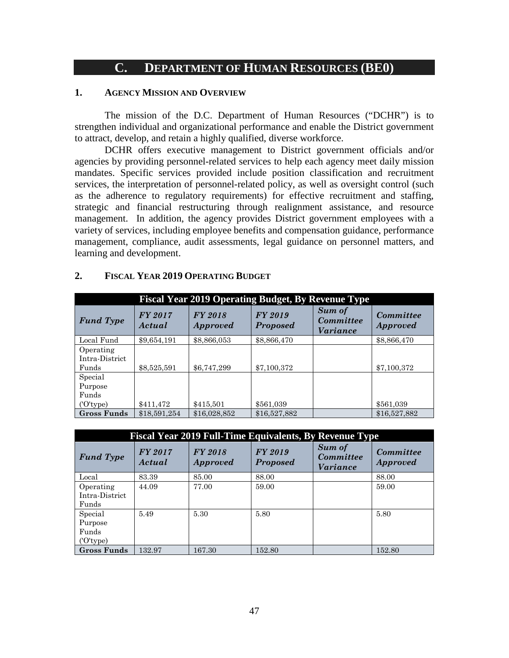## **C. DEPARTMENT OF HUMAN RESOURCES (BE0)**

### **1. AGENCY MISSION AND OVERVIEW**

The mission of the D.C. Department of Human Resources ("DCHR") is to strengthen individual and organizational performance and enable the District government to attract, develop, and retain a highly qualified, diverse workforce.

DCHR offers executive management to District government officials and/or agencies by providing personnel-related services to help each agency meet daily mission mandates. Specific services provided include position classification and recruitment services, the interpretation of personnel-related policy, as well as oversight control (such as the adherence to regulatory requirements) for effective recruitment and staffing, strategic and financial restructuring through realignment assistance, and resource management. In addition, the agency provides District government employees with a variety of services, including employee benefits and compensation guidance, performance management, compliance, audit assessments, legal guidance on personnel matters, and learning and development.

|                    | <b>Fiscal Year 2019 Operating Budget, By Revenue Type</b> |                            |                            |                                        |                                     |  |  |  |
|--------------------|-----------------------------------------------------------|----------------------------|----------------------------|----------------------------------------|-------------------------------------|--|--|--|
| <b>Fund Type</b>   | FY 2017<br>Actual                                         | FY 2018<br><i>Approved</i> | FY 2019<br><b>Proposed</b> | Sum of<br><b>Committee</b><br>Variance | <b>Committee</b><br><b>Approved</b> |  |  |  |
| Local Fund         | \$9,654,191                                               | \$8,866,053                | \$8,866,470                |                                        | \$8,866,470                         |  |  |  |
| Operating          |                                                           |                            |                            |                                        |                                     |  |  |  |
| Intra-District     |                                                           |                            |                            |                                        |                                     |  |  |  |
| Funds              | \$8,525,591                                               | \$6,747,299                | \$7,100,372                |                                        | \$7,100,372                         |  |  |  |
| Special            |                                                           |                            |                            |                                        |                                     |  |  |  |
| Purpose            |                                                           |                            |                            |                                        |                                     |  |  |  |
| Funds              |                                                           |                            |                            |                                        |                                     |  |  |  |
| ('O'type)          | \$411,472                                                 | \$415,501                  | \$561,039                  |                                        | \$561,039                           |  |  |  |
| <b>Gross Funds</b> | \$18,591,254                                              | \$16,028,852               | \$16,527,882               |                                        | \$16,527,882                        |  |  |  |

#### **2. FISCAL YEAR 2019 OPERATING BUDGET**

|                    | <b>Fiscal Year 2019 Full-Time Equivalents, By Revenue Type</b> |                            |                            |                                        |                              |  |  |  |
|--------------------|----------------------------------------------------------------|----------------------------|----------------------------|----------------------------------------|------------------------------|--|--|--|
| <b>Fund Type</b>   | <b>FY 2017</b><br>Actual                                       | FY 2018<br><i>Approved</i> | FY 2019<br><b>Proposed</b> | Sum of<br><b>Committee</b><br>Variance | Committee<br><i>Approved</i> |  |  |  |
| Local              | 83.39                                                          | 85.00                      | 88.00                      |                                        | 88.00                        |  |  |  |
| Operating          | 44.09                                                          | 77.00                      | 59.00                      |                                        | 59.00                        |  |  |  |
| Intra-District     |                                                                |                            |                            |                                        |                              |  |  |  |
| Funds              |                                                                |                            |                            |                                        |                              |  |  |  |
| Special            | 5.49                                                           | 5.30                       | 5.80                       |                                        | 5.80                         |  |  |  |
| Purpose            |                                                                |                            |                            |                                        |                              |  |  |  |
| Funds              |                                                                |                            |                            |                                        |                              |  |  |  |
| ('O'type)          |                                                                |                            |                            |                                        |                              |  |  |  |
| <b>Gross Funds</b> | 132.97                                                         | 167.30                     | 152.80                     |                                        | 152.80                       |  |  |  |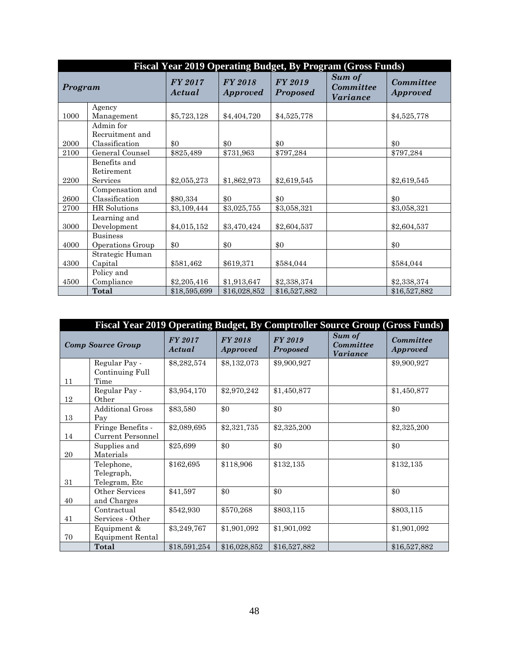|         | Fiscal Year 2019 Operating Budget, By Program (Gross Funds) |                   |                                   |                                   |                                               |                                     |  |  |  |
|---------|-------------------------------------------------------------|-------------------|-----------------------------------|-----------------------------------|-----------------------------------------------|-------------------------------------|--|--|--|
| Program |                                                             | FY 2017<br>Actual | <b>FY 2018</b><br><b>Approved</b> | <b>FY 2019</b><br><b>Proposed</b> | Sum of<br><b>Committee</b><br><b>Variance</b> | <b>Committee</b><br><b>Approved</b> |  |  |  |
|         | Agency                                                      |                   |                                   |                                   |                                               |                                     |  |  |  |
| 1000    | Management                                                  | \$5,723,128       | \$4,404,720                       | \$4,525,778                       |                                               | \$4,525,778                         |  |  |  |
|         | Admin for                                                   |                   |                                   |                                   |                                               |                                     |  |  |  |
|         | Recruitment and                                             |                   |                                   |                                   |                                               |                                     |  |  |  |
| 2000    | Classification                                              | \$0               | \$0                               | \$0                               |                                               | \$0                                 |  |  |  |
| 2100    | General Counsel                                             | \$825,489         | \$731,963                         | \$797,284                         |                                               | \$797,284                           |  |  |  |
|         | Benefits and                                                |                   |                                   |                                   |                                               |                                     |  |  |  |
|         | Retirement                                                  |                   |                                   |                                   |                                               |                                     |  |  |  |
| 2200    | Services                                                    | \$2,055,273       | \$1,862,973                       | \$2,619,545                       |                                               | \$2,619,545                         |  |  |  |
|         | Compensation and                                            |                   |                                   |                                   |                                               |                                     |  |  |  |
| 2600    | Classification                                              | \$80,334          | \$0                               | \$0                               |                                               | \$0                                 |  |  |  |
| 2700    | HR Solutions                                                | \$3,109,444       | \$3,025,755                       | \$3,058,321                       |                                               | \$3,058,321                         |  |  |  |
|         | Learning and                                                |                   |                                   |                                   |                                               |                                     |  |  |  |
| 3000    | Development                                                 | \$4,015,152       | \$3,470,424                       | \$2,604,537                       |                                               | \$2,604,537                         |  |  |  |
|         | <b>Business</b>                                             |                   |                                   |                                   |                                               |                                     |  |  |  |
| 4000    | Operations Group                                            | \$0               | \$0                               | \$0                               |                                               | \$0                                 |  |  |  |
|         | Strategic Human                                             |                   |                                   |                                   |                                               |                                     |  |  |  |
| 4300    | Capital                                                     | \$581,462         | \$619,371                         | \$584,044                         |                                               | \$584,044                           |  |  |  |
|         | Policy and                                                  |                   |                                   |                                   |                                               |                                     |  |  |  |
| 4500    | Compliance                                                  | \$2,205,416       | \$1,913,647                       | \$2,338,374                       |                                               | \$2,338,374                         |  |  |  |
|         | Total                                                       | \$18,595,699      | \$16,028,852                      | \$16,527,882                      |                                               | \$16,527,882                        |  |  |  |

|    | Fiscal Year 2019 Operating Budget, By Comptroller Source Group (Gross Funds) |                          |                                   |                                   |                                        |                              |
|----|------------------------------------------------------------------------------|--------------------------|-----------------------------------|-----------------------------------|----------------------------------------|------------------------------|
|    | <b>Comp Source Group</b>                                                     | <b>FY 2017</b><br>Actual | <b>FY 2018</b><br><i>Approved</i> | <b>FY 2019</b><br><b>Proposed</b> | Sum of<br>Committee<br><b>Variance</b> | Committee<br><b>Approved</b> |
|    | Regular Pay -                                                                | \$8,282,574              | \$8,132,073                       | \$9,900,927                       |                                        | \$9,900,927                  |
|    | Continuing Full                                                              |                          |                                   |                                   |                                        |                              |
| 11 | Time                                                                         |                          |                                   |                                   |                                        |                              |
|    | Regular Pay -                                                                | \$3,954,170              | \$2,970,242                       | \$1,450,877                       |                                        | \$1,450,877                  |
| 12 | Other                                                                        |                          |                                   |                                   |                                        |                              |
|    | <b>Additional Gross</b>                                                      | \$83,580                 | \$0                               | \$0                               |                                        | \$0                          |
| 13 | Pay                                                                          |                          |                                   |                                   |                                        |                              |
|    | Fringe Benefits -                                                            | \$2,089,695              | \$2,321,735                       | \$2,325,200                       |                                        | \$2,325,200                  |
| 14 | <b>Current Personnel</b>                                                     |                          |                                   |                                   |                                        |                              |
|    | Supplies and                                                                 | \$25,699                 | \$0                               | \$0                               |                                        | \$0                          |
| 20 | Materials                                                                    |                          |                                   |                                   |                                        |                              |
|    | Telephone,                                                                   | \$162,695                | \$118,906                         | \$132,135                         |                                        | \$132,135                    |
|    | Telegraph,                                                                   |                          |                                   |                                   |                                        |                              |
| 31 | Telegram, Etc                                                                |                          |                                   |                                   |                                        |                              |
|    | Other Services                                                               | \$41,597                 | \$0                               | \$0                               |                                        | \$0                          |
| 40 | and Charges                                                                  |                          |                                   |                                   |                                        |                              |
|    | Contractual                                                                  | \$542,930                | \$570,268                         | \$803,115                         |                                        | \$803,115                    |
| 41 | Services - Other                                                             |                          |                                   |                                   |                                        |                              |
|    | Equipment &                                                                  | \$3,249,767              | \$1,901,092                       | \$1,901,092                       |                                        | \$1,901,092                  |
| 70 | Equipment Rental                                                             |                          |                                   |                                   |                                        |                              |
|    | Total                                                                        | \$18,591,254             | \$16,028,852                      | \$16,527,882                      |                                        | \$16,527,882                 |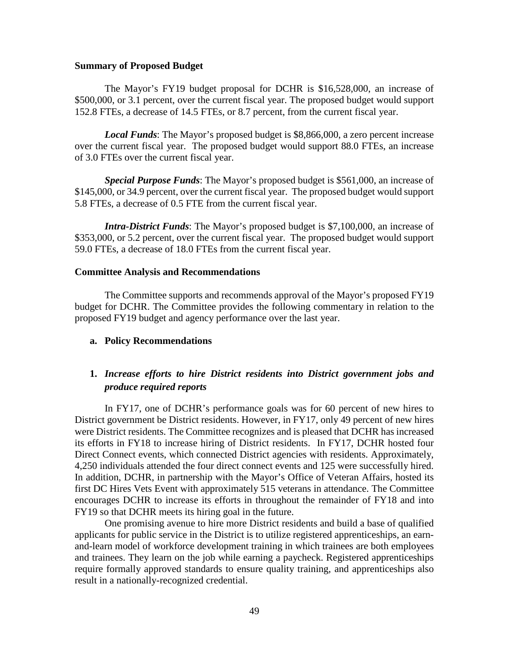#### **Summary of Proposed Budget**

The Mayor's FY19 budget proposal for DCHR is \$16,528,000, an increase of \$500,000, or 3.1 percent, over the current fiscal year. The proposed budget would support 152.8 FTEs, a decrease of 14.5 FTEs, or 8.7 percent, from the current fiscal year.

*Local Funds*: The Mayor's proposed budget is \$8,866,000, a zero percent increase over the current fiscal year. The proposed budget would support 88.0 FTEs, an increase of 3.0 FTEs over the current fiscal year.

*Special Purpose Funds*: The Mayor's proposed budget is \$561,000, an increase of \$145,000, or 34.9 percent, over the current fiscal year. The proposed budget would support 5.8 FTEs, a decrease of 0.5 FTE from the current fiscal year.

*Intra-District Funds*: The Mayor's proposed budget is \$7,100,000, an increase of \$353,000, or 5.2 percent, over the current fiscal year. The proposed budget would support 59.0 FTEs, a decrease of 18.0 FTEs from the current fiscal year.

#### **Committee Analysis and Recommendations**

The Committee supports and recommends approval of the Mayor's proposed FY19 budget for DCHR. The Committee provides the following commentary in relation to the proposed FY19 budget and agency performance over the last year.

**a. Policy Recommendations** 

## **1.** *Increase efforts to hire District residents into District government jobs and produce required reports*

In FY17, one of DCHR's performance goals was for 60 percent of new hires to District government be District residents. However, in FY17, only 49 percent of new hires were District residents. The Committee recognizes and is pleased that DCHR has increased its efforts in FY18 to increase hiring of District residents. In FY17, DCHR hosted four Direct Connect events, which connected District agencies with residents. Approximately, 4,250 individuals attended the four direct connect events and 125 were successfully hired. In addition, DCHR, in partnership with the Mayor's Office of Veteran Affairs, hosted its first DC Hires Vets Event with approximately 515 veterans in attendance. The Committee encourages DCHR to increase its efforts in throughout the remainder of FY18 and into FY19 so that DCHR meets its hiring goal in the future.

One promising avenue to hire more District residents and build a base of qualified applicants for public service in the District is to utilize registered apprenticeships, an earnand-learn model of workforce development training in which trainees are both employees and trainees. They learn on the job while earning a paycheck. Registered apprenticeships require formally approved standards to ensure quality training, and apprenticeships also result in a nationally-recognized credential.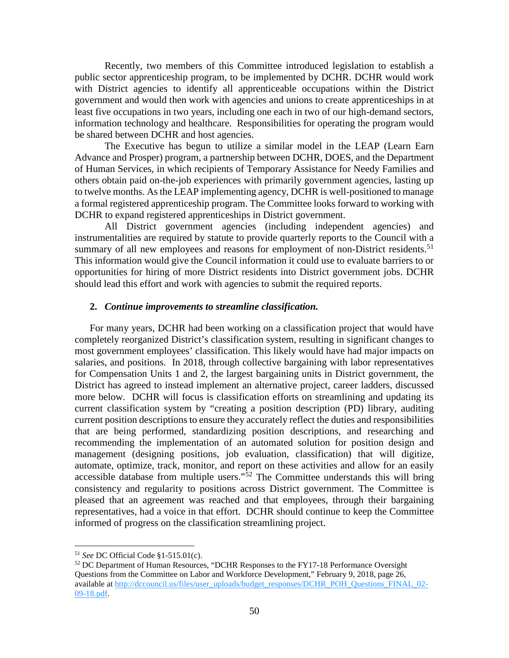Recently, two members of this Committee introduced legislation to establish a public sector apprenticeship program, to be implemented by DCHR. DCHR would work with District agencies to identify all apprenticeable occupations within the District government and would then work with agencies and unions to create apprenticeships in at least five occupations in two years, including one each in two of our high-demand sectors, information technology and healthcare. Responsibilities for operating the program would be shared between DCHR and host agencies.

The Executive has begun to utilize a similar model in the LEAP (Learn Earn Advance and Prosper) program, a partnership between DCHR, DOES, and the Department of Human Services, in which recipients of Temporary Assistance for Needy Families and others obtain paid on-the-job experiences with primarily government agencies, lasting up to twelve months. As the LEAP implementing agency, DCHR is well-positioned to manage a formal registered apprenticeship program. The Committee looks forward to working with DCHR to expand registered apprenticeships in District government.

All District government agencies (including independent agencies) and instrumentalities are required by statute to provide quarterly reports to the Council with a summary of all new employees and reasons for employment of non-District residents.<sup>[51](#page-49-0)</sup> This information would give the Council information it could use to evaluate barriers to or opportunities for hiring of more District residents into District government jobs. DCHR should lead this effort and work with agencies to submit the required reports.

#### **2.** *Continue improvements to streamline classification.*

For many years, DCHR had been working on a classification project that would have completely reorganized District's classification system, resulting in significant changes to most government employees' classification. This likely would have had major impacts on salaries, and positions. In 2018, through collective bargaining with labor representatives for Compensation Units 1 and 2, the largest bargaining units in District government, the District has agreed to instead implement an alternative project, career ladders, discussed more below. DCHR will focus is classification efforts on streamlining and updating its current classification system by "creating a position description (PD) library, auditing current position descriptions to ensure they accurately reflect the duties and responsibilities that are being performed, standardizing position descriptions, and researching and recommending the implementation of an automated solution for position design and management (designing positions, job evaluation, classification) that will digitize, automate, optimize, track, monitor, and report on these activities and allow for an easily accessible database from multiple users."<sup>[52](#page-49-1)</sup> The Committee understands this will bring consistency and regularity to positions across District government. The Committee is pleased that an agreement was reached and that employees, through their bargaining representatives, had a voice in that effort. DCHR should continue to keep the Committee informed of progress on the classification streamlining project.

 <sup>51</sup> *See* DC Official Code §1-515.01(c).

<span id="page-49-1"></span><span id="page-49-0"></span> $52$  DC Department of Human Resources, "DCHR Responses to the FY17-18 Performance Oversight Questions from the Committee on Labor and Workforce Development," February 9, 2018, page 26, available at [http://dccouncil.us/files/user\\_uploads/budget\\_responses/DCHR\\_POH\\_Questions\\_FINAL\\_02-](http://dccouncil.us/files/user_uploads/budget_responses/DCHR_POH_Questions_FINAL_02-09-18.pdf) [09-18.pdf.](http://dccouncil.us/files/user_uploads/budget_responses/DCHR_POH_Questions_FINAL_02-09-18.pdf)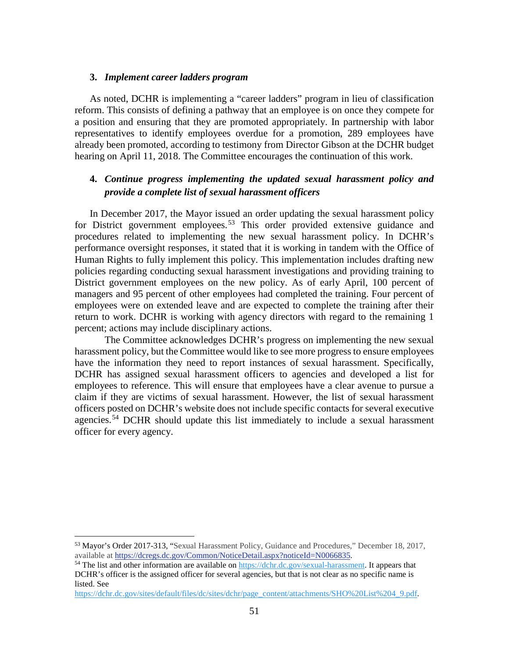### **3.** *Implement career ladders program*

As noted, DCHR is implementing a "career ladders" program in lieu of classification reform. This consists of defining a pathway that an employee is on once they compete for a position and ensuring that they are promoted appropriately. In partnership with labor representatives to identify employees overdue for a promotion, 289 employees have already been promoted, according to testimony from Director Gibson at the DCHR budget hearing on April 11, 2018. The Committee encourages the continuation of this work.

## **4.** *Continue progress implementing the updated sexual harassment policy and provide a complete list of sexual harassment officers*

In December 2017, the Mayor issued an order updating the sexual harassment policy for District government employees.<sup>[53](#page-50-0)</sup> This order provided extensive guidance and procedures related to implementing the new sexual harassment policy. In DCHR's performance oversight responses, it stated that it is working in tandem with the Office of Human Rights to fully implement this policy. This implementation includes drafting new policies regarding conducting sexual harassment investigations and providing training to District government employees on the new policy. As of early April, 100 percent of managers and 95 percent of other employees had completed the training. Four percent of employees were on extended leave and are expected to complete the training after their return to work. DCHR is working with agency directors with regard to the remaining 1 percent; actions may include disciplinary actions.

The Committee acknowledges DCHR's progress on implementing the new sexual harassment policy, but the Committee would like to see more progress to ensure employees have the information they need to report instances of sexual harassment. Specifically, DCHR has assigned sexual harassment officers to agencies and developed a list for employees to reference. This will ensure that employees have a clear avenue to pursue a claim if they are victims of sexual harassment. However, the list of sexual harassment officers posted on DCHR's website does not include specific contacts for several executive agencies.<sup>[54](#page-50-1)</sup> DCHR should update this list immediately to include a sexual harassment officer for every agency.

[https://dchr.dc.gov/sites/default/files/dc/sites/dchr/page\\_content/attachments/SHO%20List%204\\_9.pdf.](https://dchr.dc.gov/sites/default/files/dc/sites/dchr/page_content/attachments/SHO%20List%204_9.pdf)

<span id="page-50-0"></span> <sup>53</sup> Mayor's Order 2017-313, "Sexual Harassment Policy, Guidance and Procedures," December 18, 2017, available at [https://dcregs.dc.gov/Common/NoticeDetail.aspx?noticeId=N0066835.](javascript:WebForm_DoPostBackWithOptions(new%20WebForm_PostBackOptions(%22ctl00$MainContent$lnkFile%22,%20%22%22,%20true,%20%22%22,%20%22%22,%20false,%20true)))<br><sup>54</sup> The list and other information are available on [https://dchr.dc.gov/sexual-harassment.](https://dchr.dc.gov/sexual-harassment) It appears that

<span id="page-50-1"></span>DCHR's officer is the assigned officer for several agencies, but that is not clear as no specific name is listed. See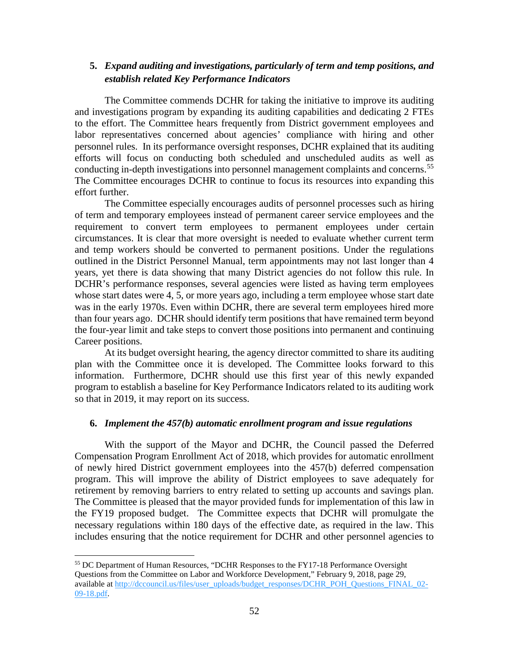## **5.** *Expand auditing and investigations, particularly of term and temp positions, and establish related Key Performance Indicators*

The Committee commends DCHR for taking the initiative to improve its auditing and investigations program by expanding its auditing capabilities and dedicating 2 FTEs to the effort. The Committee hears frequently from District government employees and labor representatives concerned about agencies' compliance with hiring and other personnel rules. In its performance oversight responses, DCHR explained that its auditing efforts will focus on conducting both scheduled and unscheduled audits as well as conducting in-depth investigations into personnel management complaints and concerns.<sup>[55](#page-51-0)</sup> The Committee encourages DCHR to continue to focus its resources into expanding this effort further.

The Committee especially encourages audits of personnel processes such as hiring of term and temporary employees instead of permanent career service employees and the requirement to convert term employees to permanent employees under certain circumstances. It is clear that more oversight is needed to evaluate whether current term and temp workers should be converted to permanent positions. Under the regulations outlined in the District Personnel Manual, term appointments may not last longer than 4 years, yet there is data showing that many District agencies do not follow this rule. In DCHR's performance responses, several agencies were listed as having term employees whose start dates were 4, 5, or more years ago, including a term employee whose start date was in the early 1970s. Even within DCHR, there are several term employees hired more than four years ago. DCHR should identify term positions that have remained term beyond the four-year limit and take steps to convert those positions into permanent and continuing Career positions.

At its budget oversight hearing, the agency director committed to share its auditing plan with the Committee once it is developed. The Committee looks forward to this information. Furthermore, DCHR should use this first year of this newly expanded program to establish a baseline for Key Performance Indicators related to its auditing work so that in 2019, it may report on its success.

#### **6.** *Implement the 457(b) automatic enrollment program and issue regulations*

With the support of the Mayor and DCHR, the Council passed the Deferred Compensation Program Enrollment Act of 2018, which provides for automatic enrollment of newly hired District government employees into the 457(b) deferred compensation program. This will improve the ability of District employees to save adequately for retirement by removing barriers to entry related to setting up accounts and savings plan. The Committee is pleased that the mayor provided funds for implementation of this law in the FY19 proposed budget. The Committee expects that DCHR will promulgate the necessary regulations within 180 days of the effective date, as required in the law. This includes ensuring that the notice requirement for DCHR and other personnel agencies to

<span id="page-51-0"></span> <sup>55</sup> DC Department of Human Resources, "DCHR Responses to the FY17-18 Performance Oversight Questions from the Committee on Labor and Workforce Development," February 9, 2018, page 29, available at [http://dccouncil.us/files/user\\_uploads/budget\\_responses/DCHR\\_POH\\_Questions\\_FINAL\\_02-](http://dccouncil.us/files/user_uploads/budget_responses/DCHR_POH_Questions_FINAL_02-09-18.pdf) [09-18.pdf.](http://dccouncil.us/files/user_uploads/budget_responses/DCHR_POH_Questions_FINAL_02-09-18.pdf)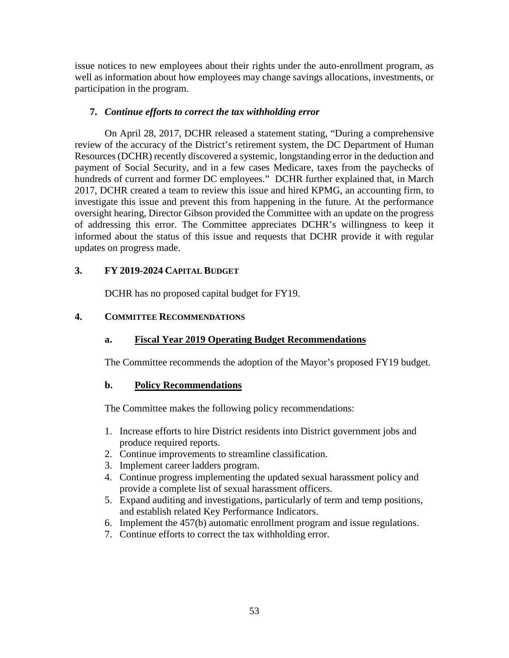issue notices to new employees about their rights under the auto-enrollment program, as well as information about how employees may change savings allocations, investments, or participation in the program.

### **7.** *Continue efforts to correct the tax withholding error*

On April 28, 2017, DCHR released a statement stating, "During a comprehensive review of the accuracy of the District's retirement system, the DC Department of Human Resources (DCHR) recently discovered a systemic, longstanding error in the deduction and payment of Social Security, and in a few cases Medicare, taxes from the paychecks of hundreds of current and former DC employees." DCHR further explained that, in March 2017, DCHR created a team to review this issue and hired KPMG, an accounting firm, to investigate this issue and prevent this from happening in the future. At the performance oversight hearing, Director Gibson provided the Committee with an update on the progress of addressing this error. The Committee appreciates DCHR's willingness to keep it informed about the status of this issue and requests that DCHR provide it with regular updates on progress made.

## **3. FY 2019-2024 CAPITAL BUDGET**

DCHR has no proposed capital budget for FY19.

## **4. COMMITTEE RECOMMENDATIONS**

## **a. Fiscal Year 2019 Operating Budget Recommendations**

The Committee recommends the adoption of the Mayor's proposed FY19 budget.

### **b. Policy Recommendations**

The Committee makes the following policy recommendations:

- 1. Increase efforts to hire District residents into District government jobs and produce required reports.
- 2. Continue improvements to streamline classification.
- 3. Implement career ladders program.
- 4. Continue progress implementing the updated sexual harassment policy and provide a complete list of sexual harassment officers.
- 5. Expand auditing and investigations, particularly of term and temp positions, and establish related Key Performance Indicators.
- 6. Implement the 457(b) automatic enrollment program and issue regulations.
- 7. Continue efforts to correct the tax withholding error.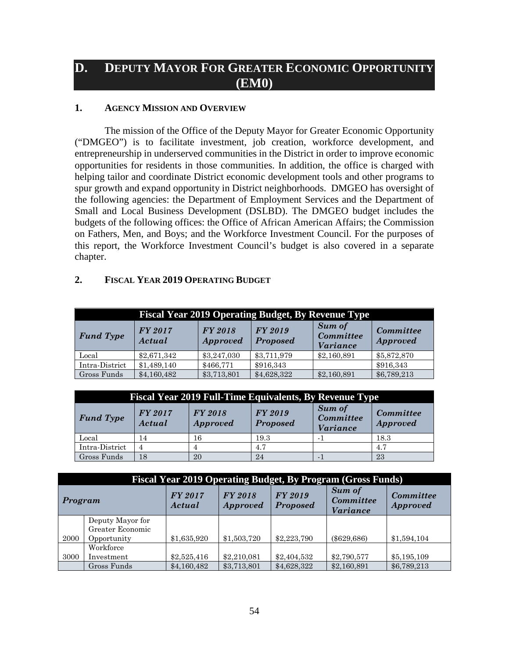# **D. DEPUTY MAYOR FOR GREATER ECONOMIC OPPORTUNITY (EM0)**

### **1. AGENCY MISSION AND OVERVIEW**

The mission of the Office of the Deputy Mayor for Greater Economic Opportunity ("DMGEO") is to facilitate investment, job creation, workforce development, and entrepreneurship in underserved communities in the District in order to improve economic opportunities for residents in those communities. In addition, the office is charged with helping tailor and coordinate District economic development tools and other programs to spur growth and expand opportunity in District neighborhoods. DMGEO has oversight of the following agencies: the Department of Employment Services and the Department of Small and Local Business Development (DSLBD). The DMGEO budget includes the budgets of the following offices: the Office of African American Affairs; the Commission on Fathers, Men, and Boys; and the Workforce Investment Council. For the purposes of this report, the Workforce Investment Council's budget is also covered in a separate chapter.

### **2. FISCAL YEAR 2019 OPERATING BUDGET**

|                  | <b>Fiscal Year 2019 Operating Budget, By Revenue Type</b> |                            |                            |                                        |                                     |  |  |  |
|------------------|-----------------------------------------------------------|----------------------------|----------------------------|----------------------------------------|-------------------------------------|--|--|--|
| <b>Fund Type</b> | FY 2017<br>Actual                                         | FY 2018<br><b>Approved</b> | FY 2019<br><b>Proposed</b> | Sum of<br>Committee<br><i>Variance</i> | <b>Committee</b><br><b>Approved</b> |  |  |  |
| $_{\rm Local}$   | \$2,671,342                                               | \$3,247,030                | \$3,711,979                | \$2,160,891                            | \$5,872,870                         |  |  |  |
| Intra-District   | \$1,489,140                                               | \$466,771                  | \$916,343                  |                                        | \$916,343                           |  |  |  |
| Gross Funds      | \$4,160,482                                               | \$3,713,801                | \$4,628,322                | \$2,160,891                            | \$6,789,213                         |  |  |  |

| <b>Fiscal Year 2019 Full-Time Equivalents, By Revenue Type</b> |                          |                            |                                   |                                               |                              |  |  |  |
|----------------------------------------------------------------|--------------------------|----------------------------|-----------------------------------|-----------------------------------------------|------------------------------|--|--|--|
| <b>Fund Type</b>                                               | <b>FY 2017</b><br>Actual | FY 2018<br><b>Approved</b> | <b>FY 2019</b><br><b>Proposed</b> | Sum of<br><b>Committee</b><br><b>Variance</b> | Committee<br><b>Approved</b> |  |  |  |
| Local                                                          | 14                       | 16                         | 19.3                              |                                               | 18.3                         |  |  |  |
| Intra-District                                                 | 4                        |                            | 4.7                               |                                               | 4.7                          |  |  |  |
| Gross Funds                                                    | 18                       | 20                         | 24                                |                                               | 23                           |  |  |  |

|         | <b>Fiscal Year 2019 Operating Budget, By Program (Gross Funds)</b> |                   |                                   |                            |                                               |                                     |  |  |  |
|---------|--------------------------------------------------------------------|-------------------|-----------------------------------|----------------------------|-----------------------------------------------|-------------------------------------|--|--|--|
| Program |                                                                    | FY 2017<br>Actual | <b>FY 2018</b><br><b>Approved</b> | FY 2019<br><b>Proposed</b> | <b>Sum of</b><br>Committee<br><i>Variance</i> | <b>Committee</b><br><b>Approved</b> |  |  |  |
|         | Deputy Mayor for                                                   |                   |                                   |                            |                                               |                                     |  |  |  |
|         | Greater Economic                                                   |                   |                                   |                            |                                               |                                     |  |  |  |
| 2000    | Opportunity                                                        | \$1,635,920       | \$1,503,720                       | \$2,223,790                | $(\$629,686)$                                 | \$1,594,104                         |  |  |  |
|         | Workforce                                                          |                   |                                   |                            |                                               |                                     |  |  |  |
| 3000    | Investment                                                         | \$2,525,416       | \$2,210,081                       | \$2,404,532                | \$2,790,577                                   | \$5,195,109                         |  |  |  |
|         | Gross Funds                                                        | \$4,160,482       | \$3,713,801                       | \$4,628,322                | \$2,160,891                                   | \$6,789,213                         |  |  |  |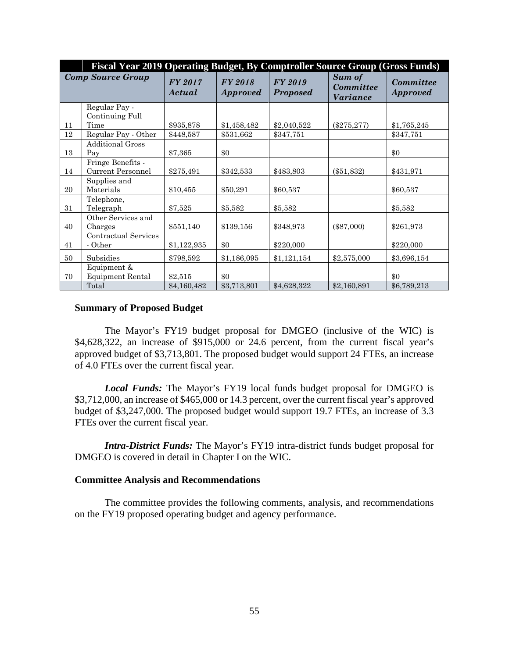|    | Fiscal Year 2019 Operating Budget, By Comptroller Source Group (Gross Funds) |                          |                                   |                                   |                                                      |                                     |
|----|------------------------------------------------------------------------------|--------------------------|-----------------------------------|-----------------------------------|------------------------------------------------------|-------------------------------------|
|    | <b>Comp Source Group</b>                                                     | <b>FY 2017</b><br>Actual | <b>FY 2018</b><br><b>Approved</b> | <b>FY 2019</b><br><b>Proposed</b> | <b>Sum of</b><br><b>Committee</b><br><i>Variance</i> | <b>Committee</b><br><b>Approved</b> |
|    | Regular Pay -<br>Continuing Full                                             |                          |                                   |                                   |                                                      |                                     |
| 11 | Time                                                                         | \$935,878                | \$1,458,482                       | \$2,040,522                       | $(\$275,277)$                                        | \$1,765,245                         |
| 12 | Regular Pay - Other                                                          | \$448,587                | \$531,662                         | \$347,751                         |                                                      | \$347,751                           |
| 13 | <b>Additional Gross</b><br>Pay                                               | \$7,365                  | \$0                               |                                   |                                                      | \$0                                 |
|    | Fringe Benefits -                                                            |                          |                                   |                                   |                                                      |                                     |
| 14 | <b>Current Personnel</b>                                                     | \$275,491                | \$342,533                         | \$483,803                         | $(\$51,832)$                                         | \$431,971                           |
| 20 | Supplies and<br>Materials                                                    | \$10,455                 | \$50,291                          | \$60,537                          |                                                      | \$60,537                            |
| 31 | Telephone,<br>Telegraph                                                      | \$7,525                  | \$5,582                           | \$5,582                           |                                                      | \$5,582                             |
| 40 | Other Services and<br>Charges                                                | \$551,140                | \$139,156                         | \$348,973                         | $(\$87,000)$                                         | \$261,973                           |
| 41 | Contractual Services<br>- Other                                              | \$1,122,935              | \$0                               | \$220,000                         |                                                      | \$220,000                           |
| 50 | Subsidies                                                                    | \$798,592                | \$1,186,095                       | \$1,121,154                       | \$2,575,000                                          | \$3,696,154                         |
| 70 | Equipment &<br><b>Equipment Rental</b>                                       | \$2,515                  | \$0                               |                                   |                                                      | \$0                                 |
|    | Total                                                                        | \$4,160,482              | \$3,713,801                       | \$4,628,322                       | \$2,160,891                                          | \$6,789,213                         |

### **Summary of Proposed Budget**

The Mayor's FY19 budget proposal for DMGEO (inclusive of the WIC) is \$4,628,322, an increase of \$915,000 or 24.6 percent, from the current fiscal year's approved budget of \$3,713,801. The proposed budget would support 24 FTEs, an increase of 4.0 FTEs over the current fiscal year.

*Local Funds:* The Mayor's FY19 local funds budget proposal for DMGEO is \$3,712,000, an increase of \$465,000 or 14.3 percent, over the current fiscal year's approved budget of \$3,247,000. The proposed budget would support 19.7 FTEs, an increase of 3.3 FTEs over the current fiscal year.

*Intra-District Funds:* The Mayor's FY19 intra-district funds budget proposal for DMGEO is covered in detail in Chapter I on the WIC.

### **Committee Analysis and Recommendations**

The committee provides the following comments, analysis, and recommendations on the FY19 proposed operating budget and agency performance.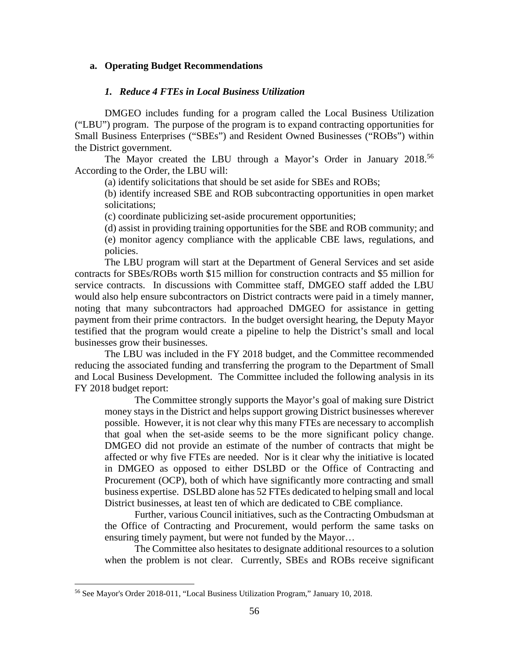### **a. Operating Budget Recommendations**

#### *1. Reduce 4 FTEs in Local Business Utilization*

DMGEO includes funding for a program called the Local Business Utilization ("LBU") program. The purpose of the program is to expand contracting opportunities for Small Business Enterprises ("SBEs") and Resident Owned Businesses ("ROBs") within the District government.

The Mayor created the LBU through a Mayor's Order in January 2018.<sup>[56](#page-55-0)</sup> According to the Order, the LBU will:

(a) identify solicitations that should be set aside for SBEs and ROBs;

(b) identify increased SBE and ROB subcontracting opportunities in open market solicitations;

(c) coordinate publicizing set-aside procurement opportunities;

(d) assist in providing training opportunities for the SBE and ROB community; and (e) monitor agency compliance with the applicable CBE laws, regulations, and policies.

The LBU program will start at the Department of General Services and set aside contracts for SBEs/ROBs worth \$15 million for construction contracts and \$5 million for service contracts. In discussions with Committee staff, DMGEO staff added the LBU would also help ensure subcontractors on District contracts were paid in a timely manner, noting that many subcontractors had approached DMGEO for assistance in getting payment from their prime contractors. In the budget oversight hearing, the Deputy Mayor testified that the program would create a pipeline to help the District's small and local businesses grow their businesses.

The LBU was included in the FY 2018 budget, and the Committee recommended reducing the associated funding and transferring the program to the Department of Small and Local Business Development. The Committee included the following analysis in its FY 2018 budget report:

The Committee strongly supports the Mayor's goal of making sure District money stays in the District and helps support growing District businesses wherever possible. However, it is not clear why this many FTEs are necessary to accomplish that goal when the set-aside seems to be the more significant policy change. DMGEO did not provide an estimate of the number of contracts that might be affected or why five FTEs are needed. Nor is it clear why the initiative is located in DMGEO as opposed to either DSLBD or the Office of Contracting and Procurement (OCP), both of which have significantly more contracting and small business expertise. DSLBD alone has 52 FTEs dedicated to helping small and local District businesses, at least ten of which are dedicated to CBE compliance.

Further, various Council initiatives, such as the Contracting Ombudsman at the Office of Contracting and Procurement, would perform the same tasks on ensuring timely payment, but were not funded by the Mayor…

The Committee also hesitates to designate additional resources to a solution when the problem is not clear. Currently, SBEs and ROBs receive significant

<span id="page-55-0"></span> <sup>56</sup> See Mayor's Order 2018-011, "Local Business Utilization Program," January 10, 2018.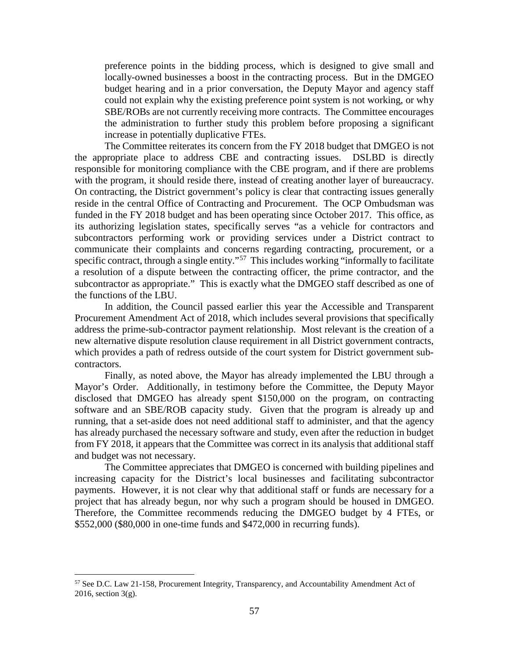preference points in the bidding process, which is designed to give small and locally-owned businesses a boost in the contracting process. But in the DMGEO budget hearing and in a prior conversation, the Deputy Mayor and agency staff could not explain why the existing preference point system is not working, or why SBE/ROBs are not currently receiving more contracts. The Committee encourages the administration to further study this problem before proposing a significant increase in potentially duplicative FTEs.

The Committee reiterates its concern from the FY 2018 budget that DMGEO is not the appropriate place to address CBE and contracting issues. DSLBD is directly responsible for monitoring compliance with the CBE program, and if there are problems with the program, it should reside there, instead of creating another layer of bureaucracy. On contracting, the District government's policy is clear that contracting issues generally reside in the central Office of Contracting and Procurement. The OCP Ombudsman was funded in the FY 2018 budget and has been operating since October 2017. This office, as its authorizing legislation states, specifically serves "as a vehicle for contractors and subcontractors performing work or providing services under a District contract to communicate their complaints and concerns regarding contracting, procurement, or a specific contract, through a single entity."<sup>57</sup> This includes working "informally to facilitate a resolution of a dispute between the contracting officer, the prime contractor, and the subcontractor as appropriate." This is exactly what the DMGEO staff described as one of the functions of the LBU.

In addition, the Council passed earlier this year the Accessible and Transparent Procurement Amendment Act of 2018, which includes several provisions that specifically address the prime-sub-contractor payment relationship. Most relevant is the creation of a new alternative dispute resolution clause requirement in all District government contracts, which provides a path of redress outside of the court system for District government subcontractors.

Finally, as noted above, the Mayor has already implemented the LBU through a Mayor's Order. Additionally, in testimony before the Committee, the Deputy Mayor disclosed that DMGEO has already spent \$150,000 on the program, on contracting software and an SBE/ROB capacity study. Given that the program is already up and running, that a set-aside does not need additional staff to administer, and that the agency has already purchased the necessary software and study, even after the reduction in budget from FY 2018, it appears that the Committee was correct in its analysis that additional staff and budget was not necessary.

The Committee appreciates that DMGEO is concerned with building pipelines and increasing capacity for the District's local businesses and facilitating subcontractor payments. However, it is not clear why that additional staff or funds are necessary for a project that has already begun, nor why such a program should be housed in DMGEO. Therefore, the Committee recommends reducing the DMGEO budget by 4 FTEs, or \$552,000 (\$80,000 in one-time funds and \$472,000 in recurring funds).

<span id="page-56-0"></span> <sup>57</sup> See D.C. Law 21-158, Procurement Integrity, Transparency, and Accountability Amendment Act of 2016, section 3(g).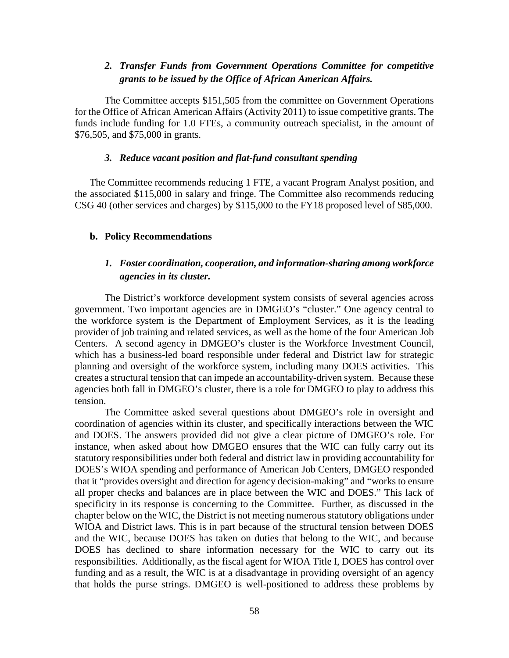## *2. Transfer Funds from Government Operations Committee for competitive grants to be issued by the Office of African American Affairs.*

The Committee accepts \$151,505 from the committee on Government Operations for the Office of African American Affairs (Activity 2011) to issue competitive grants. The funds include funding for 1.0 FTEs, a community outreach specialist, in the amount of \$76,505, and \$75,000 in grants.

### *3. Reduce vacant position and flat-fund consultant spending*

The Committee recommends reducing 1 FTE, a vacant Program Analyst position, and the associated \$115,000 in salary and fringe. The Committee also recommends reducing CSG 40 (other services and charges) by \$115,000 to the FY18 proposed level of \$85,000.

#### **b. Policy Recommendations**

## *1. Foster coordination, cooperation, and information-sharing among workforce agencies in its cluster.*

The District's workforce development system consists of several agencies across government. Two important agencies are in DMGEO's "cluster." One agency central to the workforce system is the Department of Employment Services, as it is the leading provider of job training and related services, as well as the home of the four American Job Centers. A second agency in DMGEO's cluster is the Workforce Investment Council, which has a business-led board responsible under federal and District law for strategic planning and oversight of the workforce system, including many DOES activities. This creates a structural tension that can impede an accountability-driven system. Because these agencies both fall in DMGEO's cluster, there is a role for DMGEO to play to address this tension.

The Committee asked several questions about DMGEO's role in oversight and coordination of agencies within its cluster, and specifically interactions between the WIC and DOES. The answers provided did not give a clear picture of DMGEO's role. For instance, when asked about how DMGEO ensures that the WIC can fully carry out its statutory responsibilities under both federal and district law in providing accountability for DOES's WIOA spending and performance of American Job Centers, DMGEO responded that it "provides oversight and direction for agency decision-making" and "works to ensure all proper checks and balances are in place between the WIC and DOES." This lack of specificity in its response is concerning to the Committee. Further, as discussed in the chapter below on the WIC, the District is not meeting numerous statutory obligations under WIOA and District laws. This is in part because of the structural tension between DOES and the WIC, because DOES has taken on duties that belong to the WIC, and because DOES has declined to share information necessary for the WIC to carry out its responsibilities. Additionally, as the fiscal agent for WIOA Title I, DOES has control over funding and as a result, the WIC is at a disadvantage in providing oversight of an agency that holds the purse strings. DMGEO is well-positioned to address these problems by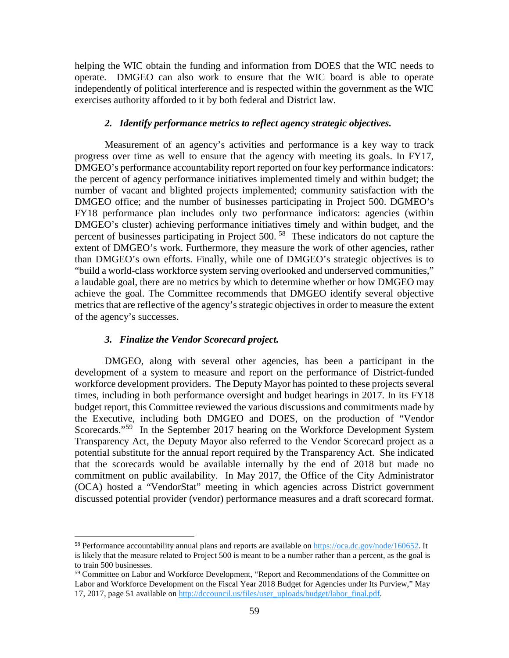helping the WIC obtain the funding and information from DOES that the WIC needs to operate. DMGEO can also work to ensure that the WIC board is able to operate independently of political interference and is respected within the government as the WIC exercises authority afforded to it by both federal and District law.

#### *2. Identify performance metrics to reflect agency strategic objectives.*

Measurement of an agency's activities and performance is a key way to track progress over time as well to ensure that the agency with meeting its goals. In FY17, DMGEO's performance accountability report reported on four key performance indicators: the percent of agency performance initiatives implemented timely and within budget; the number of vacant and blighted projects implemented; community satisfaction with the DMGEO office; and the number of businesses participating in Project 500. DGMEO's FY18 performance plan includes only two performance indicators: agencies (within DMGEO's cluster) achieving performance initiatives timely and within budget, and the percent of businesses participating in Project 500. [58](#page-58-0) These indicators do not capture the extent of DMGEO's work. Furthermore, they measure the work of other agencies, rather than DMGEO's own efforts. Finally, while one of DMGEO's strategic objectives is to "build a world-class workforce system serving overlooked and underserved communities," a laudable goal, there are no metrics by which to determine whether or how DMGEO may achieve the goal. The Committee recommends that DMGEO identify several objective metrics that are reflective of the agency's strategic objectives in order to measure the extent of the agency's successes.

#### *3. Finalize the Vendor Scorecard project.*

DMGEO, along with several other agencies, has been a participant in the development of a system to measure and report on the performance of District-funded workforce development providers. The Deputy Mayor has pointed to these projects several times, including in both performance oversight and budget hearings in 2017. In its FY18 budget report, this Committee reviewed the various discussions and commitments made by the Executive, including both DMGEO and DOES, on the production of "Vendor Scorecards."<sup>59</sup> In the September 2017 hearing on the Workforce Development System Transparency Act, the Deputy Mayor also referred to the Vendor Scorecard project as a potential substitute for the annual report required by the Transparency Act. She indicated that the scorecards would be available internally by the end of 2018 but made no commitment on public availability. In May 2017, the Office of the City Administrator (OCA) hosted a "VendorStat" meeting in which agencies across District government discussed potential provider (vendor) performance measures and a draft scorecard format.

<span id="page-58-0"></span><sup>&</sup>lt;sup>58</sup> Performance accountability annual plans and reports are available on  $\frac{https://oca.dc.gov/node/160652}{https://oca.dc.gov/node/160652}$ . It is likely that the measure related to Project 500 is meant to be a number rather than a percent, as the goal is to train 500 businesses.

<span id="page-58-1"></span><sup>&</sup>lt;sup>59</sup> Committee on Labor and Workforce Development, "Report and Recommendations of the Committee on Labor and Workforce Development on the Fiscal Year 2018 Budget for Agencies under Its Purview," May 17, 2017, page 51 available on [http://dccouncil.us/files/user\\_uploads/budget/labor\\_final.pdf.](http://dccouncil.us/files/user_uploads/budget/labor_final.pdf)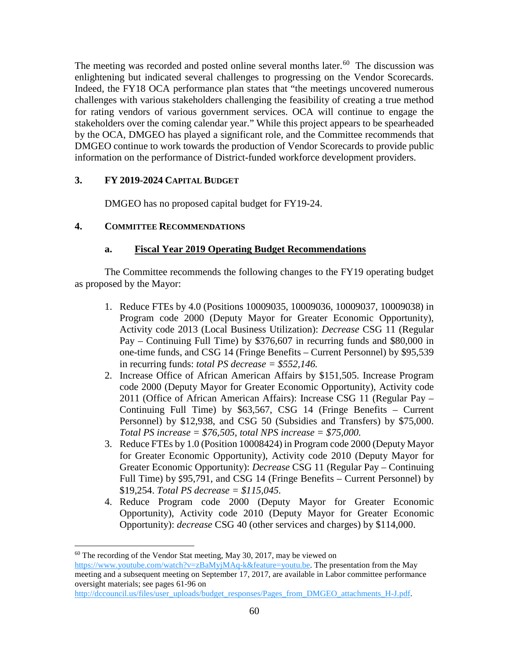The meeting was recorded and posted online several months later.<sup>60</sup> The discussion was enlightening but indicated several challenges to progressing on the Vendor Scorecards. Indeed, the FY18 OCA performance plan states that "the meetings uncovered numerous challenges with various stakeholders challenging the feasibility of creating a true method for rating vendors of various government services. OCA will continue to engage the stakeholders over the coming calendar year." While this project appears to be spearheaded by the OCA, DMGEO has played a significant role, and the Committee recommends that DMGEO continue to work towards the production of Vendor Scorecards to provide public information on the performance of District-funded workforce development providers.

## **3. FY 2019-2024 CAPITAL BUDGET**

DMGEO has no proposed capital budget for FY19-24.

## **4. COMMITTEE RECOMMENDATIONS**

## **a. Fiscal Year 2019 Operating Budget Recommendations**

The Committee recommends the following changes to the FY19 operating budget as proposed by the Mayor:

- 1. Reduce FTEs by 4.0 (Positions 10009035, 10009036, 10009037, 10009038) in Program code 2000 (Deputy Mayor for Greater Economic Opportunity), Activity code 2013 (Local Business Utilization): *Decrease* CSG 11 (Regular Pay – Continuing Full Time) by \$376,607 in recurring funds and \$80,000 in one-time funds, and CSG 14 (Fringe Benefits – Current Personnel) by \$95,539 in recurring funds: *total PS decrease = \$552,146.*
- 2. Increase Office of African American Affairs by \$151,505. Increase Program code 2000 (Deputy Mayor for Greater Economic Opportunity), Activity code 2011 (Office of African American Affairs): Increase CSG 11 (Regular Pay – Continuing Full Time) by \$63,567, CSG 14 (Fringe Benefits – Current Personnel) by \$12,938, and CSG 50 (Subsidies and Transfers) by \$75,000. *Total PS increase = \$76,505, total NPS increase = \$75,000.*
- 3. Reduce FTEs by 1.0 (Position 10008424) in Program code 2000 (Deputy Mayor for Greater Economic Opportunity), Activity code 2010 (Deputy Mayor for Greater Economic Opportunity): *Decrease* CSG 11 (Regular Pay – Continuing Full Time) by \$95,791, and CSG 14 (Fringe Benefits – Current Personnel) by \$19,254. *Total PS decrease = \$115,045.*
- 4. Reduce Program code 2000 (Deputy Mayor for Greater Economic Opportunity), Activity code 2010 (Deputy Mayor for Greater Economic Opportunity): *decrease* CSG 40 (other services and charges) by \$114,000.

<span id="page-59-0"></span> $60$  The recording of the Vendor Stat meeting, May 30, 2017, may be viewed on [https://www.youtube.com/watch?v=zBaMyjMAq-k&feature=youtu.be.](https://www.youtube.com/watch?v=zBaMyjMAq-k&feature=youtu.be) The presentation from the May meeting and a subsequent meeting on September 17, 2017, are available in Labor committee performance oversight materials; see pages 61-96 on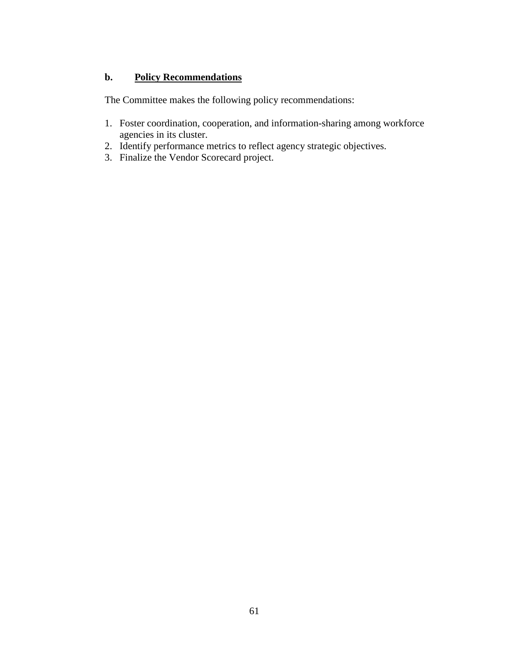## **b. Policy Recommendations**

The Committee makes the following policy recommendations:

- 1. Foster coordination, cooperation, and information-sharing among workforce agencies in its cluster.
- 2. Identify performance metrics to reflect agency strategic objectives.
- 3. Finalize the Vendor Scorecard project.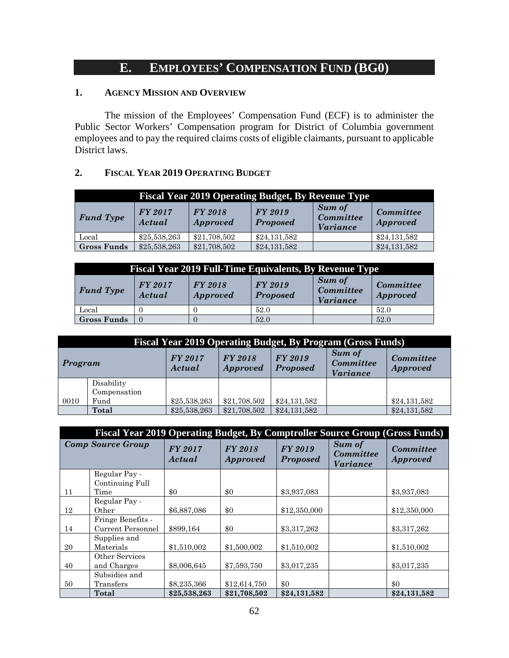# **E. EMPLOYEES' COMPENSATION FUND (BG0)**

## **1. AGENCY MISSION AND OVERVIEW**

The mission of the Employees' Compensation Fund (ECF) is to administer the Public Sector Workers' Compensation program for District of Columbia government employees and to pay the required claims costs of eligible claimants, pursuant to applicable District laws.

### **2. FISCAL YEAR 2019 OPERATING BUDGET**

| <b>Fiscal Year 2019 Operating Budget, By Revenue Type</b> |                          |                                   |                            |                                        |                              |  |  |  |
|-----------------------------------------------------------|--------------------------|-----------------------------------|----------------------------|----------------------------------------|------------------------------|--|--|--|
| <b>Fund Type</b>                                          | <b>FY 2017</b><br>Actual | <b>FY 2018</b><br><b>Approved</b> | FY 2019<br><b>Proposed</b> | Sum of<br>Committee<br><i>Variance</i> | Committee<br><b>Approved</b> |  |  |  |
| Local                                                     | \$25,538,263             | \$21,708,502                      | \$24,131,582               |                                        | \$24,131,582                 |  |  |  |
| <b>Gross Funds</b>                                        | \$25,538,263             | \$21,708,502                      | \$24,131,582               |                                        | \$24,131,582                 |  |  |  |

| <b>Fiscal Year 2019 Full-Time Equivalents, By Revenue Type</b> |                   |                            |                                   |                                                      |                              |  |  |
|----------------------------------------------------------------|-------------------|----------------------------|-----------------------------------|------------------------------------------------------|------------------------------|--|--|
| <b>Fund Type</b>                                               | FY 2017<br>Actual | FY 2018<br><i>Approved</i> | <b>FY 2019</b><br><b>Proposed</b> | <b>Sum of</b><br><b>Committee</b><br><i>Variance</i> | Committee<br><b>Approved</b> |  |  |
| Local                                                          |                   |                            | 52.0                              |                                                      | 52.0                         |  |  |
| <b>Gross Funds</b>                                             |                   |                            | 52.0                              |                                                      | 52.0                         |  |  |

|         | <b>Fiscal Year 2019 Operating Budget, By Program (Gross Funds)</b> |                   |                                   |                            |                                               |                              |  |  |
|---------|--------------------------------------------------------------------|-------------------|-----------------------------------|----------------------------|-----------------------------------------------|------------------------------|--|--|
| Program |                                                                    | FY 2017<br>Actual | <b>FY 2018</b><br><b>Approved</b> | FY 2019<br><b>Proposed</b> | Sum of<br><b>Committee</b><br><b>Variance</b> | Committee<br><b>Approved</b> |  |  |
|         | Disability<br>Compensation                                         |                   |                                   |                            |                                               |                              |  |  |
| 0010    | Fund                                                               | \$25,538,263      | \$21,708,502                      | \$24,131,582               |                                               | \$24,131,582                 |  |  |
|         | Total                                                              | \$25,538,263      | \$21,708,502                      | \$24,131,582               |                                               | \$24,131,582                 |  |  |

| <b>Fiscal Year 2019 Operating Budget, By Comptroller Source Group (Gross Funds)</b> |                                        |                          |                                   |                                   |                                        |                                     |  |
|-------------------------------------------------------------------------------------|----------------------------------------|--------------------------|-----------------------------------|-----------------------------------|----------------------------------------|-------------------------------------|--|
| <b>Comp Source Group</b>                                                            |                                        | <b>FY 2017</b><br>Actual | <b>FY 2018</b><br><i>Approved</i> | <b>FY 2019</b><br><b>Proposed</b> | Sum of<br>Committee<br><i>Variance</i> | <b>Committee</b><br><b>Approved</b> |  |
|                                                                                     | Regular Pay -<br>Continuing Full       |                          |                                   |                                   |                                        |                                     |  |
| 11                                                                                  | Time                                   | \$0                      | \$0                               | \$3,937,083                       |                                        | \$3,937,083                         |  |
| 12                                                                                  | Regular Pay -<br>Other                 | \$6,887,086              | \$0                               | \$12,350,000                      |                                        | \$12,350,000                        |  |
| 14                                                                                  | Fringe Benefits -<br>Current Personnel | \$899,164                | \$0                               | \$3,317,262                       |                                        | \$3,317,262                         |  |
| 20                                                                                  | Supplies and<br>Materials              | \$1,510,002              | \$1,500,002                       | \$1,510,002                       |                                        | \$1,510,002                         |  |
| 40                                                                                  | Other Services<br>and Charges          | \$8,006,645              | \$7,593,750                       | \$3,017,235                       |                                        | \$3,017,235                         |  |
| 50                                                                                  | Subsidies and<br>Transfers             | \$8,235,366              | \$12,614,750                      | $\$0$                             |                                        | \$0                                 |  |
|                                                                                     | Total                                  | \$25,538,263             | \$21,708,502                      | \$24,131,582                      |                                        | \$24,131,582                        |  |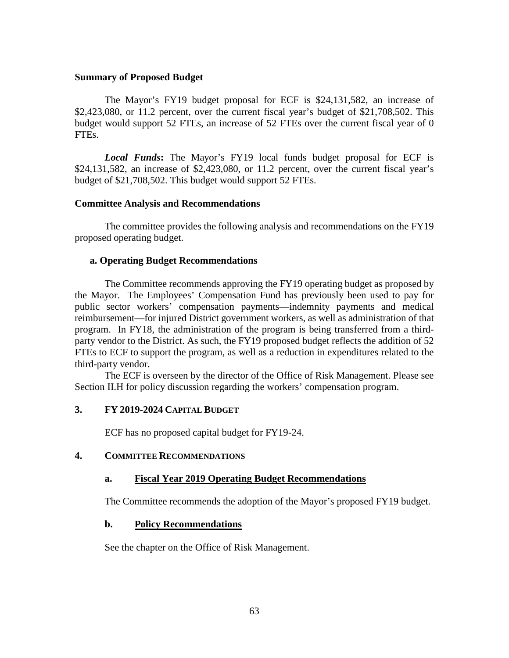### **Summary of Proposed Budget**

The Mayor's FY19 budget proposal for ECF is \$24,131,582, an increase of \$2,423,080, or 11.2 percent, over the current fiscal year's budget of \$21,708,502. This budget would support 52 FTEs, an increase of 52 FTEs over the current fiscal year of 0 FTEs.

*Local Funds***:** The Mayor's FY19 local funds budget proposal for ECF is \$24,131,582, an increase of \$2,423,080, or 11.2 percent, over the current fiscal year's budget of \$21,708,502. This budget would support 52 FTEs.

### **Committee Analysis and Recommendations**

The committee provides the following analysis and recommendations on the FY19 proposed operating budget.

### **a. Operating Budget Recommendations**

The Committee recommends approving the FY19 operating budget as proposed by the Mayor. The Employees' Compensation Fund has previously been used to pay for public sector workers' compensation payments—indemnity payments and medical reimbursement—for injured District government workers, as well as administration of that program. In FY18, the administration of the program is being transferred from a thirdparty vendor to the District. As such, the FY19 proposed budget reflects the addition of 52 FTEs to ECF to support the program, as well as a reduction in expenditures related to the third-party vendor.

The ECF is overseen by the director of the Office of Risk Management. Please see Section II.H for policy discussion regarding the workers' compensation program.

### **3. FY 2019-2024 CAPITAL BUDGET**

ECF has no proposed capital budget for FY19-24.

### **4. COMMITTEE RECOMMENDATIONS**

### **a. Fiscal Year 2019 Operating Budget Recommendations**

The Committee recommends the adoption of the Mayor's proposed FY19 budget.

### **b. Policy Recommendations**

See the chapter on the Office of Risk Management.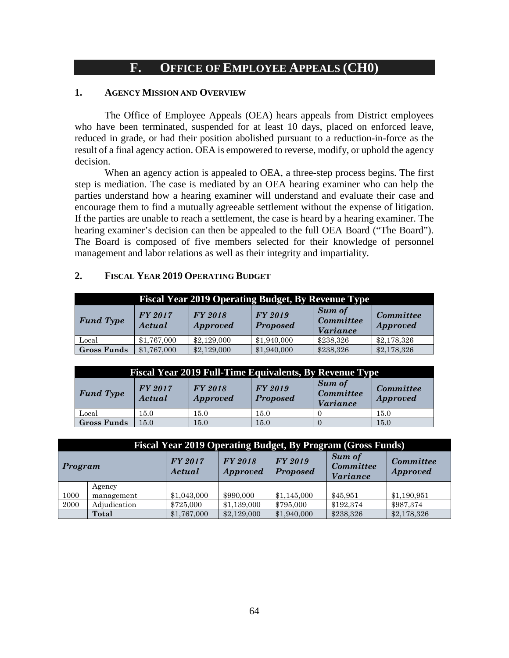## **F. OFFICE OF EMPLOYEE APPEALS (CH0)**

### **1. AGENCY MISSION AND OVERVIEW**

The Office of Employee Appeals (OEA) hears appeals from District employees who have been terminated, suspended for at least 10 days, placed on enforced leave, reduced in grade, or had their position abolished pursuant to a reduction-in-force as the result of a final agency action. OEA is empowered to reverse, modify, or uphold the agency decision.

When an agency action is appealed to OEA, a three-step process begins. The first step is mediation. The case is mediated by an OEA hearing examiner who can help the parties understand how a hearing examiner will understand and evaluate their case and encourage them to find a mutually agreeable settlement without the expense of litigation. If the parties are unable to reach a settlement, the case is heard by a hearing examiner. The hearing examiner's decision can then be appealed to the full OEA Board ("The Board"). The Board is composed of five members selected for their knowledge of personnel management and labor relations as well as their integrity and impartiality.

### **2. FISCAL YEAR 2019 OPERATING BUDGET**

| <b>Fiscal Year 2019 Operating Budget, By Revenue Type</b> |                          |                                   |                            |                                                      |                                     |  |  |  |
|-----------------------------------------------------------|--------------------------|-----------------------------------|----------------------------|------------------------------------------------------|-------------------------------------|--|--|--|
| <b>Fund Type</b>                                          | <b>FY 2017</b><br>Actual | <b>FY 2018</b><br><i>Approved</i> | FY 2019<br><b>Proposed</b> | <b>Sum of</b><br><b>Committee</b><br><i>Variance</i> | <b>Committee</b><br><b>Approved</b> |  |  |  |
| Local                                                     | \$1,767,000              | \$2,129,000                       | \$1,940,000                | \$238,326                                            | \$2,178,326                         |  |  |  |
| <b>Gross Funds</b>                                        | \$1,767,000              | \$2,129,000                       | \$1,940,000                | \$238,326                                            | \$2,178,326                         |  |  |  |

| <b>Fiscal Year 2019 Full-Time Equivalents, By Revenue Type</b> |                          |                                   |                                   |                                                      |                                     |  |  |  |
|----------------------------------------------------------------|--------------------------|-----------------------------------|-----------------------------------|------------------------------------------------------|-------------------------------------|--|--|--|
| <b>Fund Type</b>                                               | <b>FY 2017</b><br>Actual | <b>FY 2018</b><br><b>Approved</b> | <b>FY 2019</b><br><b>Proposed</b> | <b>Sum of</b><br><b>Committee</b><br><i>Variance</i> | <b>Committee</b><br><b>Approved</b> |  |  |  |
| Local                                                          | 15.0                     | $15.0\,$                          | 15.0                              |                                                      | 15.0                                |  |  |  |
| <b>Gross Funds</b>                                             | 15.0                     | 15.0                              | 15.0                              |                                                      | 15.0                                |  |  |  |

| <b>Fiscal Year 2019 Operating Budget, By Program (Gross Funds)</b>                                                                 |              |             |             |             |           |                              |  |
|------------------------------------------------------------------------------------------------------------------------------------|--------------|-------------|-------------|-------------|-----------|------------------------------|--|
| Sum of<br>FY 2019<br>FY 2017<br><b>FY 2018</b><br>Committee<br>Program<br>Actual<br><b>Proposed</b><br><i>Approved</i><br>Variance |              |             |             |             |           | Committee<br><b>Approved</b> |  |
|                                                                                                                                    | Agency       |             |             |             |           |                              |  |
| 1000                                                                                                                               | management   | \$1,043,000 | \$990,000   | \$1,145,000 | \$45,951  | \$1,190,951                  |  |
| 2000                                                                                                                               | Adjudication | \$725,000   | \$1,139,000 | \$795,000   | \$192,374 | \$987,374                    |  |
|                                                                                                                                    | Total        | \$1,767,000 | \$2,129,000 | \$1,940,000 | \$238,326 | \$2,178,326                  |  |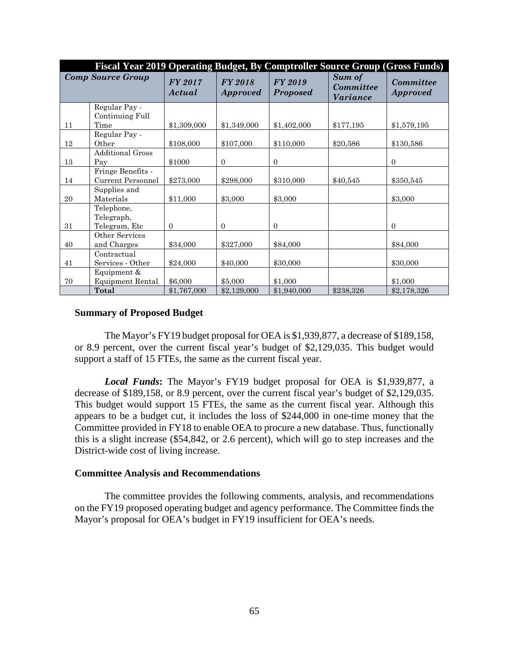| Fiscal Year 2019 Operating Budget, By Comptroller Source Group (Gross Funds) |                                               |                          |                                   |                                   |                                               |                                     |  |
|------------------------------------------------------------------------------|-----------------------------------------------|--------------------------|-----------------------------------|-----------------------------------|-----------------------------------------------|-------------------------------------|--|
| <b>Comp Source Group</b>                                                     |                                               | <b>FY 2017</b><br>Actual | <b>FY 2018</b><br><i>Approved</i> | <b>FY 2019</b><br><b>Proposed</b> | Sum of<br><b>Committee</b><br><i>Variance</i> | <b>Committee</b><br><b>Approved</b> |  |
|                                                                              | Regular Pay -<br>Continuing Full              |                          |                                   |                                   |                                               |                                     |  |
| 11                                                                           | Time                                          | \$1,309,000              | \$1,349,000                       | \$1,402,000                       | \$177,195                                     | \$1,579,195                         |  |
| 12                                                                           | Regular Pay -<br>Other                        | \$108,000                | \$107,000                         | \$110,000                         | \$20,586                                      | \$130,586                           |  |
| 13                                                                           | <b>Additional Gross</b><br>Pay                | \$1000                   | $\overline{0}$                    | $\overline{0}$                    |                                               | $\mathbf{0}$                        |  |
| 14                                                                           | Fringe Benefits -<br><b>Current Personnel</b> | \$273,000                | \$298,000                         | \$310,000                         | \$40,545                                      | \$350,545                           |  |
| 20                                                                           | Supplies and<br>Materials                     | \$11,000                 | \$3,000                           | \$3,000                           |                                               | \$3,000                             |  |
| 31                                                                           | Telephone,<br>Telegraph,<br>Telegram, Etc     | $\theta$                 | $\Omega$                          | $\Omega$                          |                                               | $\mathbf{0}$                        |  |
| 40                                                                           | Other Services<br>and Charges                 | \$34,000                 | \$327,000                         | \$84,000                          |                                               | \$84,000                            |  |
| 41                                                                           | Contractual<br>Services - Other               | \$24,000                 | \$40,000                          | \$30,000                          |                                               | \$30,000                            |  |
| 70                                                                           | Equipment &<br><b>Equipment Rental</b>        | \$6,000                  | \$5,000                           | \$1,000                           |                                               | \$1,000                             |  |
|                                                                              | Total                                         | \$1,767,000              | \$2,129,000                       | \$1,940,000                       | \$238,326                                     | \$2,178,326                         |  |

### **Summary of Proposed Budget**

The Mayor's FY19 budget proposal for OEA is \$1,939,877, a decrease of \$189,158, or 8.9 percent, over the current fiscal year's budget of \$2,129,035. This budget would support a staff of 15 FTEs, the same as the current fiscal year.

*Local Funds***:** The Mayor's FY19 budget proposal for OEA is \$1,939,877, a decrease of \$189,158, or 8.9 percent, over the current fiscal year's budget of \$2,129,035. This budget would support 15 FTEs, the same as the current fiscal year. Although this appears to be a budget cut, it includes the loss of \$244,000 in one-time money that the Committee provided in FY18 to enable OEA to procure a new database. Thus, functionally this is a slight increase (\$54,842, or 2.6 percent), which will go to step increases and the District-wide cost of living increase.

### **Committee Analysis and Recommendations**

The committee provides the following comments, analysis, and recommendations on the FY19 proposed operating budget and agency performance. The Committee finds the Mayor's proposal for OEA's budget in FY19 insufficient for OEA's needs.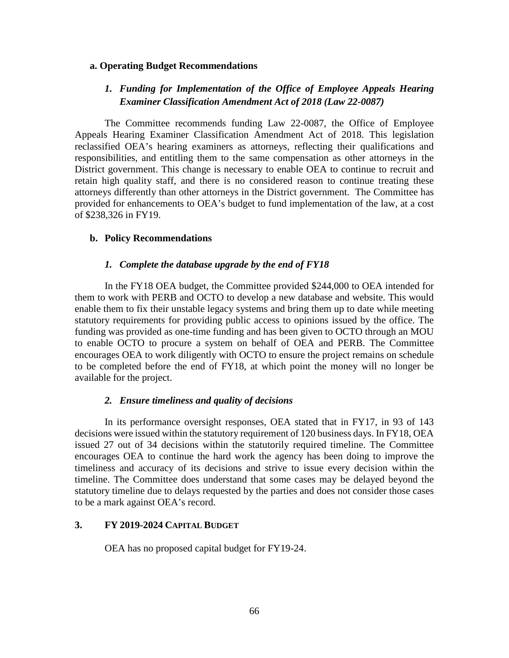#### **a. Operating Budget Recommendations**

## *1. Funding for Implementation of the Office of Employee Appeals Hearing Examiner Classification Amendment Act of 2018 (Law 22-0087)*

The Committee recommends funding Law 22-0087, the Office of Employee Appeals Hearing Examiner Classification Amendment Act of 2018. This legislation reclassified OEA's hearing examiners as attorneys, reflecting their qualifications and responsibilities, and entitling them to the same compensation as other attorneys in the District government. This change is necessary to enable OEA to continue to recruit and retain high quality staff, and there is no considered reason to continue treating these attorneys differently than other attorneys in the District government. The Committee has provided for enhancements to OEA's budget to fund implementation of the law, at a cost of \$238,326 in FY19.

#### **b. Policy Recommendations**

#### *1. Complete the database upgrade by the end of FY18*

In the FY18 OEA budget, the Committee provided \$244,000 to OEA intended for them to work with PERB and OCTO to develop a new database and website. This would enable them to fix their unstable legacy systems and bring them up to date while meeting statutory requirements for providing public access to opinions issued by the office. The funding was provided as one-time funding and has been given to OCTO through an MOU to enable OCTO to procure a system on behalf of OEA and PERB. The Committee encourages OEA to work diligently with OCTO to ensure the project remains on schedule to be completed before the end of FY18, at which point the money will no longer be available for the project.

#### *2. Ensure timeliness and quality of decisions*

In its performance oversight responses, OEA stated that in FY17, in 93 of 143 decisions were issued within the statutory requirement of 120 business days. In FY18, OEA issued 27 out of 34 decisions within the statutorily required timeline. The Committee encourages OEA to continue the hard work the agency has been doing to improve the timeliness and accuracy of its decisions and strive to issue every decision within the timeline. The Committee does understand that some cases may be delayed beyond the statutory timeline due to delays requested by the parties and does not consider those cases to be a mark against OEA's record.

### **3. FY 2019-2024 CAPITAL BUDGET**

OEA has no proposed capital budget for FY19-24.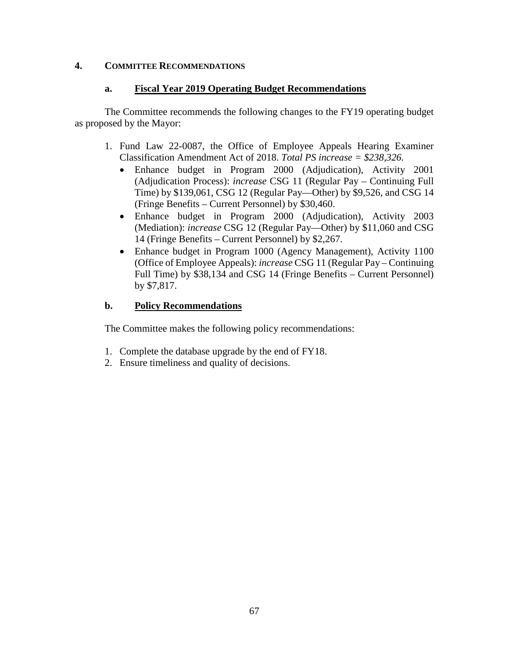## **4. COMMITTEE RECOMMENDATIONS**

### **a. Fiscal Year 2019 Operating Budget Recommendations**

The Committee recommends the following changes to the FY19 operating budget as proposed by the Mayor:

- 1. Fund Law 22-0087, the Office of Employee Appeals Hearing Examiner Classification Amendment Act of 2018. *Total PS increase = \$238,326.*
	- Enhance budget in Program 2000 (Adjudication), Activity 2001 (Adjudication Process): *increase* CSG 11 (Regular Pay – Continuing Full Time) by \$139,061, CSG 12 (Regular Pay—Other) by \$9,526, and CSG 14 (Fringe Benefits – Current Personnel) by \$30,460.
	- Enhance budget in Program 2000 (Adjudication), Activity 2003 (Mediation): *increase* CSG 12 (Regular Pay—Other) by \$11,060 and CSG 14 (Fringe Benefits – Current Personnel) by \$2,267.
	- Enhance budget in Program 1000 (Agency Management), Activity 1100 (Office of Employee Appeals): *increase* CSG 11 (Regular Pay – Continuing Full Time) by \$38,134 and CSG 14 (Fringe Benefits – Current Personnel) by \$7,817.

### **b. Policy Recommendations**

The Committee makes the following policy recommendations:

- 1. Complete the database upgrade by the end of FY18.
- 2. Ensure timeliness and quality of decisions.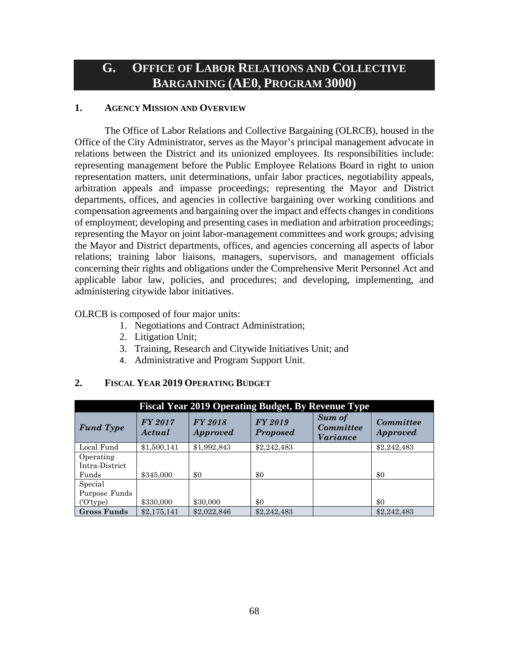# **G. OFFICE OF LABOR RELATIONS AND COLLECTIVE BARGAINING (AE0, PROGRAM 3000)**

### **1. AGENCY MISSION AND OVERVIEW**

The Office of Labor Relations and Collective Bargaining (OLRCB), housed in the Office of the City Administrator, serves as the Mayor's principal management advocate in relations between the District and its unionized employees. Its responsibilities include: representing management before the Public Employee Relations Board in right to union representation matters, unit determinations, unfair labor practices, negotiability appeals, arbitration appeals and impasse proceedings; representing the Mayor and District departments, offices, and agencies in collective bargaining over working conditions and compensation agreements and bargaining over the impact and effects changes in conditions of employment; developing and presenting cases in mediation and arbitration proceedings; representing the Mayor on joint labor-management committees and work groups; advising the Mayor and District departments, offices, and agencies concerning all aspects of labor relations; training labor liaisons, managers, supervisors, and management officials concerning their rights and obligations under the Comprehensive Merit Personnel Act and applicable labor law, policies, and procedures; and developing, implementing, and administering citywide labor initiatives.

### OLRCB is composed of four major units:

- 1. Negotiations and Contract Administration;
- 2. Litigation Unit;
- 3. Training, Research and Citywide Initiatives Unit; and
- 4. Administrative and Program Support Unit.

### **2. FISCAL YEAR 2019 OPERATING BUDGET**

| <b>Fiscal Year 2019 Operating Budget, By Revenue Type</b> |                   |                            |                                   |                                        |                              |  |  |
|-----------------------------------------------------------|-------------------|----------------------------|-----------------------------------|----------------------------------------|------------------------------|--|--|
| <b>Fund Type</b>                                          | FY 2017<br>Actual | FY 2018<br><b>Approved</b> | <b>FY 2019</b><br><b>Proposed</b> | Sum of<br><b>Committee</b><br>Variance | Committee<br><b>Approved</b> |  |  |
| Local Fund                                                | \$1,500,141       | \$1,992,843                | \$2,242,483                       |                                        | \$2,242,483                  |  |  |
| Operating<br>Intra-District                               |                   |                            |                                   |                                        |                              |  |  |
| Funds                                                     | \$345,000         | \$0                        | \$0                               |                                        | \$0                          |  |  |
| Special<br>Purpose Funds                                  |                   |                            |                                   |                                        |                              |  |  |
| $(0)$ type)                                               | \$330,000         | \$30,000                   | \$0                               |                                        | \$0                          |  |  |
| Gross Funds                                               | \$2,175,141       | \$2,022,846                | \$2,242,483                       |                                        | \$2,242,483                  |  |  |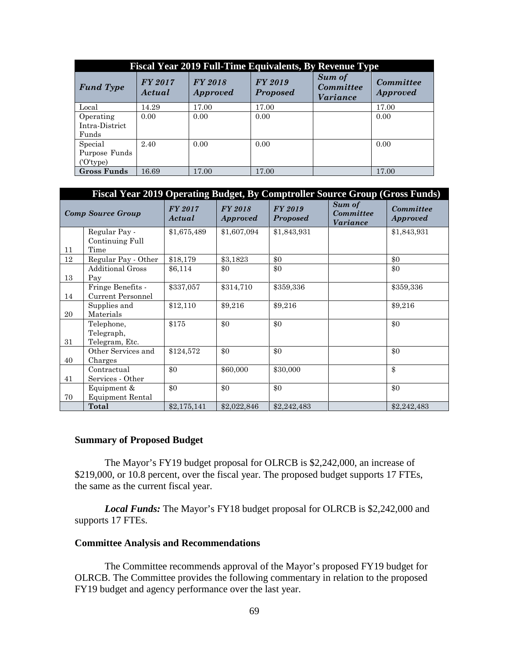| <b>Fiscal Year 2019 Full-Time Equivalents, By Revenue Type</b> |                   |                            |                            |                                        |                                     |  |  |
|----------------------------------------------------------------|-------------------|----------------------------|----------------------------|----------------------------------------|-------------------------------------|--|--|
| <b>Fund Type</b>                                               | FY 2017<br>Actual | FY 2018<br><b>Approved</b> | FY 2019<br><b>Proposed</b> | Sum of<br><b>Committee</b><br>Variance | <b>Committee</b><br><b>Approved</b> |  |  |
| Local                                                          | 14.29             | 17.00                      | 17.00                      |                                        | 17.00                               |  |  |
| Operating<br>Intra-District<br>Funds                           | 0.00              | 0.00                       | 0.00                       |                                        | 0.00                                |  |  |
| Special<br>Purpose Funds<br>('O'type)                          | 2.40              | 0.00                       | 0.00                       |                                        | 0.00                                |  |  |
| <b>Gross Funds</b>                                             | 16.69             | 17.00                      | 17.00                      |                                        | 17.00                               |  |  |

| Fiscal Year 2019 Operating Budget, By Comptroller Source Group (Gross Funds) |                          |                   |                                   |                            |                                        |                              |  |
|------------------------------------------------------------------------------|--------------------------|-------------------|-----------------------------------|----------------------------|----------------------------------------|------------------------------|--|
|                                                                              | <b>Comp Source Group</b> | FY 2017<br>Actual | <b>FY 2018</b><br><i>Approved</i> | FY 2019<br><b>Proposed</b> | Sum of<br>Committee<br><b>Variance</b> | Committee<br><b>Approved</b> |  |
|                                                                              | Regular Pay -            | \$1,675,489       | \$1,607,094                       | \$1,843,931                |                                        | \$1,843,931                  |  |
|                                                                              | Continuing Full          |                   |                                   |                            |                                        |                              |  |
| 11                                                                           | Time                     |                   |                                   |                            |                                        |                              |  |
| 12                                                                           | Regular Pay - Other      | \$18,179          | \$3,1823                          | \$0                        |                                        | \$0                          |  |
|                                                                              | <b>Additional Gross</b>  | \$6,114           | \$0                               | \$0                        |                                        | \$0                          |  |
| 13                                                                           | Pay                      |                   |                                   |                            |                                        |                              |  |
|                                                                              | Fringe Benefits -        | \$337,057         | \$314,710                         | \$359,336                  |                                        | \$359,336                    |  |
| 14                                                                           | Current Personnel        |                   |                                   |                            |                                        |                              |  |
|                                                                              | Supplies and             | \$12,110          | \$9,216                           | \$9,216                    |                                        | \$9,216                      |  |
| 20                                                                           | Materials                |                   |                                   |                            |                                        |                              |  |
|                                                                              | Telephone,               | \$175             | \$0                               | \$0                        |                                        | \$0                          |  |
|                                                                              | Telegraph,               |                   |                                   |                            |                                        |                              |  |
| 31                                                                           | Telegram, Etc.           |                   |                                   |                            |                                        |                              |  |
|                                                                              | Other Services and       | \$124,572         | \$0                               | \$0                        |                                        | \$0                          |  |
| 40                                                                           | Charges                  |                   |                                   |                            |                                        |                              |  |
|                                                                              | Contractual              | \$0               | \$60,000                          | \$30,000                   |                                        | $\frac{1}{2}$                |  |
| 41                                                                           | Services - Other         |                   |                                   |                            |                                        |                              |  |
|                                                                              | Equipment &              | \$0               | \$0                               | \$0                        |                                        | \$0                          |  |
| 70                                                                           | Equipment Rental         |                   |                                   |                            |                                        |                              |  |
|                                                                              | Total                    | \$2,175,141       | \$2,022,846                       | \$2,242,483                |                                        | \$2,242,483                  |  |

### **Summary of Proposed Budget**

The Mayor's FY19 budget proposal for OLRCB is \$2,242,000, an increase of \$219,000, or 10.8 percent, over the fiscal year. The proposed budget supports 17 FTEs, the same as the current fiscal year.

*Local Funds:* The Mayor's FY18 budget proposal for OLRCB is \$2,242,000 and supports 17 FTEs.

#### **Committee Analysis and Recommendations**

The Committee recommends approval of the Mayor's proposed FY19 budget for OLRCB. The Committee provides the following commentary in relation to the proposed FY19 budget and agency performance over the last year.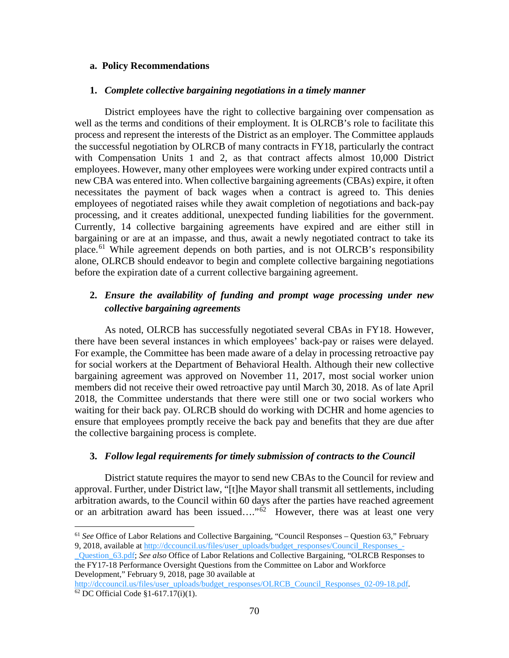### **a. Policy Recommendations**

#### **1.** *Complete collective bargaining negotiations in a timely manner*

District employees have the right to collective bargaining over compensation as well as the terms and conditions of their employment. It is OLRCB's role to facilitate this process and represent the interests of the District as an employer. The Committee applauds the successful negotiation by OLRCB of many contracts in FY18, particularly the contract with Compensation Units 1 and 2, as that contract affects almost 10,000 District employees. However, many other employees were working under expired contracts until a new CBA was entered into. When collective bargaining agreements (CBAs) expire, it often necessitates the payment of back wages when a contract is agreed to. This denies employees of negotiated raises while they await completion of negotiations and back-pay processing, and it creates additional, unexpected funding liabilities for the government. Currently, 14 collective bargaining agreements have expired and are either still in bargaining or are at an impasse, and thus, await a newly negotiated contract to take its place.<sup>[61](#page-69-0)</sup> While agreement depends on both parties, and is not OLRCB's responsibility alone, OLRCB should endeavor to begin and complete collective bargaining negotiations before the expiration date of a current collective bargaining agreement.

## **2.** *Ensure the availability of funding and prompt wage processing under new collective bargaining agreements*

As noted, OLRCB has successfully negotiated several CBAs in FY18. However, there have been several instances in which employees' back-pay or raises were delayed. For example, the Committee has been made aware of a delay in processing retroactive pay for social workers at the Department of Behavioral Health. Although their new collective bargaining agreement was approved on November 11, 2017, most social worker union members did not receive their owed retroactive pay until March 30, 2018. As of late April 2018, the Committee understands that there were still one or two social workers who waiting for their back pay. OLRCB should do working with DCHR and home agencies to ensure that employees promptly receive the back pay and benefits that they are due after the collective bargaining process is complete.

#### **3.** *Follow legal requirements for timely submission of contracts to the Council*

District statute requires the mayor to send new CBAs to the Council for review and approval. Further, under District law, "[t]he Mayor shall transmit all settlements, including arbitration awards, to the Council within 60 days after the parties have reached agreement or an arbitration award has been issued...." $62$  However, there was at least one very

<span id="page-69-0"></span> <sup>61</sup> *See* Office of Labor Relations and Collective Bargaining, "Council Responses – Question 63," February 9, 2018, available at [http://dccouncil.us/files/user\\_uploads/budget\\_responses/Council\\_Responses\\_-](http://dccouncil.us/files/user_uploads/budget_responses/Council_Responses_-_Question_63.pdf)

[\\_Question\\_63.pdf;](http://dccouncil.us/files/user_uploads/budget_responses/Council_Responses_-_Question_63.pdf) *See also* Office of Labor Relations and Collective Bargaining, "OLRCB Responses to the FY17-18 Performance Oversight Questions from the Committee on Labor and Workforce Development," February 9, 2018, page 30 available at

<span id="page-69-1"></span>[http://dccouncil.us/files/user\\_uploads/budget\\_responses/OLRCB\\_Council\\_Responses\\_02-09-18.pdf.](http://dccouncil.us/files/user_uploads/budget_responses/OLRCB_Council_Responses_02-09-18.pdf)  $62$  DC Official Code §1-617.17(i)(1).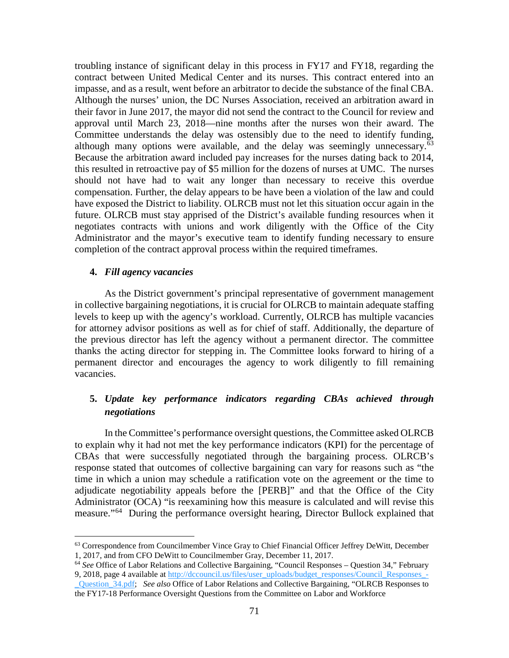troubling instance of significant delay in this process in FY17 and FY18, regarding the contract between United Medical Center and its nurses. This contract entered into an impasse, and as a result, went before an arbitrator to decide the substance of the final CBA. Although the nurses' union, the DC Nurses Association, received an arbitration award in their favor in June 2017, the mayor did not send the contract to the Council for review and approval until March 23, 2018—nine months after the nurses won their award. The Committee understands the delay was ostensibly due to the need to identify funding, although many options were available, and the delay was seemingly unnecessary.<sup>[63](#page-70-0)</sup> Because the arbitration award included pay increases for the nurses dating back to 2014, this resulted in retroactive pay of \$5 million for the dozens of nurses at UMC. The nurses should not have had to wait any longer than necessary to receive this overdue compensation. Further, the delay appears to be have been a violation of the law and could have exposed the District to liability. OLRCB must not let this situation occur again in the future. OLRCB must stay apprised of the District's available funding resources when it negotiates contracts with unions and work diligently with the Office of the City Administrator and the mayor's executive team to identify funding necessary to ensure completion of the contract approval process within the required timeframes.

### **4.** *Fill agency vacancies*

As the District government's principal representative of government management in collective bargaining negotiations, it is crucial for OLRCB to maintain adequate staffing levels to keep up with the agency's workload. Currently, OLRCB has multiple vacancies for attorney advisor positions as well as for chief of staff. Additionally, the departure of the previous director has left the agency without a permanent director. The committee thanks the acting director for stepping in. The Committee looks forward to hiring of a permanent director and encourages the agency to work diligently to fill remaining vacancies.

## **5.** *Update key performance indicators regarding CBAs achieved through negotiations*

In the Committee's performance oversight questions, the Committee asked OLRCB to explain why it had not met the key performance indicators (KPI) for the percentage of CBAs that were successfully negotiated through the bargaining process. OLRCB's response stated that outcomes of collective bargaining can vary for reasons such as "the time in which a union may schedule a ratification vote on the agreement or the time to adjudicate negotiability appeals before the [PERB]" and that the Office of the City Administrator (OCA) "is reexamining how this measure is calculated and will revise this measure."<sup>[64](#page-70-1)</sup> During the performance oversight hearing, Director Bullock explained that

<span id="page-70-0"></span> <sup>63</sup> Correspondence from Councilmember Vince Gray to Chief Financial Officer Jeffrey DeWitt, December 1, 2017, and from CFO DeWitt to Councilmember Gray, December 11, 2017.

<span id="page-70-1"></span><sup>64</sup> *See* Office of Labor Relations and Collective Bargaining, "Council Responses – Question 34," February 9, 2018, page 4 available at [http://dccouncil.us/files/user\\_uploads/budget\\_responses/Council\\_Responses\\_-](http://dccouncil.us/files/user_uploads/budget_responses/Council_Responses_-_Question_34.pdf) [\\_Question\\_34.pdf;](http://dccouncil.us/files/user_uploads/budget_responses/Council_Responses_-_Question_34.pdf) *See also* Office of Labor Relations and Collective Bargaining, "OLRCB Responses to the FY17-18 Performance Oversight Questions from the Committee on Labor and Workforce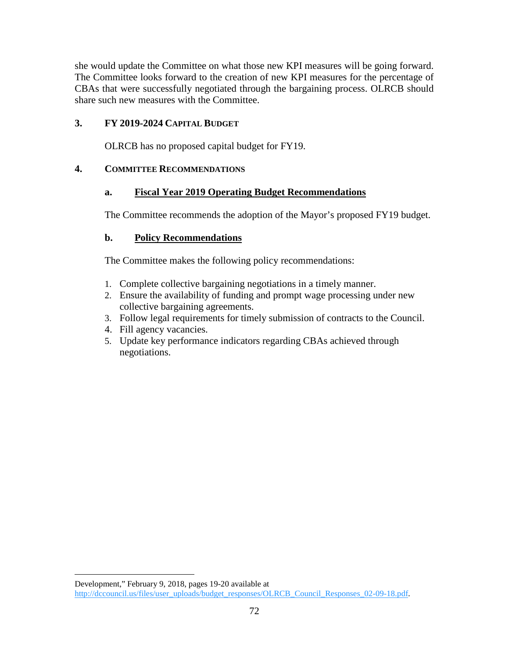she would update the Committee on what those new KPI measures will be going forward. The Committee looks forward to the creation of new KPI measures for the percentage of CBAs that were successfully negotiated through the bargaining process. OLRCB should share such new measures with the Committee.

## **3. FY 2019-2024 CAPITAL BUDGET**

OLRCB has no proposed capital budget for FY19.

## **4. COMMITTEE RECOMMENDATIONS**

## **a. Fiscal Year 2019 Operating Budget Recommendations**

The Committee recommends the adoption of the Mayor's proposed FY19 budget.

## **b. Policy Recommendations**

The Committee makes the following policy recommendations:

- 1. Complete collective bargaining negotiations in a timely manner.
- 2. Ensure the availability of funding and prompt wage processing under new collective bargaining agreements.
- 3. Follow legal requirements for timely submission of contracts to the Council.
- 4. Fill agency vacancies.

 $\overline{a}$ 

5. Update key performance indicators regarding CBAs achieved through negotiations.

Development," February 9, 2018, pages 19-20 available at [http://dccouncil.us/files/user\\_uploads/budget\\_responses/OLRCB\\_Council\\_Responses\\_02-09-18.pdf.](http://dccouncil.us/files/user_uploads/budget_responses/OLRCB_Council_Responses_02-09-18.pdf)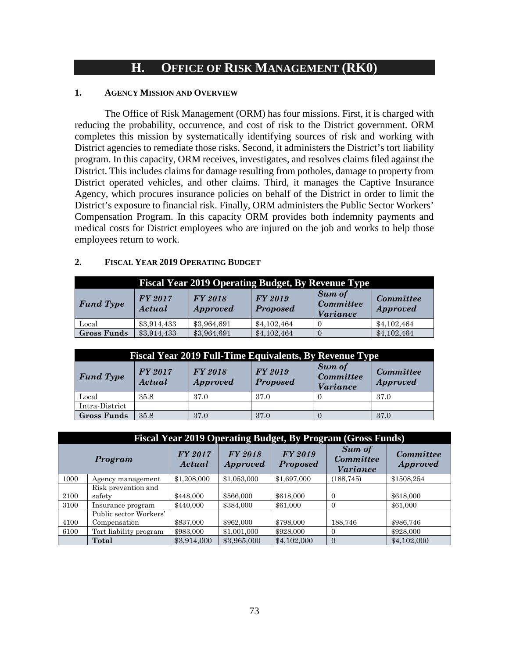# **H. OFFICE OF RISK MANAGEMENT (RK0)**

#### **1. AGENCY MISSION AND OVERVIEW**

The Office of Risk Management (ORM) has four missions. First, it is charged with reducing the probability, occurrence, and cost of risk to the District government. ORM completes this mission by systematically identifying sources of risk and working with District agencies to remediate those risks. Second, it administers the District's tort liability program. In this capacity, ORM receives, investigates, and resolves claims filed against the District. This includes claims for damage resulting from potholes, damage to property from District operated vehicles, and other claims. Third, it manages the Captive Insurance Agency, which procures insurance policies on behalf of the District in order to limit the District's exposure to financial risk. Finally, ORM administers the Public Sector Workers' Compensation Program. In this capacity ORM provides both indemnity payments and medical costs for District employees who are injured on the job and works to help those employees return to work.

### **2. FISCAL YEAR 2019 OPERATING BUDGET**

| <b>Fiscal Year 2019 Operating Budget, By Revenue Type</b> |                   |                                   |                                   |                                               |                              |  |  |
|-----------------------------------------------------------|-------------------|-----------------------------------|-----------------------------------|-----------------------------------------------|------------------------------|--|--|
| <b>Fund Type</b>                                          | FY 2017<br>Actual | <b>FY 2018</b><br><i>Approved</i> | <b>FY 2019</b><br><b>Proposed</b> | <b>Sum of</b><br>Committee<br><i>Variance</i> | Committee<br><i>Approved</i> |  |  |
| Local                                                     | \$3,914,433       | \$3,964,691                       | \$4,102,464                       |                                               | \$4,102,464                  |  |  |
| <b>Gross Funds</b>                                        | \$3,914,433       | \$3,964,691                       | \$4,102,464                       |                                               | \$4,102,464                  |  |  |

| <b>Fiscal Year 2019 Full-Time Equivalents, By Revenue Type</b> |                   |                                   |                                   |                                               |                              |  |  |
|----------------------------------------------------------------|-------------------|-----------------------------------|-----------------------------------|-----------------------------------------------|------------------------------|--|--|
| <b>Fund Type</b>                                               | FY 2017<br>Actual | <b>FY 2018</b><br><b>Approved</b> | <b>FY 2019</b><br><b>Proposed</b> | Sum of<br><b>Committee</b><br><b>Variance</b> | Committee<br><b>Approved</b> |  |  |
| Local                                                          | 35.8              | 37.0                              | 37.0                              |                                               | 37.0                         |  |  |
| Intra-District                                                 |                   |                                   |                                   |                                               |                              |  |  |
| <b>Gross Funds</b>                                             | 35.8              | 37.0                              | 37.0                              |                                               | 37.0                         |  |  |

|      | <b>Fiscal Year 2019 Operating Budget, By Program (Gross Funds)</b> |                   |                            |                            |                                               |                                     |  |  |
|------|--------------------------------------------------------------------|-------------------|----------------------------|----------------------------|-----------------------------------------------|-------------------------------------|--|--|
|      | Program                                                            | FY 2017<br>Actual | FY 2018<br><i>Approved</i> | FY 2019<br><b>Proposed</b> | <b>Sum of</b><br><b>Committee</b><br>Variance | <b>Committee</b><br><i>Approved</i> |  |  |
| 1000 | Agency management                                                  | \$1,208,000       | \$1,053,000                | \$1,697,000                | (188, 745)                                    | \$1508,254                          |  |  |
|      | Risk prevention and                                                |                   |                            |                            |                                               |                                     |  |  |
| 2100 | safety                                                             | \$448,000         | \$566,000                  | \$618,000                  | $\Omega$                                      | \$618,000                           |  |  |
| 3100 | Insurance program                                                  | \$440,000         | \$384,000                  | \$61,000                   | $\Omega$                                      | \$61,000                            |  |  |
|      | Public sector Workers'                                             |                   |                            |                            |                                               |                                     |  |  |
| 4100 | Compensation                                                       | \$837,000         | \$962,000                  | \$798,000                  | 188,746                                       | \$986,746                           |  |  |
| 6100 | Tort liability program                                             | \$983,000         | \$1,001,000                | \$928,000                  | $\Omega$                                      | \$928,000                           |  |  |
|      | Total                                                              | \$3,914,000       | \$3,965,000                | \$4,102,000                | $\Omega$                                      | \$4,102,000                         |  |  |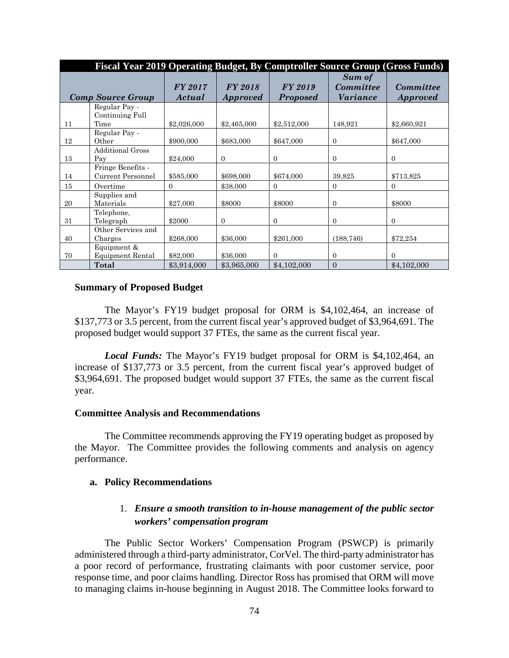|    | Fiscal Year 2019 Operating Budget, By Comptroller Source Group (Gross Funds) |                   |                            |                            |                                        |                                     |  |  |
|----|------------------------------------------------------------------------------|-------------------|----------------------------|----------------------------|----------------------------------------|-------------------------------------|--|--|
|    | <b>Comp Source Group</b>                                                     | FY 2017<br>Actual | FY 2018<br><i>Approved</i> | FY 2019<br><b>Proposed</b> | Sum of<br><b>Committee</b><br>Variance | <b>Committee</b><br><b>Approved</b> |  |  |
| 11 | Regular Pay -<br>Continuing Full<br>Time                                     | \$2,026,000       | \$2,465,000                | \$2,512,000                | 148,921                                | \$2,660,921                         |  |  |
| 12 | Regular Pay -<br>Other                                                       | \$900,000         | \$683,000                  | \$647,000                  | $\mathbf{0}$                           | \$647,000                           |  |  |
| 13 | <b>Additional Gross</b><br>Pay                                               | \$24,000          | $\overline{0}$             | $\overline{0}$             | $\Omega$                               | $\mathbf{0}$                        |  |  |
| 14 | Fringe Benefits -<br>Current Personnel                                       | \$585,000         | \$698,000                  | \$674,000                  | 39,825                                 | \$713,825                           |  |  |
| 15 | Overtime                                                                     | $\Omega$          | \$38,000                   | $\overline{0}$             | $\Omega$                               | $\overline{0}$                      |  |  |
| 20 | Supplies and<br>Materials                                                    | \$27,000          | \$8000                     | \$8000                     | $\mathbf{0}$                           | \$8000                              |  |  |
| 31 | Telephone,<br>Telegraph                                                      | \$2000            | $\Omega$                   | $\Omega$                   | $\Omega$                               | $\mathbf{0}$                        |  |  |
| 40 | Other Services and<br>Charges                                                | \$268,000         | \$36,000                   | \$261,000                  | (188, 746)                             | \$72,254                            |  |  |
| 70 | Equipment &<br><b>Equipment Rental</b>                                       | \$82,000          | \$36,000                   | $\Omega$                   | $\Omega$                               | $\mathbf{0}$                        |  |  |
|    | Total                                                                        | \$3,914,000       | \$3,965,000                | \$4,102,000                | $\theta$                               | \$4,102,000                         |  |  |

#### **Summary of Proposed Budget**

The Mayor's FY19 budget proposal for ORM is \$4,102,464, an increase of \$137,773 or 3.5 percent, from the current fiscal year's approved budget of \$3,964,691. The proposed budget would support 37 FTEs, the same as the current fiscal year.

*Local Funds:* The Mayor's FY19 budget proposal for ORM is \$4,102,464, an increase of \$137,773 or 3.5 percent, from the current fiscal year's approved budget of \$3,964,691. The proposed budget would support 37 FTEs, the same as the current fiscal year.

#### **Committee Analysis and Recommendations**

The Committee recommends approving the FY19 operating budget as proposed by the Mayor. The Committee provides the following comments and analysis on agency performance.

#### **a. Policy Recommendations**

# 1. *Ensure a smooth transition to in-house management of the public sector workers' compensation program*

The Public Sector Workers' Compensation Program (PSWCP) is primarily administered through a third-party administrator, CorVel. The third-party administrator has a poor record of performance, frustrating claimants with poor customer service, poor response time, and poor claims handling. Director Ross has promised that ORM will move to managing claims in-house beginning in August 2018. The Committee looks forward to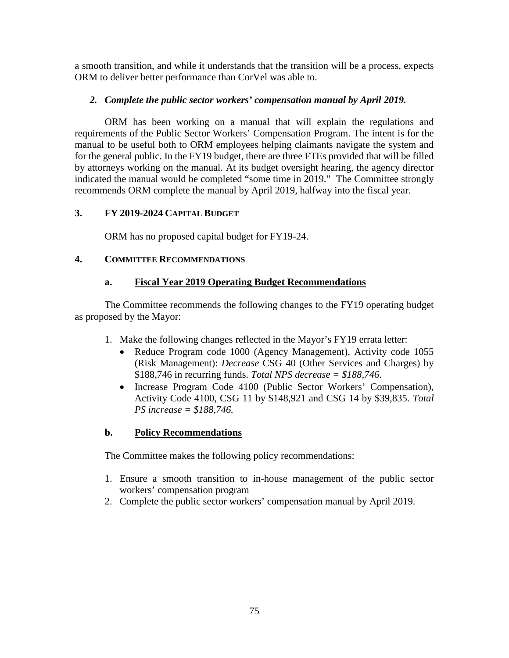a smooth transition, and while it understands that the transition will be a process, expects ORM to deliver better performance than CorVel was able to.

# *2. Complete the public sector workers' compensation manual by April 2019.*

ORM has been working on a manual that will explain the regulations and requirements of the Public Sector Workers' Compensation Program. The intent is for the manual to be useful both to ORM employees helping claimants navigate the system and for the general public. In the FY19 budget, there are three FTEs provided that will be filled by attorneys working on the manual. At its budget oversight hearing, the agency director indicated the manual would be completed "some time in 2019." The Committee strongly recommends ORM complete the manual by April 2019, halfway into the fiscal year.

# **3. FY 2019-2024 CAPITAL BUDGET**

ORM has no proposed capital budget for FY19-24.

# **4. COMMITTEE RECOMMENDATIONS**

# **a. Fiscal Year 2019 Operating Budget Recommendations**

The Committee recommends the following changes to the FY19 operating budget as proposed by the Mayor:

- 1. Make the following changes reflected in the Mayor's FY19 errata letter:
	- Reduce Program code 1000 (Agency Management), Activity code 1055 (Risk Management): *Decrease* CSG 40 (Other Services and Charges) by \$188,746 in recurring funds. *Total NPS decrease = \$188,746*.
	- Increase Program Code 4100 (Public Sector Workers' Compensation), Activity Code 4100, CSG 11 by \$148,921 and CSG 14 by \$39,835. *Total PS increase = \$188,746.*

# **b. Policy Recommendations**

The Committee makes the following policy recommendations:

- 1. Ensure a smooth transition to in-house management of the public sector workers' compensation program
- 2. Complete the public sector workers' compensation manual by April 2019.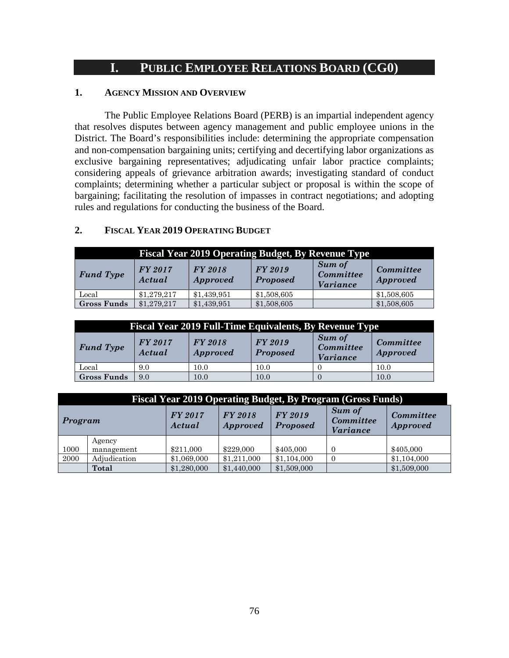# **I. PUBLIC EMPLOYEE RELATIONS BOARD (CG0)**

# **1. AGENCY MISSION AND OVERVIEW**

The Public Employee Relations Board (PERB) is an impartial independent agency that resolves disputes between agency management and public employee unions in the District. The Board's responsibilities include: determining the appropriate compensation and non-compensation bargaining units; certifying and decertifying labor organizations as exclusive bargaining representatives; adjudicating unfair labor practice complaints; considering appeals of grievance arbitration awards; investigating standard of conduct complaints; determining whether a particular subject or proposal is within the scope of bargaining; facilitating the resolution of impasses in contract negotiations; and adopting rules and regulations for conducting the business of the Board.

# **2. FISCAL YEAR 2019 OPERATING BUDGET**

| <b>Fiscal Year 2019 Operating Budget, By Revenue Type</b> |                          |                            |                            |                                                      |                                     |  |  |
|-----------------------------------------------------------|--------------------------|----------------------------|----------------------------|------------------------------------------------------|-------------------------------------|--|--|
| <b>Fund Type</b>                                          | <b>FY 2017</b><br>Actual | FY 2018<br><i>Approved</i> | FY 2019<br><b>Proposed</b> | <b>Sum of</b><br><b>Committee</b><br><i>Variance</i> | <b>Committee</b><br><b>Approved</b> |  |  |
| Local                                                     | \$1,279,217              | \$1,439,951                | \$1,508,605                |                                                      | \$1,508,605                         |  |  |
| <b>Gross Funds</b>                                        | \$1,279,217              | \$1,439,951                | \$1,508,605                |                                                      | \$1,508,605                         |  |  |

| <b>Fiscal Year 2019 Full-Time Equivalents, By Revenue Type</b> |                          |                            |                            |                                        |                              |  |  |
|----------------------------------------------------------------|--------------------------|----------------------------|----------------------------|----------------------------------------|------------------------------|--|--|
| <b>Fund Type</b>                                               | <b>FY 2017</b><br>Actual | FY 2018<br><i>Approved</i> | FY 2019<br><b>Proposed</b> | Sum of<br><b>Committee</b><br>Variance | Committee<br><b>Approved</b> |  |  |
| Local                                                          | 9.0                      | 10.0                       | 10.0                       |                                        | 10.0                         |  |  |
| <b>Gross Funds</b>                                             | 9.0                      | 10.0                       | 10.0                       |                                        | 10.0                         |  |  |

|      | <b>Fiscal Year 2019 Operating Budget, By Program (Gross Funds)</b>                                                                                                                             |             |             |             |                |             |  |
|------|------------------------------------------------------------------------------------------------------------------------------------------------------------------------------------------------|-------------|-------------|-------------|----------------|-------------|--|
|      | <b>Sum of</b><br><b>FY 2017</b><br><b>FY 2018</b><br>FY 2019<br>Committee<br><b>Committee</b><br>Program<br><b>Proposed</b><br><b>Approved</b><br>Actual<br><b>Approved</b><br><i>Variance</i> |             |             |             |                |             |  |
|      | Agency                                                                                                                                                                                         |             |             |             |                |             |  |
| 1000 | management                                                                                                                                                                                     | \$211,000   | \$229,000   | \$405,000   | $\Omega$       | \$405,000   |  |
| 2000 | Adjudication                                                                                                                                                                                   | \$1,069,000 | \$1,211,000 | \$1,104,000 | $\overline{0}$ | \$1,104,000 |  |
|      | Total                                                                                                                                                                                          | \$1,280,000 | \$1,440,000 | \$1,509,000 |                | \$1,509,000 |  |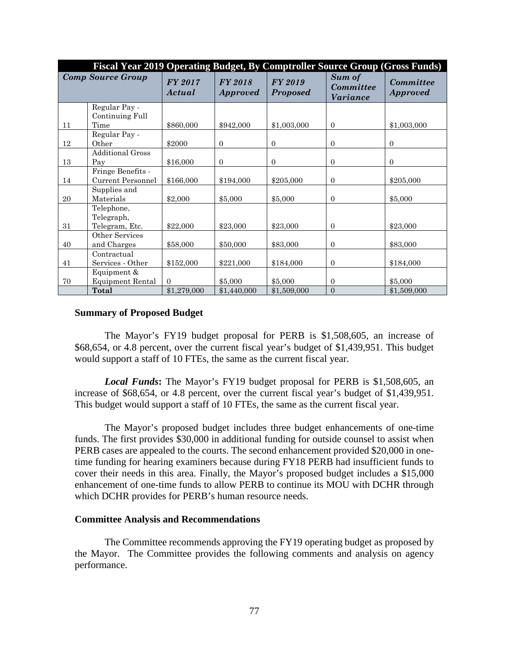|    | Fiscal Year 2019 Operating Budget, By Comptroller Source Group (Gross Funds) |                   |                                   |                                   |                                               |                                     |  |  |
|----|------------------------------------------------------------------------------|-------------------|-----------------------------------|-----------------------------------|-----------------------------------------------|-------------------------------------|--|--|
|    | <b>Comp Source Group</b>                                                     | FY 2017<br>Actual | <b>FY 2018</b><br><i>Approved</i> | <b>FY 2019</b><br><b>Proposed</b> | Sum of<br><b>Committee</b><br><b>Variance</b> | <b>Committee</b><br><b>Approved</b> |  |  |
|    | Regular Pay -                                                                |                   |                                   |                                   |                                               |                                     |  |  |
| 11 | Continuing Full<br>Time                                                      | \$860,000         | \$942,000                         | \$1,003,000                       | $\Omega$                                      | \$1,003,000                         |  |  |
|    | Regular Pay -                                                                |                   |                                   |                                   |                                               |                                     |  |  |
| 12 | Other                                                                        | \$2000            | $\mathbf{0}$                      | $\mathbf{0}$                      | $\mathbf{0}$                                  | $\mathbf{0}$                        |  |  |
| 13 | <b>Additional Gross</b><br>Pay                                               | \$16,000          | $\mathbf{0}$                      | $\mathbf{0}$                      | $\mathbf{0}$                                  | $\mathbf{0}$                        |  |  |
|    | Fringe Benefits -                                                            |                   |                                   |                                   |                                               |                                     |  |  |
| 14 | <b>Current Personnel</b>                                                     | \$166,000         | \$194,000                         | \$205,000                         | $\Omega$                                      | \$205,000                           |  |  |
| 20 | Supplies and<br>Materials                                                    | \$2,000           | \$5,000                           | \$5,000                           | $\theta$                                      | \$5,000                             |  |  |
| 31 | Telephone,<br>Telegraph,<br>Telegram, Etc.                                   | \$22,000          | \$23,000                          | \$23,000                          | $\Omega$                                      | \$23,000                            |  |  |
|    | Other Services                                                               |                   |                                   |                                   |                                               |                                     |  |  |
| 40 | and Charges                                                                  | \$58,000          | \$50,000                          | \$83,000                          | $\mathbf{0}$                                  | \$83,000                            |  |  |
|    | Contractual                                                                  |                   |                                   |                                   |                                               |                                     |  |  |
| 41 | Services - Other                                                             | \$152,000         | \$221,000                         | \$184,000                         | $\Omega$                                      | \$184,000                           |  |  |
|    | Equipment &                                                                  |                   |                                   |                                   |                                               |                                     |  |  |
| 70 | Equipment Rental                                                             | $\Omega$          | \$5,000                           | \$5,000                           | $\Omega$                                      | \$5,000                             |  |  |
|    | Total                                                                        | \$1,279,000       | \$1,440,000                       | \$1,509,000                       | $\Omega$                                      | \$1,509,000                         |  |  |

#### **Summary of Proposed Budget**

The Mayor's FY19 budget proposal for PERB is \$1,508,605, an increase of \$68,654, or 4.8 percent, over the current fiscal year's budget of \$1,439,951. This budget would support a staff of 10 FTEs, the same as the current fiscal year.

*Local Funds***:** The Mayor's FY19 budget proposal for PERB is \$1,508,605, an increase of \$68,654, or 4.8 percent, over the current fiscal year's budget of \$1,439,951. This budget would support a staff of 10 FTEs, the same as the current fiscal year.

The Mayor's proposed budget includes three budget enhancements of one-time funds. The first provides \$30,000 in additional funding for outside counsel to assist when PERB cases are appealed to the courts. The second enhancement provided \$20,000 in onetime funding for hearing examiners because during FY18 PERB had insufficient funds to cover their needs in this area. Finally, the Mayor's proposed budget includes a \$15,000 enhancement of one-time funds to allow PERB to continue its MOU with DCHR through which DCHR provides for PERB's human resource needs.

#### **Committee Analysis and Recommendations**

The Committee recommends approving the FY19 operating budget as proposed by the Mayor. The Committee provides the following comments and analysis on agency performance.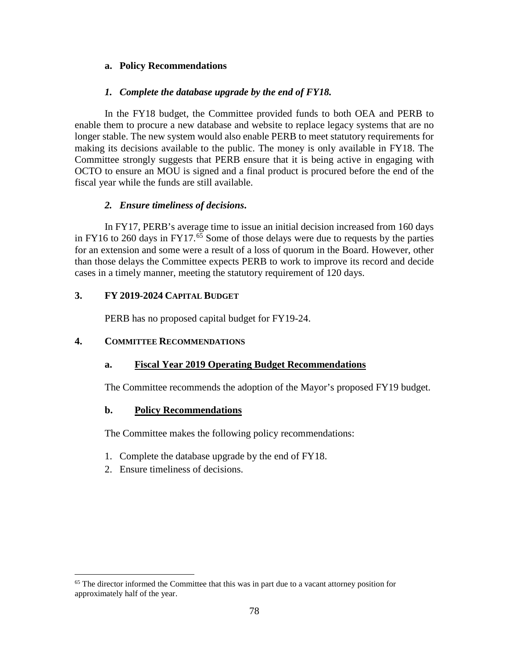# **a. Policy Recommendations**

# *1. Complete the database upgrade by the end of FY18.*

In the FY18 budget, the Committee provided funds to both OEA and PERB to enable them to procure a new database and website to replace legacy systems that are no longer stable. The new system would also enable PERB to meet statutory requirements for making its decisions available to the public. The money is only available in FY18. The Committee strongly suggests that PERB ensure that it is being active in engaging with OCTO to ensure an MOU is signed and a final product is procured before the end of the fiscal year while the funds are still available.

# *2. Ensure timeliness of decisions***.**

In FY17, PERB's average time to issue an initial decision increased from 160 days in FY16 to 260 days in FY17.<sup>[65](#page-77-0)</sup> Some of those delays were due to requests by the parties for an extension and some were a result of a loss of quorum in the Board. However, other than those delays the Committee expects PERB to work to improve its record and decide cases in a timely manner, meeting the statutory requirement of 120 days.

# **3. FY 2019-2024 CAPITAL BUDGET**

PERB has no proposed capital budget for FY19-24.

# **4. COMMITTEE RECOMMENDATIONS**

# **a. Fiscal Year 2019 Operating Budget Recommendations**

The Committee recommends the adoption of the Mayor's proposed FY19 budget.

# **b. Policy Recommendations**

The Committee makes the following policy recommendations:

- 1. Complete the database upgrade by the end of FY18.
- 2. Ensure timeliness of decisions.

<span id="page-77-0"></span><sup>&</sup>lt;sup>65</sup> The director informed the Committee that this was in part due to a vacant attorney position for approximately half of the year.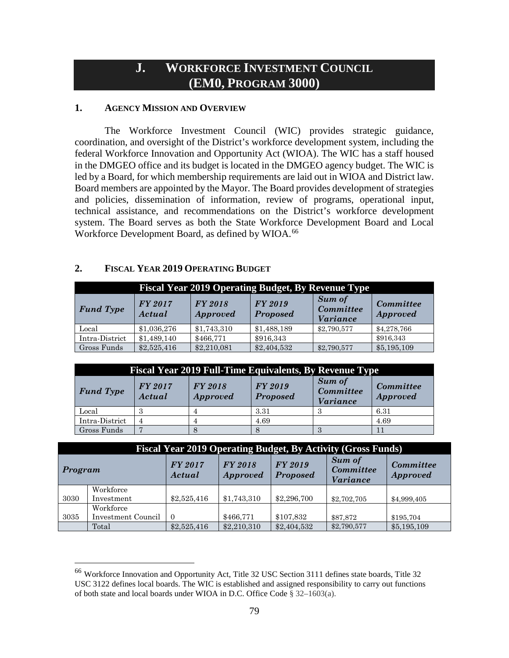# **J. WORKFORCE INVESTMENT COUNCIL (EM0, PROGRAM 3000)**

### **1. AGENCY MISSION AND OVERVIEW**

The Workforce Investment Council (WIC) provides strategic guidance, coordination, and oversight of the District's workforce development system, including the federal Workforce Innovation and Opportunity Act (WIOA). The WIC has a staff housed in the DMGEO office and its budget is located in the DMGEO agency budget. The WIC is led by a Board, for which membership requirements are laid out in WIOA and District law. Board members are appointed by the Mayor. The Board provides development of strategies and policies, dissemination of information, review of programs, operational input, technical assistance, and recommendations on the District's workforce development system. The Board serves as both the State Workforce Development Board and Local Workforce Development Board, as defined by WIOA.<sup>[66](#page-78-0)</sup>

#### **2. FISCAL YEAR 2019 OPERATING BUDGET**

| <b>Fiscal Year 2019 Operating Budget, By Revenue Type</b> |                   |                                   |                                   |                                                      |                                     |  |  |
|-----------------------------------------------------------|-------------------|-----------------------------------|-----------------------------------|------------------------------------------------------|-------------------------------------|--|--|
| <b>Fund Type</b>                                          | FY 2017<br>Actual | <b>FY 2018</b><br><i>Approved</i> | <b>FY 2019</b><br><b>Proposed</b> | <b>Sum of</b><br><b>Committee</b><br><i>Variance</i> | <b>Committee</b><br><b>Approved</b> |  |  |
| Local                                                     | \$1,036,276       | \$1,743,310                       | \$1,488,189                       | \$2,790,577                                          | \$4,278,766                         |  |  |
| Intra-District                                            | \$1,489,140       | \$466,771                         | \$916,343                         |                                                      | \$916,343                           |  |  |
| Gross Funds                                               | \$2,525,416       | \$2,210,081                       | \$2,404,532                       | \$2,790,577                                          | \$5,195,109                         |  |  |

| <b>Fiscal Year 2019 Full-Time Equivalents, By Revenue Type</b> |                          |                            |                                   |                                               |                              |  |  |
|----------------------------------------------------------------|--------------------------|----------------------------|-----------------------------------|-----------------------------------------------|------------------------------|--|--|
| <b>Fund Type</b>                                               | <b>FY 2017</b><br>Actual | FY 2018<br><b>Approved</b> | <b>FY 2019</b><br><b>Proposed</b> | Sum of<br><b>Committee</b><br><b>Variance</b> | Committee<br><b>Approved</b> |  |  |
| Local                                                          |                          |                            | 3.31                              |                                               | 6.31                         |  |  |
| Intra-District                                                 | 4                        |                            | 4.69                              |                                               | 4.69                         |  |  |
| Gross Funds                                                    |                          |                            |                                   |                                               |                              |  |  |

|                                                                                                                                                                                         | <b>Fiscal Year 2019 Operating Budget, By Activity (Gross Funds)</b> |             |             |             |             |             |  |
|-----------------------------------------------------------------------------------------------------------------------------------------------------------------------------------------|---------------------------------------------------------------------|-------------|-------------|-------------|-------------|-------------|--|
| Sum of<br>FY 2017<br><b>FY 2018</b><br>FY 2019<br><b>Committee</b><br><b>Committee</b><br>Program<br><b>Proposed</b><br><b>Approved</b><br><b>Approved</b><br>Actual<br><i>Variance</i> |                                                                     |             |             |             |             |             |  |
|                                                                                                                                                                                         | Workforce                                                           |             |             |             |             |             |  |
| 3030                                                                                                                                                                                    | Investment                                                          | \$2,525,416 | \$1,743,310 | \$2,296,700 | \$2,702,705 | \$4,999,405 |  |
|                                                                                                                                                                                         | Workforce                                                           |             |             |             |             |             |  |
| 3035                                                                                                                                                                                    | Investment Council                                                  | $\Omega$    | \$466,771   | \$107,832   | \$87,872    | \$195,704   |  |
|                                                                                                                                                                                         | Total                                                               | \$2,525,416 | \$2,210,310 | \$2,404,532 | \$2,790,577 | \$5,195,109 |  |

<span id="page-78-0"></span> <sup>66</sup> Workforce Innovation and Opportunity Act, Title 32 USC Section 3111 defines state boards, Title 32 USC 3122 defines local boards. The WIC is established and assigned responsibility to carry out functions of both state and local boards under WIOA in D.C. Office Code § 32–1603(a).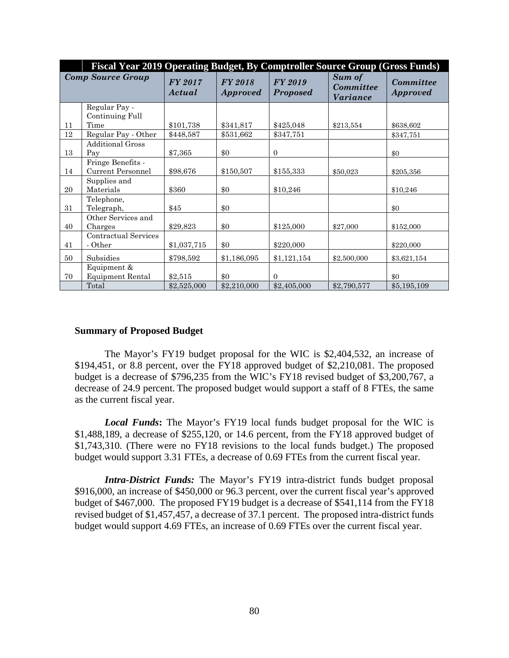|    | Fiscal Year 2019 Operating Budget, By Comptroller Source Group (Gross Funds) |                          |                                   |                                   |                                               |                                     |
|----|------------------------------------------------------------------------------|--------------------------|-----------------------------------|-----------------------------------|-----------------------------------------------|-------------------------------------|
|    | <b>Comp Source Group</b>                                                     | <b>FY 2017</b><br>Actual | <b>FY 2018</b><br><b>Approved</b> | <b>FY 2019</b><br><b>Proposed</b> | Sum of<br><b>Committee</b><br><i>Variance</i> | <b>Committee</b><br><b>Approved</b> |
|    | Regular Pay -<br>Continuing Full                                             |                          |                                   |                                   |                                               |                                     |
| 11 | Time                                                                         | \$101,738                | \$341,817                         | \$425,048                         | \$213,554                                     | \$638,602                           |
| 12 | Regular Pay - Other                                                          | \$448,587                | \$531,662                         | \$347,751                         |                                               | \$347,751                           |
| 13 | <b>Additional Gross</b><br>Pay                                               | \$7,365                  | \$0                               | $\mathbf{0}$                      |                                               | \$0                                 |
|    | Fringe Benefits -                                                            |                          |                                   |                                   |                                               |                                     |
| 14 | Current Personnel                                                            | \$98,676                 | \$150,507                         | \$155,333                         | \$50,023                                      | \$205,356                           |
| 20 | Supplies and<br>Materials                                                    | \$360                    | \$0                               | \$10,246                          |                                               | \$10,246                            |
| 31 | Telephone,<br>Telegraph,                                                     | \$45                     | \$0                               |                                   |                                               | \$0                                 |
| 40 | Other Services and<br>Charges                                                | \$29,823                 | \$0                               | \$125,000                         | \$27,000                                      | \$152,000                           |
| 41 | Contractual Services<br>- Other                                              | \$1,037,715              | \$0                               | \$220,000                         |                                               | \$220,000                           |
| 50 | Subsidies                                                                    | \$798,592                | \$1,186,095                       | \$1,121,154                       | \$2,500,000                                   | \$3,621,154                         |
| 70 | Equipment &<br><b>Equipment Rental</b>                                       | \$2,515                  | \$0                               | $\Omega$                          |                                               | \$0                                 |
|    | Total                                                                        | \$2,525,000              | \$2,210,000                       | \$2,405,000                       | \$2,790,577                                   | \$5,195,109                         |

#### **Summary of Proposed Budget**

The Mayor's FY19 budget proposal for the WIC is \$2,404,532, an increase of \$194,451, or 8.8 percent, over the FY18 approved budget of \$2,210,081. The proposed budget is a decrease of \$796,235 from the WIC's FY18 revised budget of \$3,200,767, a decrease of 24.9 percent. The proposed budget would support a staff of 8 FTEs, the same as the current fiscal year.

*Local Funds***:** The Mayor's FY19 local funds budget proposal for the WIC is \$1,488,189, a decrease of \$255,120, or 14.6 percent, from the FY18 approved budget of \$1,743,310. (There were no FY18 revisions to the local funds budget.) The proposed budget would support 3.31 FTEs, a decrease of 0.69 FTEs from the current fiscal year.

*Intra-District Funds:* The Mayor's FY19 intra-district funds budget proposal \$916,000, an increase of \$450,000 or 96.3 percent, over the current fiscal year's approved budget of \$467,000. The proposed FY19 budget is a decrease of \$541,114 from the FY18 revised budget of \$1,457,457, a decrease of 37.1 percent. The proposed intra-district funds budget would support 4.69 FTEs, an increase of 0.69 FTEs over the current fiscal year.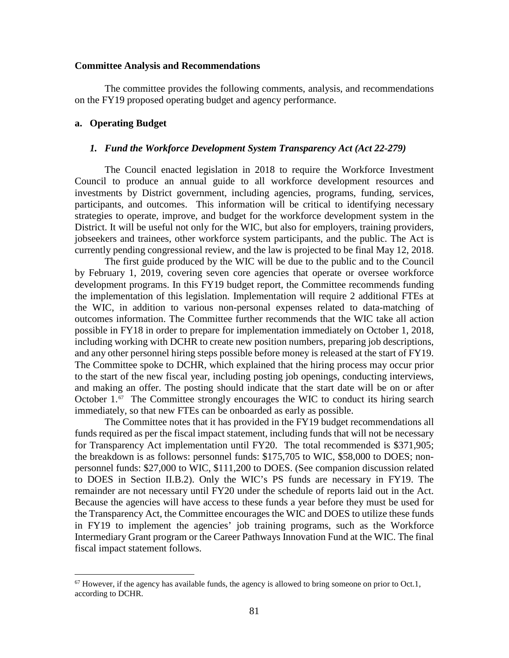#### **Committee Analysis and Recommendations**

The committee provides the following comments, analysis, and recommendations on the FY19 proposed operating budget and agency performance.

#### **a. Operating Budget**

#### *1. Fund the Workforce Development System Transparency Act (Act 22-279)*

The Council enacted legislation in 2018 to require the Workforce Investment Council to produce an annual guide to all workforce development resources and investments by District government, including agencies, programs, funding, services, participants, and outcomes. This information will be critical to identifying necessary strategies to operate, improve, and budget for the workforce development system in the District. It will be useful not only for the WIC, but also for employers, training providers, jobseekers and trainees, other workforce system participants, and the public. The Act is currently pending congressional review, and the law is projected to be final May 12, 2018.

The first guide produced by the WIC will be due to the public and to the Council by February 1, 2019, covering seven core agencies that operate or oversee workforce development programs. In this FY19 budget report, the Committee recommends funding the implementation of this legislation. Implementation will require 2 additional FTEs at the WIC, in addition to various non-personal expenses related to data-matching of outcomes information. The Committee further recommends that the WIC take all action possible in FY18 in order to prepare for implementation immediately on October 1, 2018, including working with DCHR to create new position numbers, preparing job descriptions, and any other personnel hiring steps possible before money is released at the start of FY19. The Committee spoke to DCHR, which explained that the hiring process may occur prior to the start of the new fiscal year, including posting job openings, conducting interviews, and making an offer. The posting should indicate that the start date will be on or after October 1.<sup>[67](#page-80-0)</sup> The Committee strongly encourages the WIC to conduct its hiring search immediately, so that new FTEs can be onboarded as early as possible.

The Committee notes that it has provided in the FY19 budget recommendations all funds required as per the fiscal impact statement, including funds that will not be necessary for Transparency Act implementation until FY20. The total recommended is \$371,905; the breakdown is as follows: personnel funds: \$175,705 to WIC, \$58,000 to DOES; nonpersonnel funds: \$27,000 to WIC, \$111,200 to DOES. (See companion discussion related to DOES in Section II.B.2). Only the WIC's PS funds are necessary in FY19. The remainder are not necessary until FY20 under the schedule of reports laid out in the Act. Because the agencies will have access to these funds a year before they must be used for the Transparency Act, the Committee encourages the WIC and DOES to utilize these funds in FY19 to implement the agencies' job training programs, such as the Workforce Intermediary Grant program or the Career Pathways Innovation Fund at the WIC. The final fiscal impact statement follows.

<span id="page-80-0"></span> $67$  However, if the agency has available funds, the agency is allowed to bring someone on prior to Oct.1, according to DCHR.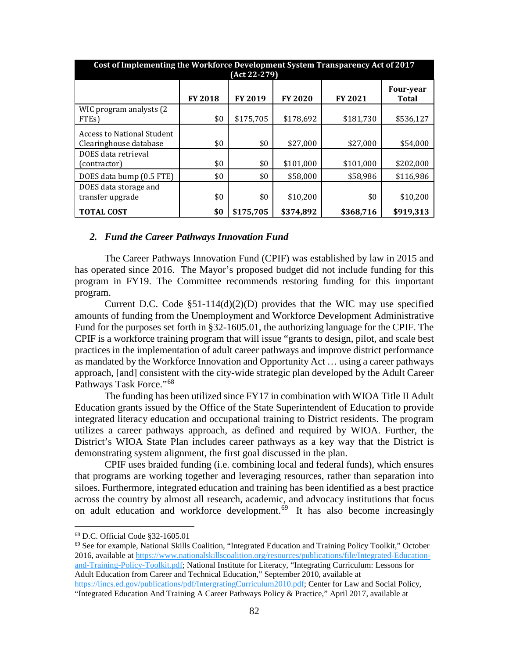| Cost of Implementing the Workforce Development System Transparency Act of 2017<br>(Act 22-279) |                |           |                |                |                                  |  |  |  |
|------------------------------------------------------------------------------------------------|----------------|-----------|----------------|----------------|----------------------------------|--|--|--|
|                                                                                                | <b>FY 2018</b> | FY 2019   | <b>FY 2020</b> | <b>FY 2021</b> | <b>Four-year</b><br><b>Total</b> |  |  |  |
| WIC program analysts (2)<br>FTE <sub>s</sub> )                                                 | \$0            | \$175,705 | \$178,692      | \$181,730      | \$536,127                        |  |  |  |
| <b>Access to National Student</b><br>Clearinghouse database                                    | \$0            | \$0       | \$27,000       | \$27,000       | \$54,000                         |  |  |  |
| DOES data retrieval<br>(contractor)                                                            | \$0            | \$0       | \$101,000      | \$101,000      | \$202,000                        |  |  |  |
| DOES data bump (0.5 FTE)                                                                       | \$0            | \$0       | \$58,000       | \$58,986       | \$116,986                        |  |  |  |
| DOES data storage and<br>transfer upgrade                                                      | \$0            | \$0       | \$10,200       | \$0            | \$10,200                         |  |  |  |
| <b>TOTAL COST</b>                                                                              | \$0            | \$175,705 | \$374,892      | \$368,716      | \$919,313                        |  |  |  |

#### *2. Fund the Career Pathways Innovation Fund*

The Career Pathways Innovation Fund (CPIF) was established by law in 2015 and has operated since 2016. The Mayor's proposed budget did not include funding for this program in FY19. The Committee recommends restoring funding for this important program.

Current D.C. Code  $\S 51-114(d)(2)(D)$  provides that the WIC may use specified amounts of funding from the Unemployment and Workforce Development Administrative Fund for the purposes set forth in §32-1605.01, the authorizing language for the CPIF. The CPIF is a workforce training program that will issue "grants to design, pilot, and scale best practices in the implementation of adult career pathways and improve district performance as mandated by the Workforce Innovation and Opportunity Act … using a career pathways approach, [and] consistent with the city-wide strategic plan developed by the Adult Career Pathways Task Force."<sup>[68](#page-81-0)</sup>

The funding has been utilized since FY17 in combination with WIOA Title II Adult Education grants issued by the Office of the State Superintendent of Education to provide integrated literacy education and occupational training to District residents. The program utilizes a career pathways approach, as defined and required by WIOA. Further, the District's WIOA State Plan includes career pathways as a key way that the District is demonstrating system alignment, the first goal discussed in the plan.

CPIF uses braided funding (i.e. combining local and federal funds), which ensures that programs are working together and leveraging resources, rather than separation into siloes. Furthermore, integrated education and training has been identified as a best practice across the country by almost all research, academic, and advocacy institutions that focus on adult education and workforce development.<sup>[69](#page-81-1)</sup> It has also become increasingly

<span id="page-81-1"></span> $69$  See for example, National Skills Coalition, "Integrated Education and Training Policy Toolkit," October 2016, available at [https://www.nationalskillscoalition.org/resources/publications/file/Integrated-Education](https://www.nationalskillscoalition.org/resources/publications/file/Integrated-Education-and-Training-Policy-Toolkit.pdf)[and-Training-Policy-Toolkit.pdf;](https://www.nationalskillscoalition.org/resources/publications/file/Integrated-Education-and-Training-Policy-Toolkit.pdf) National Institute for Literacy, "Integrating Curriculum: Lessons for Adult Education from Career and Technical Education," September 2010, available at [https://lincs.ed.gov/publications/pdf/IntergratingCurriculum2010.pdf;](https://lincs.ed.gov/publications/pdf/IntergratingCurriculum2010.pdf) Center for Law and Social Policy,

<span id="page-81-0"></span> <sup>68</sup> D.C. Official Code §32-1605.01

<sup>&</sup>quot;Integrated Education And Training A Career Pathways Policy & Practice," April 2017, available at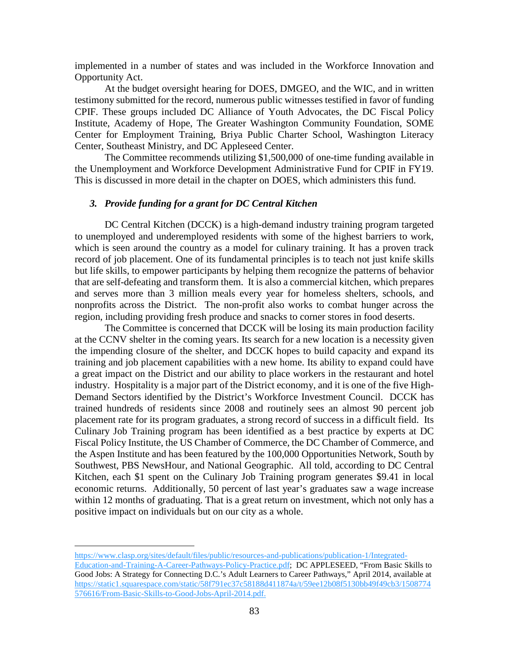implemented in a number of states and was included in the Workforce Innovation and Opportunity Act.

At the budget oversight hearing for DOES, DMGEO, and the WIC, and in written testimony submitted for the record, numerous public witnesses testified in favor of funding CPIF. These groups included DC Alliance of Youth Advocates, the DC Fiscal Policy Institute, Academy of Hope, The Greater Washington Community Foundation, SOME Center for Employment Training, Briya Public Charter School, Washington Literacy Center, Southeast Ministry, and DC Appleseed Center.

The Committee recommends utilizing \$1,500,000 of one-time funding available in the Unemployment and Workforce Development Administrative Fund for CPIF in FY19. This is discussed in more detail in the chapter on DOES, which administers this fund.

#### *3. Provide funding for a grant for DC Central Kitchen*

DC Central Kitchen (DCCK) is a high-demand industry training program targeted to unemployed and underemployed residents with some of the highest barriers to work, which is seen around the country as a model for culinary training. It has a proven track record of job placement. One of its fundamental principles is to teach not just knife skills but life skills, to empower participants by helping them recognize the patterns of behavior that are self-defeating and transform them. It is also a commercial kitchen, which prepares and serves more than 3 million meals every year for homeless shelters, schools, and nonprofits across the District. The non-profit also works to combat hunger across the region, including providing fresh produce and snacks to corner stores in food deserts.

The Committee is concerned that DCCK will be losing its main production facility at the CCNV shelter in the coming years. Its search for a new location is a necessity given the impending closure of the shelter, and DCCK hopes to build capacity and expand its training and job placement capabilities with a new home. Its ability to expand could have a great impact on the District and our ability to place workers in the restaurant and hotel industry. Hospitality is a major part of the District economy, and it is one of the five High-Demand Sectors identified by the District's Workforce Investment Council. DCCK has trained hundreds of residents since 2008 and routinely sees an almost 90 percent job placement rate for its program graduates, a strong record of success in a difficult field. Its Culinary Job Training program has been identified as a best practice by experts at DC Fiscal Policy Institute, the US Chamber of Commerce, the DC Chamber of Commerce, and the Aspen Institute and has been featured by the 100,000 Opportunities Network, South by Southwest, PBS NewsHour, and National Geographic. All told, according to DC Central Kitchen, each \$1 spent on the Culinary Job Training program generates \$9.41 in local economic returns. Additionally, 50 percent of last year's graduates saw a wage increase within 12 months of graduating. That is a great return on investment, which not only has a positive impact on individuals but on our city as a whole.

[https://www.clasp.org/sites/default/files/public/resources-and-publications/publication-1/Integrated-](https://www.clasp.org/sites/default/files/public/resources-and-publications/publication-1/Integrated-Education-and-Training-A-Career-Pathways-Policy-Practice.pdf)

 $\overline{a}$ 

[Education-and-Training-A-Career-Pathways-Policy-Practice.pdf;](https://www.clasp.org/sites/default/files/public/resources-and-publications/publication-1/Integrated-Education-and-Training-A-Career-Pathways-Policy-Practice.pdf) DC APPLESEED, "From Basic Skills to Good Jobs: A Strategy for Connecting D.C.'s Adult Learners to Career Pathways," April 2014, available at [https://static1.squarespace.com/static/58f791ec37c58188d411874a/t/59ee12b08f5130bb49f49cb3/1508774](https://static1.squarespace.com/static/58f791ec37c58188d411874a/t/59ee12b08f5130bb49f49cb3/1508774576616/From-Basic-Skills-to-Good-Jobs-April-2014.pdf) [576616/From-Basic-Skills-to-Good-Jobs-April-2014.pdf.](https://static1.squarespace.com/static/58f791ec37c58188d411874a/t/59ee12b08f5130bb49f49cb3/1508774576616/From-Basic-Skills-to-Good-Jobs-April-2014.pdf)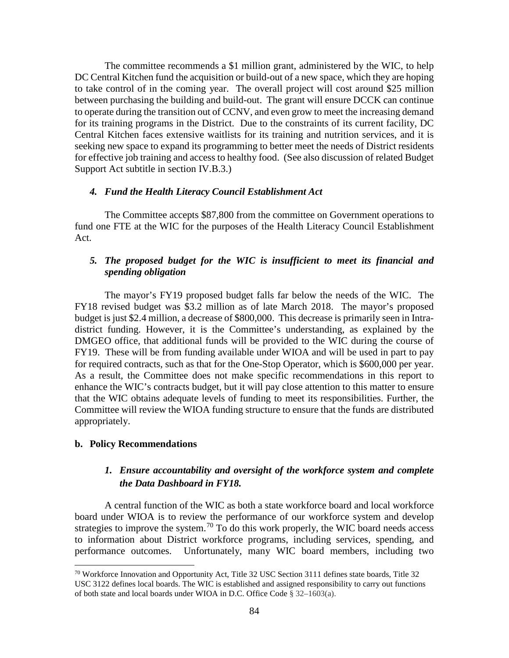The committee recommends a \$1 million grant, administered by the WIC, to help DC Central Kitchen fund the acquisition or build-out of a new space, which they are hoping to take control of in the coming year. The overall project will cost around \$25 million between purchasing the building and build-out. The grant will ensure DCCK can continue to operate during the transition out of CCNV, and even grow to meet the increasing demand for its training programs in the District. Due to the constraints of its current facility, DC Central Kitchen faces extensive waitlists for its training and nutrition services, and it is seeking new space to expand its programming to better meet the needs of District residents for effective job training and access to healthy food. (See also discussion of related Budget Support Act subtitle in section IV.B.3.)

# *4. Fund the Health Literacy Council Establishment Act*

The Committee accepts \$87,800 from the committee on Government operations to fund one FTE at the WIC for the purposes of the Health Literacy Council Establishment Act.

# *5. The proposed budget for the WIC is insufficient to meet its financial and spending obligation*

The mayor's FY19 proposed budget falls far below the needs of the WIC. The FY18 revised budget was \$3.2 million as of late March 2018. The mayor's proposed budget is just \$2.4 million, a decrease of \$800,000. This decrease is primarily seen in Intradistrict funding. However, it is the Committee's understanding, as explained by the DMGEO office, that additional funds will be provided to the WIC during the course of FY19. These will be from funding available under WIOA and will be used in part to pay for required contracts, such as that for the One-Stop Operator, which is \$600,000 per year. As a result, the Committee does not make specific recommendations in this report to enhance the WIC's contracts budget, but it will pay close attention to this matter to ensure that the WIC obtains adequate levels of funding to meet its responsibilities. Further, the Committee will review the WIOA funding structure to ensure that the funds are distributed appropriately.

#### **b. Policy Recommendations**

# *1. Ensure accountability and oversight of the workforce system and complete the Data Dashboard in FY18.*

A central function of the WIC as both a state workforce board and local workforce board under WIOA is to review the performance of our workforce system and develop strategies to improve the system.<sup>[70](#page-83-0)</sup> To do this work properly, the WIC board needs access to information about District workforce programs, including services, spending, and performance outcomes. Unfortunately, many WIC board members, including two

<span id="page-83-0"></span> $70$  Workforce Innovation and Opportunity Act, Title 32 USC Section 3111 defines state boards, Title 32 USC 3122 defines local boards. The WIC is established and assigned responsibility to carry out functions of both state and local boards under WIOA in D.C. Office Code § 32–1603(a).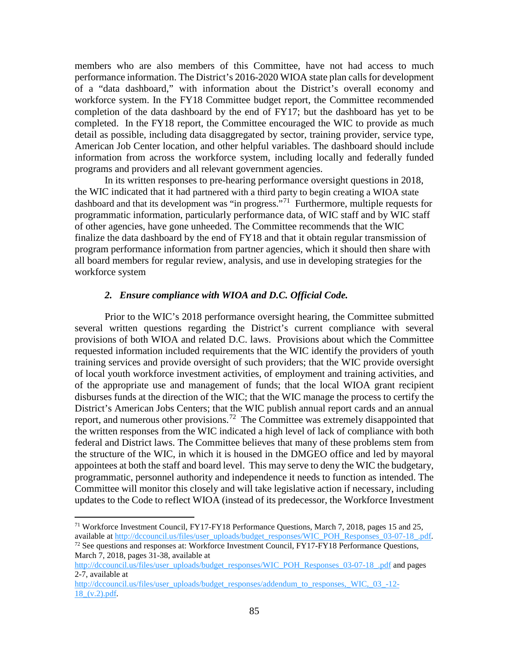members who are also members of this Committee, have not had access to much performance information. The District's 2016-2020 WIOA state plan calls for development of a "data dashboard," with information about the District's overall economy and workforce system. In the FY18 Committee budget report, the Committee recommended completion of the data dashboard by the end of FY17; but the dashboard has yet to be completed. In the FY18 report, the Committee encouraged the WIC to provide as much detail as possible, including data disaggregated by sector, training provider, service type, American Job Center location, and other helpful variables. The dashboard should include information from across the workforce system, including locally and federally funded programs and providers and all relevant government agencies.

In its written responses to pre-hearing performance oversight questions in 2018, the WIC indicated that it had partnered with a third party to begin creating a WIOA state dashboard and that its development was "in progress."<sup>[71](#page-84-0)</sup> Furthermore, multiple requests for programmatic information, particularly performance data, of WIC staff and by WIC staff of other agencies, have gone unheeded. The Committee recommends that the WIC finalize the data dashboard by the end of FY18 and that it obtain regular transmission of program performance information from partner agencies, which it should then share with all board members for regular review, analysis, and use in developing strategies for the workforce system

#### *2. Ensure compliance with WIOA and D.C. Official Code.*

Prior to the WIC's 2018 performance oversight hearing, the Committee submitted several written questions regarding the District's current compliance with several provisions of both WIOA and related D.C. laws. Provisions about which the Committee requested information included requirements that the WIC identify the providers of youth training services and provide oversight of such providers; that the WIC provide oversight of local youth workforce investment activities, of employment and training activities, and of the appropriate use and management of funds; that the local WIOA grant recipient disburses funds at the direction of the WIC; that the WIC manage the process to certify the District's American Jobs Centers; that the WIC publish annual report cards and an annual report, and numerous other provisions.<sup>[72](#page-84-1)</sup> The Committee was extremely disappointed that the written responses from the WIC indicated a high level of lack of compliance with both federal and District laws. The Committee believes that many of these problems stem from the structure of the WIC, in which it is housed in the DMGEO office and led by mayoral appointees at both the staff and board level. This may serve to deny the WIC the budgetary, programmatic, personnel authority and independence it needs to function as intended. The Committee will monitor this closely and will take legislative action if necessary, including updates to the Code to reflect WIOA (instead of its predecessor, the Workforce Investment

<span id="page-84-0"></span><sup>&</sup>lt;sup>71</sup> Workforce Investment Council, FY17-FY18 Performance Questions, March 7, 2018, pages 15 and 25, available at [http://dccouncil.us/files/user\\_uploads/budget\\_responses/WIC\\_POH\\_Responses\\_03-07-18\\_.pdf.](http://dccouncil.us/files/user_uploads/budget_responses/WIC_POH_Responses_03-07-18_.pdf) 72 See questions and responses at: Workforce Investment Council, FY17-FY18 Performance Questions,

<span id="page-84-1"></span>March 7, 2018, pages 31-38, available at

[http://dccouncil.us/files/user\\_uploads/budget\\_responses/WIC\\_POH\\_Responses\\_03-07-18\\_.pdf](http://dccouncil.us/files/user_uploads/budget_responses/WIC_POH_Responses_03-07-18_.pdf) and pages 2-7, available at

[http://dccouncil.us/files/user\\_uploads/budget\\_responses/addendum\\_to\\_responses,\\_WIC,\\_03\\_-12-](http://dccouncil.us/files/user_uploads/budget_responses/addendum_to_responses,_WIC,_03_-12-18_(v.2).pdf) [18\\_\(v.2\).pdf.](http://dccouncil.us/files/user_uploads/budget_responses/addendum_to_responses,_WIC,_03_-12-18_(v.2).pdf)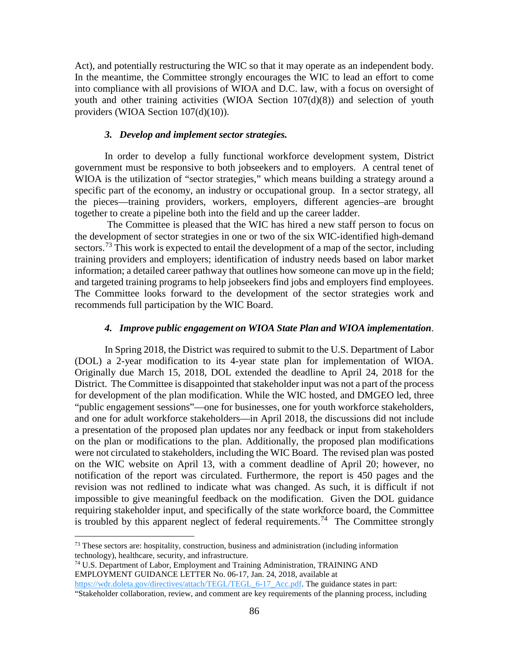Act), and potentially restructuring the WIC so that it may operate as an independent body. In the meantime, the Committee strongly encourages the WIC to lead an effort to come into compliance with all provisions of WIOA and D.C. law, with a focus on oversight of youth and other training activities (WIOA Section 107(d)(8)) and selection of youth providers (WIOA Section 107(d)(10)).

#### *3. Develop and implement sector strategies.*

In order to develop a fully functional workforce development system, District government must be responsive to both jobseekers and to employers. A central tenet of WIOA is the utilization of "sector strategies," which means building a strategy around a specific part of the economy, an industry or occupational group. In a sector strategy, all the pieces—training providers, workers, employers, different agencies–are brought together to create a pipeline both into the field and up the career ladder.

The Committee is pleased that the WIC has hired a new staff person to focus on the development of sector strategies in one or two of the six WIC-identified high-demand sectors.<sup>[73](#page-85-0)</sup> This work is expected to entail the development of a map of the sector, including training providers and employers; identification of industry needs based on labor market information; a detailed career pathway that outlines how someone can move up in the field; and targeted training programs to help jobseekers find jobs and employers find employees. The Committee looks forward to the development of the sector strategies work and recommends full participation by the WIC Board.

#### *4. Improve public engagement on WIOA State Plan and WIOA implementation*.

In Spring 2018, the District was required to submit to the U.S. Department of Labor (DOL) a 2-year modification to its 4-year state plan for implementation of WIOA. Originally due March 15, 2018, DOL extended the deadline to April 24, 2018 for the District. The Committee is disappointed that stakeholder input was not a part of the process for development of the plan modification. While the WIC hosted, and DMGEO led, three "public engagement sessions"—one for businesses, one for youth workforce stakeholders, and one for adult workforce stakeholders—in April 2018, the discussions did not include a presentation of the proposed plan updates nor any feedback or input from stakeholders on the plan or modifications to the plan. Additionally, the proposed plan modifications were not circulated to stakeholders, including the WIC Board. The revised plan was posted on the WIC website on April 13, with a comment deadline of April 20; however, no notification of the report was circulated. Furthermore, the report is 450 pages and the revision was not redlined to indicate what was changed. As such, it is difficult if not impossible to give meaningful feedback on the modification. Given the DOL guidance requiring stakeholder input, and specifically of the state workforce board, the Committee is troubled by this apparent neglect of federal requirements.<sup>[74](#page-85-1)</sup> The Committee strongly

<span id="page-85-0"></span> $73$  These sectors are: hospitality, construction, business and administration (including information technology), healthcare, security, and infrastructure.

<span id="page-85-1"></span><sup>74</sup> U.S. Department of Labor, Employment and Training Administration, TRAINING AND EMPLOYMENT GUIDANCE LETTER No. 06-17, Jan. 24, 2018, available at https://wdr.doleta.gov/directives/attach/TEGL/TEGL 6-17 Acc.pdf. The guidance states in part:

<sup>&</sup>quot;Stakeholder collaboration, review, and comment are key requirements of the planning process, including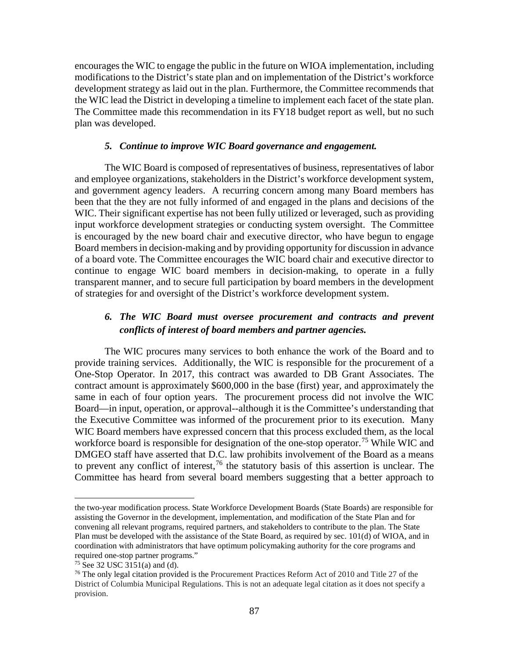encourages the WIC to engage the public in the future on WIOA implementation, including modifications to the District's state plan and on implementation of the District's workforce development strategy as laid out in the plan. Furthermore, the Committee recommends that the WIC lead the District in developing a timeline to implement each facet of the state plan. The Committee made this recommendation in its FY18 budget report as well, but no such plan was developed.

# *5. Continue to improve WIC Board governance and engagement.*

The WIC Board is composed of representatives of business, representatives of labor and employee organizations, stakeholders in the District's workforce development system, and government agency leaders. A recurring concern among many Board members has been that the they are not fully informed of and engaged in the plans and decisions of the WIC. Their significant expertise has not been fully utilized or leveraged, such as providing input workforce development strategies or conducting system oversight. The Committee is encouraged by the new board chair and executive director, who have begun to engage Board members in decision-making and by providing opportunity for discussion in advance of a board vote. The Committee encourages the WIC board chair and executive director to continue to engage WIC board members in decision-making, to operate in a fully transparent manner, and to secure full participation by board members in the development of strategies for and oversight of the District's workforce development system.

# *6. The WIC Board must oversee procurement and contracts and prevent conflicts of interest of board members and partner agencies.*

The WIC procures many services to both enhance the work of the Board and to provide training services. Additionally, the WIC is responsible for the procurement of a One-Stop Operator. In 2017, this contract was awarded to DB Grant Associates. The contract amount is approximately \$600,000 in the base (first) year, and approximately the same in each of four option years. The procurement process did not involve the WIC Board—in input, operation, or approval--although it is the Committee's understanding that the Executive Committee was informed of the procurement prior to its execution. Many WIC Board members have expressed concern that this process excluded them, as the local workforce board is responsible for designation of the one-stop operator.<sup>[75](#page-86-0)</sup> While WIC and DMGEO staff have asserted that D.C. law prohibits involvement of the Board as a means to prevent any conflict of interest,  $76$  the statutory basis of this assertion is unclear. The Committee has heard from several board members suggesting that a better approach to

 $\overline{a}$ 

the two-year modification process. State Workforce Development Boards (State Boards) are responsible for assisting the Governor in the development, implementation, and modification of the State Plan and for convening all relevant programs, required partners, and stakeholders to contribute to the plan. The State Plan must be developed with the assistance of the State Board, as required by sec. 101(d) of WIOA, and in coordination with administrators that have optimum policymaking authority for the core programs and required one-stop partner programs."

<span id="page-86-0"></span> $75$  See 32 USC 3151(a) and (d).

<span id="page-86-1"></span><sup>&</sup>lt;sup>76</sup> The only legal citation provided is the Procurement Practices Reform Act of 2010 and Title 27 of the District of Columbia Municipal Regulations. This is not an adequate legal citation as it does not specify a provision.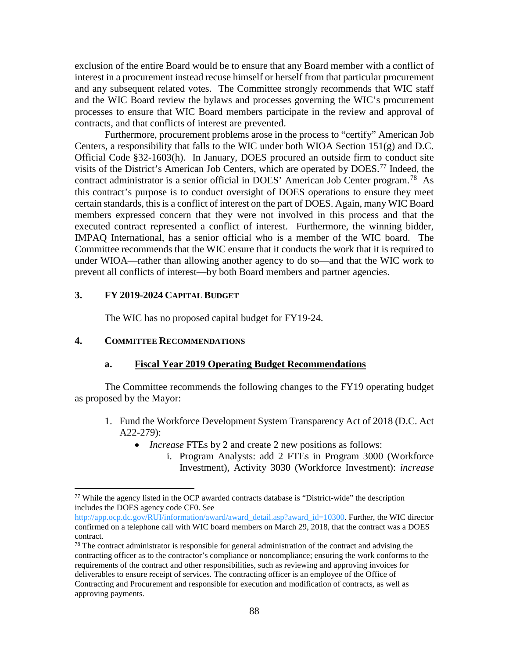exclusion of the entire Board would be to ensure that any Board member with a conflict of interest in a procurement instead recuse himself or herself from that particular procurement and any subsequent related votes. The Committee strongly recommends that WIC staff and the WIC Board review the bylaws and processes governing the WIC's procurement processes to ensure that WIC Board members participate in the review and approval of contracts, and that conflicts of interest are prevented.

Furthermore, procurement problems arose in the process to "certify" American Job Centers, a responsibility that falls to the WIC under both WIOA Section 151(g) and D.C. Official Code §32-1603(h). In January, DOES procured an outside firm to conduct site visits of the District's American Job Centers, which are operated by DOES.[77](#page-87-0) Indeed, the contract administrator is a senior official in DOES' American Job Center program.<sup>[78](#page-87-1)</sup> As this contract's purpose is to conduct oversight of DOES operations to ensure they meet certain standards, this is a conflict of interest on the part of DOES. Again, many WIC Board members expressed concern that they were not involved in this process and that the executed contract represented a conflict of interest. Furthermore, the winning bidder, IMPAQ International, has a senior official who is a member of the WIC board. The Committee recommends that the WIC ensure that it conducts the work that it is required to under WIOA—rather than allowing another agency to do so—and that the WIC work to prevent all conflicts of interest—by both Board members and partner agencies.

### **3. FY 2019-2024 CAPITAL BUDGET**

The WIC has no proposed capital budget for FY19-24.

# **4. COMMITTEE RECOMMENDATIONS**

# **a. Fiscal Year 2019 Operating Budget Recommendations**

The Committee recommends the following changes to the FY19 operating budget as proposed by the Mayor:

- 1. Fund the Workforce Development System Transparency Act of 2018 (D.C. Act A22-279):
	- *Increase* FTEs by 2 and create 2 new positions as follows:
		- i. Program Analysts: add 2 FTEs in Program 3000 (Workforce Investment), Activity 3030 (Workforce Investment): *increase*

<span id="page-87-0"></span> $77$  While the agency listed in the OCP awarded contracts database is "District-wide" the description includes the DOES agency code CF0. See

[http://app.ocp.dc.gov/RUI/information/award/award\\_detail.asp?award\\_id=10300.](http://app.ocp.dc.gov/RUI/information/award/award_detail.asp?award_id=10300) Further, the WIC director confirmed on a telephone call with WIC board members on March 29, 2018, that the contract was a DOES contract.

<span id="page-87-1"></span> $78$  The contract administrator is responsible for general administration of the contract and advising the contracting officer as to the contractor's compliance or noncompliance; ensuring the work conforms to the requirements of the contract and other responsibilities, such as reviewing and approving invoices for deliverables to ensure receipt of services. The contracting officer is an employee of the Office of Contracting and Procurement and responsible for execution and modification of contracts, as well as approving payments.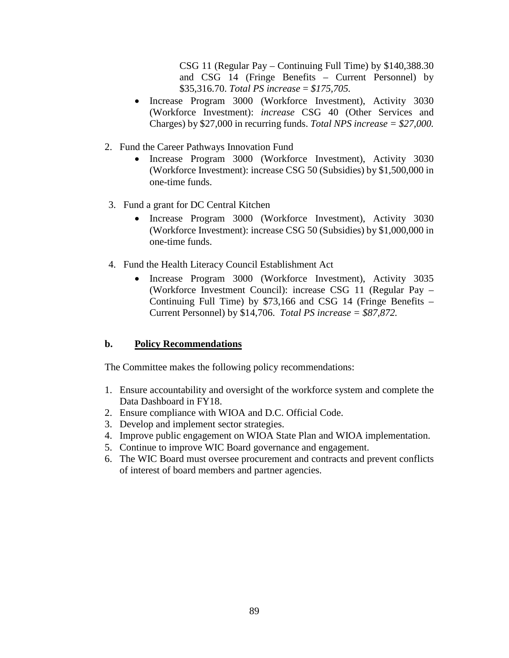CSG 11 (Regular Pay – Continuing Full Time) by \$140,388.30 and CSG 14 (Fringe Benefits – Current Personnel) by \$35,316.70. *Total PS increase* = *\$175,705.* 

- Increase Program 3000 (Workforce Investment), Activity 3030 (Workforce Investment): *increase* CSG 40 (Other Services and Charges) by \$27,000 in recurring funds. *Total NPS increase = \$27,000.*
- 2. Fund the Career Pathways Innovation Fund
	- Increase Program 3000 (Workforce Investment), Activity 3030 (Workforce Investment): increase CSG 50 (Subsidies) by \$1,500,000 in one-time funds.
- 3. Fund a grant for DC Central Kitchen
	- Increase Program 3000 (Workforce Investment), Activity 3030 (Workforce Investment): increase CSG 50 (Subsidies) by \$1,000,000 in one-time funds.
- 4. Fund the Health Literacy Council Establishment Act
	- Increase Program 3000 (Workforce Investment), Activity 3035 (Workforce Investment Council): increase CSG 11 (Regular Pay – Continuing Full Time) by \$73,166 and CSG 14 (Fringe Benefits – Current Personnel) by \$14,706. *Total PS increase = \$87,872.*

# **b. Policy Recommendations**

The Committee makes the following policy recommendations:

- 1. Ensure accountability and oversight of the workforce system and complete the Data Dashboard in FY18.
- 2. Ensure compliance with WIOA and D.C. Official Code.
- 3. Develop and implement sector strategies.
- 4. Improve public engagement on WIOA State Plan and WIOA implementation.
- 5. Continue to improve WIC Board governance and engagement.
- 6. The WIC Board must oversee procurement and contracts and prevent conflicts of interest of board members and partner agencies.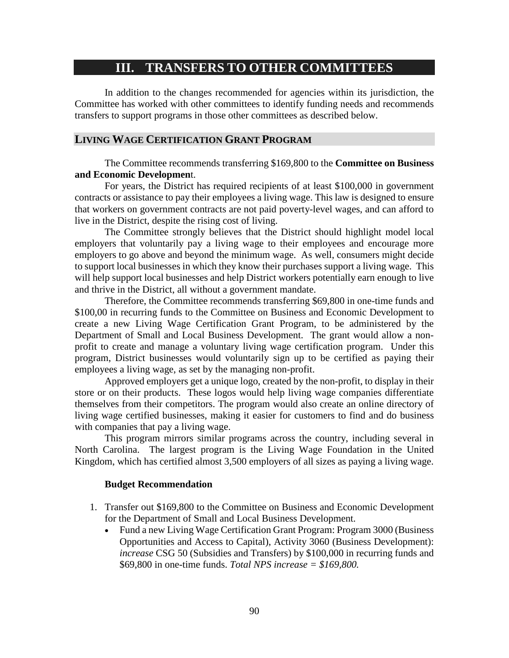# **III. TRANSFERS TO OTHER COMMITTEES**

In addition to the changes recommended for agencies within its jurisdiction, the Committee has worked with other committees to identify funding needs and recommends transfers to support programs in those other committees as described below.

# **LIVING WAGE CERTIFICATION GRANT PROGRAM**

The Committee recommends transferring \$169,800 to the **Committee on Business and Economic Developmen**t.

For years, the District has required recipients of at least \$100,000 in government contracts or assistance to pay their employees a living wage. This law is designed to ensure that workers on government contracts are not paid poverty-level wages, and can afford to live in the District, despite the rising cost of living.

The Committee strongly believes that the District should highlight model local employers that voluntarily pay a living wage to their employees and encourage more employers to go above and beyond the minimum wage. As well, consumers might decide to support local businesses in which they know their purchases support a living wage. This will help support local businesses and help District workers potentially earn enough to live and thrive in the District, all without a government mandate.

Therefore, the Committee recommends transferring \$69,800 in one-time funds and \$100,00 in recurring funds to the Committee on Business and Economic Development to create a new Living Wage Certification Grant Program, to be administered by the Department of Small and Local Business Development. The grant would allow a nonprofit to create and manage a voluntary living wage certification program. Under this program, District businesses would voluntarily sign up to be certified as paying their employees a living wage, as set by the managing non-profit.

Approved employers get a unique logo, created by the non-profit, to display in their store or on their products. These logos would help living wage companies differentiate themselves from their competitors. The program would also create an online directory of living wage certified businesses, making it easier for customers to find and do business with companies that pay a living wage.

This program mirrors similar programs across the country, including several in North Carolina. The largest program is the Living Wage Foundation in the United Kingdom, which has certified almost 3,500 employers of all sizes as paying a living wage.

#### **Budget Recommendation**

- 1. Transfer out \$169,800 to the Committee on Business and Economic Development for the Department of Small and Local Business Development.
	- Fund a new Living Wage Certification Grant Program: Program 3000 (Business) Opportunities and Access to Capital), Activity 3060 (Business Development): *increase* CSG 50 (Subsidies and Transfers) by \$100,000 in recurring funds and \$69,800 in one-time funds. *Total NPS increase = \$169,800.*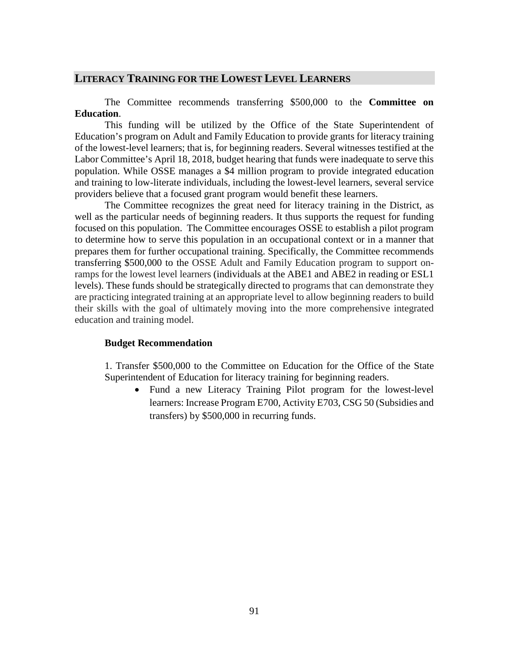# **LITERACY TRAINING FOR THE LOWEST LEVEL LEARNERS**

The Committee recommends transferring \$500,000 to the **Committee on Education**.

This funding will be utilized by the Office of the State Superintendent of Education's program on Adult and Family Education to provide grants for literacy training of the lowest-level learners; that is, for beginning readers. Several witnesses testified at the Labor Committee's April 18, 2018, budget hearing that funds were inadequate to serve this population. While OSSE manages a \$4 million program to provide integrated education and training to low-literate individuals, including the lowest-level learners, several service providers believe that a focused grant program would benefit these learners.

The Committee recognizes the great need for literacy training in the District, as well as the particular needs of beginning readers. It thus supports the request for funding focused on this population. The Committee encourages OSSE to establish a pilot program to determine how to serve this population in an occupational context or in a manner that prepares them for further occupational training. Specifically, the Committee recommends transferring \$500,000 to the OSSE Adult and Family Education program to support onramps for the lowest level learners (individuals at the ABE1 and ABE2 in reading or ESL1 levels). These funds should be strategically directed to programs that can demonstrate they are practicing integrated training at an appropriate level to allow beginning readers to build their skills with the goal of ultimately moving into the more comprehensive integrated education and training model.

#### **Budget Recommendation**

1. Transfer \$500,000 to the Committee on Education for the Office of the State Superintendent of Education for literacy training for beginning readers.

• Fund a new Literacy Training Pilot program for the lowest-level learners: Increase Program E700, Activity E703, CSG 50 (Subsidies and transfers) by \$500,000 in recurring funds.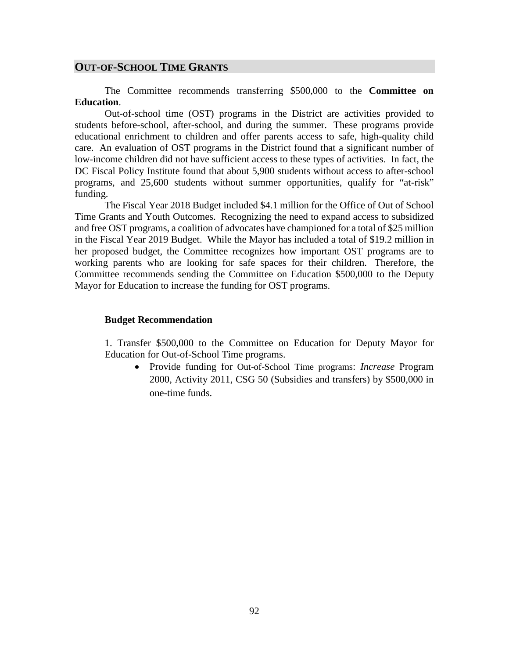### **OUT-OF-SCHOOL TIME GRANTS**

The Committee recommends transferring \$500,000 to the **Committee on Education**.

Out-of-school time (OST) programs in the District are activities provided to students before-school, after-school, and during the summer. These programs provide educational enrichment to children and offer parents access to safe, high-quality child care. An evaluation of OST programs in the District found that a significant number of low-income children did not have sufficient access to these types of activities. In fact, the DC Fiscal Policy Institute found that about 5,900 students without access to after-school programs, and 25,600 students without summer opportunities, qualify for "at-risk" funding.

The Fiscal Year 2018 Budget included \$4.1 million for the Office of Out of School Time Grants and Youth Outcomes. Recognizing the need to expand access to subsidized and free OST programs, a coalition of advocates have championed for a total of \$25 million in the Fiscal Year 2019 Budget. While the Mayor has included a total of \$19.2 million in her proposed budget, the Committee recognizes how important OST programs are to working parents who are looking for safe spaces for their children. Therefore, the Committee recommends sending the Committee on Education \$500,000 to the Deputy Mayor for Education to increase the funding for OST programs.

#### **Budget Recommendation**

1. Transfer \$500,000 to the Committee on Education for Deputy Mayor for Education for Out-of-School Time programs.

• Provide funding for Out-of-School Time programs: *Increase* Program 2000, Activity 2011, CSG 50 (Subsidies and transfers) by \$500,000 in one-time funds.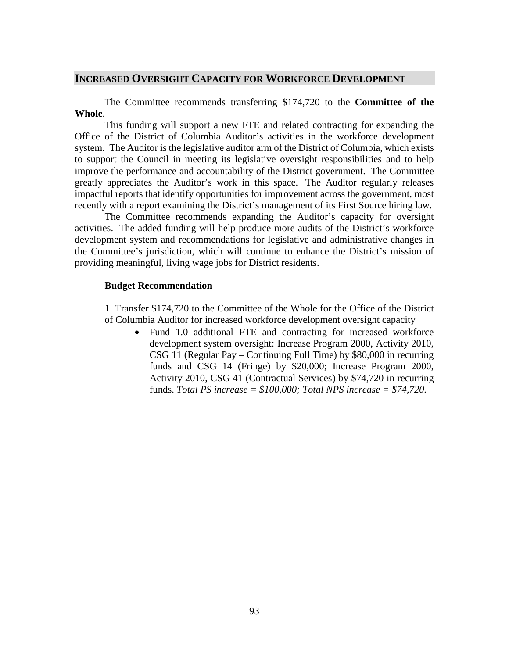# **INCREASED OVERSIGHT CAPACITY FOR WORKFORCE DEVELOPMENT**

The Committee recommends transferring \$174,720 to the **Committee of the Whole**.

This funding will support a new FTE and related contracting for expanding the Office of the District of Columbia Auditor's activities in the workforce development system. The Auditor is the legislative auditor arm of the District of Columbia, which exists to support the Council in meeting its legislative oversight responsibilities and to help improve the performance and accountability of the District government. The Committee greatly appreciates the Auditor's work in this space. The Auditor regularly releases impactful reports that identify opportunities for improvement across the government, most recently with a report examining the District's management of its First Source hiring law.

The Committee recommends expanding the Auditor's capacity for oversight activities. The added funding will help produce more audits of the District's workforce development system and recommendations for legislative and administrative changes in the Committee's jurisdiction, which will continue to enhance the District's mission of providing meaningful, living wage jobs for District residents.

### **Budget Recommendation**

1. Transfer \$174,720 to the Committee of the Whole for the Office of the District of Columbia Auditor for increased workforce development oversight capacity

• Fund 1.0 additional FTE and contracting for increased workforce development system oversight: Increase Program 2000, Activity 2010, CSG 11 (Regular Pay – Continuing Full Time) by \$80,000 in recurring funds and CSG 14 (Fringe) by \$20,000; Increase Program 2000, Activity 2010, CSG 41 (Contractual Services) by \$74,720 in recurring funds. *Total PS increase = \$100,000; Total NPS increase = \$74,720.*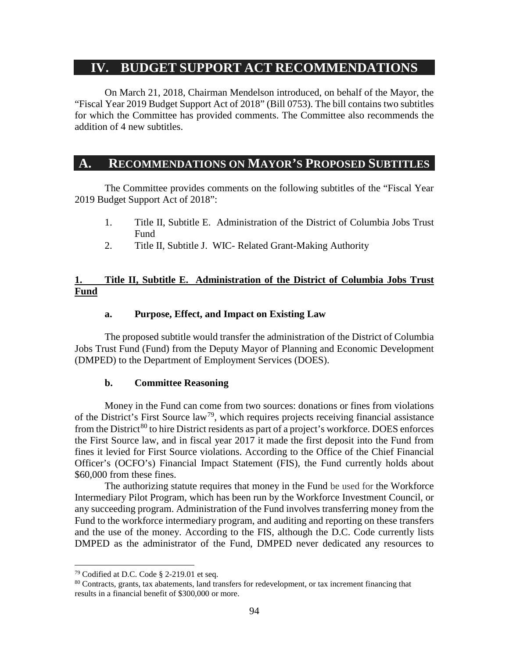# **IV. BUDGET SUPPORT ACT RECOMMENDATIONS**

On March 21, 2018, Chairman Mendelson introduced, on behalf of the Mayor, the "Fiscal Year 2019 Budget Support Act of 2018" (Bill 0753). The bill contains two subtitles for which the Committee has provided comments. The Committee also recommends the addition of 4 new subtitles.

# **A. RECOMMENDATIONS ON MAYOR'S PROPOSED SUBTITLES**

The Committee provides comments on the following subtitles of the "Fiscal Year 2019 Budget Support Act of 2018":

- 1. Title II, Subtitle E. Administration of the District of Columbia Jobs Trust Fund
- 2. Title II, Subtitle J. WIC- Related Grant-Making Authority

# **1. Title II, Subtitle E. Administration of the District of Columbia Jobs Trust Fund**

#### **a. Purpose, Effect, and Impact on Existing Law**

The proposed subtitle would transfer the administration of the District of Columbia Jobs Trust Fund (Fund) from the Deputy Mayor of Planning and Economic Development (DMPED) to the Department of Employment Services (DOES).

#### **b. Committee Reasoning**

Money in the Fund can come from two sources: donations or fines from violations of the District's First Source law<sup>79</sup>, which requires projects receiving financial assistance from the District<sup>[80](#page-93-1)</sup> to hire District residents as part of a project's workforce. DOES enforces the First Source law, and in fiscal year 2017 it made the first deposit into the Fund from fines it levied for First Source violations. According to the Office of the Chief Financial Officer's (OCFO's) Financial Impact Statement (FIS), the Fund currently holds about \$60,000 from these fines.

The authorizing statute requires that money in the Fund be used for the Workforce Intermediary Pilot Program, which has been run by the Workforce Investment Council, or any succeeding program. Administration of the Fund involves transferring money from the Fund to the workforce intermediary program, and auditing and reporting on these transfers and the use of the money. According to the FIS, although the D.C. Code currently lists DMPED as the administrator of the Fund, DMPED never dedicated any resources to

<span id="page-93-0"></span> <sup>79</sup> Codified at D.C. Code § 2-219.01 et seq.

<span id="page-93-1"></span><sup>&</sup>lt;sup>80</sup> Contracts, grants, tax abatements, land transfers for redevelopment, or tax increment financing that results in a financial benefit of \$300,000 or more.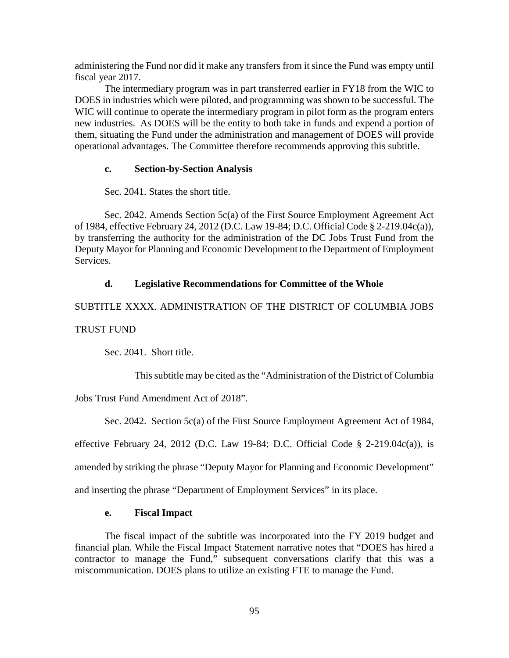administering the Fund nor did it make any transfers from it since the Fund was empty until fiscal year 2017.

The intermediary program was in part transferred earlier in FY18 from the WIC to DOES in industries which were piloted, and programming was shown to be successful. The WIC will continue to operate the intermediary program in pilot form as the program enters new industries. As DOES will be the entity to both take in funds and expend a portion of them, situating the Fund under the administration and management of DOES will provide operational advantages. The Committee therefore recommends approving this subtitle.

# **c. Section-by-Section Analysis**

Sec. 2041. States the short title.

Sec. 2042. Amends Section 5c(a) of the First Source Employment Agreement Act of 1984, effective February 24, 2012 (D.C. Law 19-84; D.C. Official Code § 2-219.04c(a)), by transferring the authority for the administration of the DC Jobs Trust Fund from the Deputy Mayor for Planning and Economic Development to the Department of Employment Services.

# **d. Legislative Recommendations for Committee of the Whole**

SUBTITLE XXXX. ADMINISTRATION OF THE DISTRICT OF COLUMBIA JOBS TRUST FUND

Sec. 2041. Short title.

This subtitle may be cited as the "Administration of the District of Columbia

Jobs Trust Fund Amendment Act of 2018".

Sec. 2042. Section 5c(a) of the First Source Employment Agreement Act of 1984,

effective February 24, 2012 (D.C. Law 19-84; D.C. Official Code  $\S$  2-219.04 $c(a)$ ), is

amended by striking the phrase "Deputy Mayor for Planning and Economic Development"

and inserting the phrase "Department of Employment Services" in its place.

# **e. Fiscal Impact**

The fiscal impact of the subtitle was incorporated into the FY 2019 budget and financial plan. While the Fiscal Impact Statement narrative notes that "DOES has hired a contractor to manage the Fund," subsequent conversations clarify that this was a miscommunication. DOES plans to utilize an existing FTE to manage the Fund.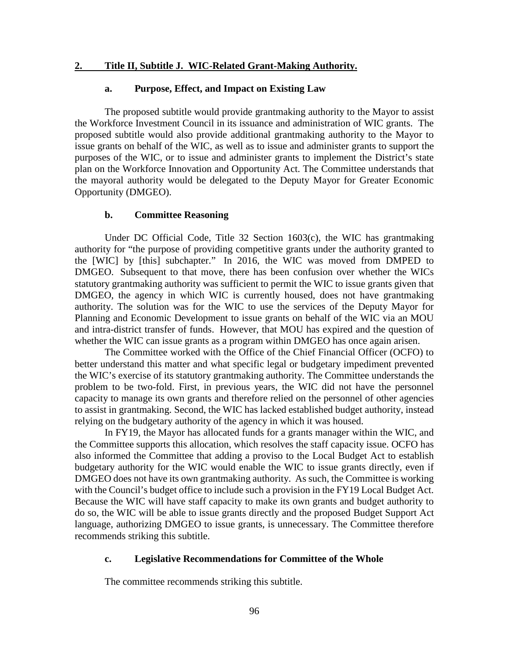#### **2. Title II, Subtitle J. WIC-Related Grant-Making Authority.**

#### **a. Purpose, Effect, and Impact on Existing Law**

The proposed subtitle would provide grantmaking authority to the Mayor to assist the Workforce Investment Council in its issuance and administration of WIC grants. The proposed subtitle would also provide additional grantmaking authority to the Mayor to issue grants on behalf of the WIC, as well as to issue and administer grants to support the purposes of the WIC, or to issue and administer grants to implement the District's state plan on the Workforce Innovation and Opportunity Act. The Committee understands that the mayoral authority would be delegated to the Deputy Mayor for Greater Economic Opportunity (DMGEO).

#### **b. Committee Reasoning**

Under DC Official Code, Title 32 Section 1603(c), the WIC has grantmaking authority for "the purpose of providing competitive grants under the authority granted to the [WIC] by [this] subchapter." In 2016, the WIC was moved from DMPED to DMGEO. Subsequent to that move, there has been confusion over whether the WICs statutory grantmaking authority was sufficient to permit the WIC to issue grants given that DMGEO, the agency in which WIC is currently housed, does not have grantmaking authority. The solution was for the WIC to use the services of the Deputy Mayor for Planning and Economic Development to issue grants on behalf of the WIC via an MOU and intra-district transfer of funds. However, that MOU has expired and the question of whether the WIC can issue grants as a program within DMGEO has once again arisen.

The Committee worked with the Office of the Chief Financial Officer (OCFO) to better understand this matter and what specific legal or budgetary impediment prevented the WIC's exercise of its statutory grantmaking authority. The Committee understands the problem to be two-fold. First, in previous years, the WIC did not have the personnel capacity to manage its own grants and therefore relied on the personnel of other agencies to assist in grantmaking. Second, the WIC has lacked established budget authority, instead relying on the budgetary authority of the agency in which it was housed.

In FY19, the Mayor has allocated funds for a grants manager within the WIC, and the Committee supports this allocation, which resolves the staff capacity issue. OCFO has also informed the Committee that adding a proviso to the Local Budget Act to establish budgetary authority for the WIC would enable the WIC to issue grants directly, even if DMGEO does not have its own grantmaking authority. As such, the Committee is working with the Council's budget office to include such a provision in the FY19 Local Budget Act. Because the WIC will have staff capacity to make its own grants and budget authority to do so, the WIC will be able to issue grants directly and the proposed Budget Support Act language, authorizing DMGEO to issue grants, is unnecessary. The Committee therefore recommends striking this subtitle.

#### **c. Legislative Recommendations for Committee of the Whole**

The committee recommends striking this subtitle.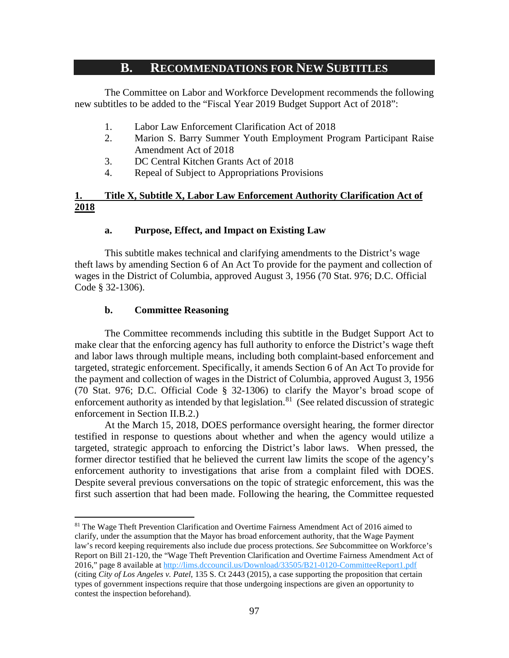# **B. RECOMMENDATIONS FOR NEW SUBTITLES**

The Committee on Labor and Workforce Development recommends the following new subtitles to be added to the "Fiscal Year 2019 Budget Support Act of 2018":

- 1. Labor Law Enforcement Clarification Act of 2018
- 2. Marion S. Barry Summer Youth Employment Program Participant Raise Amendment Act of 2018
- 3. DC Central Kitchen Grants Act of 2018
- 4. Repeal of Subject to Appropriations Provisions

# **1. Title X, Subtitle X, Labor Law Enforcement Authority Clarification Act of 2018**

### **a. Purpose, Effect, and Impact on Existing Law**

This subtitle makes technical and clarifying amendments to the District's wage theft laws by amending Section 6 of An Act To provide for the payment and collection of wages in the District of Columbia, approved August 3, 1956 (70 Stat. 976; D.C. Official Code § 32-1306).

### **b. Committee Reasoning**

The Committee recommends including this subtitle in the Budget Support Act to make clear that the enforcing agency has full authority to enforce the District's wage theft and labor laws through multiple means, including both complaint-based enforcement and targeted, strategic enforcement. Specifically, it amends Section 6 of An Act To provide for the payment and collection of wages in the District of Columbia, approved August 3, 1956 (70 Stat. 976; D.C. Official Code § 32-1306) to clarify the Mayor's broad scope of enforcement authority as intended by that legislation.<sup>[81](#page-96-0)</sup> (See related discussion of strategic enforcement in Section II.B.2.)

At the March 15, 2018, DOES performance oversight hearing, the former director testified in response to questions about whether and when the agency would utilize a targeted, strategic approach to enforcing the District's labor laws. When pressed, the former director testified that he believed the current law limits the scope of the agency's enforcement authority to investigations that arise from a complaint filed with DOES. Despite several previous conversations on the topic of strategic enforcement, this was the first such assertion that had been made. Following the hearing, the Committee requested

<span id="page-96-0"></span><sup>81</sup> The Wage Theft Prevention Clarification and Overtime Fairness Amendment Act of 2016 aimed to clarify, under the assumption that the Mayor has broad enforcement authority, that the Wage Payment law's record keeping requirements also include due process protections. *See* Subcommittee on Workforce's Report on Bill 21-120, the "Wage Theft Prevention Clarification and Overtime Fairness Amendment Act of 2016," page 8 available a[t http://lims.dccouncil.us/Download/33505/B21-0120-CommitteeReport1.pdf](http://lims.dccouncil.us/Download/33505/B21-0120-CommitteeReport1.pdf) (citing *City of Los Angeles v. Patel*, 135 S. Ct 2443 (2015), a case supporting the proposition that certain types of government inspections require that those undergoing inspections are given an opportunity to contest the inspection beforehand).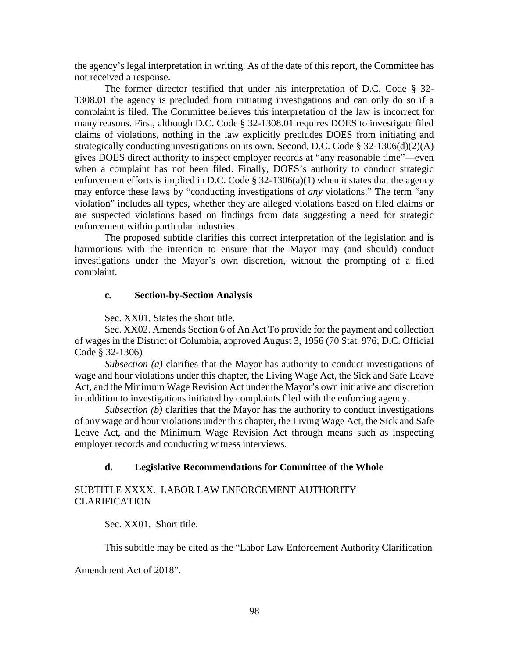the agency's legal interpretation in writing. As of the date of this report, the Committee has not received a response.

The former director testified that under his interpretation of D.C. Code § 32- 1308.01 the agency is precluded from initiating investigations and can only do so if a complaint is filed. The Committee believes this interpretation of the law is incorrect for many reasons. First, although D.C. Code § 32-1308.01 requires DOES to investigate filed claims of violations, nothing in the law explicitly precludes DOES from initiating and strategically conducting investigations on its own. Second, D.C. Code § 32-1306(d)(2)(A) gives DOES direct authority to inspect employer records at "any reasonable time"—even when a complaint has not been filed. Finally, DOES's authority to conduct strategic enforcement efforts is implied in D.C. Code  $\S$  32-1306(a)(1) when it states that the agency may enforce these laws by "conducting investigations of *any* violations." The term "any violation" includes all types, whether they are alleged violations based on filed claims or are suspected violations based on findings from data suggesting a need for strategic enforcement within particular industries.

The proposed subtitle clarifies this correct interpretation of the legislation and is harmonious with the intention to ensure that the Mayor may (and should) conduct investigations under the Mayor's own discretion, without the prompting of a filed complaint.

#### **c. Section-by-Section Analysis**

Sec. XX01. States the short title.

Sec. XX02. Amends Section 6 of An Act To provide for the payment and collection of wages in the District of Columbia, approved August 3, 1956 (70 Stat. 976; D.C. Official Code § 32-1306)

*Subsection (a)* clarifies that the Mayor has authority to conduct investigations of wage and hour violations under this chapter, the Living Wage Act, the Sick and Safe Leave Act, and the Minimum Wage Revision Act under the Mayor's own initiative and discretion in addition to investigations initiated by complaints filed with the enforcing agency.

*Subsection (b)* clarifies that the Mayor has the authority to conduct investigations of any wage and hour violations under this chapter, the Living Wage Act, the Sick and Safe Leave Act, and the Minimum Wage Revision Act through means such as inspecting employer records and conducting witness interviews.

#### **d. Legislative Recommendations for Committee of the Whole**

### SUBTITLE XXXX. LABOR LAW ENFORCEMENT AUTHORITY CLARIFICATION

Sec. XX01. Short title.

This subtitle may be cited as the "Labor Law Enforcement Authority Clarification

Amendment Act of 2018".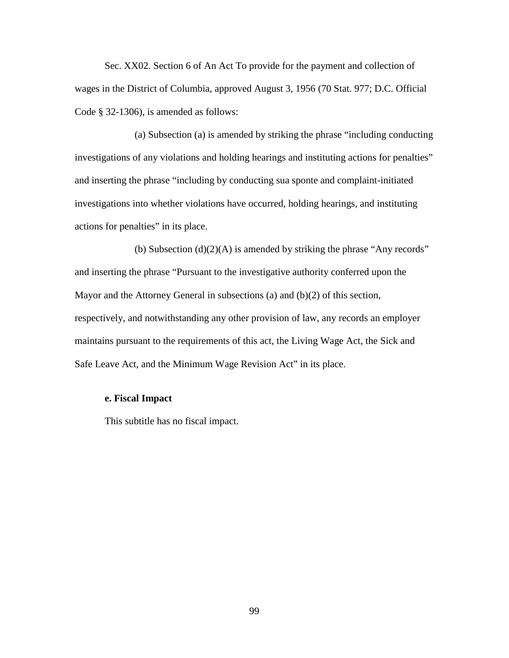Sec. XX02. Section 6 of An Act To provide for the payment and collection of wages in the District of Columbia, approved August 3, 1956 (70 Stat. 977; D.C. Official Code § 32-1306), is amended as follows:

(a) Subsection (a) is amended by striking the phrase "including conducting investigations of any violations and holding hearings and instituting actions for penalties" and inserting the phrase "including by conducting sua sponte and complaint-initiated investigations into whether violations have occurred, holding hearings, and instituting actions for penalties" in its place.

(b) Subsection  $(d)(2)(A)$  is amended by striking the phrase "Any records" and inserting the phrase "Pursuant to the investigative authority conferred upon the Mayor and the Attorney General in subsections (a) and (b)(2) of this section, respectively, and notwithstanding any other provision of law, any records an employer maintains pursuant to the requirements of this act, the Living Wage Act, the Sick and Safe Leave Act, and the Minimum Wage Revision Act" in its place.

# **e. Fiscal Impact**

This subtitle has no fiscal impact.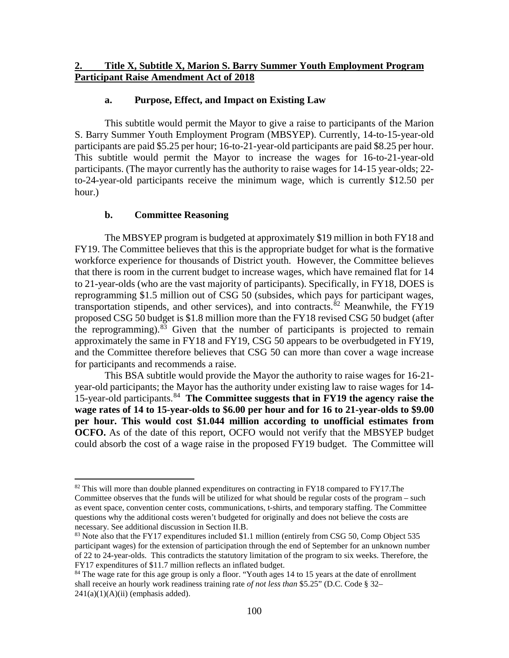# **a. Purpose, Effect, and Impact on Existing Law**

This subtitle would permit the Mayor to give a raise to participants of the Marion S. Barry Summer Youth Employment Program (MBSYEP). Currently, 14-to-15-year-old participants are paid \$5.25 per hour; 16-to-21-year-old participants are paid \$8.25 per hour. This subtitle would permit the Mayor to increase the wages for 16-to-21-year-old participants. (The mayor currently has the authority to raise wages for 14-15 year-olds; 22 to-24-year-old participants receive the minimum wage, which is currently \$12.50 per hour.)

# **b. Committee Reasoning**

The MBSYEP program is budgeted at approximately \$19 million in both FY18 and FY19. The Committee believes that this is the appropriate budget for what is the formative workforce experience for thousands of District youth. However, the Committee believes that there is room in the current budget to increase wages, which have remained flat for 14 to 21-year-olds (who are the vast majority of participants). Specifically, in FY18, DOES is reprogramming \$1.5 million out of CSG 50 (subsides, which pays for participant wages, transportation stipends, and other services), and into contracts.<sup>[82](#page-99-0)</sup> Meanwhile, the FY19 proposed CSG 50 budget is \$1.8 million more than the FY18 revised CSG 50 budget (after the reprogramming). $83$  Given that the number of participants is projected to remain approximately the same in FY18 and FY19, CSG 50 appears to be overbudgeted in FY19, and the Committee therefore believes that CSG 50 can more than cover a wage increase for participants and recommends a raise.

This BSA subtitle would provide the Mayor the authority to raise wages for 16-21 year-old participants; the Mayor has the authority under existing law to raise wages for 14- 15-year-old participants.[84](#page-99-2) **The Committee suggests that in FY19 the agency raise the wage rates of 14 to 15-year-olds to \$6.00 per hour and for 16 to 21-year-olds to \$9.00 per hour. This would cost \$1.044 million according to unofficial estimates from OCFO.** As of the date of this report, OCFO would not verify that the MBSYEP budget could absorb the cost of a wage raise in the proposed FY19 budget. The Committee will

<span id="page-99-0"></span> $82$  This will more than double planned expenditures on contracting in FY18 compared to FY17. The Committee observes that the funds will be utilized for what should be regular costs of the program – such as event space, convention center costs, communications, t-shirts, and temporary staffing. The Committee questions why the additional costs weren't budgeted for originally and does not believe the costs are necessary. See additional discussion in Section II.B.

<span id="page-99-1"></span><sup>&</sup>lt;sup>83</sup> Note also that the FY17 expenditures included \$1.1 million (entirely from CSG 50, Comp Object 535 participant wages) for the extension of participation through the end of September for an unknown number of 22 to 24-year-olds. This contradicts the statutory limitation of the program to six weeks. Therefore, the FY17 expenditures of \$11.7 million reflects an inflated budget.

<span id="page-99-2"></span><sup>&</sup>lt;sup>84</sup> The wage rate for this age group is only a floor. "Youth ages 14 to 15 years at the date of enrollment shall receive an hourly work readiness training rate *of not less than* \$5.25" (D.C. Code § 32–  $241(a)(1)(A)(ii)$  (emphasis added).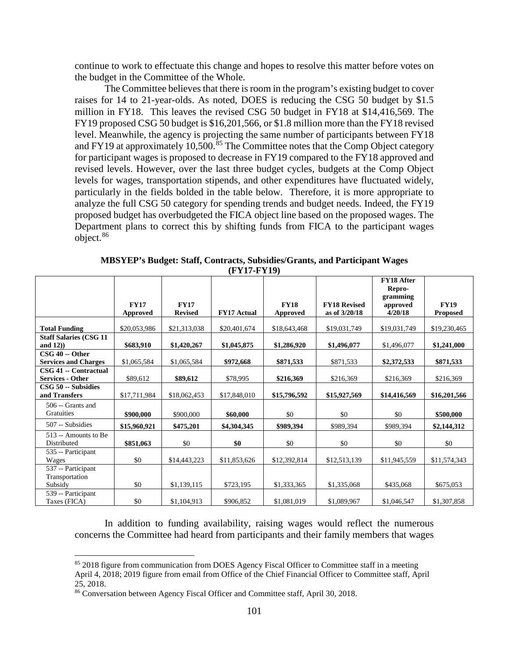continue to work to effectuate this change and hopes to resolve this matter before votes on the budget in the Committee of the Whole.

The Committee believes that there is room in the program's existing budget to cover raises for 14 to 21-year-olds. As noted, DOES is reducing the CSG 50 budget by \$1.5 million in FY18. This leaves the revised CSG 50 budget in FY18 at \$14,416,569. The FY19 proposed CSG 50 budget is \$16,201,566, or \$1.8 million more than the FY18 revised level. Meanwhile, the agency is projecting the same number of participants between FY18 and FY19 at approximately 10,500.<sup>[85](#page-100-0)</sup> The Committee notes that the Comp Object category for participant wages is proposed to decrease in FY19 compared to the FY18 approved and revised levels. However, over the last three budget cycles, budgets at the Comp Object levels for wages, transportation stipends, and other expenditures have fluctuated widely, particularly in the fields bolded in the table below. Therefore, it is more appropriate to analyze the full CSG 50 category for spending trends and budget needs. Indeed, the FY19 proposed budget has overbudgeted the FICA object line based on the proposed wages. The Department plans to correct this by shifting funds from FICA to the participant wages object.[86](#page-100-1)

|                                                  | <b>FY17</b><br>Approved | <b>FY17</b><br><b>Revised</b> | <b>FY17 Actual</b> | <b>FY18</b><br>Approved | <b>FY18 Revised</b><br>as of 3/20/18 | <b>FY18 After</b><br>Repro-<br>gramming<br>approved<br>4/20/18 | <b>FY19</b><br><b>Proposed</b> |
|--------------------------------------------------|-------------------------|-------------------------------|--------------------|-------------------------|--------------------------------------|----------------------------------------------------------------|--------------------------------|
| <b>Total Funding</b>                             | \$20,053,986            | \$21,313,038                  | \$20,401,674       | \$18,643,468            | \$19,031,749                         | \$19,031,749                                                   | \$19,230,465                   |
| <b>Staff Salaries (CSG 11)</b><br>and $12)$ )    | \$683,910               | \$1,420,267                   | \$1,045,875        | \$1,286,920             | \$1,496,077                          | \$1,496,077                                                    | \$1,241,000                    |
| $CSG$ 40 -- Other<br><b>Services and Charges</b> | \$1,065,584             | \$1,065,584                   | \$972,668          | \$871,533               | \$871,533                            | \$2,372,533                                                    | \$871,533                      |
| CSG 41 -- Contractual<br><b>Services - Other</b> | \$89,612                | \$89,612                      | \$78,995           | \$216,369               | \$216,369                            | \$216,369                                                      | \$216,369                      |
| CSG 50 -- Subsidies<br>and Transfers             | \$17,711,984            | \$18,062,453                  | \$17,848,010       | \$15,796,592            | \$15,927,569                         | \$14,416,569                                                   | \$16,201,566                   |
| 506 -- Grants and<br>Gratuities                  | \$900,000               | \$900,000                     | \$60,000           | \$0                     | \$0                                  | \$0                                                            | \$500,000                      |
| 507 -- Subsidies                                 | \$15,960,921            | \$475,201                     | \$4,304,345        | \$989,394               | \$989,394                            | \$989,394                                                      | \$2,144,312                    |
| 513 -- Amounts to Be<br>Distributed              | \$851,063               | \$0                           | \$0                | \$0                     | \$0                                  | \$0                                                            | \$0                            |
| 535 -- Participant<br>Wages                      | \$0                     | \$14,443,223                  | \$11,853,626       | \$12,392,814            | \$12,513,139                         | \$11,945,559                                                   | \$11,574,343                   |
| 537 -- Participant<br>Transportation<br>Subsidy  | \$0                     | \$1,139,115                   | \$723,195          | \$1,333,365             | \$1,335,068                          | \$435,068                                                      | \$675,053                      |
| 539 -- Participant<br>Taxes (FICA)               | \$0                     | \$1,104,913                   | \$906,852          | \$1,081,019             | \$1,089,967                          | \$1,046,547                                                    | \$1,307,858                    |

**MBSYEP's Budget: Staff, Contracts, Subsidies/Grants, and Participant Wages (FY17-FY19)**

In addition to funding availability, raising wages would reflect the numerous concerns the Committee had heard from participants and their family members that wages

<span id="page-100-0"></span><sup>&</sup>lt;sup>85</sup> 2018 figure from communication from DOES Agency Fiscal Officer to Committee staff in a meeting April 4, 2018; 2019 figure from email from Office of the Chief Financial Officer to Committee staff, April 25, 2018.

<span id="page-100-1"></span><sup>86</sup> Conversation between Agency Fiscal Officer and Committee staff, April 30, 2018.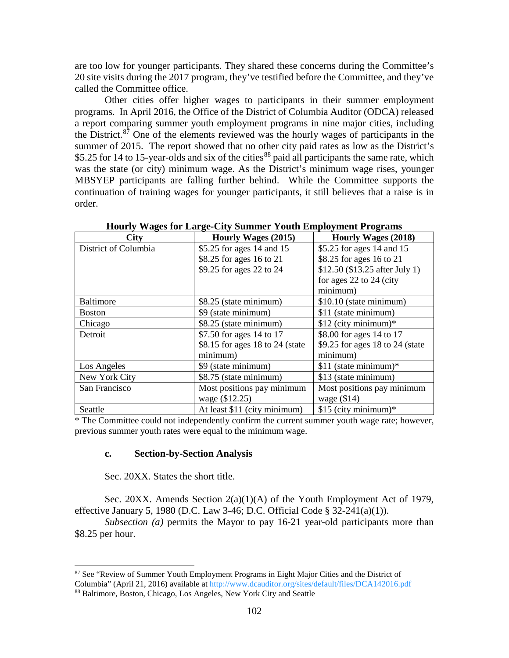are too low for younger participants. They shared these concerns during the Committee's 20 site visits during the 2017 program, they've testified before the Committee, and they've called the Committee office.

Other cities offer higher wages to participants in their summer employment programs. In April 2016, the Office of the District of Columbia Auditor (ODCA) released a report comparing summer youth employment programs in nine major cities, including the District.<sup>[87](#page-101-0)</sup> One of the elements reviewed was the hourly wages of participants in the summer of 2015. The report showed that no other city paid rates as low as the District's \$5.25 for 14 to 15-year-olds and six of the cities<sup>[88](#page-101-1)</sup> paid all participants the same rate, which was the state (or city) minimum wage. As the District's minimum wage rises, younger MBSYEP participants are falling further behind. While the Committee supports the continuation of training wages for younger participants, it still believes that a raise is in order.

| <b>City</b>          | <b>Hourly Wages (2015)</b>      | <b>Hourly Wages (2018)</b>      |  |  |
|----------------------|---------------------------------|---------------------------------|--|--|
| District of Columbia | \$5.25 for ages 14 and 15       | \$5.25 for ages 14 and 15       |  |  |
|                      | \$8.25 for ages 16 to 21        | \$8.25 for ages 16 to 21        |  |  |
|                      | \$9.25 for ages 22 to 24        | \$12.50 (\$13.25 after July 1)  |  |  |
|                      |                                 | for ages 22 to 24 (city         |  |  |
|                      |                                 | minimum)                        |  |  |
| Baltimore            | \$8.25 (state minimum)          | \$10.10 (state minimum)         |  |  |
| <b>Boston</b>        | \$9 (state minimum)             | \$11 (state minimum)            |  |  |
| Chicago              | \$8.25 (state minimum)          | $$12$ (city minimum)*           |  |  |
| Detroit              | \$7.50 for ages 14 to 17        | \$8.00 for ages 14 to 17        |  |  |
|                      | \$8.15 for ages 18 to 24 (state | \$9.25 for ages 18 to 24 (state |  |  |
|                      | minimum)                        | minimum)                        |  |  |
| Los Angeles          | \$9 (state minimum)             | \$11 (state minimum)*           |  |  |
| New York City        | \$8.75 (state minimum)          | \$13 (state minimum)            |  |  |
| San Francisco        | Most positions pay minimum      | Most positions pay minimum      |  |  |
|                      | wage (\$12.25)                  | wage $(\$14)$                   |  |  |
| Seattle              | At least \$11 (city minimum)    | \$15 (city minimum)*            |  |  |

**Hourly Wages for Large-City Summer Youth Employment Programs**

\* The Committee could not independently confirm the current summer youth wage rate; however, previous summer youth rates were equal to the minimum wage.

#### **c. Section-by-Section Analysis**

Sec. 20XX. States the short title.

Sec. 20XX. Amends Section 2(a)(1)(A) of the Youth Employment Act of 1979, effective January 5, 1980 (D.C. Law 3-46; D.C. Official Code § 32-241(a)(1)).

*Subsection (a)* permits the Mayor to pay 16-21 year-old participants more than \$8.25 per hour.

<span id="page-101-0"></span> <sup>87</sup> See "Review of Summer Youth Employment Programs in Eight Major Cities and the District of Columbia" (April 21, 2016) available at <http://www.dcauditor.org/sites/default/files/DCA142016.pdf>

<span id="page-101-1"></span><sup>88</sup> Baltimore, Boston, Chicago, Los Angeles, New York City and Seattle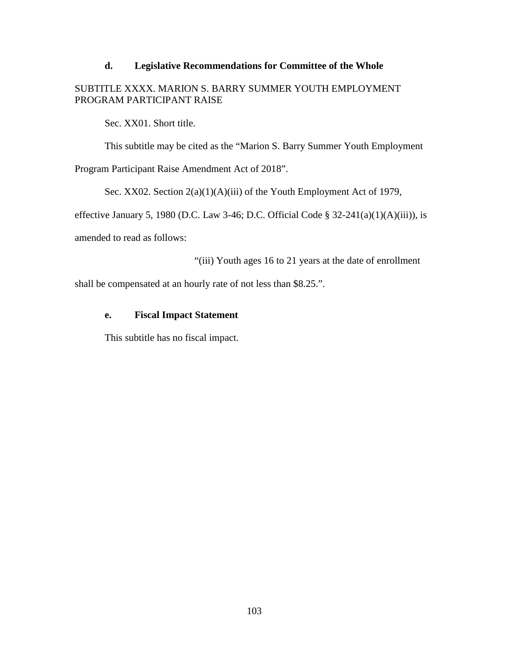### **d. Legislative Recommendations for Committee of the Whole**

# SUBTITLE XXXX. MARION S. BARRY SUMMER YOUTH EMPLOYMENT PROGRAM PARTICIPANT RAISE

Sec. XX01. Short title.

This subtitle may be cited as the "Marion S. Barry Summer Youth Employment

Program Participant Raise Amendment Act of 2018".

Sec. XX02. Section  $2(a)(1)(A)(iii)$  of the Youth Employment Act of 1979,

effective January 5, 1980 (D.C. Law 3-46; D.C. Official Code  $\S$  32-241(a)(1)(A)(iii)), is

amended to read as follows:

"(iii) Youth ages 16 to 21 years at the date of enrollment

shall be compensated at an hourly rate of not less than \$8.25.".

# **e. Fiscal Impact Statement**

This subtitle has no fiscal impact.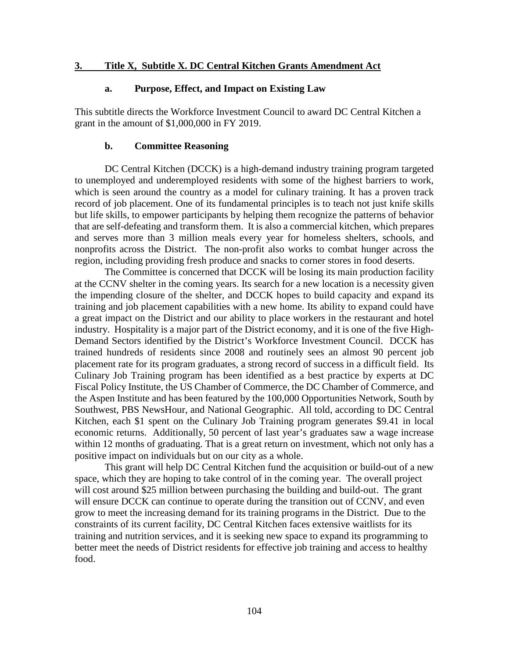### **3. Title X, Subtitle X. DC Central Kitchen Grants Amendment Act**

#### **a. Purpose, Effect, and Impact on Existing Law**

This subtitle directs the Workforce Investment Council to award DC Central Kitchen a grant in the amount of \$1,000,000 in FY 2019.

#### **b. Committee Reasoning**

DC Central Kitchen (DCCK) is a high-demand industry training program targeted to unemployed and underemployed residents with some of the highest barriers to work, which is seen around the country as a model for culinary training. It has a proven track record of job placement. One of its fundamental principles is to teach not just knife skills but life skills, to empower participants by helping them recognize the patterns of behavior that are self-defeating and transform them. It is also a commercial kitchen, which prepares and serves more than 3 million meals every year for homeless shelters, schools, and nonprofits across the District. The non-profit also works to combat hunger across the region, including providing fresh produce and snacks to corner stores in food deserts.

The Committee is concerned that DCCK will be losing its main production facility at the CCNV shelter in the coming years. Its search for a new location is a necessity given the impending closure of the shelter, and DCCK hopes to build capacity and expand its training and job placement capabilities with a new home. Its ability to expand could have a great impact on the District and our ability to place workers in the restaurant and hotel industry. Hospitality is a major part of the District economy, and it is one of the five High-Demand Sectors identified by the District's Workforce Investment Council. DCCK has trained hundreds of residents since 2008 and routinely sees an almost 90 percent job placement rate for its program graduates, a strong record of success in a difficult field. Its Culinary Job Training program has been identified as a best practice by experts at DC Fiscal Policy Institute, the US Chamber of Commerce, the DC Chamber of Commerce, and the Aspen Institute and has been featured by the 100,000 Opportunities Network, South by Southwest, PBS NewsHour, and National Geographic. All told, according to DC Central Kitchen, each \$1 spent on the Culinary Job Training program generates \$9.41 in local economic returns. Additionally, 50 percent of last year's graduates saw a wage increase within 12 months of graduating. That is a great return on investment, which not only has a positive impact on individuals but on our city as a whole.

This grant will help DC Central Kitchen fund the acquisition or build-out of a new space, which they are hoping to take control of in the coming year. The overall project will cost around \$25 million between purchasing the building and build-out. The grant will ensure DCCK can continue to operate during the transition out of CCNV, and even grow to meet the increasing demand for its training programs in the District. Due to the constraints of its current facility, DC Central Kitchen faces extensive waitlists for its training and nutrition services, and it is seeking new space to expand its programming to better meet the needs of District residents for effective job training and access to healthy food.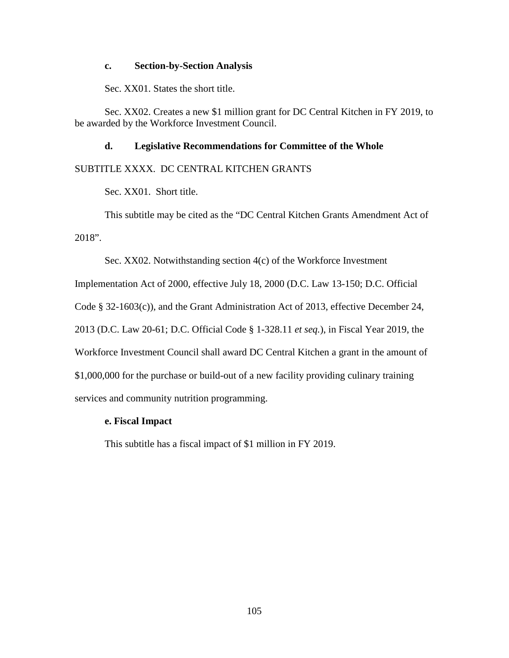#### **c. Section-by-Section Analysis**

Sec. XX01. States the short title.

Sec. XX02. Creates a new \$1 million grant for DC Central Kitchen in FY 2019, to be awarded by the Workforce Investment Council.

# **d. Legislative Recommendations for Committee of the Whole**

# SUBTITLE XXXX. DC CENTRAL KITCHEN GRANTS

Sec. XX01. Short title.

This subtitle may be cited as the "DC Central Kitchen Grants Amendment Act of 2018".

Sec. XX02. Notwithstanding section 4(c) of the Workforce Investment

Implementation Act of 2000, effective July 18, 2000 (D.C. Law 13-150; D.C. Official

Code § 32-1603(c)), and the Grant Administration Act of 2013, effective December 24,

2013 (D.C. Law 20-61; D.C. Official Code § 1-328.11 *et seq.*), in Fiscal Year 2019, the

Workforce Investment Council shall award DC Central Kitchen a grant in the amount of

\$1,000,000 for the purchase or build-out of a new facility providing culinary training

services and community nutrition programming.

# **e. Fiscal Impact**

This subtitle has a fiscal impact of \$1 million in FY 2019.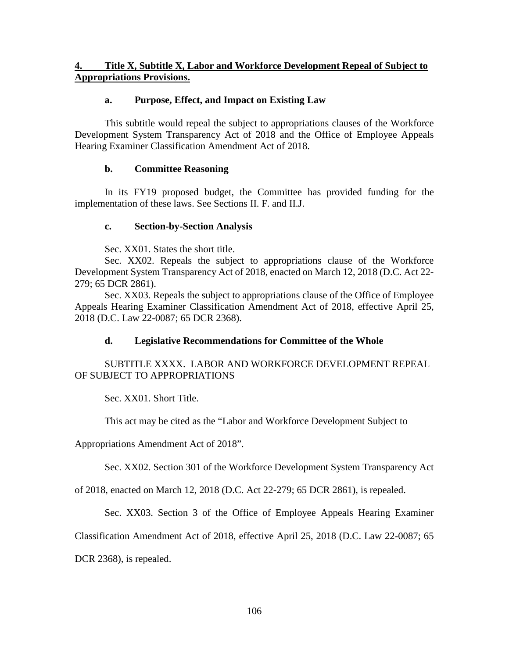# **4. Title X, Subtitle X, Labor and Workforce Development Repeal of Subject to Appropriations Provisions.**

# **a. Purpose, Effect, and Impact on Existing Law**

This subtitle would repeal the subject to appropriations clauses of the Workforce Development System Transparency Act of 2018 and the Office of Employee Appeals Hearing Examiner Classification Amendment Act of 2018.

# **b. Committee Reasoning**

In its FY19 proposed budget, the Committee has provided funding for the implementation of these laws. See Sections II. F. and II.J.

# **c. Section-by-Section Analysis**

Sec. XX01. States the short title.

Sec. XX02. Repeals the subject to appropriations clause of the Workforce Development System Transparency Act of 2018, enacted on March 12, 2018 (D.C. Act 22- 279; 65 DCR 2861).

Sec. XX03. Repeals the subject to appropriations clause of the Office of Employee Appeals Hearing Examiner Classification Amendment Act of 2018, effective April 25, 2018 (D.C. Law 22-0087; 65 DCR 2368).

# **d. Legislative Recommendations for Committee of the Whole**

# SUBTITLE XXXX. LABOR AND WORKFORCE DEVELOPMENT REPEAL OF SUBJECT TO APPROPRIATIONS

Sec. XX01. Short Title.

This act may be cited as the "Labor and Workforce Development Subject to

Appropriations Amendment Act of 2018".

Sec. XX02. Section 301 of the Workforce Development System Transparency Act

of 2018, enacted on March 12, 2018 (D.C. Act 22-279; 65 DCR 2861), is repealed.

Sec. XX03. Section 3 of the Office of Employee Appeals Hearing Examiner

Classification Amendment Act of 2018, effective April 25, 2018 (D.C. Law 22-0087; 65

DCR 2368), is repealed.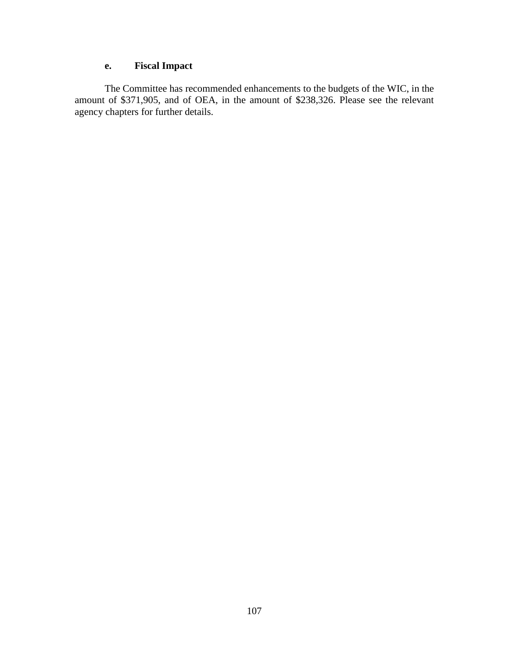# **e. Fiscal Impact**

The Committee has recommended enhancements to the budgets of the WIC, in the amount of \$371,905, and of OEA, in the amount of \$238,326. Please see the relevant agency chapters for further details.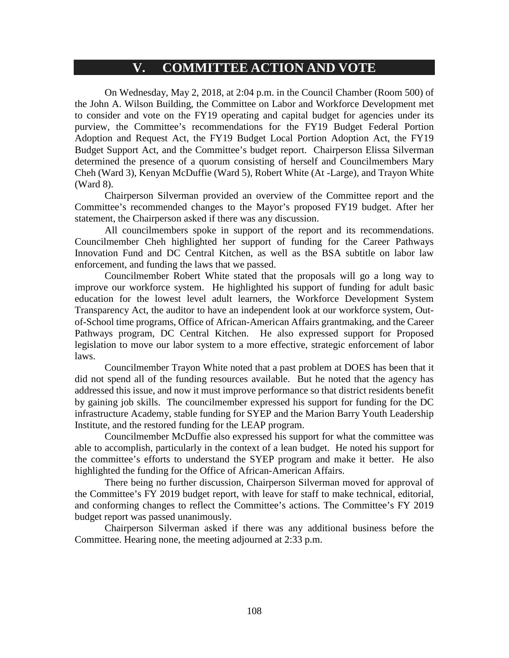# **V. COMMITTEE ACTION AND VOTE**

On Wednesday, May 2, 2018, at 2:04 p.m. in the Council Chamber (Room 500) of the John A. Wilson Building, the Committee on Labor and Workforce Development met to consider and vote on the FY19 operating and capital budget for agencies under its purview, the Committee's recommendations for the FY19 Budget Federal Portion Adoption and Request Act, the FY19 Budget Local Portion Adoption Act, the FY19 Budget Support Act, and the Committee's budget report. Chairperson Elissa Silverman determined the presence of a quorum consisting of herself and Councilmembers Mary Cheh (Ward 3), Kenyan McDuffie (Ward 5), Robert White (At -Large), and Trayon White (Ward 8).

Chairperson Silverman provided an overview of the Committee report and the Committee's recommended changes to the Mayor's proposed FY19 budget. After her statement, the Chairperson asked if there was any discussion.

All councilmembers spoke in support of the report and its recommendations. Councilmember Cheh highlighted her support of funding for the Career Pathways Innovation Fund and DC Central Kitchen, as well as the BSA subtitle on labor law enforcement, and funding the laws that we passed.

Councilmember Robert White stated that the proposals will go a long way to improve our workforce system. He highlighted his support of funding for adult basic education for the lowest level adult learners, the Workforce Development System Transparency Act, the auditor to have an independent look at our workforce system, Outof-School time programs, Office of African-American Affairs grantmaking, and the Career Pathways program, DC Central Kitchen. He also expressed support for Proposed legislation to move our labor system to a more effective, strategic enforcement of labor laws.

Councilmember Trayon White noted that a past problem at DOES has been that it did not spend all of the funding resources available. But he noted that the agency has addressed this issue, and now it must improve performance so that district residents benefit by gaining job skills. The councilmember expressed his support for funding for the DC infrastructure Academy, stable funding for SYEP and the Marion Barry Youth Leadership Institute, and the restored funding for the LEAP program.

Councilmember McDuffie also expressed his support for what the committee was able to accomplish, particularly in the context of a lean budget. He noted his support for the committee's efforts to understand the SYEP program and make it better. He also highlighted the funding for the Office of African-American Affairs.

There being no further discussion, Chairperson Silverman moved for approval of the Committee's FY 2019 budget report, with leave for staff to make technical, editorial, and conforming changes to reflect the Committee's actions. The Committee's FY 2019 budget report was passed unanimously.

Chairperson Silverman asked if there was any additional business before the Committee. Hearing none, the meeting adjourned at 2:33 p.m.